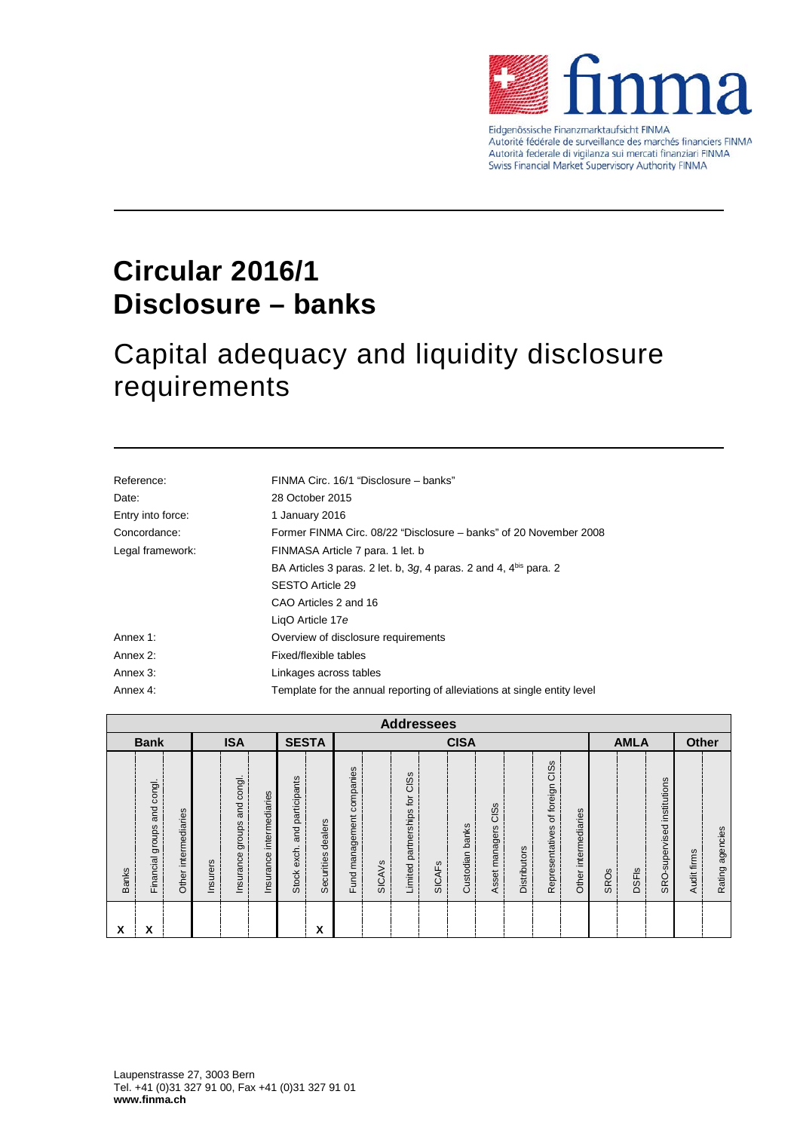

Eidgenössische Finanzmarktaufsicht FINMA Autorité fédérale de surveillance des marchés financiers FINMA Autorità federale di vigilanza sui mercati finanziari FINMA Swiss Financial Market Supervisory Authority FINMA

## **Circular 2016/1 Disclosure – banks**

### Capital adequacy and liquidity disclosure requirements

| FINMA Circ. 16/1 "Disclosure – banks"                                    |  |  |  |  |
|--------------------------------------------------------------------------|--|--|--|--|
| 28 October 2015                                                          |  |  |  |  |
| 1 January 2016                                                           |  |  |  |  |
| Former FINMA Circ. 08/22 "Disclosure – banks" of 20 November 2008        |  |  |  |  |
| FINMASA Article 7 para. 1 let. b                                         |  |  |  |  |
| BA Articles 3 paras. 2 let. b, 3g, 4 paras. 2 and 4, $4^{bis}$ para. 2   |  |  |  |  |
| SESTO Article 29                                                         |  |  |  |  |
| CAO Articles 2 and 16                                                    |  |  |  |  |
| LigO Article 17e                                                         |  |  |  |  |
| Overview of disclosure requirements                                      |  |  |  |  |
| Fixed/flexible tables                                                    |  |  |  |  |
| Linkages across tables                                                   |  |  |  |  |
| Template for the annual reporting of alleviations at single entity level |  |  |  |  |
|                                                                          |  |  |  |  |

|                                           | <b>Addressees</b>                    |                      |          |                                             |                             |                                              |                       |                              |               |                               |               |                           |                        |                     |                                         |                      |      |              |                                |             |                 |
|-------------------------------------------|--------------------------------------|----------------------|----------|---------------------------------------------|-----------------------------|----------------------------------------------|-----------------------|------------------------------|---------------|-------------------------------|---------------|---------------------------|------------------------|---------------------|-----------------------------------------|----------------------|------|--------------|--------------------------------|-------------|-----------------|
| <b>ISA</b><br><b>SESTA</b><br><b>Bank</b> |                                      |                      |          |                                             | <b>CISA</b>                 |                                              |                       |                              |               |                               |               |                           | <b>AMLA</b>            |                     |                                         | <b>Other</b>         |      |              |                                |             |                 |
| <b>Banks</b>                              | congl.<br>and<br>groups<br>Financial | Other intermediaries | Insurers | congl.<br><b>Due</b><br>groups<br>Insurance | intermediaries<br>Insurance | participants<br>and<br>exch.<br><b>Stock</b> | dealers<br>Securities | companies<br>Fund management | <b>SICAVS</b> | Limited partnerships for CISs | <b>SICAFS</b> | ustodian banks<br>$\circ$ | CISS<br>Asset managers | <b>Distributors</b> | CISS<br>foreign<br>৳<br>Representatives | Other intermediaries | SROs | <b>DSFIs</b> | institutions<br>SRO-supervised | Audit firms | Rating agencies |
| x                                         | χ                                    |                      |          |                                             |                             |                                              | X                     |                              |               |                               |               |                           |                        |                     |                                         |                      |      |              |                                |             |                 |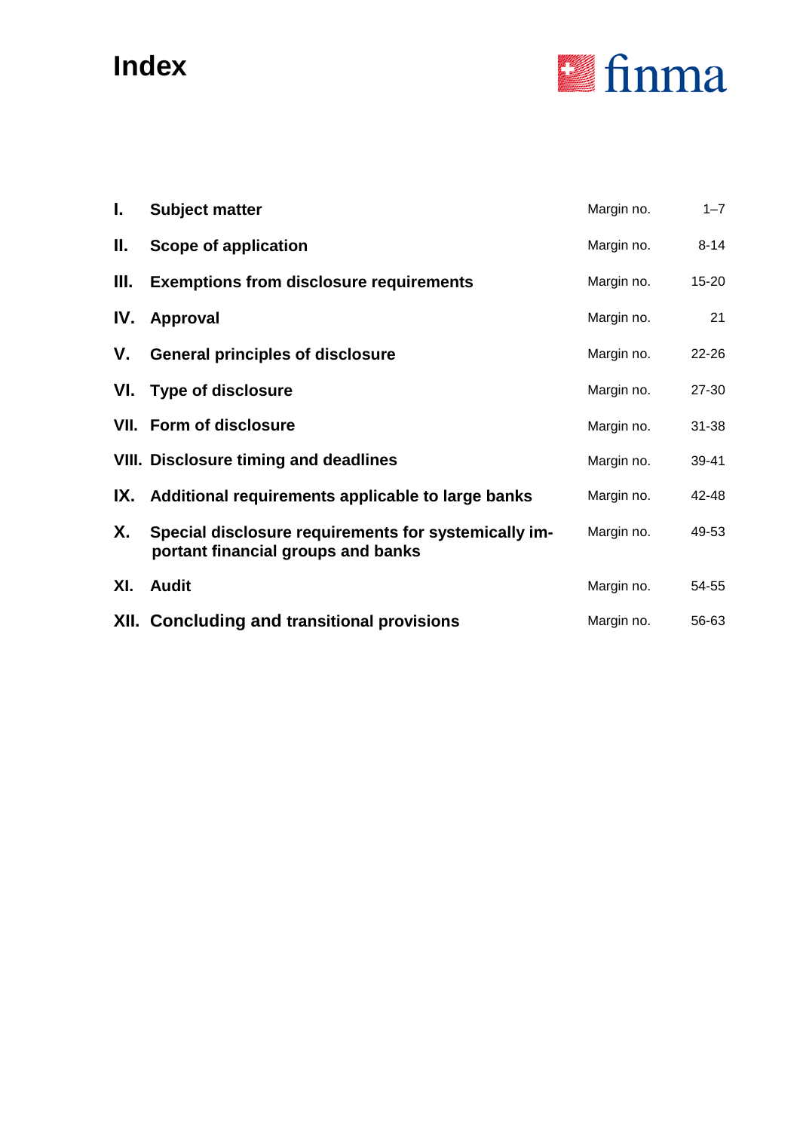# **Index**



| L.  | <b>Subject matter</b>                                                                      | Margin no. | $1 - 7$   |
|-----|--------------------------------------------------------------------------------------------|------------|-----------|
| Ш.  | Scope of application                                                                       | Margin no. | $8 - 14$  |
| Ш.  | <b>Exemptions from disclosure requirements</b>                                             | Margin no. | $15 - 20$ |
| IV. | Approval                                                                                   | Margin no. | 21        |
| V.  | <b>General principles of disclosure</b>                                                    | Margin no. | $22 - 26$ |
|     | VI. Type of disclosure                                                                     | Margin no. | 27-30     |
|     | <b>VII. Form of disclosure</b>                                                             | Margin no. | $31 - 38$ |
|     | <b>VIII. Disclosure timing and deadlines</b>                                               | Margin no. | 39-41     |
|     | IX. Additional requirements applicable to large banks                                      | Margin no. | 42-48     |
| Х.  | Special disclosure requirements for systemically im-<br>portant financial groups and banks | Margin no. | 49-53     |
| XI. | <b>Audit</b>                                                                               | Margin no. | 54-55     |
|     | <b>XII. Concluding and transitional provisions</b>                                         | Margin no. | 56-63     |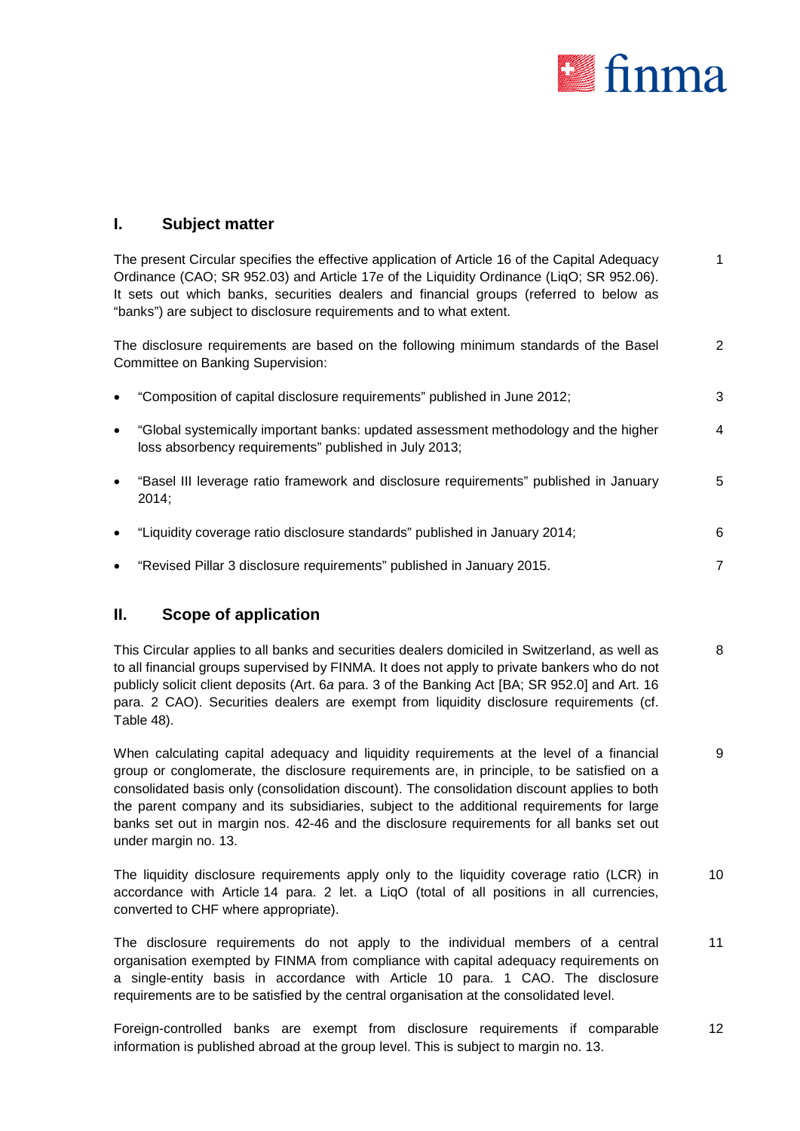

#### **I. Subject matter**

The present Circular specifies the effective application of Article 16 of the Capital Adequacy Ordinance (CAO; SR 952.03) and Article 17*e* of the Liquidity Ordinance (LiqO; SR 952.06). It sets out which banks, securities dealers and financial groups (referred to below as "banks") are subject to disclosure requirements and to what extent. 1

The disclosure requirements are based on the following minimum standards of the Basel Committee on Banking Supervision: 2

|  | "Composition of capital disclosure requirements" published in June 2012; |  |
|--|--------------------------------------------------------------------------|--|
|--|--------------------------------------------------------------------------|--|

- "Global systemically important banks: updated assessment methodology and the higher loss absorbency requirements" published in July 2013; 4
- "Basel III leverage ratio framework and disclosure requirements" published in January 2014; 5
- "Liquidity coverage ratio disclosure standards" published in January 2014; 6
- "Revised Pillar 3 disclosure requirements" published in January 2015. 7

#### **II. Scope of application**

This Circular applies to all banks and securities dealers domiciled in Switzerland, as well as to all financial groups supervised by FINMA. It does not apply to private bankers who do not publicly solicit client deposits (Art. 6*a* para. 3 of the Banking Act [BA; SR 952.0] and Art. 16 para. 2 CAO). Securities dealers are exempt from liquidity disclosure requirements (cf. Table 48). 8

When calculating capital adequacy and liquidity requirements at the level of a financial group or conglomerate, the disclosure requirements are, in principle, to be satisfied on a consolidated basis only (consolidation discount). The consolidation discount applies to both the parent company and its subsidiaries, subject to the additional requirements for large banks set out in margin nos. 42-46 and the disclosure requirements for all banks set out under margin no. 13. 9

The liquidity disclosure requirements apply only to the liquidity coverage ratio (LCR) in accordance with Article 14 para. 2 let. a LiqO (total of all positions in all currencies, converted to CHF where appropriate). 10

The disclosure requirements do not apply to the individual members of a central organisation exempted by FINMA from compliance with capital adequacy requirements on a single-entity basis in accordance with Article 10 para. 1 CAO. The disclosure requirements are to be satisfied by the central organisation at the consolidated level. 11

Foreign-controlled banks are exempt from disclosure requirements if comparable information is published abroad at the group level. This is subject to margin no. 13. 12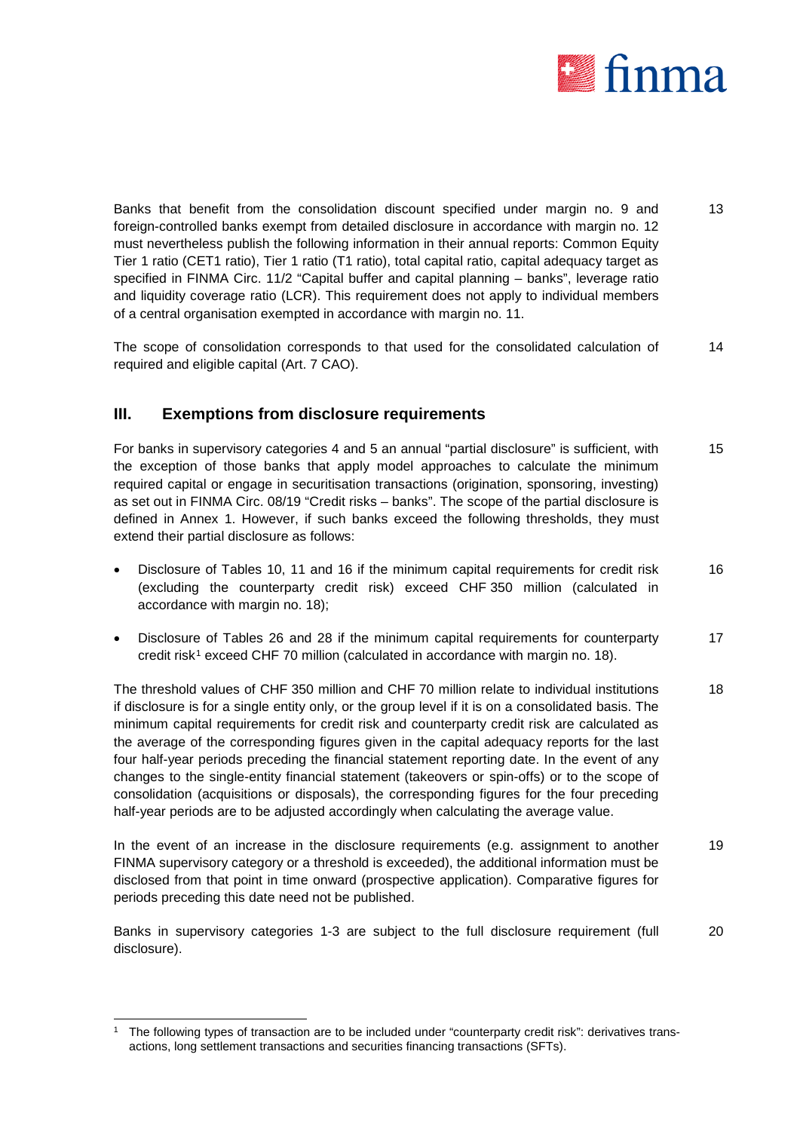

Banks that benefit from the consolidation discount specified under margin no. 9 and foreign-controlled banks exempt from detailed disclosure in accordance with margin no. 12 must nevertheless publish the following information in their annual reports: Common Equity Tier 1 ratio (CET1 ratio), Tier 1 ratio (T1 ratio), total capital ratio, capital adequacy target as specified in FINMA Circ. 11/2 "Capital buffer and capital planning – banks", leverage ratio and liquidity coverage ratio (LCR). This requirement does not apply to individual members of a central organisation exempted in accordance with margin no. 11. 13

The scope of consolidation corresponds to that used for the consolidated calculation of required and eligible capital (Art. 7 CAO). 14

#### **III. Exemptions from disclosure requirements**

For banks in supervisory categories 4 and 5 an annual "partial disclosure" is sufficient, with the exception of those banks that apply model approaches to calculate the minimum required capital or engage in securitisation transactions (origination, sponsoring, investing) as set out in FINMA Circ. 08/19 "Credit risks – banks". The scope of the partial disclosure is defined in Annex 1. However, if such banks exceed the following thresholds, they must extend their partial disclosure as follows: 15

- Disclosure of Tables 10, 11 and 16 if the minimum capital requirements for credit risk (excluding the counterparty credit risk) exceed CHF 350 million (calculated in accordance with margin no. 18); 16
- Disclosure of Tables 26 and 28 if the minimum capital requirements for counterparty credit risk[1](#page-3-0) exceed CHF 70 million (calculated in accordance with margin no. 18). 17

The threshold values of CHF 350 million and CHF 70 million relate to individual institutions if disclosure is for a single entity only, or the group level if it is on a consolidated basis. The minimum capital requirements for credit risk and counterparty credit risk are calculated as the average of the corresponding figures given in the capital adequacy reports for the last four half-year periods preceding the financial statement reporting date. In the event of any changes to the single-entity financial statement (takeovers or spin-offs) or to the scope of consolidation (acquisitions or disposals), the corresponding figures for the four preceding half-year periods are to be adjusted accordingly when calculating the average value. 18

In the event of an increase in the disclosure requirements (e.g. assignment to another FINMA supervisory category or a threshold is exceeded), the additional information must be disclosed from that point in time onward (prospective application). Comparative figures for periods preceding this date need not be published. 19

Banks in supervisory categories 1-3 are subject to the full disclosure requirement (full disclosure). 20

<span id="page-3-0"></span>The following types of transaction are to be included under "counterparty credit risk": derivatives transactions, long settlement transactions and securities financing transactions (SFTs).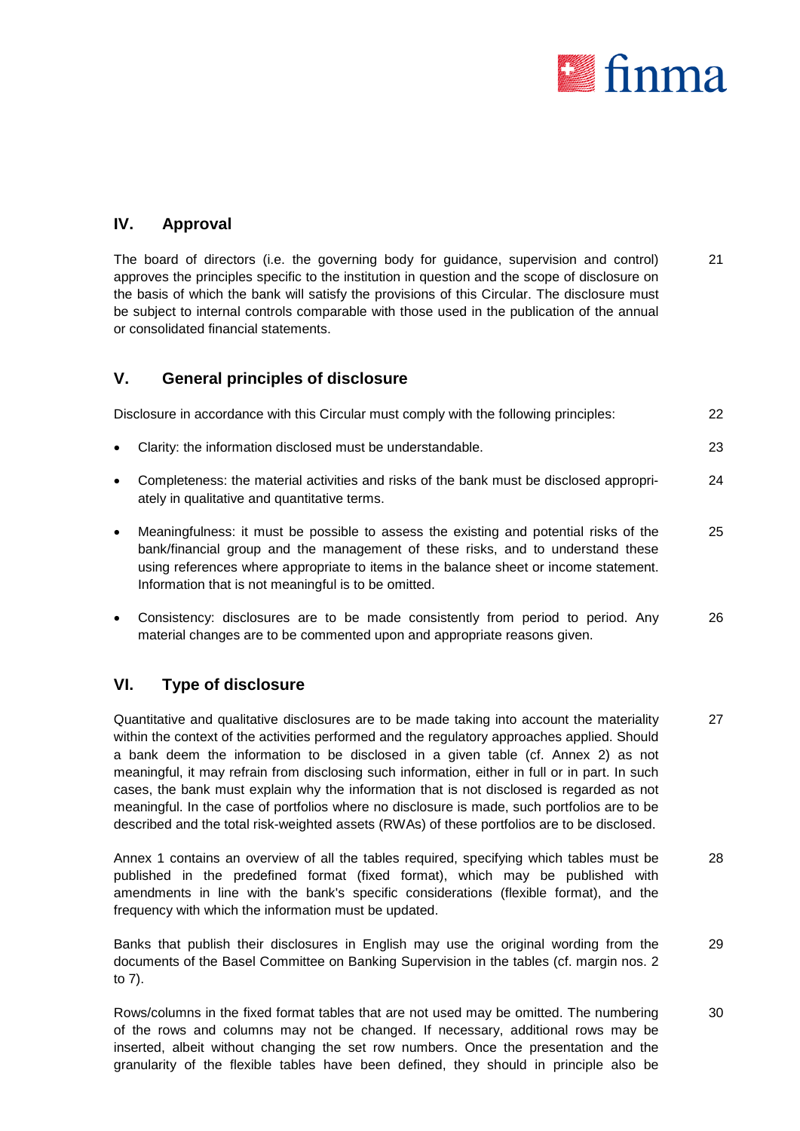

#### **IV. Approval**

The board of directors (i.e. the governing body for guidance, supervision and control) approves the principles specific to the institution in question and the scope of disclosure on the basis of which the bank will satisfy the provisions of this Circular. The disclosure must be subject to internal controls comparable with those used in the publication of the annual or consolidated financial statements. 21

#### **V. General principles of disclosure**

|           | Disclosure in accordance with this Circular must comply with the following principles:                                                                                                                                                                                                                                    | 22  |
|-----------|---------------------------------------------------------------------------------------------------------------------------------------------------------------------------------------------------------------------------------------------------------------------------------------------------------------------------|-----|
| $\bullet$ | Clarity: the information disclosed must be understandable.                                                                                                                                                                                                                                                                | 23  |
| $\bullet$ | Completeness: the material activities and risks of the bank must be disclosed appropri-<br>ately in qualitative and quantitative terms.                                                                                                                                                                                   | 24  |
| $\bullet$ | Meaningfulness: it must be possible to assess the existing and potential risks of the<br>bank/financial group and the management of these risks, and to understand these<br>using references where appropriate to items in the balance sheet or income statement.<br>Information that is not meaningful is to be omitted. | 25  |
|           | . Consistency disclesures are to be mode consistently from period to period. Apy                                                                                                                                                                                                                                          | nc. |

• Consistency: disclosures are to be made consistently from period to period. Any material changes are to be commented upon and appropriate reasons given. 26

#### **VI. Type of disclosure**

Quantitative and qualitative disclosures are to be made taking into account the materiality within the context of the activities performed and the regulatory approaches applied. Should a bank deem the information to be disclosed in a given table (cf. Annex 2) as not meaningful, it may refrain from disclosing such information, either in full or in part. In such cases, the bank must explain why the information that is not disclosed is regarded as not meaningful. In the case of portfolios where no disclosure is made, such portfolios are to be described and the total risk-weighted assets (RWAs) of these portfolios are to be disclosed. 27

Annex 1 contains an overview of all the tables required, specifying which tables must be published in the predefined format (fixed format), which may be published with amendments in line with the bank's specific considerations (flexible format), and the frequency with which the information must be updated. 28

Banks that publish their disclosures in English may use the original wording from the documents of the Basel Committee on Banking Supervision in the tables (cf. margin nos. 2 to 7). 29

Rows/columns in the fixed format tables that are not used may be omitted. The numbering of the rows and columns may not be changed. If necessary, additional rows may be inserted, albeit without changing the set row numbers. Once the presentation and the granularity of the flexible tables have been defined, they should in principle also be 30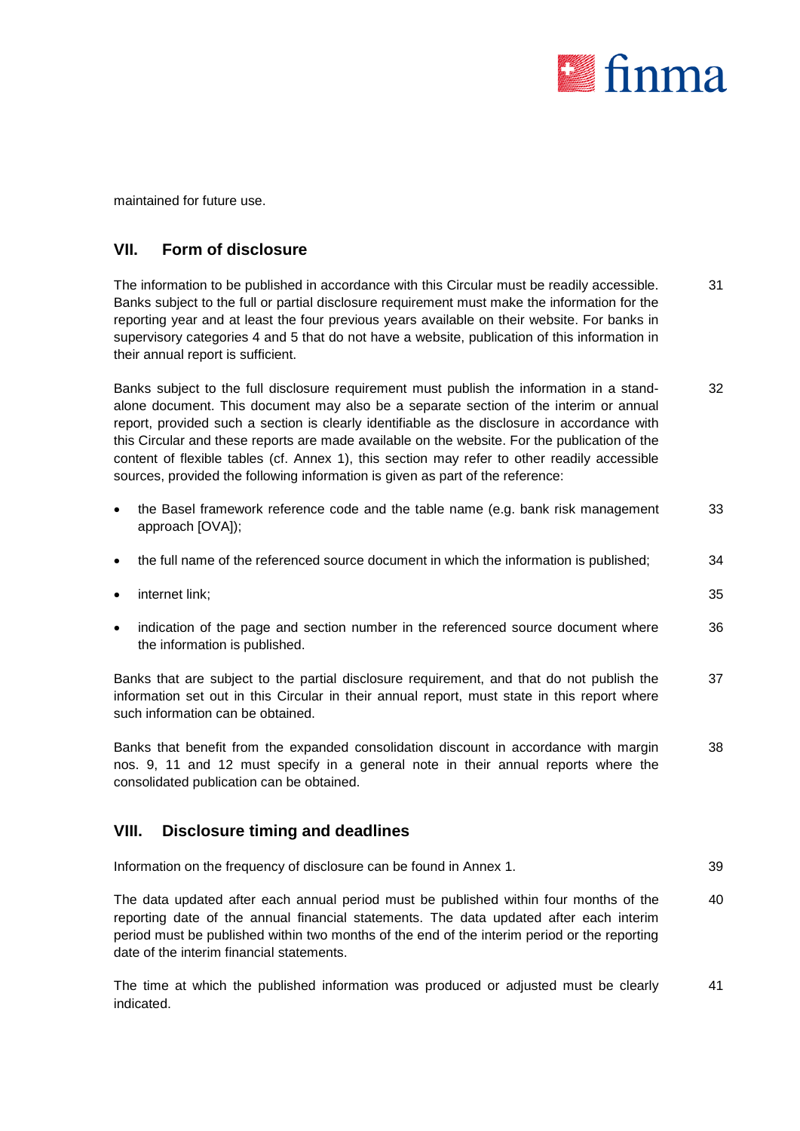

maintained for future use.

#### **VII. Form of disclosure**

The information to be published in accordance with this Circular must be readily accessible. Banks subject to the full or partial disclosure requirement must make the information for the reporting year and at least the four previous years available on their website. For banks in supervisory categories 4 and 5 that do not have a website, publication of this information in their annual report is sufficient. 31

Banks subject to the full disclosure requirement must publish the information in a standalone document. This document may also be a separate section of the interim or annual report, provided such a section is clearly identifiable as the disclosure in accordance with this Circular and these reports are made available on the website. For the publication of the content of flexible tables (cf. Annex 1), this section may refer to other readily accessible sources, provided the following information is given as part of the reference: 32

- the Basel framework reference code and the table name (e.g. bank risk management approach [OVA]); 33
- the full name of the referenced source document in which the information is published; 34
- **internet link; 35** and the set of the set of the set of the set of the set of the set of the set of the set of the set of the set of the set of the set of the set of the set of the set of the set of the set of the set o

indication of the page and section number in the referenced source document where the information is published. 36

Banks that are subject to the partial disclosure requirement, and that do not publish the information set out in this Circular in their annual report, must state in this report where such information can be obtained. 37

Banks that benefit from the expanded consolidation discount in accordance with margin nos. 9, 11 and 12 must specify in a general note in their annual reports where the consolidated publication can be obtained. 38

#### **VIII. Disclosure timing and deadlines**

| Information on the frequency of disclosure can be found in Annex 1. | 39 |
|---------------------------------------------------------------------|----|
|---------------------------------------------------------------------|----|

The data updated after each annual period must be published within four months of the reporting date of the annual financial statements. The data updated after each interim period must be published within two months of the end of the interim period or the reporting date of the interim financial statements. 40

The time at which the published information was produced or adjusted must be clearly indicated. 41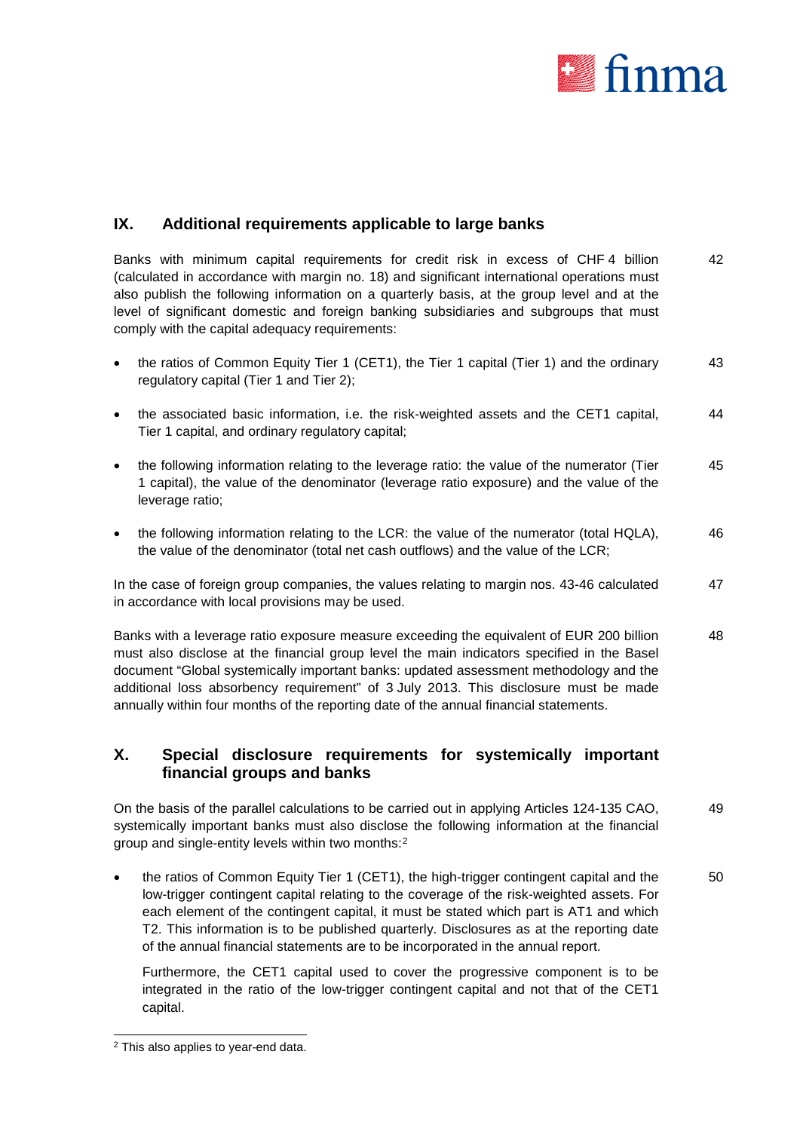

#### **IX. Additional requirements applicable to large banks**

Banks with minimum capital requirements for credit risk in excess of CHF 4 billion (calculated in accordance with margin no. 18) and significant international operations must also publish the following information on a quarterly basis, at the group level and at the level of significant domestic and foreign banking subsidiaries and subgroups that must comply with the capital adequacy requirements: 42

- the ratios of Common Equity Tier 1 (CET1), the Tier 1 capital (Tier 1) and the ordinary regulatory capital (Tier 1 and Tier 2); 43
- the associated basic information, i.e. the risk-weighted assets and the CET1 capital, Tier 1 capital, and ordinary regulatory capital; 44
- the following information relating to the leverage ratio: the value of the numerator (Tier 1 capital), the value of the denominator (leverage ratio exposure) and the value of the leverage ratio; 45
- the following information relating to the LCR: the value of the numerator (total HQLA), the value of the denominator (total net cash outflows) and the value of the LCR; 46

In the case of foreign group companies, the values relating to margin nos. 43-46 calculated in accordance with local provisions may be used. 47

Banks with a leverage ratio exposure measure exceeding the equivalent of EUR 200 billion must also disclose at the financial group level the main indicators specified in the Basel document "Global systemically important banks: updated assessment methodology and the additional loss absorbency requirement" of 3 July 2013. This disclosure must be made annually within four months of the reporting date of the annual financial statements. 48

#### **X. Special disclosure requirements for systemically important financial groups and banks**

On the basis of the parallel calculations to be carried out in applying Articles 124-135 CAO, systemically important banks must also disclose the following information at the financial group and single-entity levels within two months:[2](#page-6-0) 49

• the ratios of Common Equity Tier 1 (CET1), the high-trigger contingent capital and the low-trigger contingent capital relating to the coverage of the risk-weighted assets. For each element of the contingent capital, it must be stated which part is AT1 and which T2. This information is to be published quarterly. Disclosures as at the reporting date of the annual financial statements are to be incorporated in the annual report. 50

Furthermore, the CET1 capital used to cover the progressive component is to be integrated in the ratio of the low-trigger contingent capital and not that of the CET1 capital.

<span id="page-6-0"></span> <sup>2</sup> This also applies to year-end data.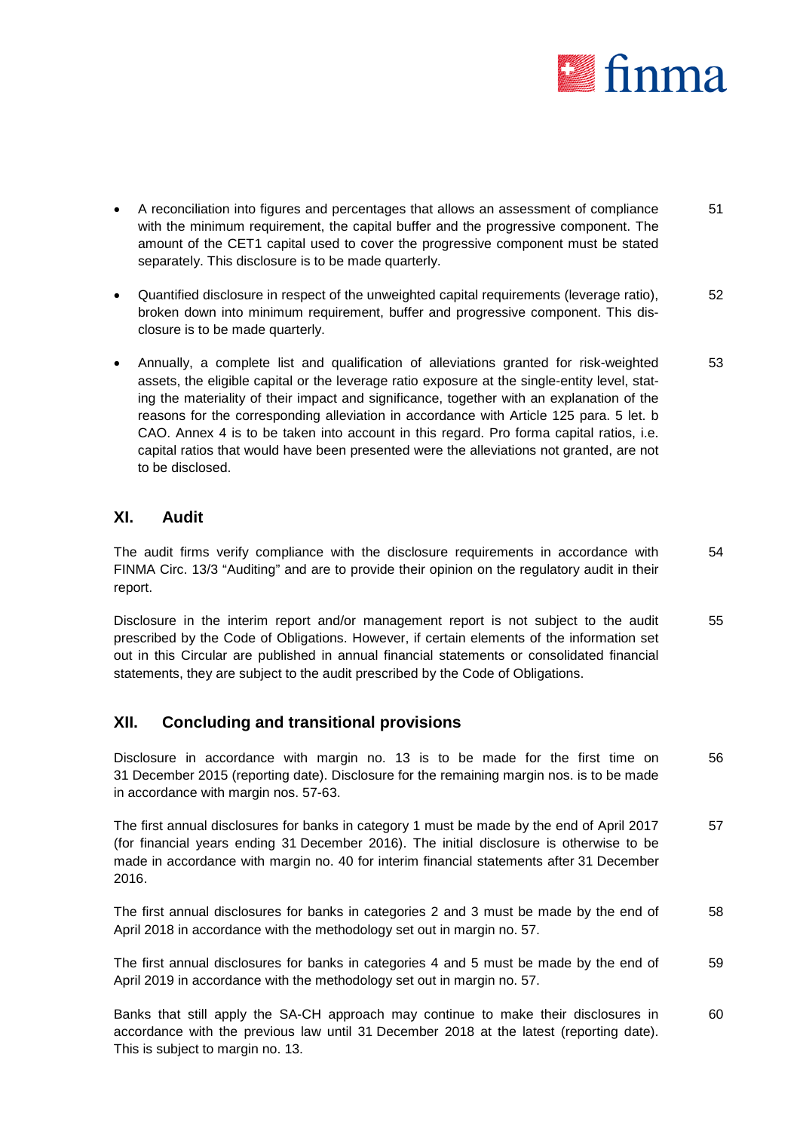

- A reconciliation into figures and percentages that allows an assessment of compliance with the minimum requirement, the capital buffer and the progressive component. The amount of the CET1 capital used to cover the progressive component must be stated separately. This disclosure is to be made quarterly. 51
- Quantified disclosure in respect of the unweighted capital requirements (leverage ratio), broken down into minimum requirement, buffer and progressive component. This disclosure is to be made quarterly. 52
- Annually, a complete list and qualification of alleviations granted for risk-weighted assets, the eligible capital or the leverage ratio exposure at the single-entity level, stating the materiality of their impact and significance, together with an explanation of the reasons for the corresponding alleviation in accordance with Article 125 para. 5 let. b CAO. Annex 4 is to be taken into account in this regard. Pro forma capital ratios, i.e. capital ratios that would have been presented were the alleviations not granted, are not to be disclosed. 53

#### **XI. Audit**

The audit firms verify compliance with the disclosure requirements in accordance with FINMA Circ. 13/3 "Auditing" and are to provide their opinion on the regulatory audit in their report. 54

Disclosure in the interim report and/or management report is not subject to the audit prescribed by the Code of Obligations. However, if certain elements of the information set out in this Circular are published in annual financial statements or consolidated financial statements, they are subject to the audit prescribed by the Code of Obligations. 55

#### **XII. Concluding and transitional provisions**

Disclosure in accordance with margin no. 13 is to be made for the first time on 31 December 2015 (reporting date). Disclosure for the remaining margin nos. is to be made in accordance with margin nos. 57-63. 56

The first annual disclosures for banks in category 1 must be made by the end of April 2017 (for financial years ending 31 December 2016). The initial disclosure is otherwise to be made in accordance with margin no. 40 for interim financial statements after 31 December 2016. 57

The first annual disclosures for banks in categories 2 and 3 must be made by the end of April 2018 in accordance with the methodology set out in margin no. 57. 58

The first annual disclosures for banks in categories 4 and 5 must be made by the end of April 2019 in accordance with the methodology set out in margin no. 57. 59

Banks that still apply the SA-CH approach may continue to make their disclosures in accordance with the previous law until 31 December 2018 at the latest (reporting date). This is subject to margin no. 13. 60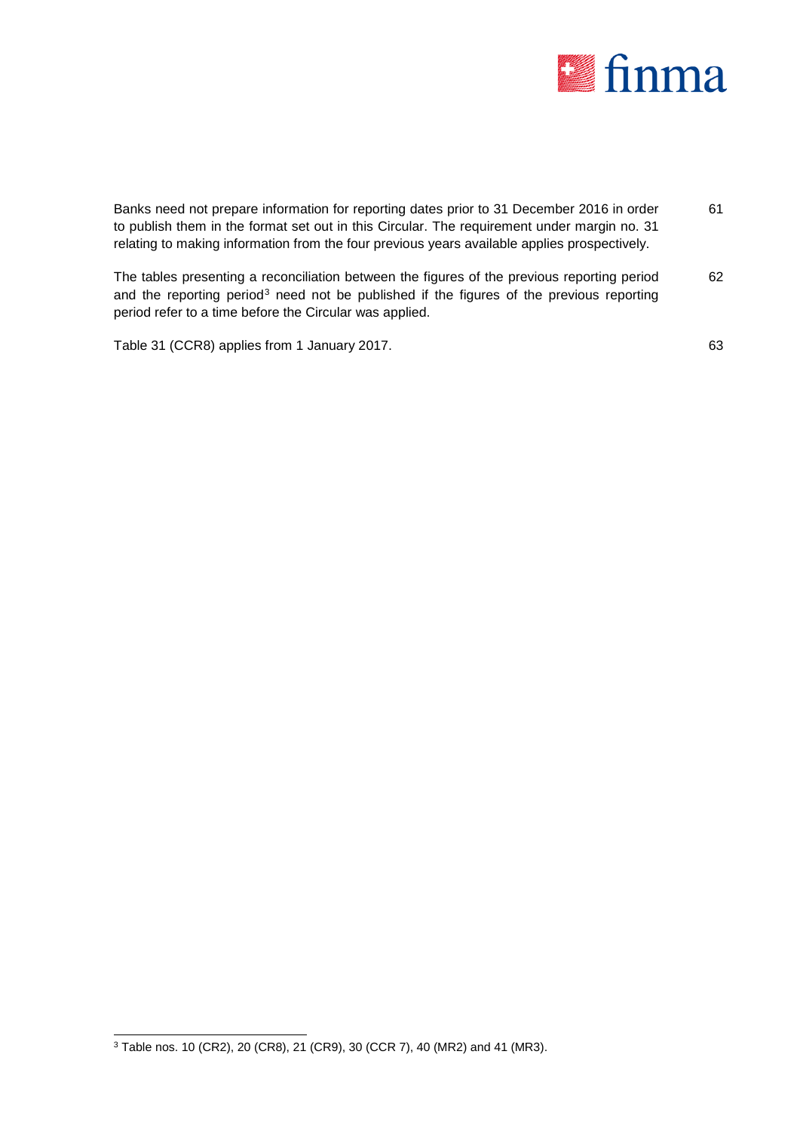

| Banks need not prepare information for reporting dates prior to 31 December 2016 in order<br>to publish them in the format set out in this Circular. The requirement under margin no. 31<br>relating to making information from the four previous years available applies prospectively. | 61 |
|------------------------------------------------------------------------------------------------------------------------------------------------------------------------------------------------------------------------------------------------------------------------------------------|----|
| The tables presenting a reconciliation between the figures of the previous reporting period<br>and the reporting period <sup>3</sup> need not be published if the figures of the previous reporting<br>period refer to a time before the Circular was applied.                           | 62 |
| Table 31 (CCR8) applies from 1 January 2017.                                                                                                                                                                                                                                             | 63 |

<span id="page-8-0"></span> <sup>3</sup> Table nos. 10 (CR2), 20 (CR8), 21 (CR9), 30 (CCR 7), 40 (MR2) and 41 (MR3).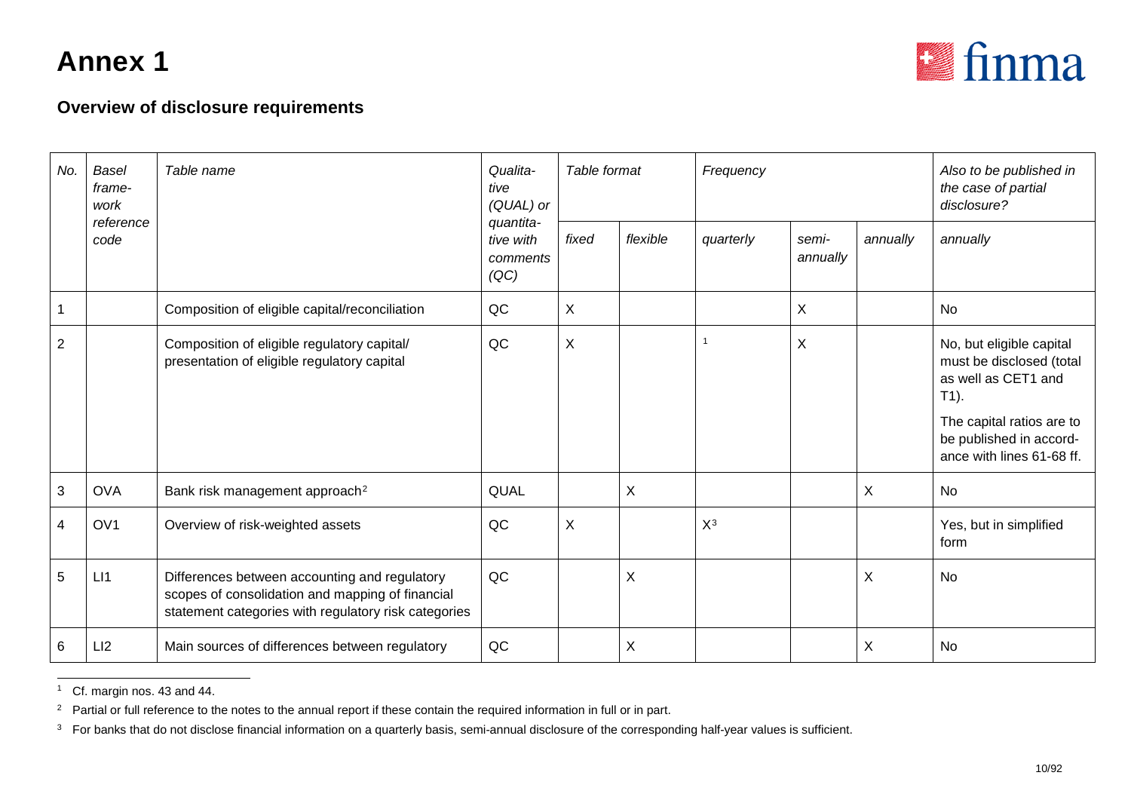<span id="page-9-2"></span><span id="page-9-1"></span><span id="page-9-0"></span>

| No.            | <b>Basel</b><br>frame-<br>work<br>reference | Table name                                                                                                                                                | Qualita-<br>tive<br>(QUAL) or              | Table format |          | Frequency |                   | Also to be published in<br>the case of partial<br>disclosure? |                                                                                                                                                                             |
|----------------|---------------------------------------------|-----------------------------------------------------------------------------------------------------------------------------------------------------------|--------------------------------------------|--------------|----------|-----------|-------------------|---------------------------------------------------------------|-----------------------------------------------------------------------------------------------------------------------------------------------------------------------------|
|                | code                                        |                                                                                                                                                           | quantita-<br>tive with<br>comments<br>(QC) | fixed        | flexible | quarterly | semi-<br>annually | annually                                                      | annually                                                                                                                                                                    |
|                |                                             | Composition of eligible capital/reconciliation                                                                                                            | QC                                         | X            |          |           | X                 |                                                               | No                                                                                                                                                                          |
| $\overline{2}$ |                                             | Composition of eligible regulatory capital/<br>presentation of eligible regulatory capital                                                                | QC                                         | X            |          |           | X                 |                                                               | No, but eligible capital<br>must be disclosed (total<br>as well as CET1 and<br>$T1$ ).<br>The capital ratios are to<br>be published in accord-<br>ance with lines 61-68 ff. |
| 3              | <b>OVA</b>                                  | Bank risk management approach <sup>2</sup>                                                                                                                | QUAL                                       |              | X        |           |                   | X                                                             | <b>No</b>                                                                                                                                                                   |
| $\overline{4}$ | OV <sub>1</sub>                             | Overview of risk-weighted assets                                                                                                                          | QC                                         | X            |          | $X^3$     |                   |                                                               | Yes, but in simplified<br>form                                                                                                                                              |
| 5              | LI                                          | Differences between accounting and regulatory<br>scopes of consolidation and mapping of financial<br>statement categories with regulatory risk categories | QC                                         |              | X        |           |                   | X                                                             | <b>No</b>                                                                                                                                                                   |
| 6              | LI2                                         | Main sources of differences between regulatory                                                                                                            | QC                                         |              | X        |           |                   | X                                                             | No                                                                                                                                                                          |

 <sup>1</sup> Cf. margin nos. 43 and 44.

<sup>&</sup>lt;sup>2</sup> Partial or full reference to the notes to the annual report if these contain the required information in full or in part.

<sup>&</sup>lt;sup>3</sup> For banks that do not disclose financial information on a quarterly basis, semi-annual disclosure of the corresponding half-year values is sufficient.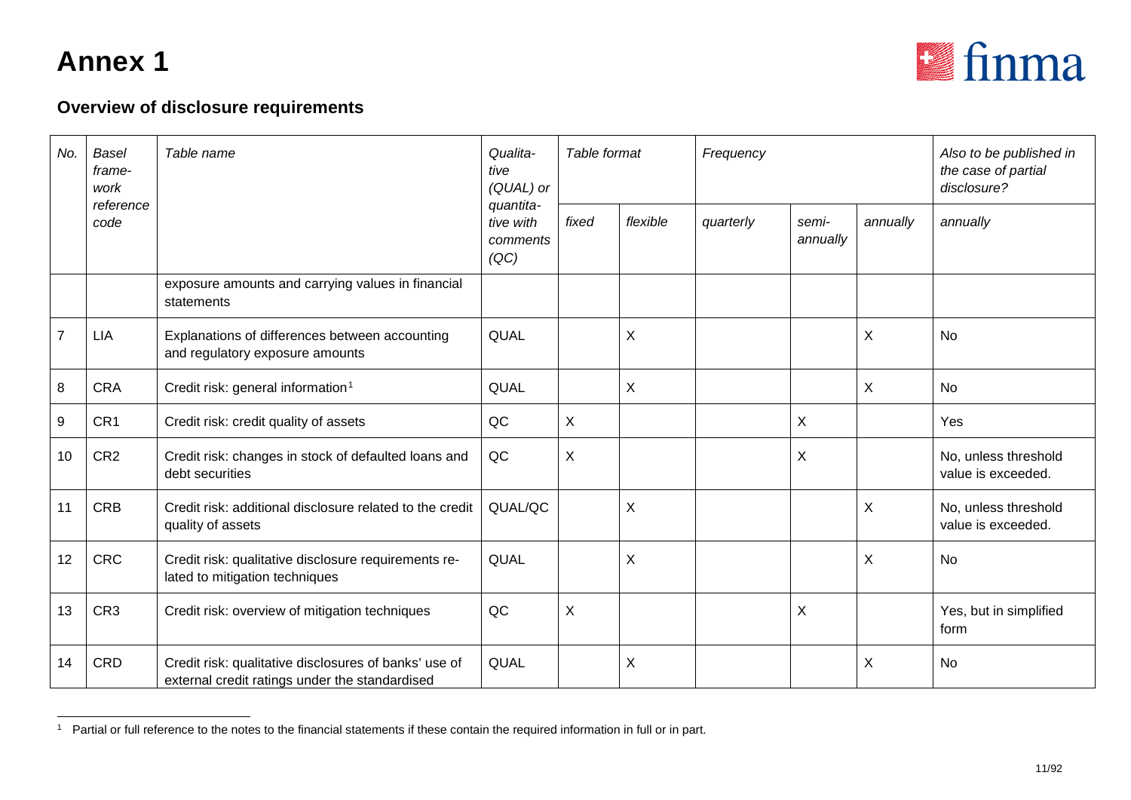<span id="page-10-0"></span>

| No.            | <b>Basel</b><br>frame-<br>work | Table name                                                                                              | Qualita-<br>tive<br>(QUAL) or<br>quantita- | Table format |                | Frequency |                   | Also to be published in<br>the case of partial<br>disclosure? |                                            |
|----------------|--------------------------------|---------------------------------------------------------------------------------------------------------|--------------------------------------------|--------------|----------------|-----------|-------------------|---------------------------------------------------------------|--------------------------------------------|
|                | reference<br>code              |                                                                                                         | tive with<br>comments<br>(QC)              | fixed        | flexible       | quarterly | semi-<br>annually | annually                                                      | annually                                   |
|                |                                | exposure amounts and carrying values in financial<br>statements                                         |                                            |              |                |           |                   |                                                               |                                            |
| $\overline{7}$ | <b>LIA</b>                     | Explanations of differences between accounting<br>and regulatory exposure amounts                       | QUAL                                       |              | X              |           |                   | X                                                             | <b>No</b>                                  |
| 8              | <b>CRA</b>                     | Credit risk: general information <sup>1</sup>                                                           | QUAL                                       |              | $\pmb{\times}$ |           |                   | X                                                             | No                                         |
| 9              | CR1                            | Credit risk: credit quality of assets                                                                   | QC                                         | X            |                |           | X                 |                                                               | Yes                                        |
| 10             | CR <sub>2</sub>                | Credit risk: changes in stock of defaulted loans and<br>debt securities                                 | QC                                         | X            |                |           | $\sf X$           |                                                               | No, unless threshold<br>value is exceeded. |
| 11             | <b>CRB</b>                     | Credit risk: additional disclosure related to the credit<br>quality of assets                           | QUAL/QC                                    |              | $\sf X$        |           |                   | X                                                             | No, unless threshold<br>value is exceeded. |
| 12             | <b>CRC</b>                     | Credit risk: qualitative disclosure requirements re-<br>lated to mitigation techniques                  | QUAL                                       |              | X              |           |                   | X                                                             | No                                         |
| 13             | CR <sub>3</sub>                | Credit risk: overview of mitigation techniques                                                          | QC                                         | $\sf X$      |                |           | $\sf X$           |                                                               | Yes, but in simplified<br>form             |
| 14             | CRD                            | Credit risk: qualitative disclosures of banks' use of<br>external credit ratings under the standardised | QUAL                                       |              | X              |           |                   | X                                                             | <b>No</b>                                  |

<sup>&</sup>lt;sup>1</sup> Partial or full reference to the notes to the financial statements if these contain the required information in full or in part.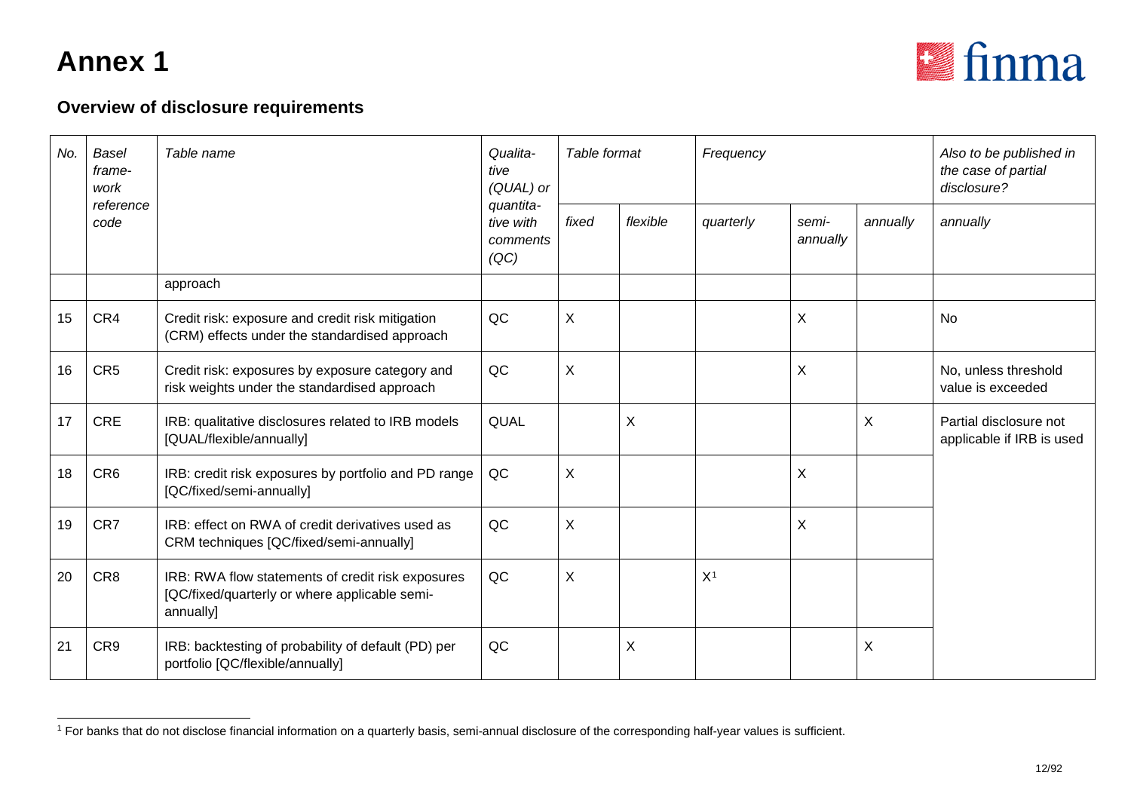<span id="page-11-0"></span>

| No. | <b>Basel</b><br>frame-<br>work | Table name                                                                                                      | Qualita-<br>tive<br>(QUAL) or              | Table format |          | Frequency      |                   | Also to be published in<br>the case of partial<br>disclosure? |                                                     |
|-----|--------------------------------|-----------------------------------------------------------------------------------------------------------------|--------------------------------------------|--------------|----------|----------------|-------------------|---------------------------------------------------------------|-----------------------------------------------------|
|     | reference<br>code              |                                                                                                                 | quantita-<br>tive with<br>comments<br>(QC) | fixed        | flexible | quarterly      | semi-<br>annually | annually                                                      | annually                                            |
|     |                                | approach                                                                                                        |                                            |              |          |                |                   |                                                               |                                                     |
| 15  | CR4                            | Credit risk: exposure and credit risk mitigation<br>(CRM) effects under the standardised approach               | QC                                         | X            |          |                | $\sf X$           |                                                               | <b>No</b>                                           |
| 16  | CR <sub>5</sub>                | Credit risk: exposures by exposure category and<br>risk weights under the standardised approach                 | QC                                         | X            |          |                | $\sf X$           |                                                               | No, unless threshold<br>value is exceeded           |
| 17  | <b>CRE</b>                     | IRB: qualitative disclosures related to IRB models<br>[QUAL/flexible/annually]                                  | QUAL                                       |              | X        |                |                   | X                                                             | Partial disclosure not<br>applicable if IRB is used |
| 18  | CR <sub>6</sub>                | IRB: credit risk exposures by portfolio and PD range<br>[QC/fixed/semi-annually]                                | QC                                         | X            |          |                | X                 |                                                               |                                                     |
| 19  | CR7                            | IRB: effect on RWA of credit derivatives used as<br>CRM techniques [QC/fixed/semi-annually]                     | QC                                         | X            |          |                | X                 |                                                               |                                                     |
| 20  | CR <sub>8</sub>                | IRB: RWA flow statements of credit risk exposures<br>[QC/fixed/quarterly or where applicable semi-<br>annually] | QC                                         | X            |          | X <sup>1</sup> |                   |                                                               |                                                     |
| 21  | CR9                            | IRB: backtesting of probability of default (PD) per<br>portfolio [QC/flexible/annually]                         | QC                                         |              | $\sf X$  |                |                   | X                                                             |                                                     |

<sup>&</sup>lt;sup>1</sup> For banks that do not disclose financial information on a quarterly basis, semi-annual disclosure of the corresponding half-year values is sufficient.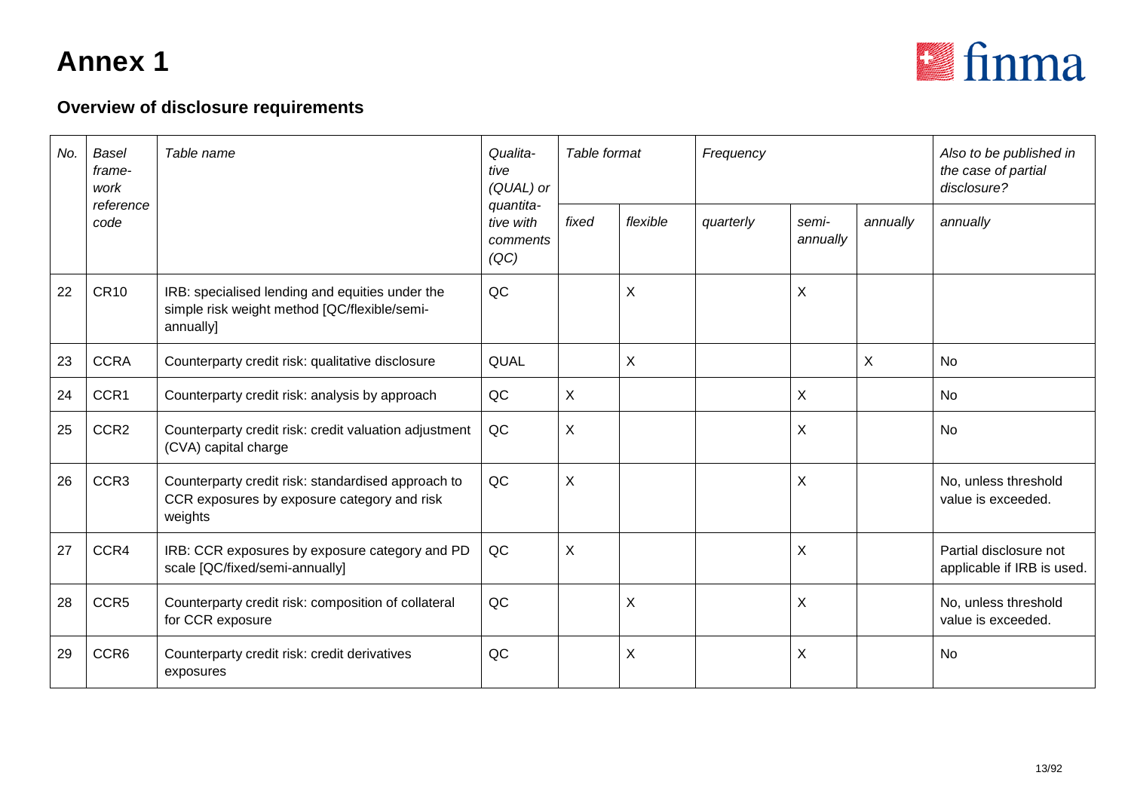

| No. | <b>Basel</b><br>frame-<br>work | Table name                                                                                                   | Qualita-<br>tive<br>(QUAL) or              | Table format |          | Frequency |                   | Also to be published in<br>the case of partial<br>disclosure? |                                                      |
|-----|--------------------------------|--------------------------------------------------------------------------------------------------------------|--------------------------------------------|--------------|----------|-----------|-------------------|---------------------------------------------------------------|------------------------------------------------------|
|     | reference<br>code              |                                                                                                              | quantita-<br>tive with<br>comments<br>(QC) | fixed        | flexible | quarterly | semi-<br>annually | annually                                                      | annually                                             |
| 22  | <b>CR10</b>                    | IRB: specialised lending and equities under the<br>simple risk weight method [QC/flexible/semi-<br>annually] | QC                                         |              | $\sf X$  |           | $\sf X$           |                                                               |                                                      |
| 23  | <b>CCRA</b>                    | Counterparty credit risk: qualitative disclosure                                                             | QUAL                                       |              | X        |           |                   | X                                                             | <b>No</b>                                            |
| 24  | CCR1                           | Counterparty credit risk: analysis by approach                                                               | QC                                         | X            |          |           | X                 |                                                               | No                                                   |
| 25  | CCR <sub>2</sub>               | Counterparty credit risk: credit valuation adjustment<br>(CVA) capital charge                                | QC                                         | X            |          |           | $\sf X$           |                                                               | <b>No</b>                                            |
| 26  | CCR <sub>3</sub>               | Counterparty credit risk: standardised approach to<br>CCR exposures by exposure category and risk<br>weights | QC                                         | X            |          |           | X                 |                                                               | No, unless threshold<br>value is exceeded.           |
| 27  | CCR4                           | IRB: CCR exposures by exposure category and PD<br>scale [QC/fixed/semi-annually]                             | QC                                         | X            |          |           | $\pmb{\times}$    |                                                               | Partial disclosure not<br>applicable if IRB is used. |
| 28  | CCR5                           | Counterparty credit risk: composition of collateral<br>for CCR exposure                                      | QC                                         |              | X        |           | X                 |                                                               | No, unless threshold<br>value is exceeded.           |
| 29  | CCR <sub>6</sub>               | Counterparty credit risk: credit derivatives<br>exposures                                                    | QC                                         |              | X        |           | X                 |                                                               | No                                                   |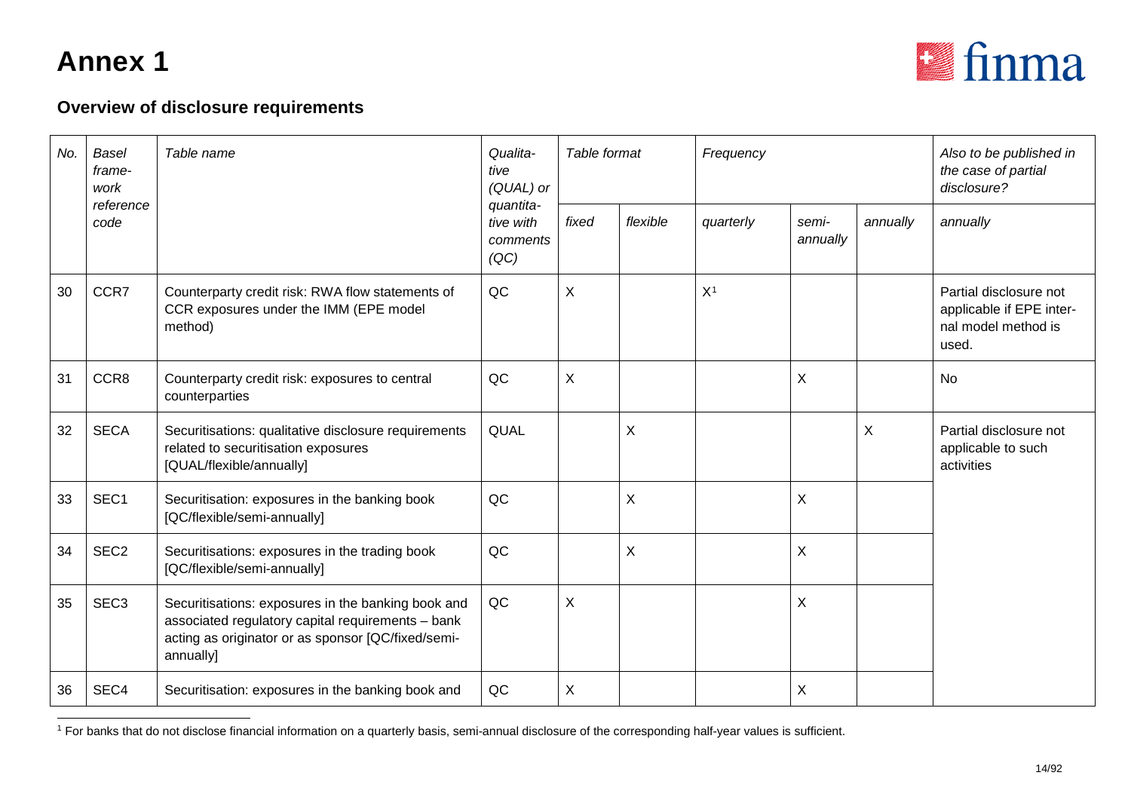<span id="page-13-0"></span>

| No. | <b>Basel</b><br>frame-<br>work | Table name                                                                                                                                                                 | Qualita-<br>tive<br>(QUAL) or              | Table format |             | Frequency      |                   | Also to be published in<br>the case of partial<br>disclosure? |                                                                                    |
|-----|--------------------------------|----------------------------------------------------------------------------------------------------------------------------------------------------------------------------|--------------------------------------------|--------------|-------------|----------------|-------------------|---------------------------------------------------------------|------------------------------------------------------------------------------------|
|     | reference<br>code              |                                                                                                                                                                            | quantita-<br>tive with<br>comments<br>(QC) | fixed        | flexible    | quarterly      | semi-<br>annually | annually                                                      | annually                                                                           |
| 30  | CCR7                           | Counterparty credit risk: RWA flow statements of<br>CCR exposures under the IMM (EPE model<br>method)                                                                      | QC                                         | X            |             | X <sup>1</sup> |                   |                                                               | Partial disclosure not<br>applicable if EPE inter-<br>nal model method is<br>used. |
| 31  | CCR8                           | Counterparty credit risk: exposures to central<br>counterparties                                                                                                           | QC                                         | X            |             |                | $\pmb{\times}$    |                                                               | <b>No</b>                                                                          |
| 32  | <b>SECA</b>                    | Securitisations: qualitative disclosure requirements<br>related to securitisation exposures<br>[QUAL/flexible/annually]                                                    | QUAL                                       |              | X           |                |                   | X                                                             | Partial disclosure not<br>applicable to such<br>activities                         |
| 33  | SEC1                           | Securitisation: exposures in the banking book<br>[QC/flexible/semi-annually]                                                                                               | QC                                         |              | $\mathsf X$ |                | $\pmb{\times}$    |                                                               |                                                                                    |
| 34  | SEC <sub>2</sub>               | Securitisations: exposures in the trading book<br>[QC/flexible/semi-annually]                                                                                              | QC                                         |              | $\mathsf X$ |                | X                 |                                                               |                                                                                    |
| 35  | SEC <sub>3</sub>               | Securitisations: exposures in the banking book and<br>associated regulatory capital requirements - bank<br>acting as originator or as sponsor [QC/fixed/semi-<br>annually] | QC                                         | X            |             |                | X                 |                                                               |                                                                                    |
| 36  | SEC4                           | Securitisation: exposures in the banking book and                                                                                                                          | QC                                         | X            |             |                | $\pmb{\times}$    |                                                               |                                                                                    |

<sup>&</sup>lt;sup>1</sup> For banks that do not disclose financial information on a quarterly basis, semi-annual disclosure of the corresponding half-year values is sufficient.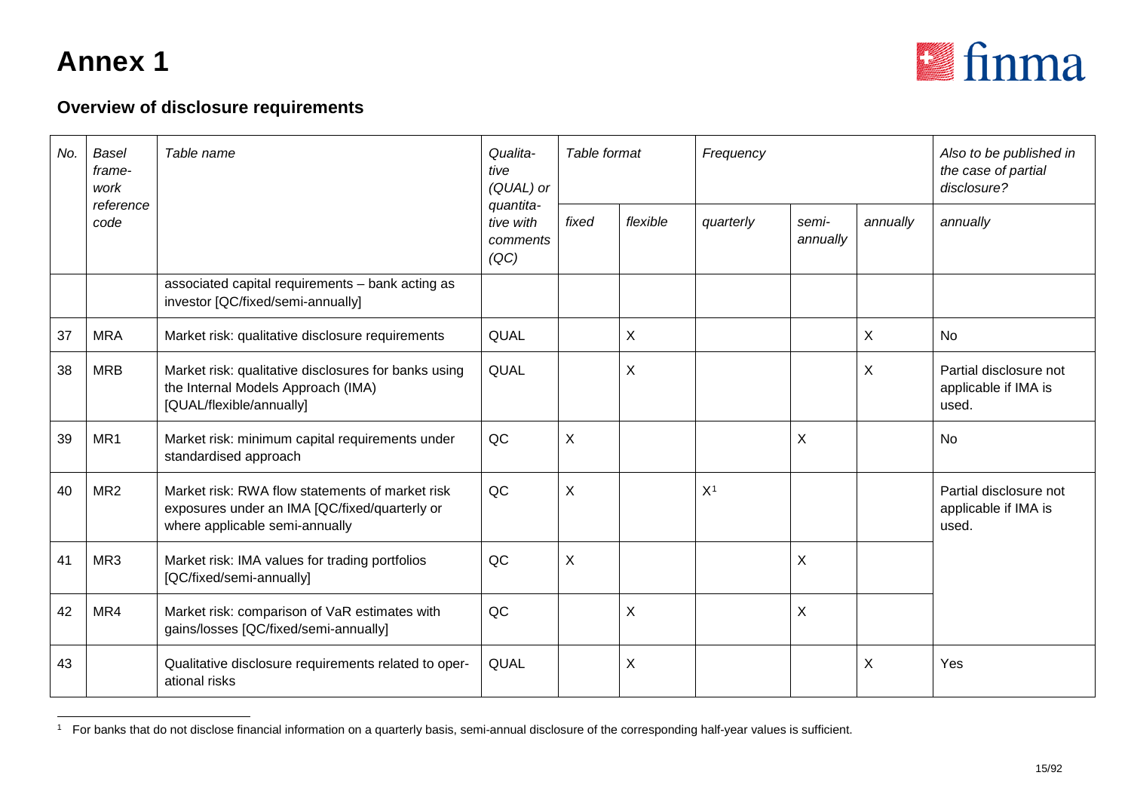<span id="page-14-0"></span>

| No. | Basel<br>frame-<br>work | Table name                                                                                                                         | Qualita-<br>tive<br>(QUAL) or              | Table format |          | Frequency      |                   |          | Also to be published in<br>the case of partial<br>disclosure? |
|-----|-------------------------|------------------------------------------------------------------------------------------------------------------------------------|--------------------------------------------|--------------|----------|----------------|-------------------|----------|---------------------------------------------------------------|
|     | reference<br>code       |                                                                                                                                    | quantita-<br>tive with<br>comments<br>(QC) | fixed        | flexible | quarterly      | semi-<br>annually | annually | annually                                                      |
|     |                         | associated capital requirements - bank acting as<br>investor [QC/fixed/semi-annually]                                              |                                            |              |          |                |                   |          |                                                               |
| 37  | <b>MRA</b>              | Market risk: qualitative disclosure requirements                                                                                   | QUAL                                       |              | X        |                |                   | X        | <b>No</b>                                                     |
| 38  | <b>MRB</b>              | Market risk: qualitative disclosures for banks using<br>the Internal Models Approach (IMA)<br>[QUAL/flexible/annually]             | QUAL                                       |              | $\sf X$  |                |                   | X        | Partial disclosure not<br>applicable if IMA is<br>used.       |
| 39  | MR1                     | Market risk: minimum capital requirements under<br>standardised approach                                                           | QC                                         | X            |          |                | X                 |          | No                                                            |
| 40  | MR <sub>2</sub>         | Market risk: RWA flow statements of market risk<br>exposures under an IMA [QC/fixed/quarterly or<br>where applicable semi-annually | QC                                         | X            |          | X <sup>1</sup> |                   |          | Partial disclosure not<br>applicable if IMA is<br>used.       |
| 41  | MR <sub>3</sub>         | Market risk: IMA values for trading portfolios<br>[QC/fixed/semi-annually]                                                         | QC                                         | X            |          |                | X                 |          |                                                               |
| 42  | MR4                     | Market risk: comparison of VaR estimates with<br>gains/losses [QC/fixed/semi-annually]                                             | QC                                         |              | X        |                | X                 |          |                                                               |
| 43  |                         | Qualitative disclosure requirements related to oper-<br>ational risks                                                              | QUAL                                       |              | X        |                |                   | X        | Yes                                                           |

<sup>&</sup>lt;sup>1</sup> For banks that do not disclose financial information on a quarterly basis, semi-annual disclosure of the corresponding half-year values is sufficient.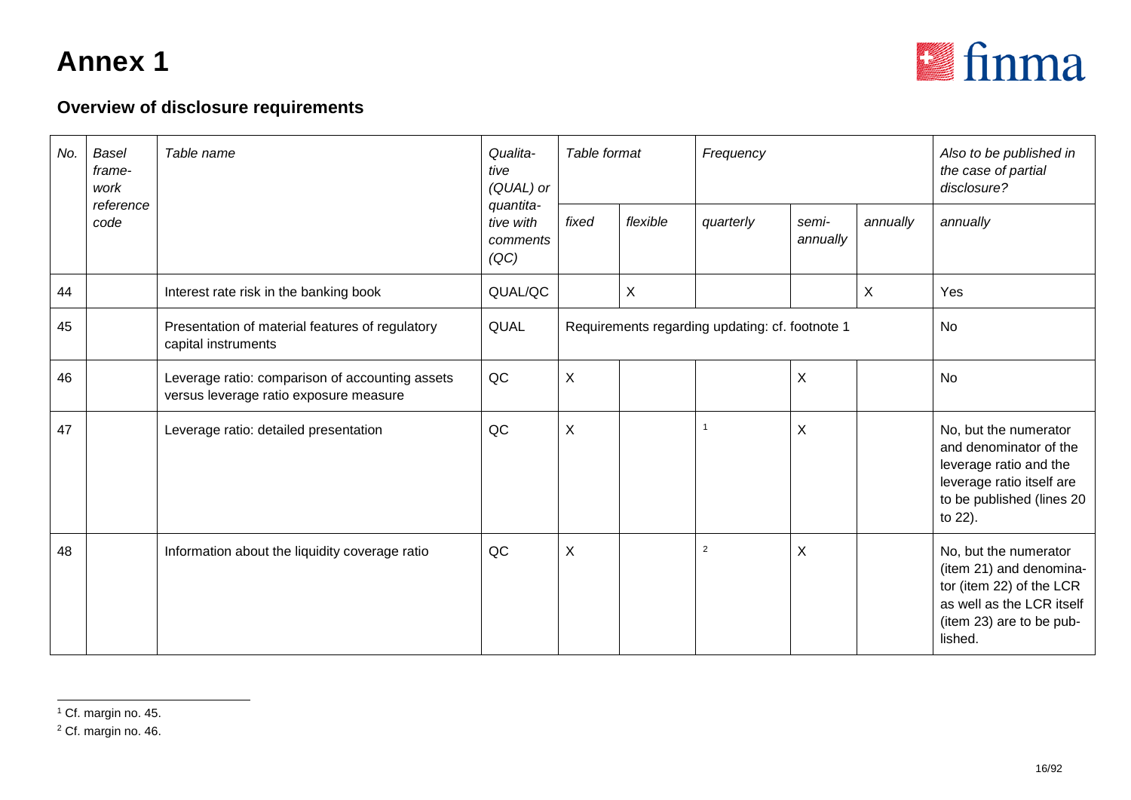<span id="page-15-1"></span><span id="page-15-0"></span>

| No. | Basel<br>frame-<br>work | Table name                                                                                | Qualita-<br>tive<br>(QUAL) or<br>quantita- | Table format              |                                                 | Frequency |                   |           | Also to be published in<br>the case of partial<br>disclosure?                                                                                    |
|-----|-------------------------|-------------------------------------------------------------------------------------------|--------------------------------------------|---------------------------|-------------------------------------------------|-----------|-------------------|-----------|--------------------------------------------------------------------------------------------------------------------------------------------------|
|     | reference<br>code       |                                                                                           | tive with<br>comments<br>(QC)              | fixed                     | flexible                                        | quarterly | semi-<br>annually | annually  | annually                                                                                                                                         |
| 44  |                         | Interest rate risk in the banking book                                                    | QUAL/QC                                    |                           | X                                               |           |                   | X         | Yes                                                                                                                                              |
| 45  |                         | Presentation of material features of regulatory<br>capital instruments                    | QUAL                                       |                           | Requirements regarding updating: cf. footnote 1 |           |                   | <b>No</b> |                                                                                                                                                  |
| 46  |                         | Leverage ratio: comparison of accounting assets<br>versus leverage ratio exposure measure | QC                                         | X                         |                                                 |           | X                 |           | <b>No</b>                                                                                                                                        |
| 47  |                         | Leverage ratio: detailed presentation                                                     | QC                                         | $\boldsymbol{\mathsf{X}}$ |                                                 |           | X                 |           | No, but the numerator<br>and denominator of the<br>leverage ratio and the<br>leverage ratio itself are<br>to be published (lines 20<br>to 22).   |
| 48  |                         | Information about the liquidity coverage ratio                                            | QC                                         | X                         |                                                 | 2         | X                 |           | No, but the numerator<br>(item 21) and denomina-<br>tor (item 22) of the LCR<br>as well as the LCR itself<br>(item 23) are to be pub-<br>lished. |

<sup>&</sup>lt;sup>1</sup> Cf. margin no. 45.

<sup>2</sup> Cf. margin no. 46.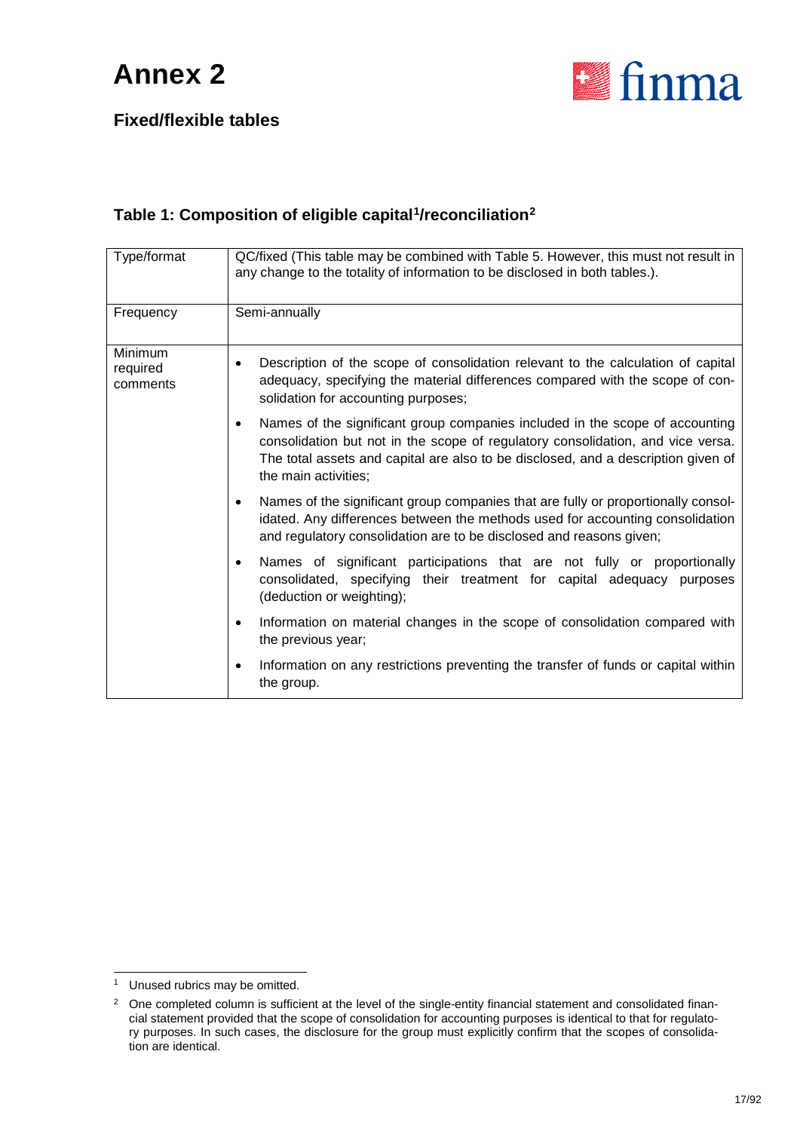

**Fixed/flexible tables**

#### **Table 1: Composition of eligible capital[1](#page-16-0)/reconciliation[2](#page-16-1)**

| Type/format                     | QC/fixed (This table may be combined with Table 5. However, this must not result in<br>any change to the totality of information to be disclosed in both tables.).                                                                                                                        |
|---------------------------------|-------------------------------------------------------------------------------------------------------------------------------------------------------------------------------------------------------------------------------------------------------------------------------------------|
| Frequency                       | Semi-annually                                                                                                                                                                                                                                                                             |
| Minimum<br>required<br>comments | Description of the scope of consolidation relevant to the calculation of capital<br>$\bullet$<br>adequacy, specifying the material differences compared with the scope of con-<br>solidation for accounting purposes;                                                                     |
|                                 | Names of the significant group companies included in the scope of accounting<br>$\bullet$<br>consolidation but not in the scope of regulatory consolidation, and vice versa.<br>The total assets and capital are also to be disclosed, and a description given of<br>the main activities: |
|                                 | Names of the significant group companies that are fully or proportionally consol-<br>$\bullet$<br>idated. Any differences between the methods used for accounting consolidation<br>and regulatory consolidation are to be disclosed and reasons given;                                    |
|                                 | Names of significant participations that are not fully or proportionally<br>$\bullet$<br>consolidated, specifying their treatment for capital adequacy purposes<br>(deduction or weighting);                                                                                              |
|                                 | Information on material changes in the scope of consolidation compared with<br>$\bullet$<br>the previous year;                                                                                                                                                                            |
|                                 | Information on any restrictions preventing the transfer of funds or capital within<br>$\bullet$<br>the group.                                                                                                                                                                             |

<span id="page-16-0"></span><sup>&</sup>lt;sup>1</sup> Unused rubrics may be omitted.

<span id="page-16-1"></span><sup>&</sup>lt;sup>2</sup> One completed column is sufficient at the level of the single-entity financial statement and consolidated financial statement provided that the scope of consolidation for accounting purposes is identical to that for regulatory purposes. In such cases, the disclosure for the group must explicitly confirm that the scopes of consolidation are identical.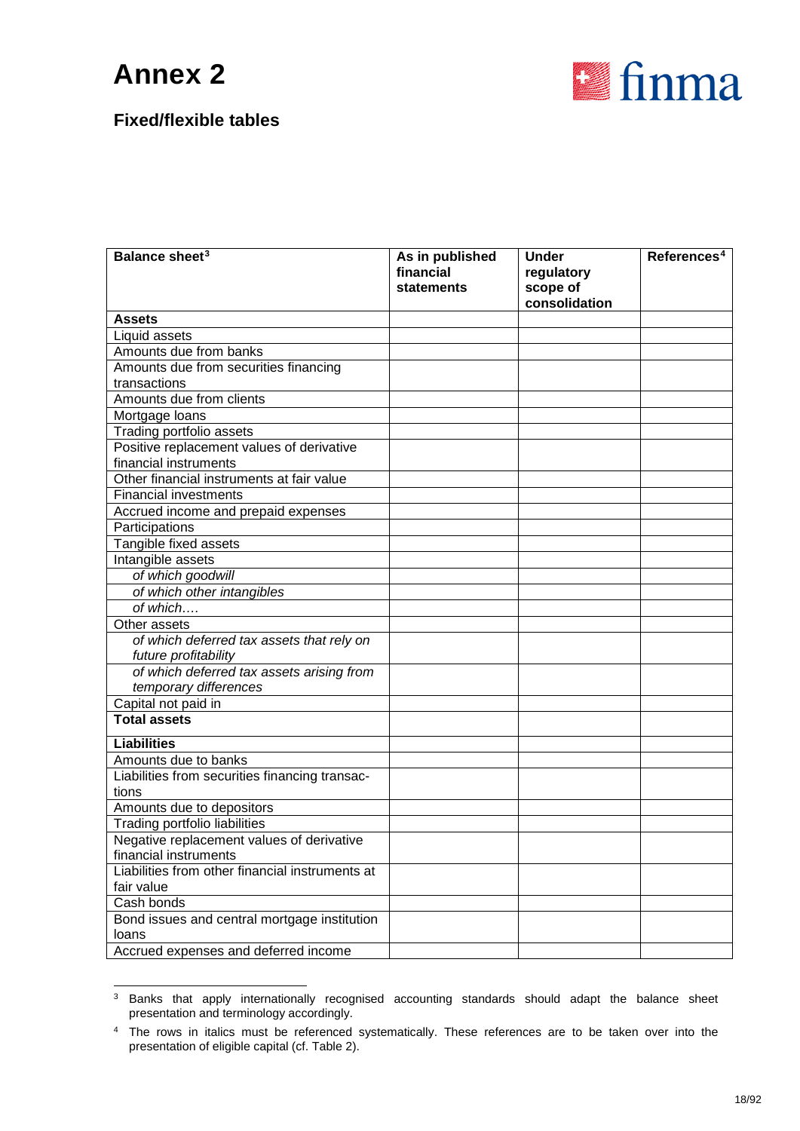

| Balance sheet <sup>3</sup>                            | As in published | <b>Under</b>  | References <sup>4</sup> |
|-------------------------------------------------------|-----------------|---------------|-------------------------|
|                                                       | financial       | regulatory    |                         |
|                                                       | statements      | scope of      |                         |
|                                                       |                 | consolidation |                         |
| <b>Assets</b><br>Liquid assets                        |                 |               |                         |
| Amounts due from banks                                |                 |               |                         |
| Amounts due from securities financing                 |                 |               |                         |
| transactions                                          |                 |               |                         |
| Amounts due from clients                              |                 |               |                         |
| Mortgage loans                                        |                 |               |                         |
| Trading portfolio assets                              |                 |               |                         |
| Positive replacement values of derivative             |                 |               |                         |
| financial instruments                                 |                 |               |                         |
| Other financial instruments at fair value             |                 |               |                         |
| <b>Financial investments</b>                          |                 |               |                         |
| Accrued income and prepaid expenses                   |                 |               |                         |
| Participations                                        |                 |               |                         |
| Tangible fixed assets                                 |                 |               |                         |
| Intangible assets                                     |                 |               |                         |
| of which goodwill                                     |                 |               |                         |
| of which other intangibles                            |                 |               |                         |
| of which                                              |                 |               |                         |
| Other assets                                          |                 |               |                         |
| of which deferred tax assets that rely on             |                 |               |                         |
| future profitability                                  |                 |               |                         |
| of which deferred tax assets arising from             |                 |               |                         |
| temporary differences                                 |                 |               |                         |
| Capital not paid in                                   |                 |               |                         |
| <b>Total assets</b>                                   |                 |               |                         |
| <b>Liabilities</b>                                    |                 |               |                         |
| Amounts due to banks                                  |                 |               |                         |
| Liabilities from securities financing transac-        |                 |               |                         |
| tions                                                 |                 |               |                         |
| Amounts due to depositors                             |                 |               |                         |
| <b>Trading portfolio liabilities</b>                  |                 |               |                         |
| Negative replacement values of derivative             |                 |               |                         |
| financial instruments                                 |                 |               |                         |
| Liabilities from other financial instruments at       |                 |               |                         |
| fair value                                            |                 |               |                         |
| Cash bonds                                            |                 |               |                         |
| Bond issues and central mortgage institution<br>loans |                 |               |                         |
| Accrued expenses and deferred income                  |                 |               |                         |
|                                                       |                 |               |                         |

<span id="page-17-0"></span><sup>&</sup>lt;sup>3</sup> Banks that apply internationally recognised accounting standards should adapt the balance sheet presentation and terminology accordingly.

<span id="page-17-1"></span><sup>4</sup> The rows in italics must be referenced systematically. These references are to be taken over into the presentation of eligible capital (cf. Table 2).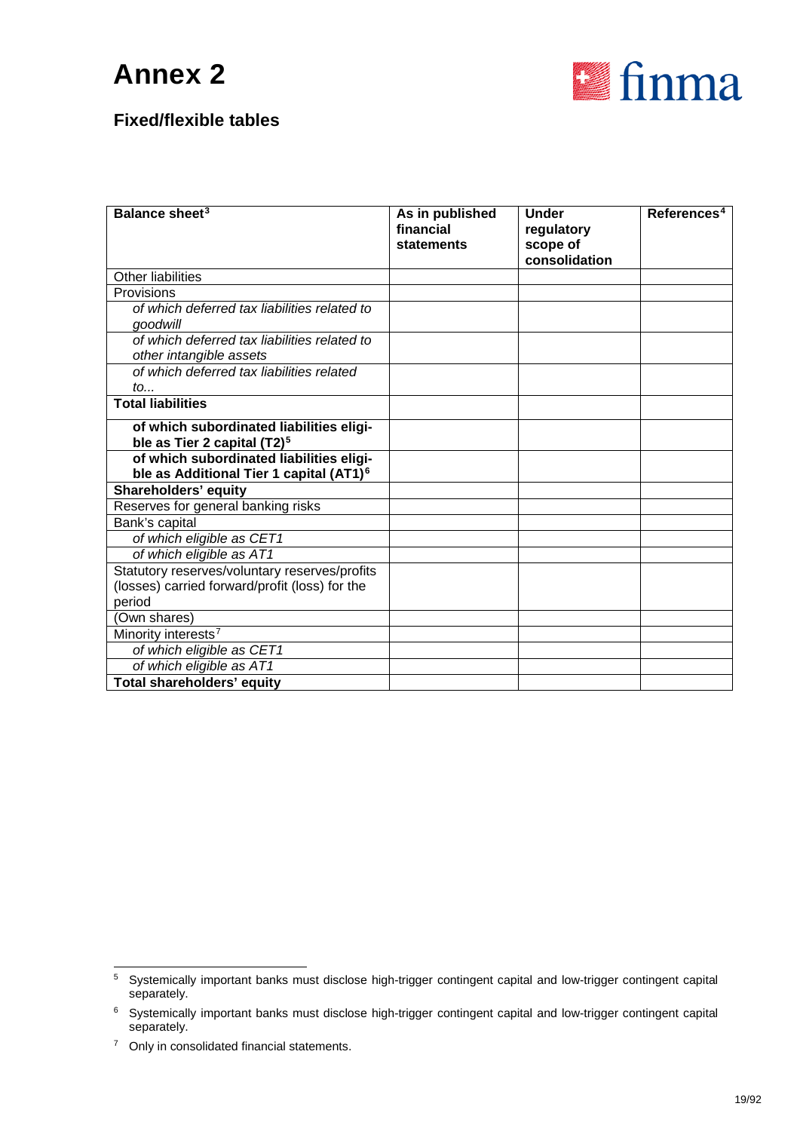

| Balance sheet <sup>3</sup>                                                                      | As in published<br>financial<br>statements | <b>Under</b><br>regulatory<br>scope of<br>consolidation | References <sup>4</sup> |
|-------------------------------------------------------------------------------------------------|--------------------------------------------|---------------------------------------------------------|-------------------------|
| Other liabilities                                                                               |                                            |                                                         |                         |
| Provisions                                                                                      |                                            |                                                         |                         |
| of which deferred tax liabilities related to<br>goodwill                                        |                                            |                                                         |                         |
| of which deferred tax liabilities related to<br>other intangible assets                         |                                            |                                                         |                         |
| of which deferred tax liabilities related<br>to                                                 |                                            |                                                         |                         |
| <b>Total liabilities</b>                                                                        |                                            |                                                         |                         |
| of which subordinated liabilities eligi-<br>ble as Tier 2 capital (T2) <sup>5</sup>             |                                            |                                                         |                         |
| of which subordinated liabilities eligi-<br>ble as Additional Tier 1 capital (AT1) <sup>6</sup> |                                            |                                                         |                         |
| Shareholders' equity                                                                            |                                            |                                                         |                         |
| Reserves for general banking risks                                                              |                                            |                                                         |                         |
| Bank's capital                                                                                  |                                            |                                                         |                         |
| of which eligible as CET1                                                                       |                                            |                                                         |                         |
| of which eligible as AT1                                                                        |                                            |                                                         |                         |
| Statutory reserves/voluntary reserves/profits                                                   |                                            |                                                         |                         |
| (losses) carried forward/profit (loss) for the                                                  |                                            |                                                         |                         |
| period                                                                                          |                                            |                                                         |                         |
| (Own shares)                                                                                    |                                            |                                                         |                         |
| Minority interests <sup>7</sup>                                                                 |                                            |                                                         |                         |
| of which eligible as CET1                                                                       |                                            |                                                         |                         |
| of which eligible as AT1                                                                        |                                            |                                                         |                         |
| Total shareholders' equity                                                                      |                                            |                                                         |                         |

<span id="page-18-0"></span> <sup>5</sup> Systemically important banks must disclose high-trigger contingent capital and low-trigger contingent capital separately.

<span id="page-18-1"></span><sup>6</sup> Systemically important banks must disclose high-trigger contingent capital and low-trigger contingent capital separately.

<span id="page-18-2"></span><sup>&</sup>lt;sup>7</sup> Only in consolidated financial statements.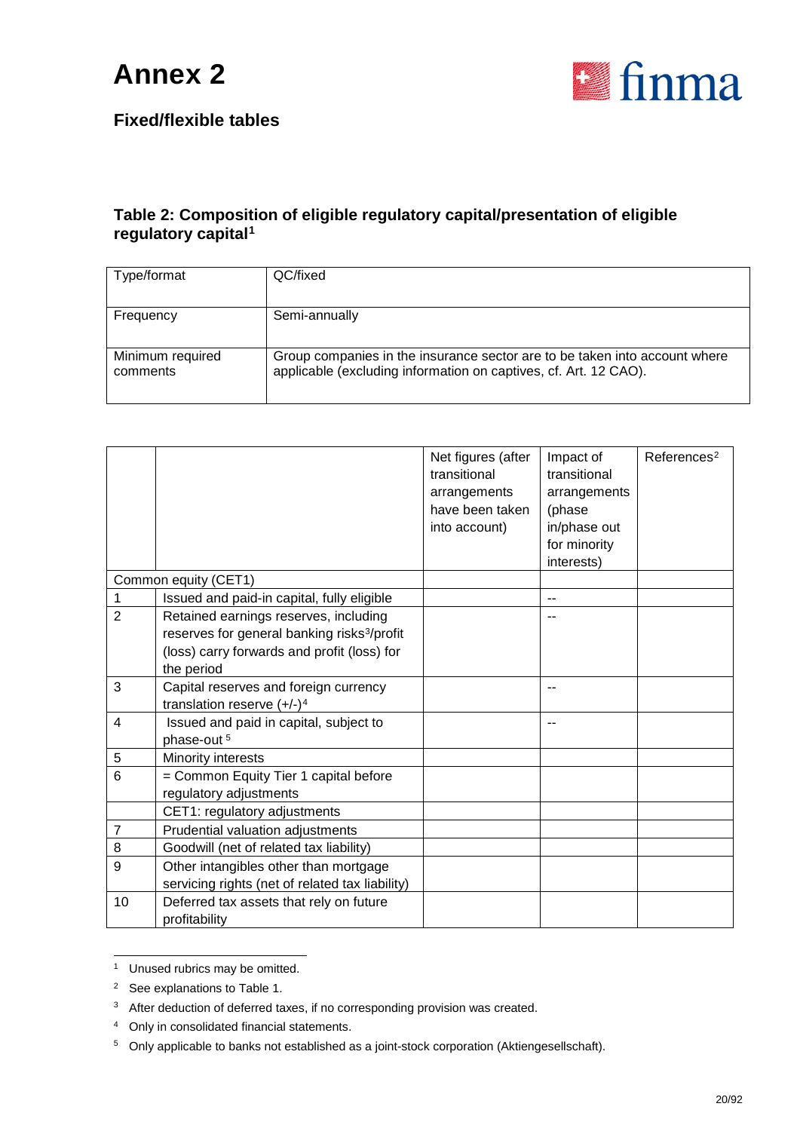

#### **Fixed/flexible tables**

#### **Table 2: Composition of eligible regulatory capital/presentation of eligible regulatory capital[1](#page-19-0)**

| Type/format                  | QC/fixed                                                                                                                                       |
|------------------------------|------------------------------------------------------------------------------------------------------------------------------------------------|
| Frequency                    | Semi-annually                                                                                                                                  |
| Minimum required<br>comments | Group companies in the insurance sector are to be taken into account where<br>applicable (excluding information on captives, cf. Art. 12 CAO). |

|                |                                                                                                                                                               | Net figures (after<br>transitional<br>arrangements<br>have been taken<br>into account) | Impact of<br>transitional<br>arrangements<br>(phase<br>in/phase out<br>for minority<br>interests) | References <sup>2</sup> |
|----------------|---------------------------------------------------------------------------------------------------------------------------------------------------------------|----------------------------------------------------------------------------------------|---------------------------------------------------------------------------------------------------|-------------------------|
|                | Common equity (CET1)                                                                                                                                          |                                                                                        |                                                                                                   |                         |
|                | Issued and paid-in capital, fully eligible                                                                                                                    |                                                                                        |                                                                                                   |                         |
| $\overline{2}$ | Retained earnings reserves, including<br>reserves for general banking risks <sup>3</sup> /profit<br>(loss) carry forwards and profit (loss) for<br>the period |                                                                                        |                                                                                                   |                         |
| 3              | Capital reserves and foreign currency<br>translation reserve $(+/-)^4$                                                                                        |                                                                                        | --                                                                                                |                         |
| 4              | Issued and paid in capital, subject to<br>phase-out <sup>5</sup>                                                                                              |                                                                                        |                                                                                                   |                         |
| 5              | Minority interests                                                                                                                                            |                                                                                        |                                                                                                   |                         |
| 6              | = Common Equity Tier 1 capital before<br>regulatory adjustments                                                                                               |                                                                                        |                                                                                                   |                         |
|                | CET1: regulatory adjustments                                                                                                                                  |                                                                                        |                                                                                                   |                         |
| 7              | Prudential valuation adjustments                                                                                                                              |                                                                                        |                                                                                                   |                         |
| 8              | Goodwill (net of related tax liability)                                                                                                                       |                                                                                        |                                                                                                   |                         |
| 9              | Other intangibles other than mortgage<br>servicing rights (net of related tax liability)                                                                      |                                                                                        |                                                                                                   |                         |
| 10             | Deferred tax assets that rely on future<br>profitability                                                                                                      |                                                                                        |                                                                                                   |                         |

<span id="page-19-0"></span><sup>1</sup> Unused rubrics may be omitted.

<span id="page-19-1"></span><sup>2</sup> See explanations to Table 1.

<span id="page-19-2"></span><sup>&</sup>lt;sup>3</sup> After deduction of deferred taxes, if no corresponding provision was created.

<span id="page-19-3"></span><sup>4</sup> Only in consolidated financial statements.

<span id="page-19-4"></span><sup>&</sup>lt;sup>5</sup> Only applicable to banks not established as a joint-stock corporation (Aktiengesellschaft).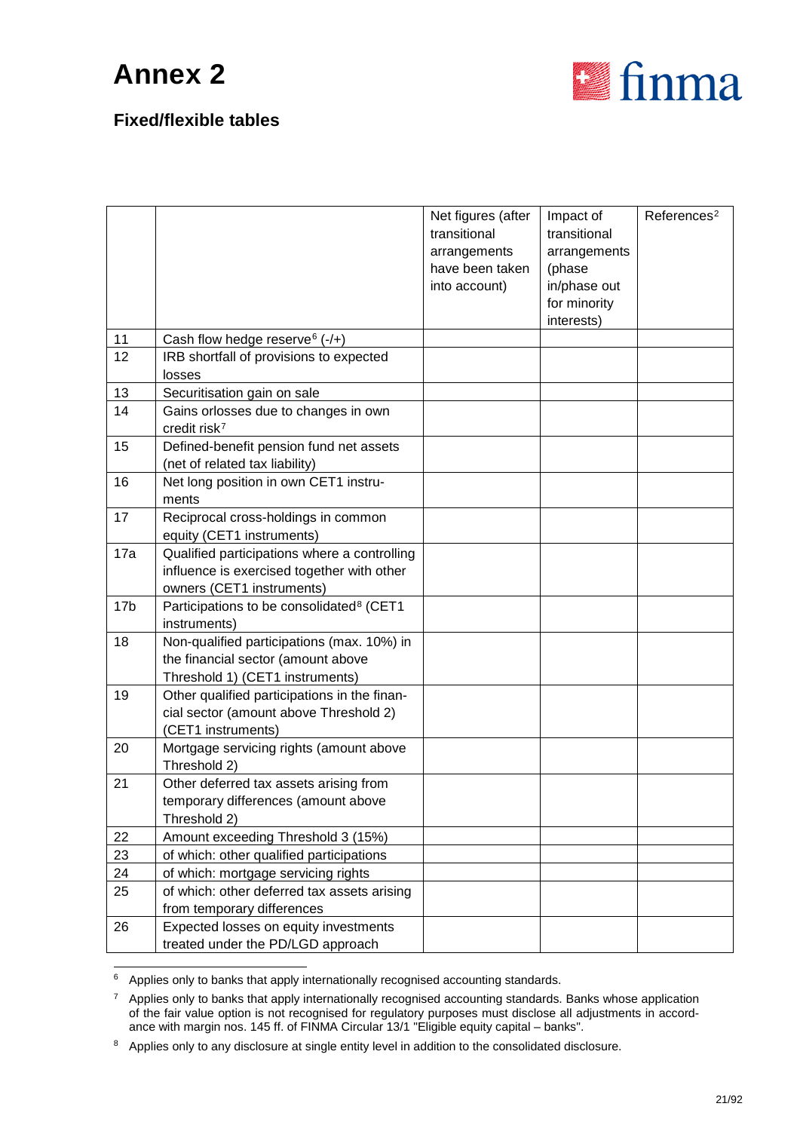

|                 |                                                                                                                         | Net figures (after<br>transitional<br>arrangements<br>have been taken<br>into account) | Impact of<br>transitional<br>arrangements<br>(phase<br>in/phase out<br>for minority<br>interests) | References <sup>2</sup> |
|-----------------|-------------------------------------------------------------------------------------------------------------------------|----------------------------------------------------------------------------------------|---------------------------------------------------------------------------------------------------|-------------------------|
| 11              | Cash flow hedge reserve $(-/+)$                                                                                         |                                                                                        |                                                                                                   |                         |
| 12              | IRB shortfall of provisions to expected<br>losses                                                                       |                                                                                        |                                                                                                   |                         |
| 13              | Securitisation gain on sale                                                                                             |                                                                                        |                                                                                                   |                         |
| 14              | Gains orlosses due to changes in own<br>credit risk <sup>7</sup>                                                        |                                                                                        |                                                                                                   |                         |
| 15              | Defined-benefit pension fund net assets<br>(net of related tax liability)                                               |                                                                                        |                                                                                                   |                         |
| 16              | Net long position in own CET1 instru-<br>ments                                                                          |                                                                                        |                                                                                                   |                         |
| 17              | Reciprocal cross-holdings in common<br>equity (CET1 instruments)                                                        |                                                                                        |                                                                                                   |                         |
| 17a             | Qualified participations where a controlling<br>influence is exercised together with other<br>owners (CET1 instruments) |                                                                                        |                                                                                                   |                         |
| 17 <sub>b</sub> | Participations to be consolidated <sup>8</sup> (CET1<br>instruments)                                                    |                                                                                        |                                                                                                   |                         |
| 18              | Non-qualified participations (max. 10%) in<br>the financial sector (amount above<br>Threshold 1) (CET1 instruments)     |                                                                                        |                                                                                                   |                         |
| 19              | Other qualified participations in the finan-<br>cial sector (amount above Threshold 2)<br>(CET1 instruments)            |                                                                                        |                                                                                                   |                         |
| 20              | Mortgage servicing rights (amount above<br>Threshold 2)                                                                 |                                                                                        |                                                                                                   |                         |
| 21              | Other deferred tax assets arising from<br>temporary differences (amount above<br>Threshold 2)                           |                                                                                        |                                                                                                   |                         |
| 22              | Amount exceeding Threshold 3 (15%)                                                                                      |                                                                                        |                                                                                                   |                         |
| 23              | of which: other qualified participations                                                                                |                                                                                        |                                                                                                   |                         |
| 24              | of which: mortgage servicing rights                                                                                     |                                                                                        |                                                                                                   |                         |
| 25              | of which: other deferred tax assets arising<br>from temporary differences                                               |                                                                                        |                                                                                                   |                         |
| 26              | Expected losses on equity investments<br>treated under the PD/LGD approach                                              |                                                                                        |                                                                                                   |                         |

<span id="page-20-0"></span> $6$  Applies only to banks that apply internationally recognised accounting standards.

<span id="page-20-1"></span><sup>&</sup>lt;sup>7</sup> Applies only to banks that apply internationally recognised accounting standards. Banks whose application of the fair value option is not recognised for regulatory purposes must disclose all adjustments in accordance with margin nos. 145 ff. of FINMA Circular 13/1 "Eligible equity capital – banks".

<span id="page-20-2"></span><sup>8</sup> Applies only to any disclosure at single entity level in addition to the consolidated disclosure.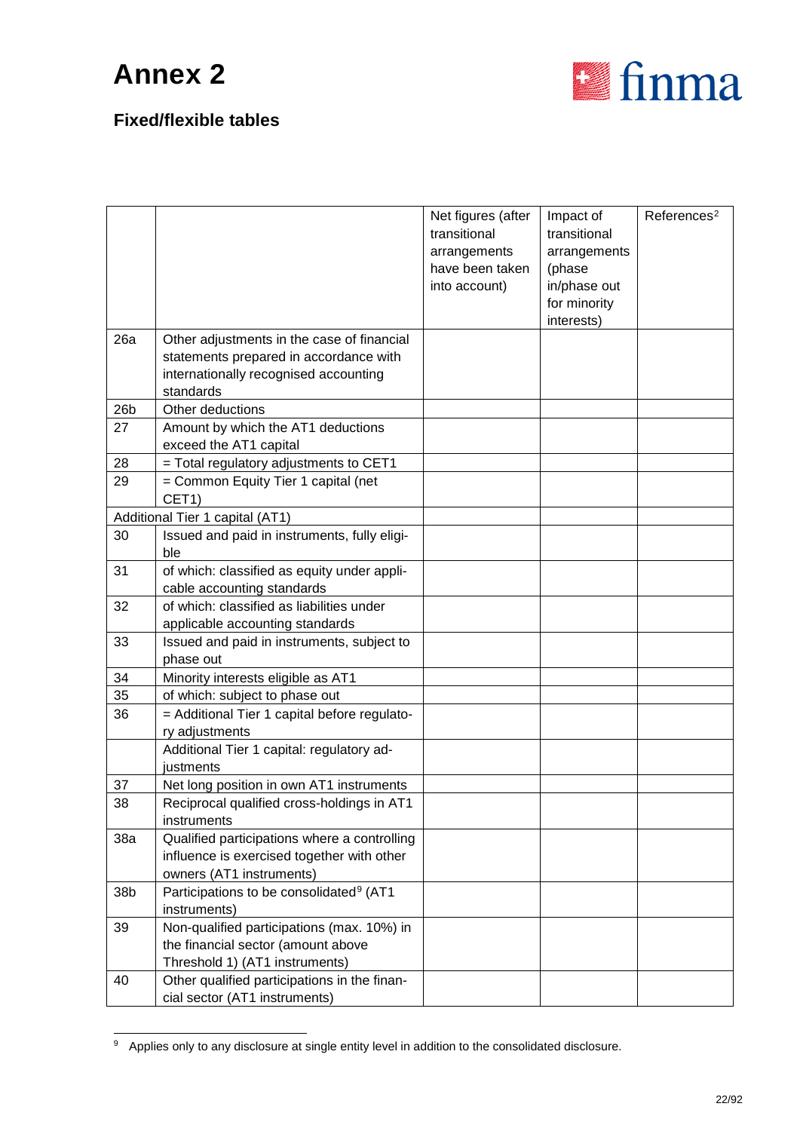

|                 |                                                                                                                                            | Net figures (after<br>transitional               | Impact of<br>transitional              | References <sup>2</sup> |
|-----------------|--------------------------------------------------------------------------------------------------------------------------------------------|--------------------------------------------------|----------------------------------------|-------------------------|
|                 |                                                                                                                                            | arrangements<br>have been taken<br>into account) | arrangements<br>(phase<br>in/phase out |                         |
|                 |                                                                                                                                            |                                                  | for minority<br>interests)             |                         |
| 26a             | Other adjustments in the case of financial<br>statements prepared in accordance with<br>internationally recognised accounting<br>standards |                                                  |                                        |                         |
| 26 <sub>b</sub> | Other deductions                                                                                                                           |                                                  |                                        |                         |
| 27              | Amount by which the AT1 deductions<br>exceed the AT1 capital                                                                               |                                                  |                                        |                         |
| 28              | = Total regulatory adjustments to CET1                                                                                                     |                                                  |                                        |                         |
| 29              | = Common Equity Tier 1 capital (net<br>CET1)                                                                                               |                                                  |                                        |                         |
|                 | Additional Tier 1 capital (AT1)                                                                                                            |                                                  |                                        |                         |
| 30              | Issued and paid in instruments, fully eligi-                                                                                               |                                                  |                                        |                         |
|                 | ble                                                                                                                                        |                                                  |                                        |                         |
| 31              | of which: classified as equity under appli-                                                                                                |                                                  |                                        |                         |
|                 | cable accounting standards                                                                                                                 |                                                  |                                        |                         |
| 32              | of which: classified as liabilities under<br>applicable accounting standards                                                               |                                                  |                                        |                         |
| 33              | Issued and paid in instruments, subject to                                                                                                 |                                                  |                                        |                         |
|                 | phase out                                                                                                                                  |                                                  |                                        |                         |
| 34              | Minority interests eligible as AT1                                                                                                         |                                                  |                                        |                         |
| 35<br>36        | of which: subject to phase out                                                                                                             |                                                  |                                        |                         |
|                 | = Additional Tier 1 capital before regulato-<br>ry adjustments                                                                             |                                                  |                                        |                         |
|                 | Additional Tier 1 capital: regulatory ad-<br>justments                                                                                     |                                                  |                                        |                         |
| 37              | Net long position in own AT1 instruments                                                                                                   |                                                  |                                        |                         |
| 38              | Reciprocal qualified cross-holdings in AT1                                                                                                 |                                                  |                                        |                         |
|                 | instruments                                                                                                                                |                                                  |                                        |                         |
| 38a             | Qualified participations where a controlling                                                                                               |                                                  |                                        |                         |
|                 | influence is exercised together with other                                                                                                 |                                                  |                                        |                         |
|                 | owners (AT1 instruments)                                                                                                                   |                                                  |                                        |                         |
| 38b             | Participations to be consolidated <sup>9</sup> (AT1<br>instruments)                                                                        |                                                  |                                        |                         |
| 39              | Non-qualified participations (max. 10%) in                                                                                                 |                                                  |                                        |                         |
|                 | the financial sector (amount above                                                                                                         |                                                  |                                        |                         |
|                 | Threshold 1) (AT1 instruments)                                                                                                             |                                                  |                                        |                         |
| 40              | Other qualified participations in the finan-<br>cial sector (AT1 instruments)                                                              |                                                  |                                        |                         |

<span id="page-21-0"></span><sup>&</sup>lt;sup>9</sup> Applies only to any disclosure at single entity level in addition to the consolidated disclosure.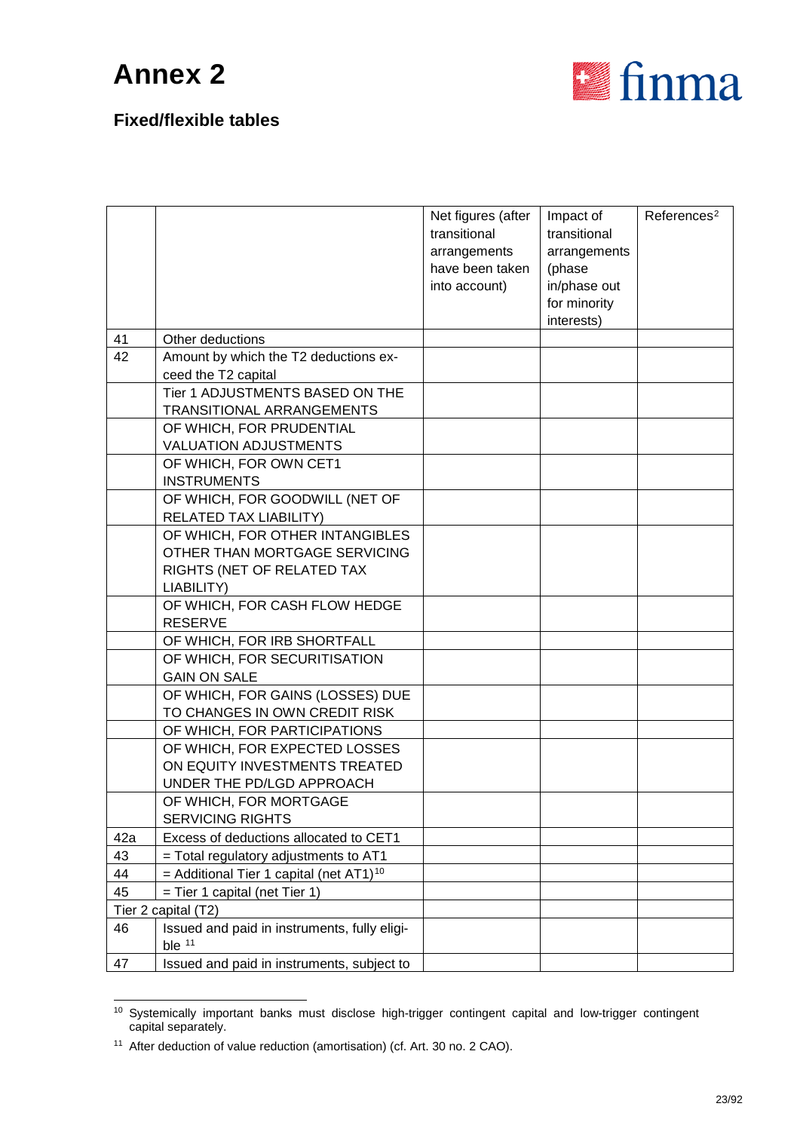

|     |                                                                                                              | Net figures (after<br>transitional<br>arrangements<br>have been taken<br>into account) | Impact of<br>transitional<br>arrangements<br>(phase<br>in/phase out<br>for minority<br>interests) | References <sup>2</sup> |
|-----|--------------------------------------------------------------------------------------------------------------|----------------------------------------------------------------------------------------|---------------------------------------------------------------------------------------------------|-------------------------|
| 41  | Other deductions                                                                                             |                                                                                        |                                                                                                   |                         |
| 42  | Amount by which the T2 deductions ex-<br>ceed the T2 capital                                                 |                                                                                        |                                                                                                   |                         |
|     | Tier 1 ADJUSTMENTS BASED ON THE<br>TRANSITIONAL ARRANGEMENTS                                                 |                                                                                        |                                                                                                   |                         |
|     | OF WHICH, FOR PRUDENTIAL<br><b>VALUATION ADJUSTMENTS</b>                                                     |                                                                                        |                                                                                                   |                         |
|     | OF WHICH, FOR OWN CET1<br><b>INSTRUMENTS</b>                                                                 |                                                                                        |                                                                                                   |                         |
|     | OF WHICH, FOR GOODWILL (NET OF<br>RELATED TAX LIABILITY)                                                     |                                                                                        |                                                                                                   |                         |
|     | OF WHICH, FOR OTHER INTANGIBLES<br>OTHER THAN MORTGAGE SERVICING<br>RIGHTS (NET OF RELATED TAX<br>LIABILITY) |                                                                                        |                                                                                                   |                         |
|     | OF WHICH, FOR CASH FLOW HEDGE<br><b>RESERVE</b>                                                              |                                                                                        |                                                                                                   |                         |
|     | OF WHICH, FOR IRB SHORTFALL                                                                                  |                                                                                        |                                                                                                   |                         |
|     | OF WHICH, FOR SECURITISATION<br><b>GAIN ON SALE</b>                                                          |                                                                                        |                                                                                                   |                         |
|     | OF WHICH, FOR GAINS (LOSSES) DUE<br>TO CHANGES IN OWN CREDIT RISK                                            |                                                                                        |                                                                                                   |                         |
|     | OF WHICH, FOR PARTICIPATIONS                                                                                 |                                                                                        |                                                                                                   |                         |
|     | OF WHICH, FOR EXPECTED LOSSES<br>ON EQUITY INVESTMENTS TREATED<br>UNDER THE PD/LGD APPROACH                  |                                                                                        |                                                                                                   |                         |
|     | OF WHICH, FOR MORTGAGE<br><b>SERVICING RIGHTS</b>                                                            |                                                                                        |                                                                                                   |                         |
| 42a | Excess of deductions allocated to CET1                                                                       |                                                                                        |                                                                                                   |                         |
| 43  | = Total regulatory adjustments to AT1                                                                        |                                                                                        |                                                                                                   |                         |
| 44  | = Additional Tier 1 capital (net $AT1$ ) <sup>10</sup>                                                       |                                                                                        |                                                                                                   |                         |
| 45  | $=$ Tier 1 capital (net Tier 1)                                                                              |                                                                                        |                                                                                                   |                         |
|     | Tier 2 capital (T2)                                                                                          |                                                                                        |                                                                                                   |                         |
| 46  | Issued and paid in instruments, fully eligi-<br>ble $11$                                                     |                                                                                        |                                                                                                   |                         |
| 47  | Issued and paid in instruments, subject to                                                                   |                                                                                        |                                                                                                   |                         |

<span id="page-22-0"></span> <sup>10</sup> Systemically important banks must disclose high-trigger contingent capital and low-trigger contingent capital separately.

<span id="page-22-1"></span><sup>&</sup>lt;sup>11</sup> After deduction of value reduction (amortisation) (cf. Art. 30 no. 2 CAO).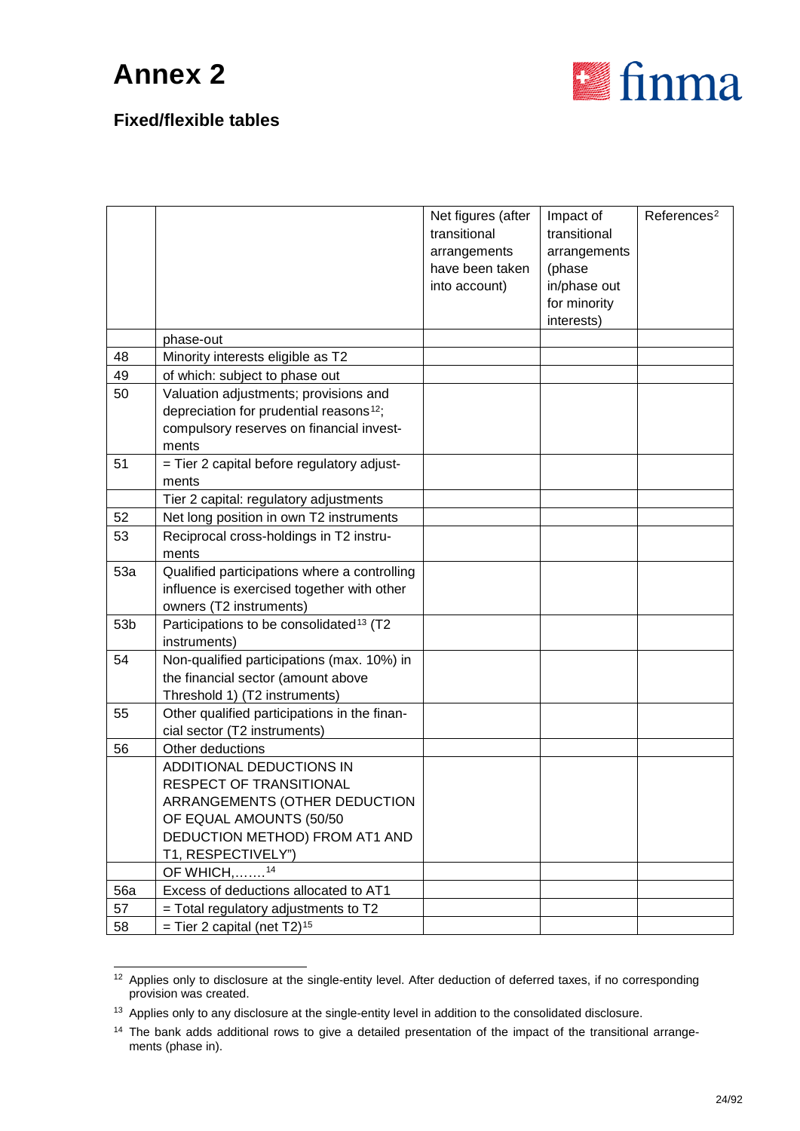

|                 |                                                     | Net figures (after<br>transitional | Impact of<br>transitional | Reference <sup>2</sup> |
|-----------------|-----------------------------------------------------|------------------------------------|---------------------------|------------------------|
|                 |                                                     |                                    |                           |                        |
|                 |                                                     | arrangements<br>have been taken    | arrangements<br>(phase    |                        |
|                 |                                                     | into account)                      | in/phase out              |                        |
|                 |                                                     |                                    | for minority              |                        |
|                 |                                                     |                                    | interests)                |                        |
|                 | phase-out                                           |                                    |                           |                        |
| 48              | Minority interests eligible as T2                   |                                    |                           |                        |
| 49              | of which: subject to phase out                      |                                    |                           |                        |
| 50              | Valuation adjustments; provisions and               |                                    |                           |                        |
|                 | depreciation for prudential reasons <sup>12</sup> ; |                                    |                           |                        |
|                 | compulsory reserves on financial invest-            |                                    |                           |                        |
|                 | ments                                               |                                    |                           |                        |
| 51              | = Tier 2 capital before regulatory adjust-          |                                    |                           |                        |
|                 | ments                                               |                                    |                           |                        |
|                 | Tier 2 capital: regulatory adjustments              |                                    |                           |                        |
| 52              | Net long position in own T2 instruments             |                                    |                           |                        |
| 53              | Reciprocal cross-holdings in T2 instru-             |                                    |                           |                        |
|                 | ments                                               |                                    |                           |                        |
| 53a             | Qualified participations where a controlling        |                                    |                           |                        |
|                 | influence is exercised together with other          |                                    |                           |                        |
|                 | owners (T2 instruments)                             |                                    |                           |                        |
| 53 <sub>b</sub> | Participations to be consolidated <sup>13</sup> (T2 |                                    |                           |                        |
|                 | instruments)                                        |                                    |                           |                        |
| 54              | Non-qualified participations (max. 10%) in          |                                    |                           |                        |
|                 | the financial sector (amount above                  |                                    |                           |                        |
|                 | Threshold 1) (T2 instruments)                       |                                    |                           |                        |
| 55              | Other qualified participations in the finan-        |                                    |                           |                        |
|                 | cial sector (T2 instruments)                        |                                    |                           |                        |
| 56              | Other deductions                                    |                                    |                           |                        |
|                 | ADDITIONAL DEDUCTIONS IN                            |                                    |                           |                        |
|                 | RESPECT OF TRANSITIONAL                             |                                    |                           |                        |
|                 | ARRANGEMENTS (OTHER DEDUCTION                       |                                    |                           |                        |
|                 | OF EQUAL AMOUNTS (50/50                             |                                    |                           |                        |
|                 | DEDUCTION METHOD) FROM AT1 AND                      |                                    |                           |                        |
|                 | T1, RESPECTIVELY")                                  |                                    |                           |                        |
|                 | OF WHICH, <sup>14</sup>                             |                                    |                           |                        |
| <b>56a</b>      | Excess of deductions allocated to AT1               |                                    |                           |                        |
| 57              | $=$ Total regulatory adjustments to T2              |                                    |                           |                        |
| 58              | = Tier 2 capital (net $T2$ ) <sup>15</sup>          |                                    |                           |                        |

<span id="page-23-3"></span><span id="page-23-0"></span><sup>&</sup>lt;sup>12</sup> Applies only to disclosure at the single-entity level. After deduction of deferred taxes, if no corresponding provision was created.

<span id="page-23-1"></span><sup>&</sup>lt;sup>13</sup> Applies only to any disclosure at the single-entity level in addition to the consolidated disclosure.

<span id="page-23-2"></span><sup>&</sup>lt;sup>14</sup> The bank adds additional rows to give a detailed presentation of the impact of the transitional arrangements (phase in).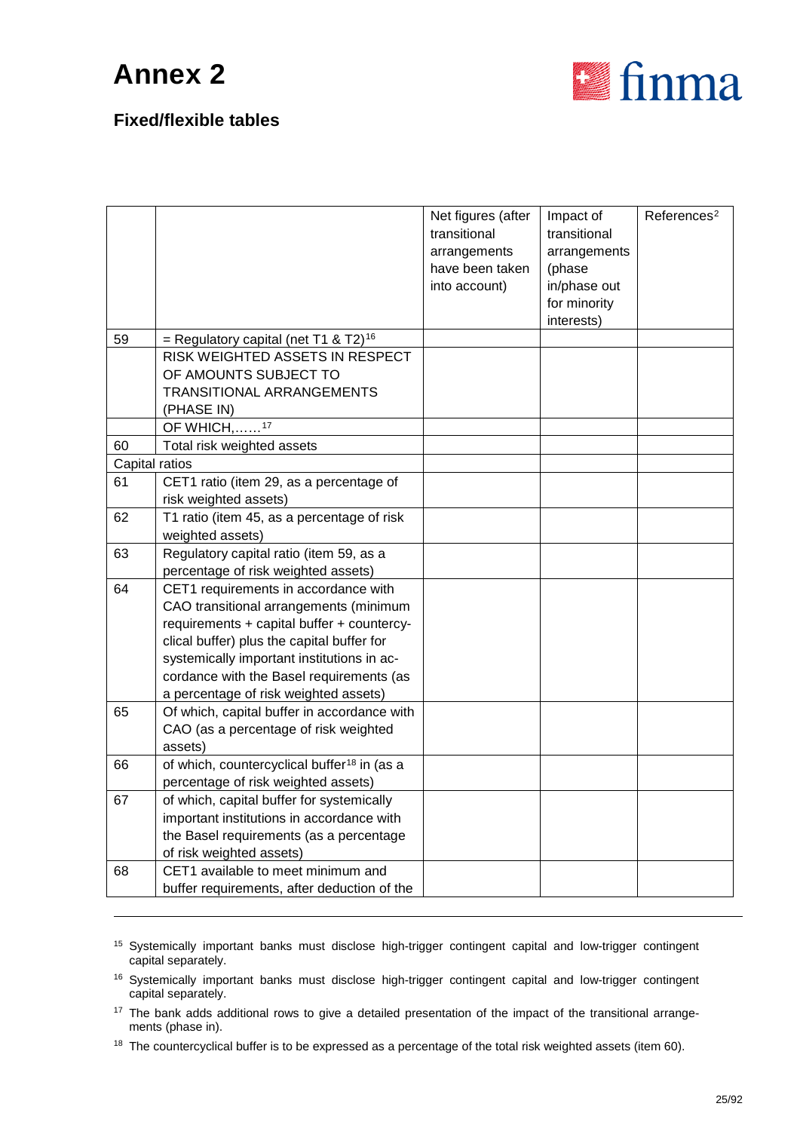-



| 59             | = Regulatory capital (net T1 & T2) <sup>16</sup>                            | Net figures (after<br>transitional<br>arrangements<br>have been taken<br>into account) | Impact of<br>transitional<br>arrangements<br>(phase<br>in/phase out<br>for minority<br>interests) | References <sup>2</sup> |
|----------------|-----------------------------------------------------------------------------|----------------------------------------------------------------------------------------|---------------------------------------------------------------------------------------------------|-------------------------|
|                | RISK WEIGHTED ASSETS IN RESPECT                                             |                                                                                        |                                                                                                   |                         |
|                | OF AMOUNTS SUBJECT TO                                                       |                                                                                        |                                                                                                   |                         |
|                | TRANSITIONAL ARRANGEMENTS                                                   |                                                                                        |                                                                                                   |                         |
|                | (PHASE IN)                                                                  |                                                                                        |                                                                                                   |                         |
|                | OF WHICH, <sup>17</sup>                                                     |                                                                                        |                                                                                                   |                         |
| 60             | Total risk weighted assets                                                  |                                                                                        |                                                                                                   |                         |
| Capital ratios |                                                                             |                                                                                        |                                                                                                   |                         |
| 61             | CET1 ratio (item 29, as a percentage of                                     |                                                                                        |                                                                                                   |                         |
|                | risk weighted assets)                                                       |                                                                                        |                                                                                                   |                         |
| 62             | T1 ratio (item 45, as a percentage of risk                                  |                                                                                        |                                                                                                   |                         |
|                | weighted assets)                                                            |                                                                                        |                                                                                                   |                         |
| 63             | Regulatory capital ratio (item 59, as a                                     |                                                                                        |                                                                                                   |                         |
| 64             | percentage of risk weighted assets)<br>CET1 requirements in accordance with |                                                                                        |                                                                                                   |                         |
|                | CAO transitional arrangements (minimum                                      |                                                                                        |                                                                                                   |                         |
|                | requirements + capital buffer + countercy-                                  |                                                                                        |                                                                                                   |                         |
|                | clical buffer) plus the capital buffer for                                  |                                                                                        |                                                                                                   |                         |
|                | systemically important institutions in ac-                                  |                                                                                        |                                                                                                   |                         |
|                | cordance with the Basel requirements (as                                    |                                                                                        |                                                                                                   |                         |
|                | a percentage of risk weighted assets)                                       |                                                                                        |                                                                                                   |                         |
| 65             | Of which, capital buffer in accordance with                                 |                                                                                        |                                                                                                   |                         |
|                | CAO (as a percentage of risk weighted                                       |                                                                                        |                                                                                                   |                         |
|                | assets)                                                                     |                                                                                        |                                                                                                   |                         |
| 66             | of which, countercyclical buffer <sup>18</sup> in (as a                     |                                                                                        |                                                                                                   |                         |
|                | percentage of risk weighted assets)                                         |                                                                                        |                                                                                                   |                         |
| 67             | of which, capital buffer for systemically                                   |                                                                                        |                                                                                                   |                         |
|                | important institutions in accordance with                                   |                                                                                        |                                                                                                   |                         |
|                | the Basel requirements (as a percentage                                     |                                                                                        |                                                                                                   |                         |
|                | of risk weighted assets)                                                    |                                                                                        |                                                                                                   |                         |
| 68             | CET1 available to meet minimum and                                          |                                                                                        |                                                                                                   |                         |
|                | buffer requirements, after deduction of the                                 |                                                                                        |                                                                                                   |                         |

- <sup>15</sup> Systemically important banks must disclose high-trigger contingent capital and low-trigger contingent capital separately.
- <span id="page-24-0"></span><sup>16</sup> Systemically important banks must disclose high-trigger contingent capital and low-trigger contingent capital separately.
- <span id="page-24-1"></span><sup>17</sup> The bank adds additional rows to give a detailed presentation of the impact of the transitional arrangements (phase in).
- <span id="page-24-2"></span><sup>18</sup> The countercyclical buffer is to be expressed as a percentage of the total risk weighted assets (item 60).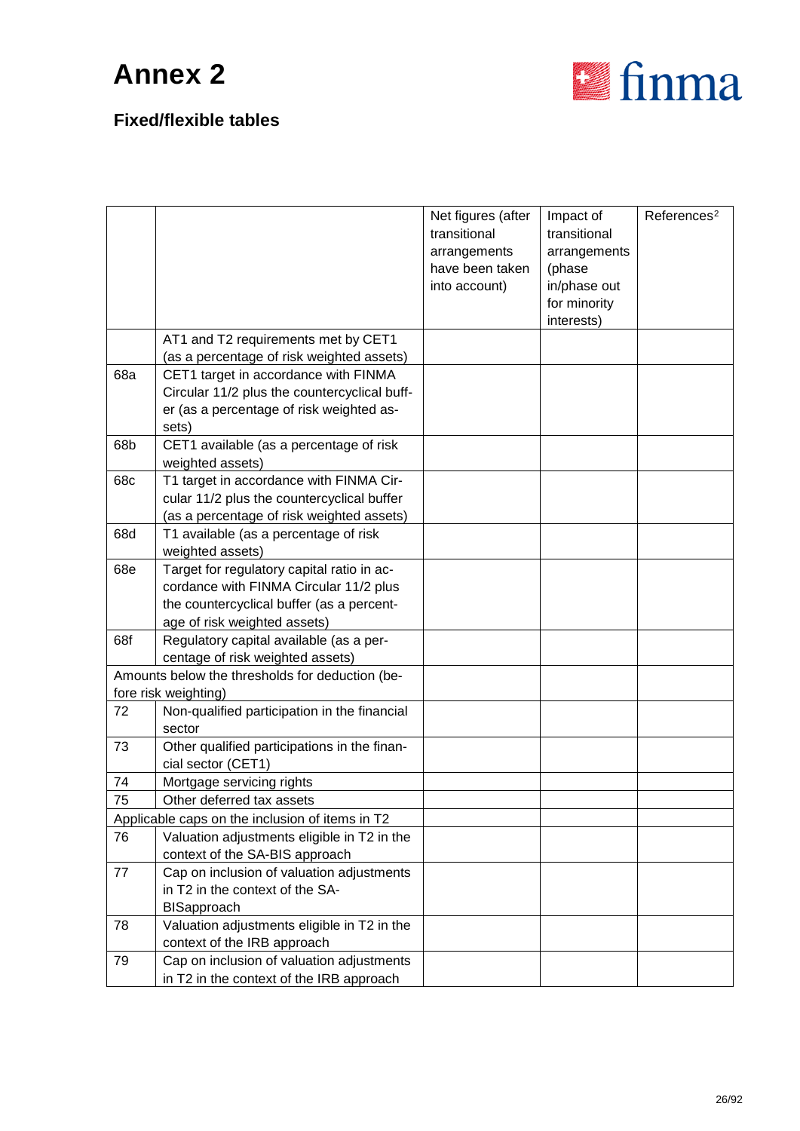

|     |                                                                                                                                                                   | Net figures (after<br>transitional<br>arrangements<br>have been taken<br>into account) | Impact of<br>transitional<br>arrangements<br>(phase<br>in/phase out | References <sup>2</sup> |
|-----|-------------------------------------------------------------------------------------------------------------------------------------------------------------------|----------------------------------------------------------------------------------------|---------------------------------------------------------------------|-------------------------|
|     |                                                                                                                                                                   |                                                                                        | for minority<br>interests)                                          |                         |
|     | AT1 and T2 requirements met by CET1<br>(as a percentage of risk weighted assets)                                                                                  |                                                                                        |                                                                     |                         |
| 68a | CET1 target in accordance with FINMA<br>Circular 11/2 plus the countercyclical buff-<br>er (as a percentage of risk weighted as-<br>sets)                         |                                                                                        |                                                                     |                         |
| 68b | CET1 available (as a percentage of risk<br>weighted assets)                                                                                                       |                                                                                        |                                                                     |                         |
| 68c | T1 target in accordance with FINMA Cir-<br>cular 11/2 plus the countercyclical buffer<br>(as a percentage of risk weighted assets)                                |                                                                                        |                                                                     |                         |
| 68d | T1 available (as a percentage of risk<br>weighted assets)                                                                                                         |                                                                                        |                                                                     |                         |
| 68e | Target for regulatory capital ratio in ac-<br>cordance with FINMA Circular 11/2 plus<br>the countercyclical buffer (as a percent-<br>age of risk weighted assets) |                                                                                        |                                                                     |                         |
| 68f | Regulatory capital available (as a per-<br>centage of risk weighted assets)                                                                                       |                                                                                        |                                                                     |                         |
|     | Amounts below the thresholds for deduction (be-<br>fore risk weighting)                                                                                           |                                                                                        |                                                                     |                         |
| 72  | Non-qualified participation in the financial<br>sector                                                                                                            |                                                                                        |                                                                     |                         |
| 73  | Other qualified participations in the finan-<br>cial sector (CET1)                                                                                                |                                                                                        |                                                                     |                         |
| 74  | Mortgage servicing rights                                                                                                                                         |                                                                                        |                                                                     |                         |
| 75  | Other deferred tax assets                                                                                                                                         |                                                                                        |                                                                     |                         |
|     | Applicable caps on the inclusion of items in T2                                                                                                                   |                                                                                        |                                                                     |                         |
| 76  | Valuation adjustments eligible in T2 in the                                                                                                                       |                                                                                        |                                                                     |                         |
|     | context of the SA-BIS approach                                                                                                                                    |                                                                                        |                                                                     |                         |
| 77  | Cap on inclusion of valuation adjustments                                                                                                                         |                                                                                        |                                                                     |                         |
|     | in T2 in the context of the SA-                                                                                                                                   |                                                                                        |                                                                     |                         |
|     | <b>BISapproach</b>                                                                                                                                                |                                                                                        |                                                                     |                         |
| 78  | Valuation adjustments eligible in T2 in the<br>context of the IRB approach                                                                                        |                                                                                        |                                                                     |                         |
| 79  | Cap on inclusion of valuation adjustments<br>in T2 in the context of the IRB approach                                                                             |                                                                                        |                                                                     |                         |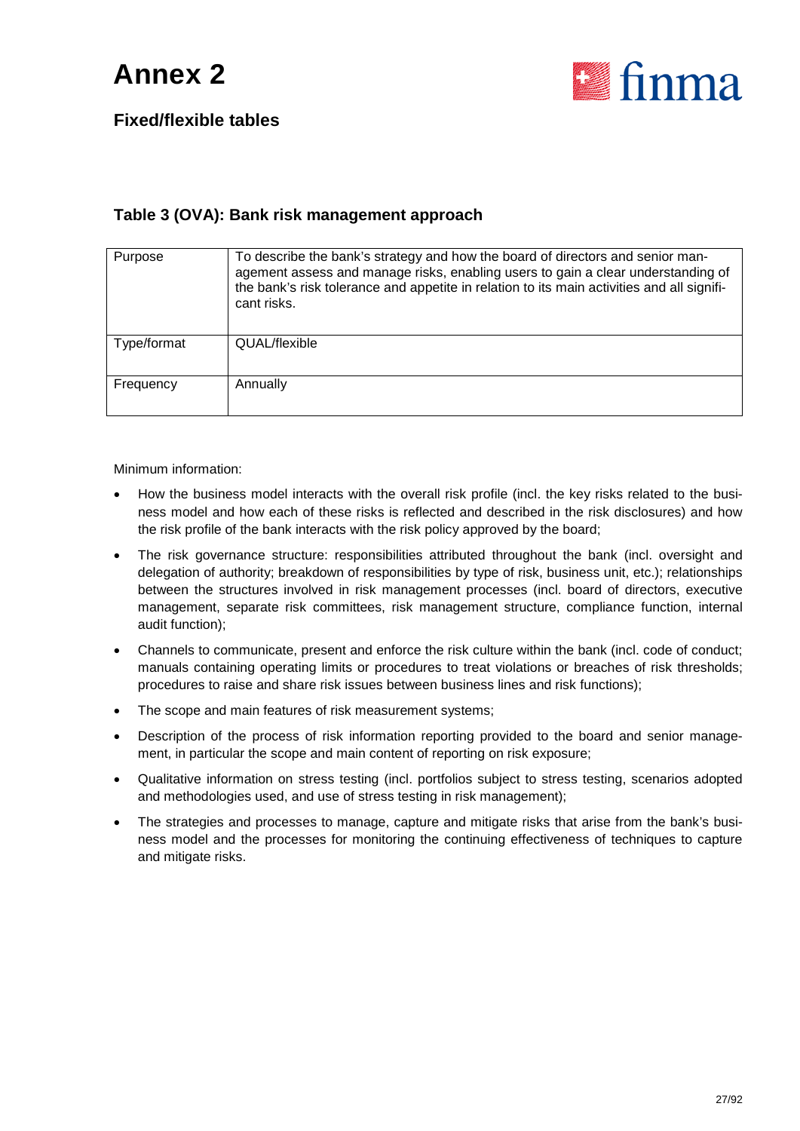

### **Fixed/flexible tables**

#### **Table 3 (OVA): Bank risk management approach**

| Purpose     | To describe the bank's strategy and how the board of directors and senior man-<br>agement assess and manage risks, enabling users to gain a clear understanding of<br>the bank's risk tolerance and appetite in relation to its main activities and all signifi-<br>cant risks. |
|-------------|---------------------------------------------------------------------------------------------------------------------------------------------------------------------------------------------------------------------------------------------------------------------------------|
| Type/format | QUAL/flexible                                                                                                                                                                                                                                                                   |
| Frequency   | Annually                                                                                                                                                                                                                                                                        |

Minimum information:

- How the business model interacts with the overall risk profile (incl. the key risks related to the business model and how each of these risks is reflected and described in the risk disclosures) and how the risk profile of the bank interacts with the risk policy approved by the board;
- The risk governance structure: responsibilities attributed throughout the bank (incl. oversight and delegation of authority; breakdown of responsibilities by type of risk, business unit, etc.); relationships between the structures involved in risk management processes (incl. board of directors, executive management, separate risk committees, risk management structure, compliance function, internal audit function);
- Channels to communicate, present and enforce the risk culture within the bank (incl. code of conduct; manuals containing operating limits or procedures to treat violations or breaches of risk thresholds; procedures to raise and share risk issues between business lines and risk functions);
- The scope and main features of risk measurement systems;
- Description of the process of risk information reporting provided to the board and senior management, in particular the scope and main content of reporting on risk exposure;
- Qualitative information on stress testing (incl. portfolios subject to stress testing, scenarios adopted and methodologies used, and use of stress testing in risk management);
- The strategies and processes to manage, capture and mitigate risks that arise from the bank's business model and the processes for monitoring the continuing effectiveness of techniques to capture and mitigate risks.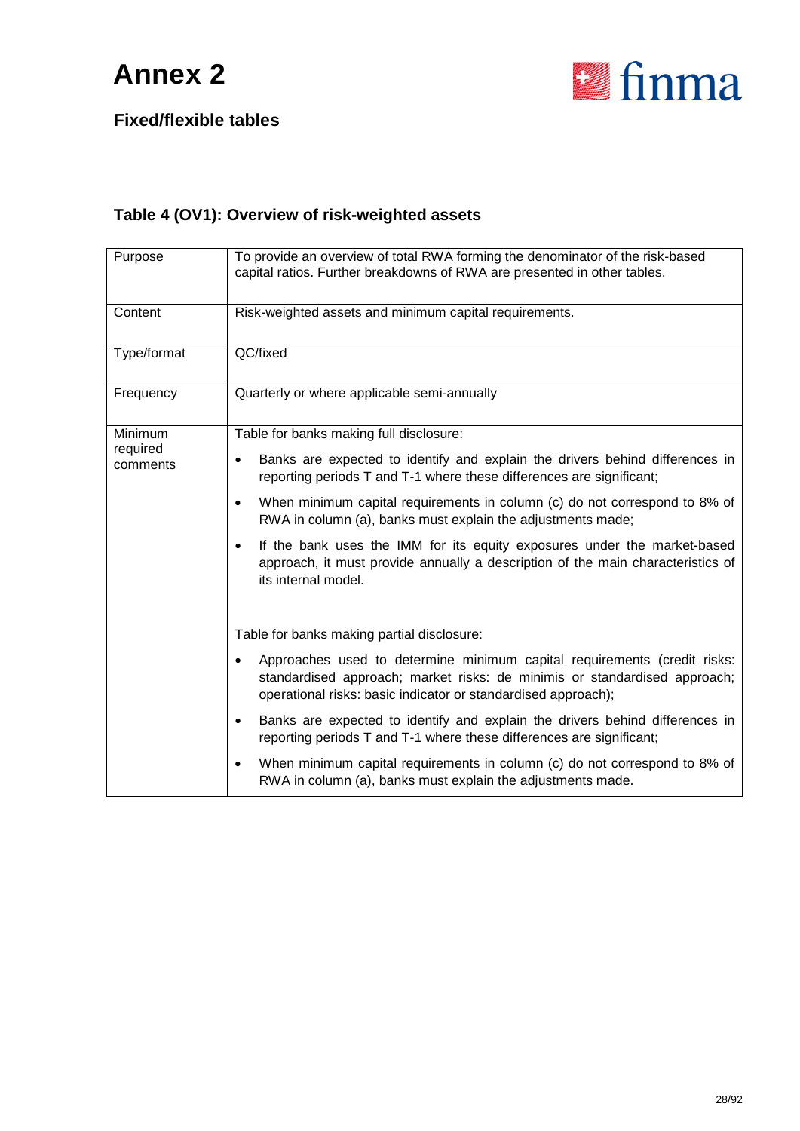

**Fixed/flexible tables**

### **Table 4 (OV1): Overview of risk-weighted assets**

| Purpose              | To provide an overview of total RWA forming the denominator of the risk-based<br>capital ratios. Further breakdowns of RWA are presented in other tables.                                                                           |
|----------------------|-------------------------------------------------------------------------------------------------------------------------------------------------------------------------------------------------------------------------------------|
| Content              | Risk-weighted assets and minimum capital requirements.                                                                                                                                                                              |
| Type/format          | QC/fixed                                                                                                                                                                                                                            |
| Frequency            | Quarterly or where applicable semi-annually                                                                                                                                                                                         |
| Minimum              | Table for banks making full disclosure:                                                                                                                                                                                             |
| required<br>comments | Banks are expected to identify and explain the drivers behind differences in<br>$\bullet$<br>reporting periods T and T-1 where these differences are significant;                                                                   |
|                      | When minimum capital requirements in column (c) do not correspond to 8% of<br>$\bullet$<br>RWA in column (a), banks must explain the adjustments made;                                                                              |
|                      | If the bank uses the IMM for its equity exposures under the market-based<br>$\bullet$<br>approach, it must provide annually a description of the main characteristics of<br>its internal model.                                     |
|                      | Table for banks making partial disclosure:                                                                                                                                                                                          |
|                      | Approaches used to determine minimum capital requirements (credit risks:<br>$\bullet$<br>standardised approach; market risks: de minimis or standardised approach;<br>operational risks: basic indicator or standardised approach); |
|                      | Banks are expected to identify and explain the drivers behind differences in<br>$\bullet$<br>reporting periods T and T-1 where these differences are significant;                                                                   |
|                      | When minimum capital requirements in column (c) do not correspond to 8% of<br>$\bullet$<br>RWA in column (a), banks must explain the adjustments made.                                                                              |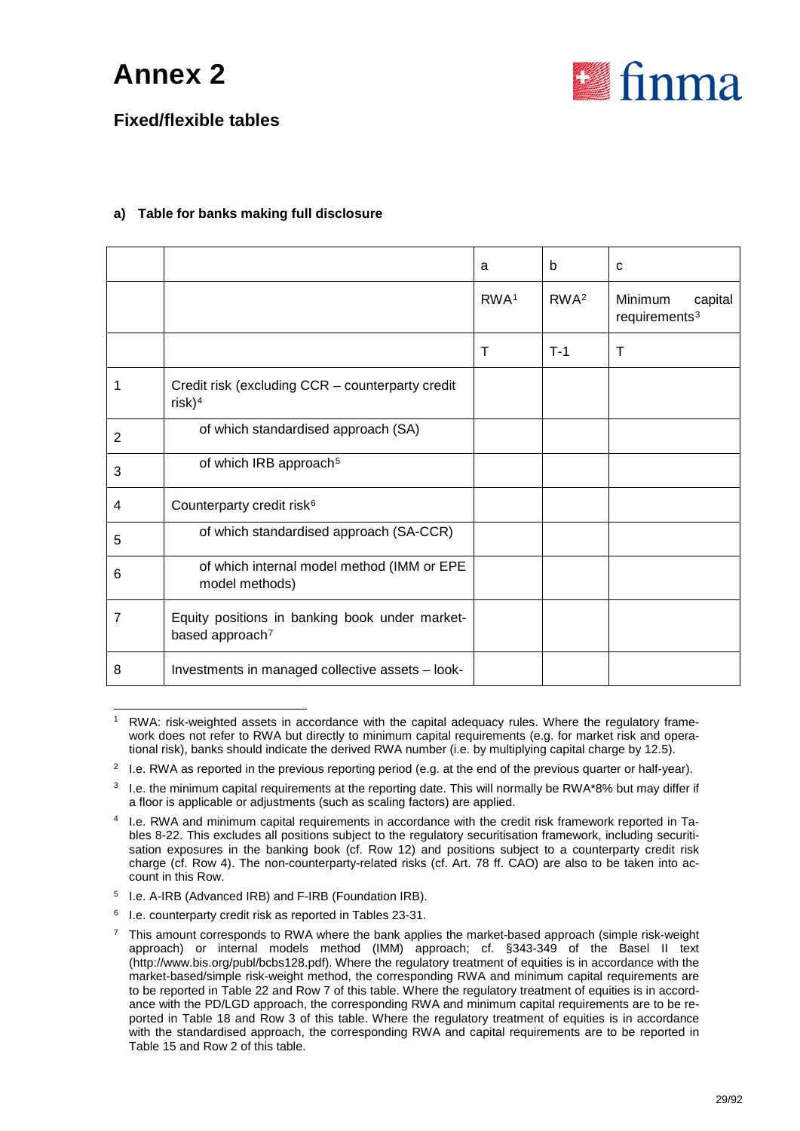

### **Fixed/flexible tables**

#### **a) Table for banks making full disclosure**

|                |                                                                               | a                | b                | C                                               |
|----------------|-------------------------------------------------------------------------------|------------------|------------------|-------------------------------------------------|
|                |                                                                               | RWA <sup>1</sup> | RWA <sup>2</sup> | Minimum<br>capital<br>requirements <sup>3</sup> |
|                |                                                                               | Т                | $T-1$            | $\top$                                          |
| 1              | Credit risk (excluding CCR - counterparty credit<br>$risk)^4$                 |                  |                  |                                                 |
| $\overline{2}$ | of which standardised approach (SA)                                           |                  |                  |                                                 |
| 3              | of which IRB approach <sup>5</sup>                                            |                  |                  |                                                 |
| 4              | Counterparty credit risk <sup>6</sup>                                         |                  |                  |                                                 |
| 5              | of which standardised approach (SA-CCR)                                       |                  |                  |                                                 |
| 6              | of which internal model method (IMM or EPE<br>model methods)                  |                  |                  |                                                 |
| 7              | Equity positions in banking book under market-<br>based approach <sup>7</sup> |                  |                  |                                                 |
| 8              | Investments in managed collective assets - look-                              |                  |                  |                                                 |

<span id="page-28-0"></span>RWA: risk-weighted assets in accordance with the capital adequacy rules. Where the regulatory framework does not refer to RWA but directly to minimum capital requirements (e.g. for market risk and operational risk), banks should indicate the derived RWA number (i.e. by multiplying capital charge by 12.5).

<span id="page-28-1"></span><sup>&</sup>lt;sup>2</sup> I.e. RWA as reported in the previous reporting period (e.g. at the end of the previous quarter or half-year).

<span id="page-28-2"></span> $3$  I.e. the minimum capital requirements at the reporting date. This will normally be RWA\*8% but may differ if a floor is applicable or adjustments (such as scaling factors) are applied.

<span id="page-28-3"></span><sup>4</sup> I.e. RWA and minimum capital requirements in accordance with the credit risk framework reported in Tables 8-22. This excludes all positions subject to the regulatory securitisation framework, including securitisation exposures in the banking book (cf. Row 12) and positions subject to a counterparty credit risk charge (cf. Row 4). The non-counterparty-related risks (cf. Art. 78 ff. CAO) are also to be taken into account in this Row.

<span id="page-28-4"></span><sup>5</sup> I.e. A-IRB (Advanced IRB) and F-IRB (Foundation IRB).

<span id="page-28-6"></span><span id="page-28-5"></span><sup>6</sup> I.e. counterparty credit risk as reported in Tables 23-31.

<sup>7</sup> This amount corresponds to RWA where the bank applies the market-based approach (simple risk-weight approach) or internal models method (IMM) approach; cf. §343-349 of the Basel II text (http://www.bis.org/publ/bcbs128.pdf). Where the regulatory treatment of equities is in accordance with the market-based/simple risk-weight method, the corresponding RWA and minimum capital requirements are to be reported in Table 22 and Row 7 of this table. Where the regulatory treatment of equities is in accordance with the PD/LGD approach, the corresponding RWA and minimum capital requirements are to be reported in Table 18 and Row 3 of this table. Where the regulatory treatment of equities is in accordance with the standardised approach, the corresponding RWA and capital requirements are to be reported in Table 15 and Row 2 of this table.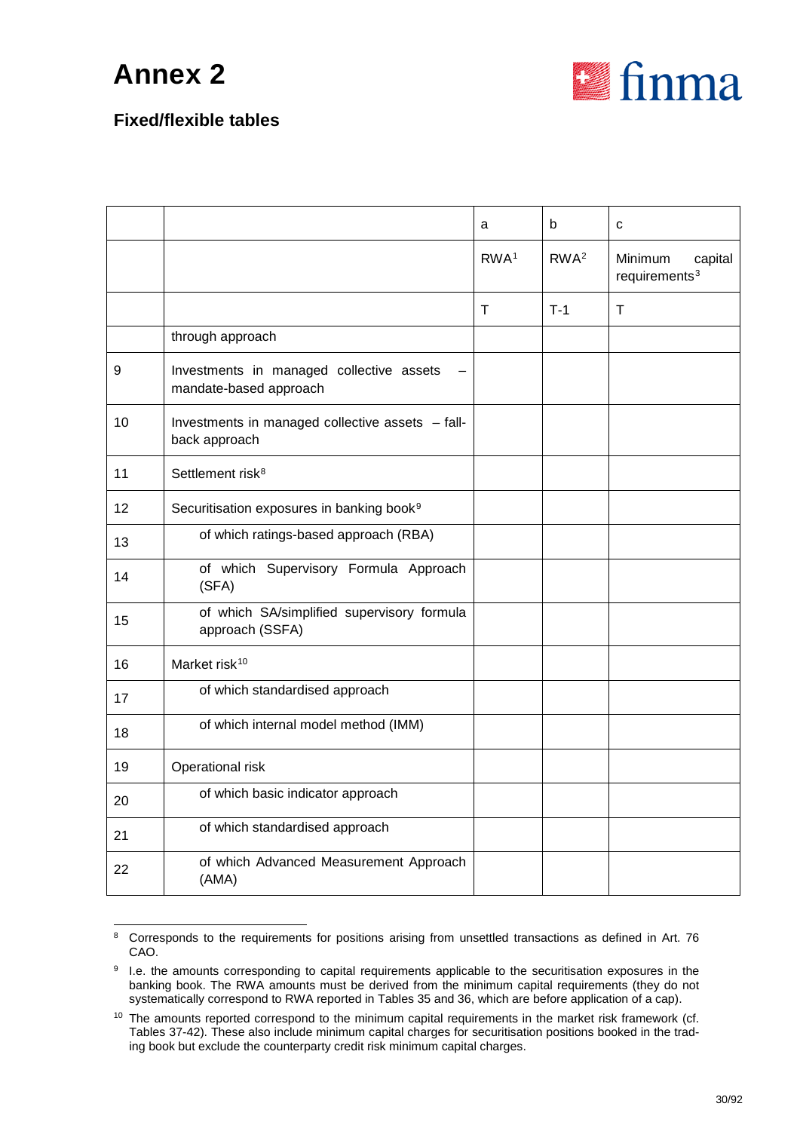

|    |                                                                    | a                | b                | C                                      |
|----|--------------------------------------------------------------------|------------------|------------------|----------------------------------------|
|    |                                                                    | RWA <sup>1</sup> | RWA <sup>2</sup> | Minimum<br>capital<br>requirements $3$ |
|    |                                                                    | т                | $T-1$            | $\mathsf{T}$                           |
|    | through approach                                                   |                  |                  |                                        |
| 9  | Investments in managed collective assets<br>mandate-based approach |                  |                  |                                        |
| 10 | Investments in managed collective assets - fall-<br>back approach  |                  |                  |                                        |
| 11 | Settlement risk <sup>8</sup>                                       |                  |                  |                                        |
| 12 | Securitisation exposures in banking book <sup>9</sup>              |                  |                  |                                        |
| 13 | of which ratings-based approach (RBA)                              |                  |                  |                                        |
| 14 | of which Supervisory Formula Approach<br>(SFA)                     |                  |                  |                                        |
| 15 | of which SA/simplified supervisory formula<br>approach (SSFA)      |                  |                  |                                        |
| 16 | Market risk <sup>10</sup>                                          |                  |                  |                                        |
| 17 | of which standardised approach                                     |                  |                  |                                        |
| 18 | of which internal model method (IMM)                               |                  |                  |                                        |
| 19 | Operational risk                                                   |                  |                  |                                        |
| 20 | of which basic indicator approach                                  |                  |                  |                                        |
| 21 | of which standardised approach                                     |                  |                  |                                        |
| 22 | of which Advanced Measurement Approach<br>(AMA)                    |                  |                  |                                        |
|    |                                                                    |                  |                  |                                        |

<span id="page-29-0"></span> <sup>8</sup> Corresponds to the requirements for positions arising from unsettled transactions as defined in Art. 76 CAO.

<span id="page-29-1"></span><sup>&</sup>lt;sup>9</sup> I.e. the amounts corresponding to capital requirements applicable to the securitisation exposures in the banking book. The RWA amounts must be derived from the minimum capital requirements (they do not systematically correspond to RWA reported in Tables 35 and 36, which are before application of a cap).

<span id="page-29-2"></span><sup>&</sup>lt;sup>10</sup> The amounts reported correspond to the minimum capital requirements in the market risk framework (cf. Tables 37-42). These also include minimum capital charges for securitisation positions booked in the trading book but exclude the counterparty credit risk minimum capital charges.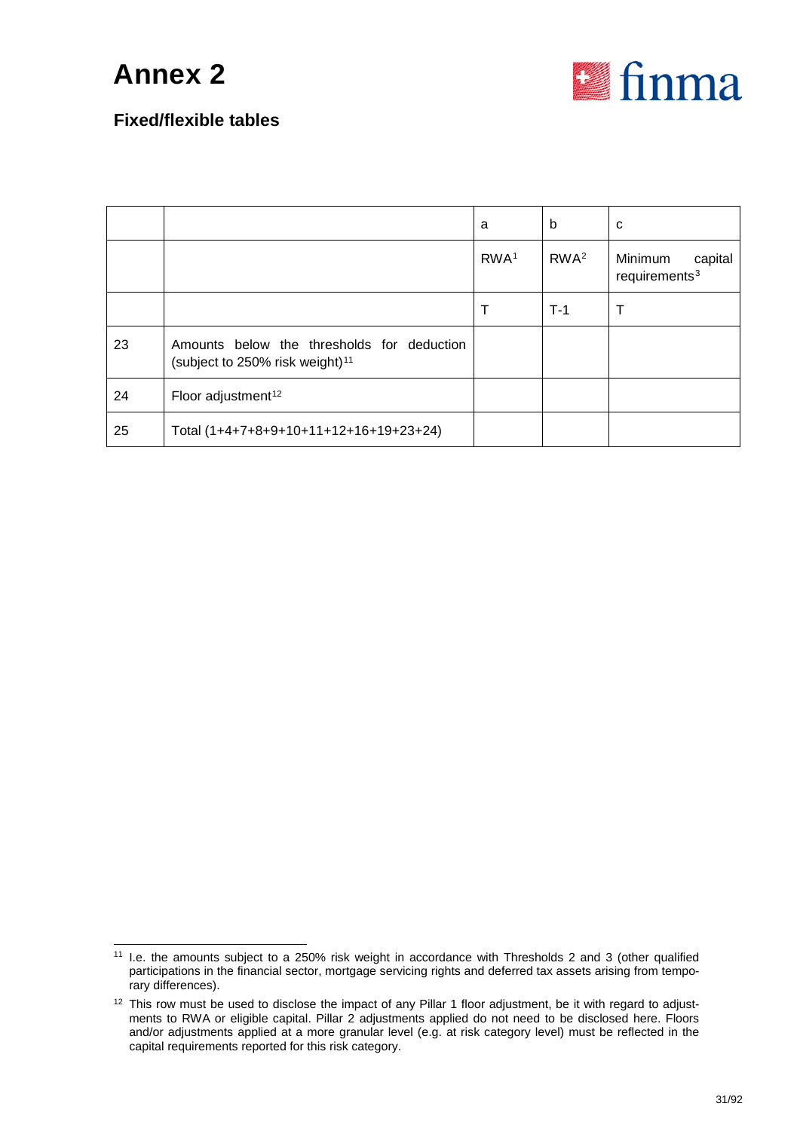

|    |                                                                                           | а                | b                | C                                               |
|----|-------------------------------------------------------------------------------------------|------------------|------------------|-------------------------------------------------|
|    |                                                                                           | RWA <sup>1</sup> | RWA <sup>2</sup> | Minimum<br>capital<br>requirements <sup>3</sup> |
|    |                                                                                           | т                | $T-1$            |                                                 |
| 23 | Amounts below the thresholds for deduction<br>(subject to 250% risk weight) <sup>11</sup> |                  |                  |                                                 |
| 24 | Floor adjustment <sup>12</sup>                                                            |                  |                  |                                                 |
| 25 | Total (1+4+7+8+9+10+11+12+16+19+23+24)                                                    |                  |                  |                                                 |

<span id="page-30-0"></span> <sup>11</sup> I.e. the amounts subject to a 250% risk weight in accordance with Thresholds 2 and 3 (other qualified participations in the financial sector, mortgage servicing rights and deferred tax assets arising from temporary differences).

<span id="page-30-1"></span><sup>&</sup>lt;sup>12</sup> This row must be used to disclose the impact of any Pillar 1 floor adjustment, be it with regard to adjustments to RWA or eligible capital. Pillar 2 adjustments applied do not need to be disclosed here. Floors and/or adjustments applied at a more granular level (e.g. at risk category level) must be reflected in the capital requirements reported for this risk category.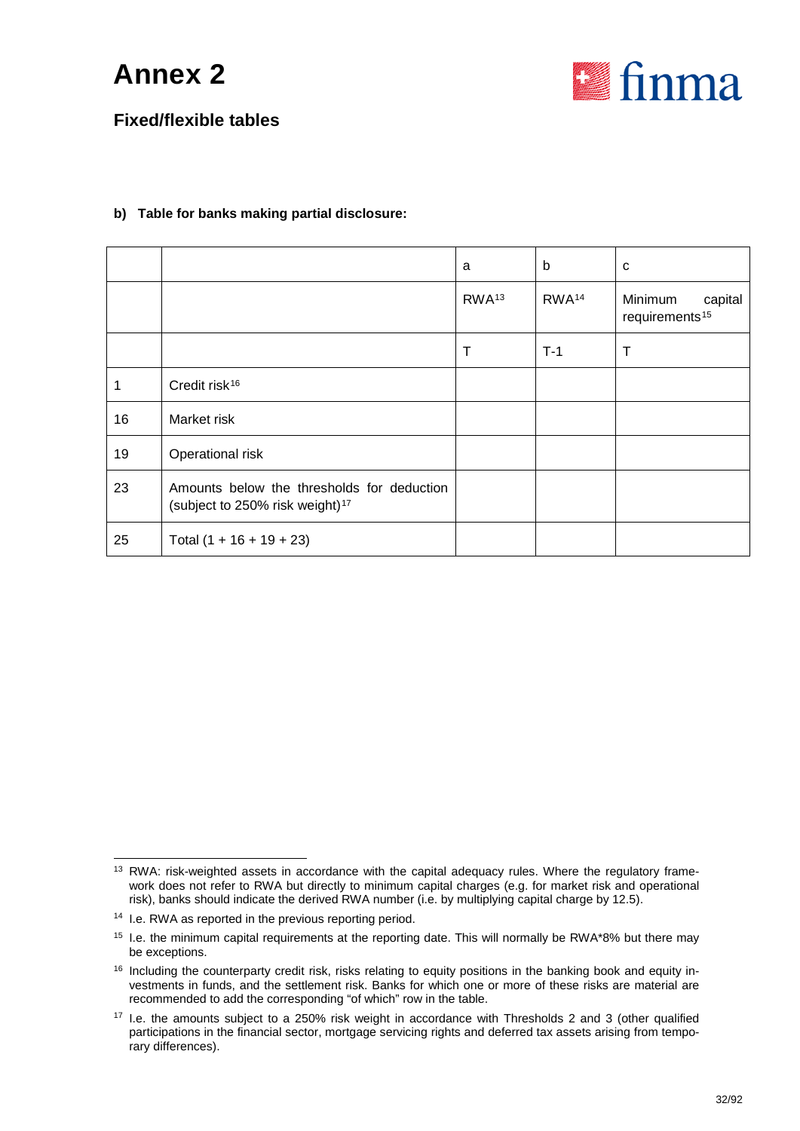

### **Fixed/flexible tables**

#### **b) Table for banks making partial disclosure:**

|    |                                                                                           | a                 | b                 | C                                                |
|----|-------------------------------------------------------------------------------------------|-------------------|-------------------|--------------------------------------------------|
|    |                                                                                           | RWA <sup>13</sup> | RWA <sup>14</sup> | Minimum<br>capital<br>requirements <sup>15</sup> |
|    |                                                                                           | Т                 | $T-1$             | T                                                |
| 1  | Credit risk <sup>16</sup>                                                                 |                   |                   |                                                  |
| 16 | Market risk                                                                               |                   |                   |                                                  |
| 19 | Operational risk                                                                          |                   |                   |                                                  |
| 23 | Amounts below the thresholds for deduction<br>(subject to 250% risk weight) <sup>17</sup> |                   |                   |                                                  |
| 25 | Total $(1 + 16 + 19 + 23)$                                                                |                   |                   |                                                  |

<span id="page-31-0"></span><sup>&</sup>lt;sup>13</sup> RWA: risk-weighted assets in accordance with the capital adequacy rules. Where the regulatory framework does not refer to RWA but directly to minimum capital charges (e.g. for market risk and operational risk), banks should indicate the derived RWA number (i.e. by multiplying capital charge by 12.5).

<span id="page-31-1"></span><sup>14</sup> I.e. RWA as reported in the previous reporting period.

<span id="page-31-2"></span><sup>&</sup>lt;sup>15</sup> I.e. the minimum capital requirements at the reporting date. This will normally be RWA\*8% but there may be exceptions.

<span id="page-31-3"></span><sup>&</sup>lt;sup>16</sup> Including the counterparty credit risk, risks relating to equity positions in the banking book and equity investments in funds, and the settlement risk. Banks for which one or more of these risks are material are recommended to add the corresponding "of which" row in the table.

<span id="page-31-4"></span><sup>17</sup> I.e. the amounts subject to a 250% risk weight in accordance with Thresholds 2 and 3 (other qualified participations in the financial sector, mortgage servicing rights and deferred tax assets arising from temporary differences).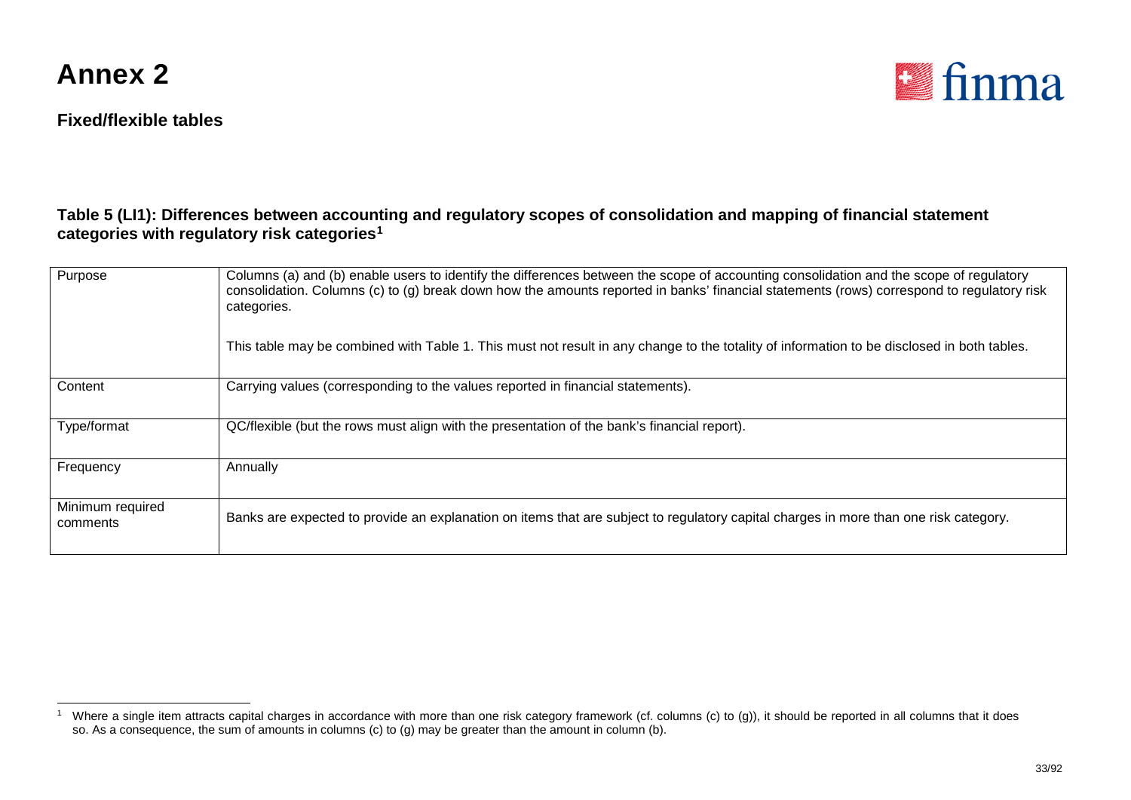

<span id="page-32-0"></span>

#### **Table 5 (LI1): Differences between accounting and regulatory scopes of consolidation and mapping of financial statement categories with regulatory risk categories[1](#page-32-0)**

| Purpose                      | Columns (a) and (b) enable users to identify the differences between the scope of accounting consolidation and the scope of regulatory<br>consolidation. Columns (c) to (g) break down how the amounts reported in banks' financial statements (rows) correspond to regulatory risk<br>categories.<br>This table may be combined with Table 1. This must not result in any change to the totality of information to be disclosed in both tables. |
|------------------------------|--------------------------------------------------------------------------------------------------------------------------------------------------------------------------------------------------------------------------------------------------------------------------------------------------------------------------------------------------------------------------------------------------------------------------------------------------|
|                              |                                                                                                                                                                                                                                                                                                                                                                                                                                                  |
| Content                      | Carrying values (corresponding to the values reported in financial statements).                                                                                                                                                                                                                                                                                                                                                                  |
| Type/format                  | QC/flexible (but the rows must align with the presentation of the bank's financial report).                                                                                                                                                                                                                                                                                                                                                      |
| Frequency                    | Annually                                                                                                                                                                                                                                                                                                                                                                                                                                         |
| Minimum required<br>comments | Banks are expected to provide an explanation on items that are subject to regulatory capital charges in more than one risk category.                                                                                                                                                                                                                                                                                                             |

<sup>&</sup>lt;sup>1</sup> Where a single item attracts capital charges in accordance with more than one risk category framework (cf. columns (c) to (g)), it should be reported in all columns that it does so. As a consequence, the sum of amounts in columns (c) to (g) may be greater than the amount in column (b).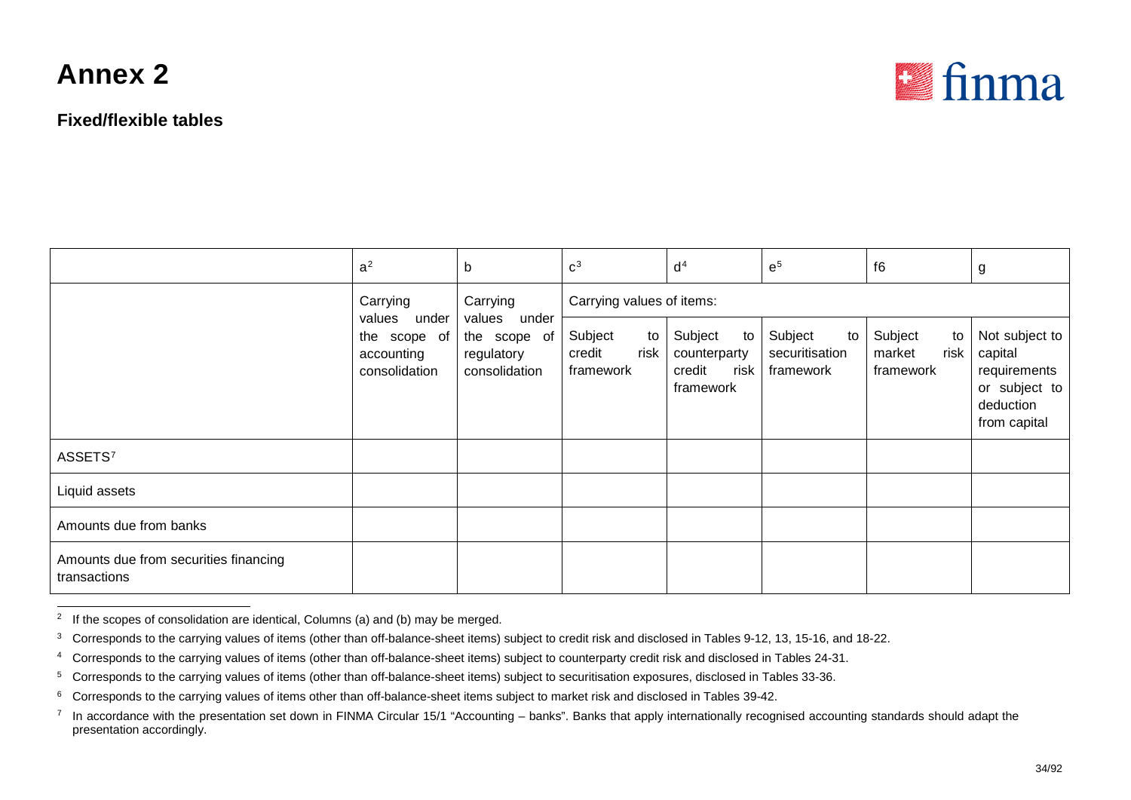<span id="page-33-5"></span><span id="page-33-4"></span><span id="page-33-3"></span><span id="page-33-2"></span><span id="page-33-1"></span><span id="page-33-0"></span>

|                                                       | a <sup>2</sup>                                        | b                                                                                | $C^3$                                        | d <sup>4</sup>                                               | e <sup>5</sup>                               | f6                                           | g                                                                                       |  |
|-------------------------------------------------------|-------------------------------------------------------|----------------------------------------------------------------------------------|----------------------------------------------|--------------------------------------------------------------|----------------------------------------------|----------------------------------------------|-----------------------------------------------------------------------------------------|--|
|                                                       | Carrying                                              | Carrying<br>under<br>values under<br>the scope of<br>regulatory<br>consolidation | Carrying values of items:                    |                                                              |                                              |                                              |                                                                                         |  |
|                                                       | values<br>the scope of<br>accounting<br>consolidation |                                                                                  | Subject<br>to<br>risk<br>credit<br>framework | Subject<br>to<br>counterparty<br>credit<br>risk<br>framework | Subject<br>to<br>securitisation<br>framework | Subject<br>to<br>risk<br>market<br>framework | Not subject to<br>capital<br>requirements<br>or subject to<br>deduction<br>from capital |  |
| ASSETS <sup>7</sup>                                   |                                                       |                                                                                  |                                              |                                                              |                                              |                                              |                                                                                         |  |
| Liquid assets                                         |                                                       |                                                                                  |                                              |                                                              |                                              |                                              |                                                                                         |  |
| Amounts due from banks                                |                                                       |                                                                                  |                                              |                                                              |                                              |                                              |                                                                                         |  |
| Amounts due from securities financing<br>transactions |                                                       |                                                                                  |                                              |                                                              |                                              |                                              |                                                                                         |  |

<sup>&</sup>lt;sup>2</sup> If the scopes of consolidation are identical, Columns (a) and (b) may be merged.

<sup>&</sup>lt;sup>3</sup> Corresponds to the carrying values of items (other than off-balance-sheet items) subject to credit risk and disclosed in Tables 9-12, 13, 15-16, and 18-22.

<sup>&</sup>lt;sup>4</sup> Corresponds to the carrying values of items (other than off-balance-sheet items) subject to counterparty credit risk and disclosed in Tables 24-31.

<sup>5</sup> Corresponds to the carrying values of items (other than off-balance-sheet items) subject to securitisation exposures, disclosed in Tables 33-36.

<sup>6</sup> Corresponds to the carrying values of items other than off-balance-sheet items subject to market risk and disclosed in Tables 39-42.

<sup>&</sup>lt;sup>7</sup> In accordance with the presentation set down in FINMA Circular 15/1 "Accounting – banks". Banks that apply internationally recognised accounting standards should adapt the presentation accordingly.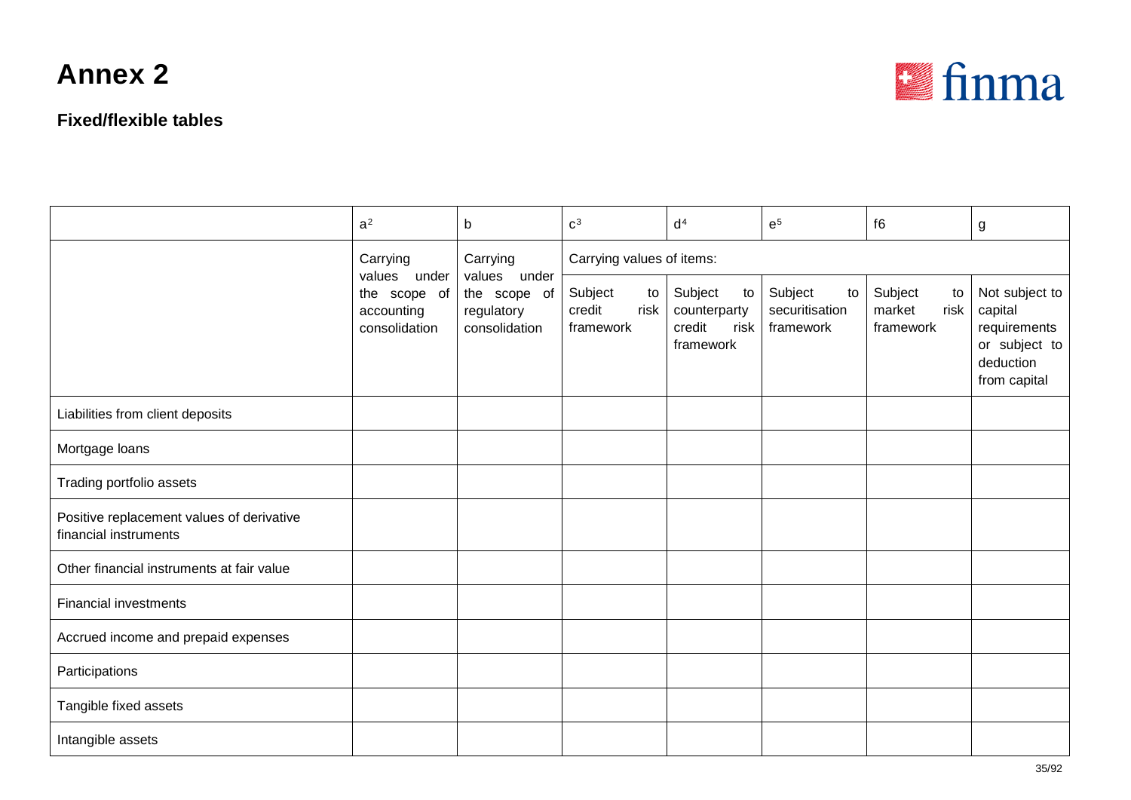

|                                                                    | a <sup>2</sup>                                              | b                                           | c <sup>3</sup>                               | d <sup>4</sup>                                               | $e^5$                                                   | f6                                           | g                                                                                       |  |  |
|--------------------------------------------------------------------|-------------------------------------------------------------|---------------------------------------------|----------------------------------------------|--------------------------------------------------------------|---------------------------------------------------------|----------------------------------------------|-----------------------------------------------------------------------------------------|--|--|
|                                                                    | Carrying                                                    | Carrying<br>values under                    | Carrying values of items:                    |                                                              |                                                         |                                              |                                                                                         |  |  |
|                                                                    | values under<br>the scope of<br>accounting<br>consolidation | the scope of<br>regulatory<br>consolidation | Subject<br>to<br>credit<br>risk<br>framework | Subject<br>to<br>counterparty<br>credit<br>risk<br>framework | Subject<br>$\mathsf{to}$<br>securitisation<br>framework | Subject<br>to<br>market<br>risk<br>framework | Not subject to<br>capital<br>requirements<br>or subject to<br>deduction<br>from capital |  |  |
| Liabilities from client deposits                                   |                                                             |                                             |                                              |                                                              |                                                         |                                              |                                                                                         |  |  |
| Mortgage loans                                                     |                                                             |                                             |                                              |                                                              |                                                         |                                              |                                                                                         |  |  |
| Trading portfolio assets                                           |                                                             |                                             |                                              |                                                              |                                                         |                                              |                                                                                         |  |  |
| Positive replacement values of derivative<br>financial instruments |                                                             |                                             |                                              |                                                              |                                                         |                                              |                                                                                         |  |  |
| Other financial instruments at fair value                          |                                                             |                                             |                                              |                                                              |                                                         |                                              |                                                                                         |  |  |
| <b>Financial investments</b>                                       |                                                             |                                             |                                              |                                                              |                                                         |                                              |                                                                                         |  |  |
| Accrued income and prepaid expenses                                |                                                             |                                             |                                              |                                                              |                                                         |                                              |                                                                                         |  |  |
| Participations                                                     |                                                             |                                             |                                              |                                                              |                                                         |                                              |                                                                                         |  |  |
| Tangible fixed assets                                              |                                                             |                                             |                                              |                                                              |                                                         |                                              |                                                                                         |  |  |
| Intangible assets                                                  |                                                             |                                             |                                              |                                                              |                                                         |                                              |                                                                                         |  |  |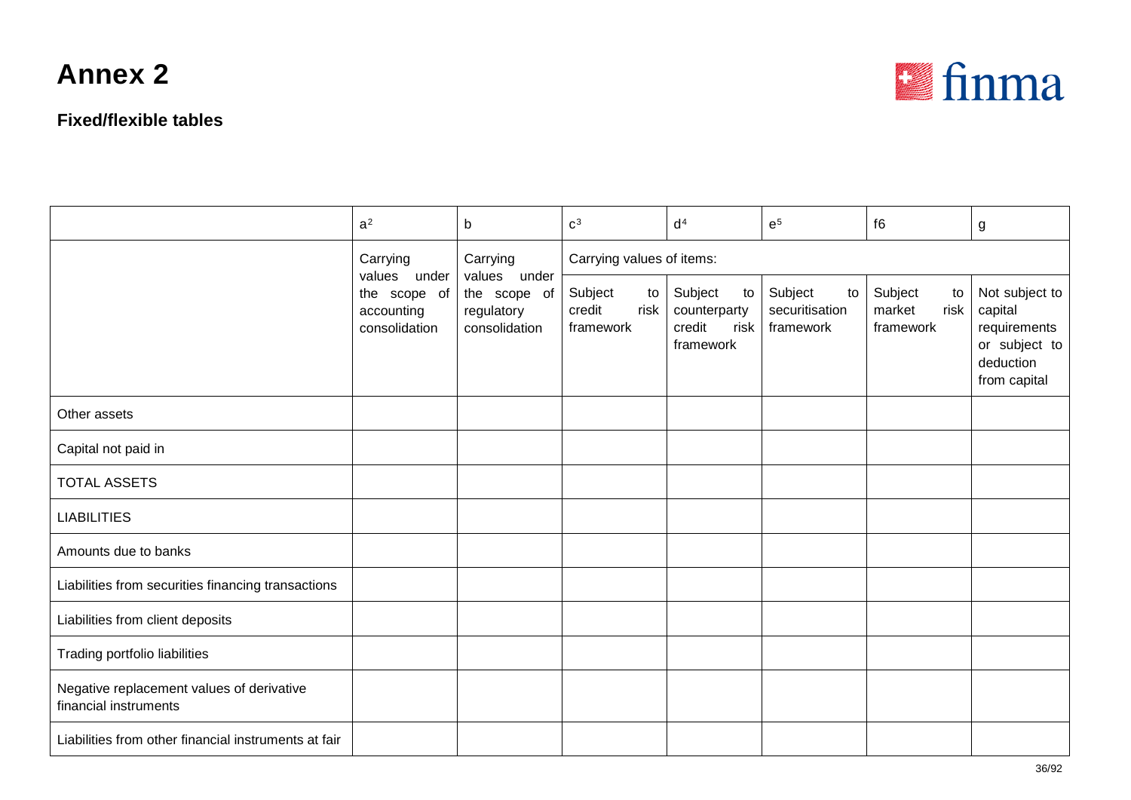

|                                                                    | a <sup>2</sup>                                              | b                                           | c <sup>3</sup>                               | d <sup>4</sup>                                               | $e^5$                                        | f6                                           | g                                                                                       |  |  |
|--------------------------------------------------------------------|-------------------------------------------------------------|---------------------------------------------|----------------------------------------------|--------------------------------------------------------------|----------------------------------------------|----------------------------------------------|-----------------------------------------------------------------------------------------|--|--|
|                                                                    | Carrying                                                    | Carrying<br>values under                    | Carrying values of items:                    |                                                              |                                              |                                              |                                                                                         |  |  |
|                                                                    | values under<br>the scope of<br>accounting<br>consolidation | the scope of<br>regulatory<br>consolidation | Subject<br>to<br>credit<br>risk<br>framework | Subject<br>to<br>counterparty<br>credit<br>risk<br>framework | Subject<br>to<br>securitisation<br>framework | Subject<br>to<br>market<br>risk<br>framework | Not subject to<br>capital<br>requirements<br>or subject to<br>deduction<br>from capital |  |  |
| Other assets                                                       |                                                             |                                             |                                              |                                                              |                                              |                                              |                                                                                         |  |  |
| Capital not paid in                                                |                                                             |                                             |                                              |                                                              |                                              |                                              |                                                                                         |  |  |
| <b>TOTAL ASSETS</b>                                                |                                                             |                                             |                                              |                                                              |                                              |                                              |                                                                                         |  |  |
| <b>LIABILITIES</b>                                                 |                                                             |                                             |                                              |                                                              |                                              |                                              |                                                                                         |  |  |
| Amounts due to banks                                               |                                                             |                                             |                                              |                                                              |                                              |                                              |                                                                                         |  |  |
| Liabilities from securities financing transactions                 |                                                             |                                             |                                              |                                                              |                                              |                                              |                                                                                         |  |  |
| Liabilities from client deposits                                   |                                                             |                                             |                                              |                                                              |                                              |                                              |                                                                                         |  |  |
| Trading portfolio liabilities                                      |                                                             |                                             |                                              |                                                              |                                              |                                              |                                                                                         |  |  |
| Negative replacement values of derivative<br>financial instruments |                                                             |                                             |                                              |                                                              |                                              |                                              |                                                                                         |  |  |
| Liabilities from other financial instruments at fair               |                                                             |                                             |                                              |                                                              |                                              |                                              |                                                                                         |  |  |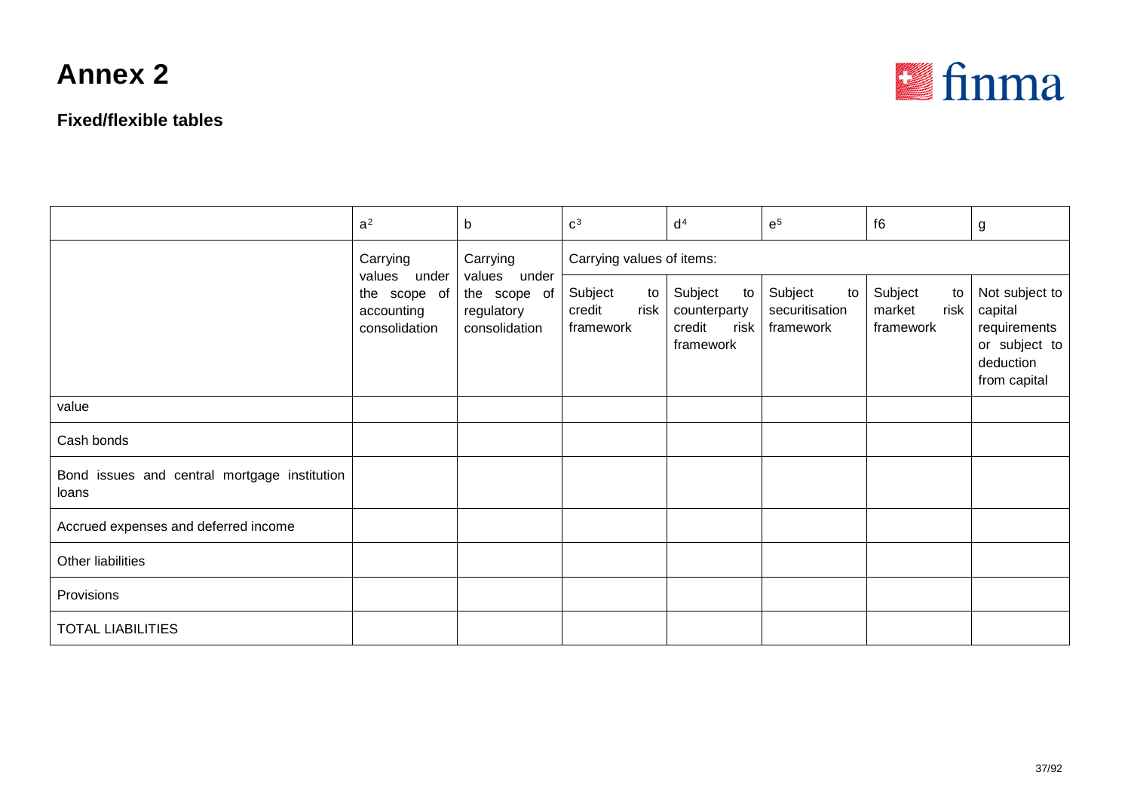#### **Fixed/flexible tables**



|                                                       | a <sup>2</sup>              | $\mathsf b$                                                                                             | c <sup>3</sup>                               | d <sup>4</sup>                                               | $\mathsf{e}^5$                                 | f6                                           | g                                                                                       |  |
|-------------------------------------------------------|-----------------------------|---------------------------------------------------------------------------------------------------------|----------------------------------------------|--------------------------------------------------------------|------------------------------------------------|----------------------------------------------|-----------------------------------------------------------------------------------------|--|
|                                                       | Carrying                    | Carrying<br>values under<br>values under<br>the scope of<br>the scope of<br>regulatory<br>consolidation | Carrying values of items:                    |                                                              |                                                |                                              |                                                                                         |  |
|                                                       | accounting<br>consolidation |                                                                                                         | Subject<br>to<br>credit<br>risk<br>framework | Subject<br>to<br>counterparty<br>credit<br>risk<br>framework | Subject<br>to I<br>securitisation<br>framework | Subject<br>to<br>market<br>risk<br>framework | Not subject to<br>capital<br>requirements<br>or subject to<br>deduction<br>from capital |  |
| value                                                 |                             |                                                                                                         |                                              |                                                              |                                                |                                              |                                                                                         |  |
| Cash bonds                                            |                             |                                                                                                         |                                              |                                                              |                                                |                                              |                                                                                         |  |
| Bond issues and central mortgage institution<br>loans |                             |                                                                                                         |                                              |                                                              |                                                |                                              |                                                                                         |  |
| Accrued expenses and deferred income                  |                             |                                                                                                         |                                              |                                                              |                                                |                                              |                                                                                         |  |
| Other liabilities                                     |                             |                                                                                                         |                                              |                                                              |                                                |                                              |                                                                                         |  |
| Provisions                                            |                             |                                                                                                         |                                              |                                                              |                                                |                                              |                                                                                         |  |
| <b>TOTAL LIABILITIES</b>                              |                             |                                                                                                         |                                              |                                                              |                                                |                                              |                                                                                         |  |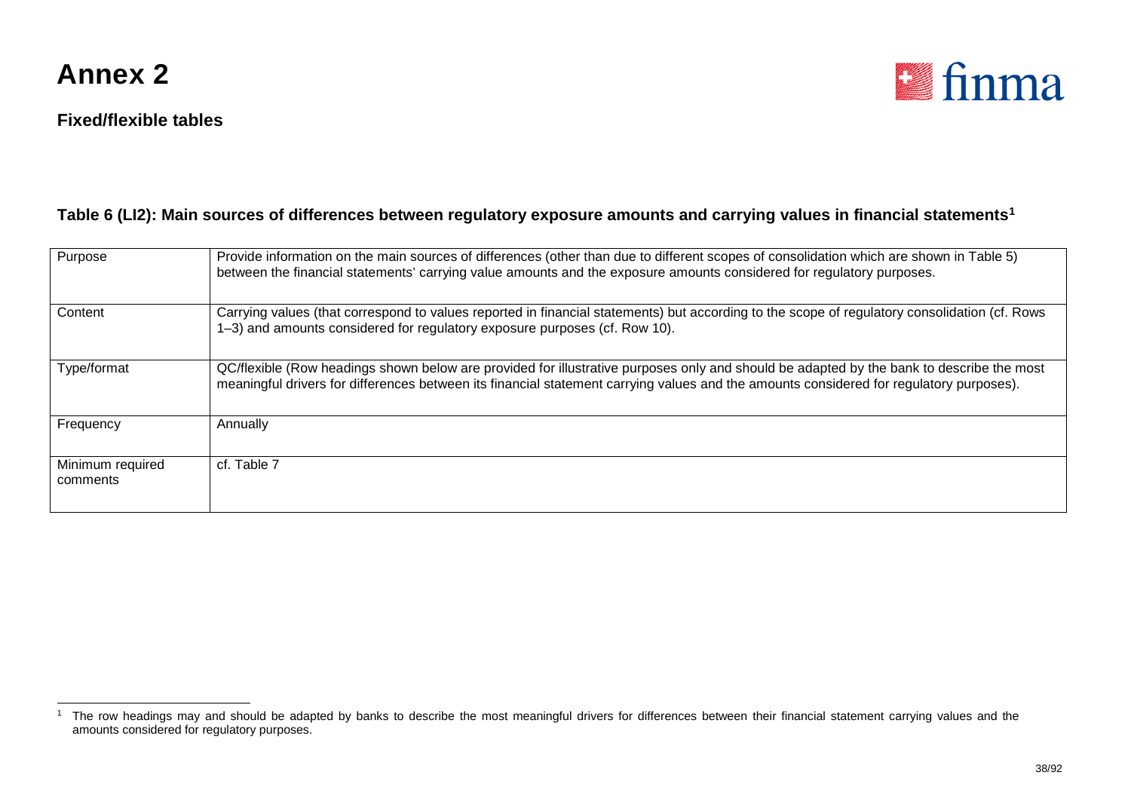

#### **Fixed/flexible tables**

<span id="page-37-0"></span>

#### **Table 6 (LI2): Main sources of differences between regulatory exposure amounts and carrying values in financial statements[1](#page-37-0)**

| Purpose                      | Provide information on the main sources of differences (other than due to different scopes of consolidation which are shown in Table 5)<br>between the financial statements' carrying value amounts and the exposure amounts considered for regulatory purposes.                    |
|------------------------------|-------------------------------------------------------------------------------------------------------------------------------------------------------------------------------------------------------------------------------------------------------------------------------------|
| Content                      | Carrying values (that correspond to values reported in financial statements) but according to the scope of regulatory consolidation (cf. Rows<br>1–3) and amounts considered for regulatory exposure purposes (cf. Row 10).                                                         |
| Type/format                  | QC/flexible (Row headings shown below are provided for illustrative purposes only and should be adapted by the bank to describe the most<br>meaningful drivers for differences between its financial statement carrying values and the amounts considered for regulatory purposes). |
| Frequency                    | Annually                                                                                                                                                                                                                                                                            |
| Minimum required<br>comments | cf. Table 7                                                                                                                                                                                                                                                                         |

<sup>&</sup>lt;sup>1</sup> The row headings may and should be adapted by banks to describe the most meaningful drivers for differences between their financial statement carrying values and the amounts considered for regulatory purposes.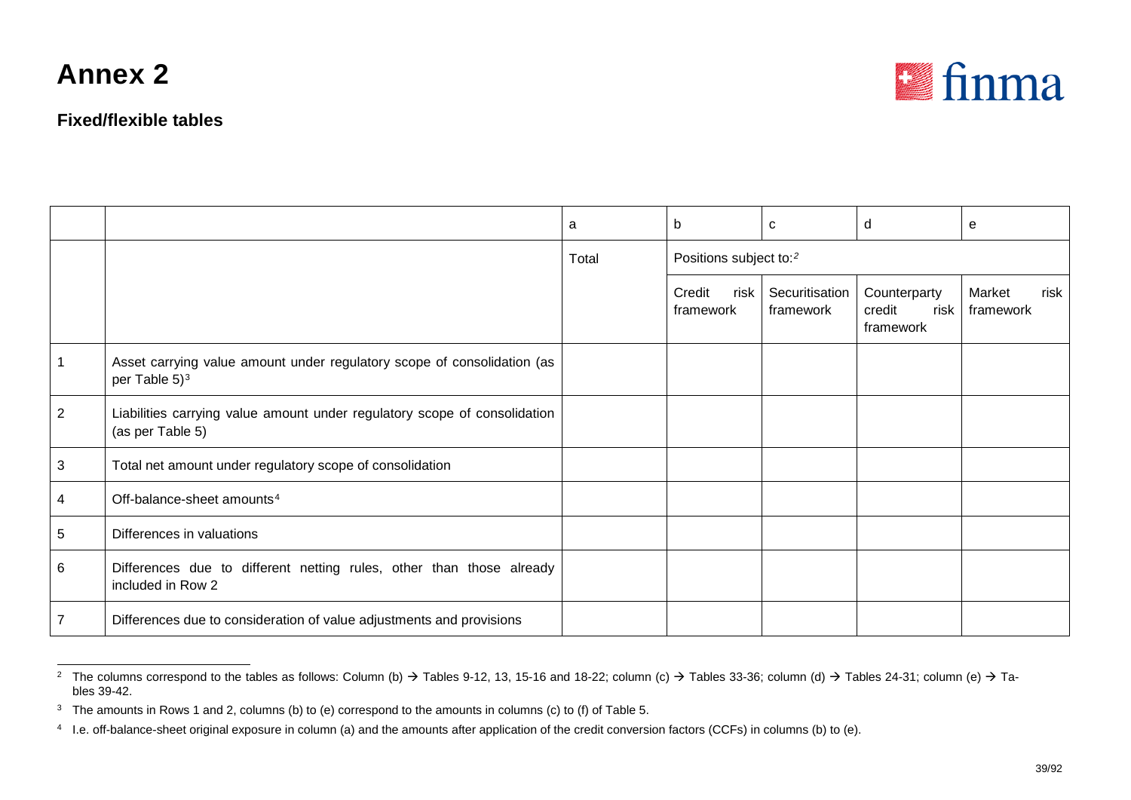<span id="page-38-2"></span><span id="page-38-1"></span><span id="page-38-0"></span>

#### **Fixed/flexible tables**

|                |                                                                                               | a     | b                                  | C                           | d                                           | e                           |
|----------------|-----------------------------------------------------------------------------------------------|-------|------------------------------------|-----------------------------|---------------------------------------------|-----------------------------|
|                |                                                                                               | Total | Positions subject to: <sup>2</sup> |                             |                                             |                             |
|                |                                                                                               |       | Credit<br>risk  <br>framework      | Securitisation<br>framework | Counterparty<br>credit<br>risk<br>framework | Market<br>risk<br>framework |
|                | Asset carrying value amount under regulatory scope of consolidation (as<br>per Table $5)^3$   |       |                                    |                             |                                             |                             |
| 2              | Liabilities carrying value amount under regulatory scope of consolidation<br>(as per Table 5) |       |                                    |                             |                                             |                             |
| 3              | Total net amount under regulatory scope of consolidation                                      |       |                                    |                             |                                             |                             |
| 4              | Off-balance-sheet amounts <sup>4</sup>                                                        |       |                                    |                             |                                             |                             |
| 5              | Differences in valuations                                                                     |       |                                    |                             |                                             |                             |
| 6              | Differences due to different netting rules, other than those already<br>included in Row 2     |       |                                    |                             |                                             |                             |
| $\overline{7}$ | Differences due to consideration of value adjustments and provisions                          |       |                                    |                             |                                             |                             |

 $^2$  The columns correspond to the tables as follows: Column (b) → Tables 9-12, 13, 15-16 and 18-22; column (c) → Tables 33-36; column (d) → Tables 24-31; column (e) → Tables 39-42.

<sup>&</sup>lt;sup>3</sup> The amounts in Rows 1 and 2, columns (b) to (e) correspond to the amounts in columns (c) to (f) of Table 5.

<sup>4</sup> I.e. off-balance-sheet original exposure in column (a) and the amounts after application of the credit conversion factors (CCFs) in columns (b) to (e).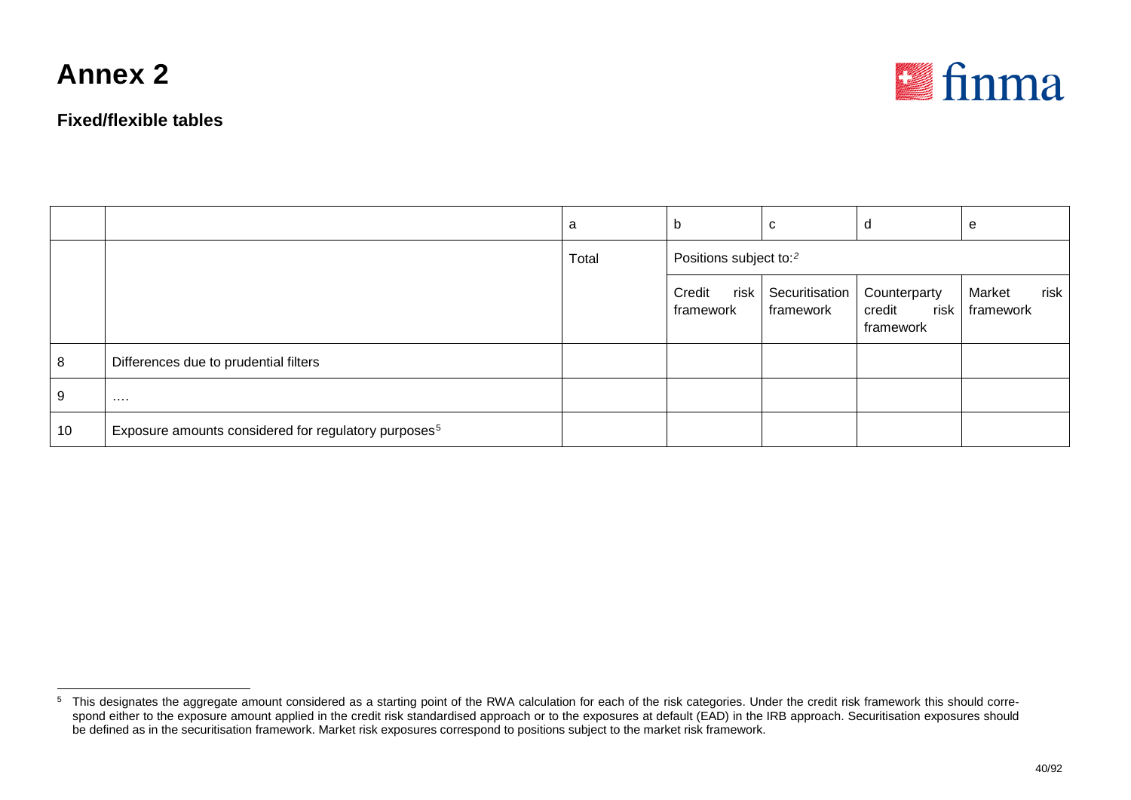

<span id="page-39-0"></span>

|    |                                                                  | a     | b                                  | C                           | d                                             | e                           |
|----|------------------------------------------------------------------|-------|------------------------------------|-----------------------------|-----------------------------------------------|-----------------------------|
|    |                                                                  | Total | Positions subject to: <sup>2</sup> |                             |                                               |                             |
|    |                                                                  |       | risk<br>Credit<br>framework        | Securitisation<br>framework | Counterparty<br>risk  <br>credit<br>framework | risk<br>Market<br>framework |
| 8  | Differences due to prudential filters                            |       |                                    |                             |                                               |                             |
| 9  | $\cdots$                                                         |       |                                    |                             |                                               |                             |
| 10 | Exposure amounts considered for regulatory purposes <sup>5</sup> |       |                                    |                             |                                               |                             |

<sup>&</sup>lt;sup>5</sup> This designates the aggregate amount considered as a starting point of the RWA calculation for each of the risk categories. Under the credit risk framework this should correspond either to the exposure amount applied in the credit risk standardised approach or to the exposures at default (EAD) in the IRB approach. Securitisation exposures should be defined as in the securitisation framework. Market risk exposures correspond to positions subject to the market risk framework.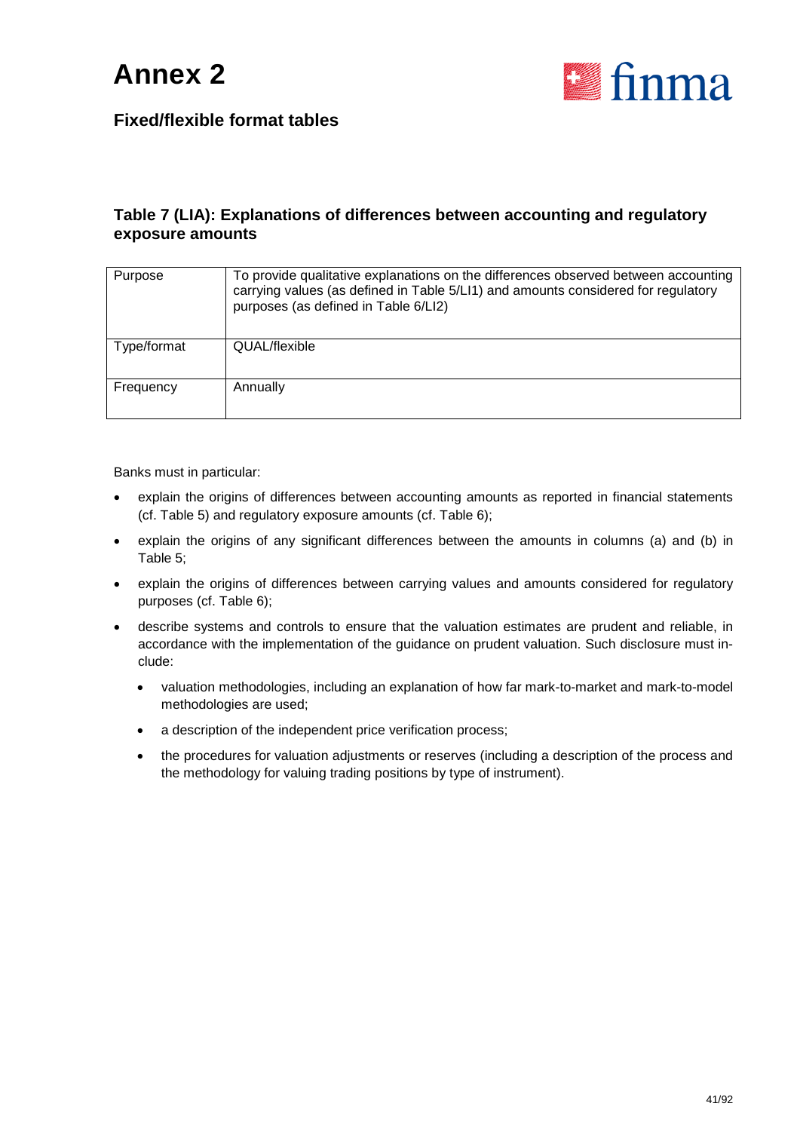

#### **Table 7 (LIA): Explanations of differences between accounting and regulatory exposure amounts**

| Purpose     | To provide qualitative explanations on the differences observed between accounting<br>carrying values (as defined in Table 5/LI1) and amounts considered for regulatory<br>purposes (as defined in Table 6/LI2) |
|-------------|-----------------------------------------------------------------------------------------------------------------------------------------------------------------------------------------------------------------|
| Type/format | QUAL/flexible                                                                                                                                                                                                   |
| Frequency   | Annually                                                                                                                                                                                                        |

Banks must in particular:

- explain the origins of differences between accounting amounts as reported in financial statements (cf. Table 5) and regulatory exposure amounts (cf. Table 6);
- explain the origins of any significant differences between the amounts in columns (a) and (b) in Table 5;
- explain the origins of differences between carrying values and amounts considered for regulatory purposes (cf. Table 6);
- describe systems and controls to ensure that the valuation estimates are prudent and reliable, in accordance with the implementation of the guidance on prudent valuation. Such disclosure must include:
	- valuation methodologies, including an explanation of how far mark-to-market and mark-to-model methodologies are used;
	- a description of the independent price verification process;
	- the procedures for valuation adjustments or reserves (including a description of the process and the methodology for valuing trading positions by type of instrument).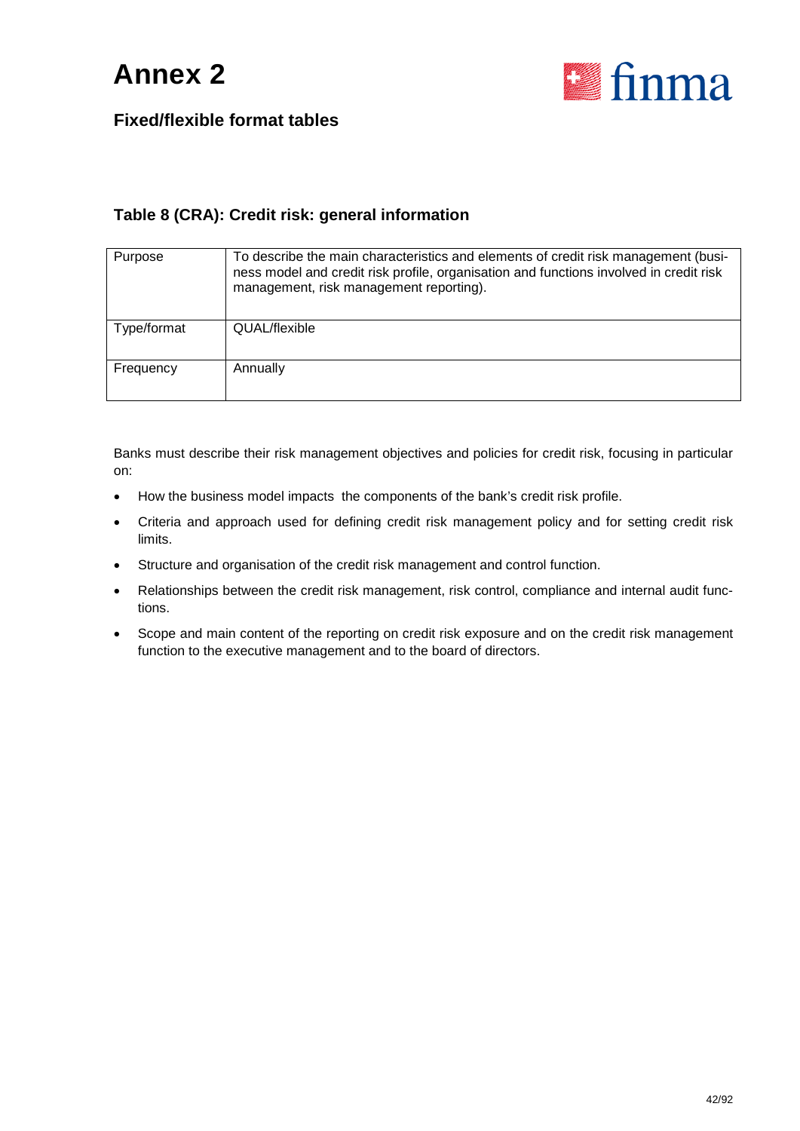

#### **Table 8 (CRA): Credit risk: general information**

| Purpose     | To describe the main characteristics and elements of credit risk management (busi-<br>ness model and credit risk profile, organisation and functions involved in credit risk<br>management, risk management reporting). |
|-------------|-------------------------------------------------------------------------------------------------------------------------------------------------------------------------------------------------------------------------|
| Type/format | QUAL/flexible                                                                                                                                                                                                           |
| Frequency   | Annually                                                                                                                                                                                                                |

Banks must describe their risk management objectives and policies for credit risk, focusing in particular on:

- How the business model impacts the components of the bank's credit risk profile.
- Criteria and approach used for defining credit risk management policy and for setting credit risk limits.
- Structure and organisation of the credit risk management and control function.
- Relationships between the credit risk management, risk control, compliance and internal audit functions.
- Scope and main content of the reporting on credit risk exposure and on the credit risk management function to the executive management and to the board of directors.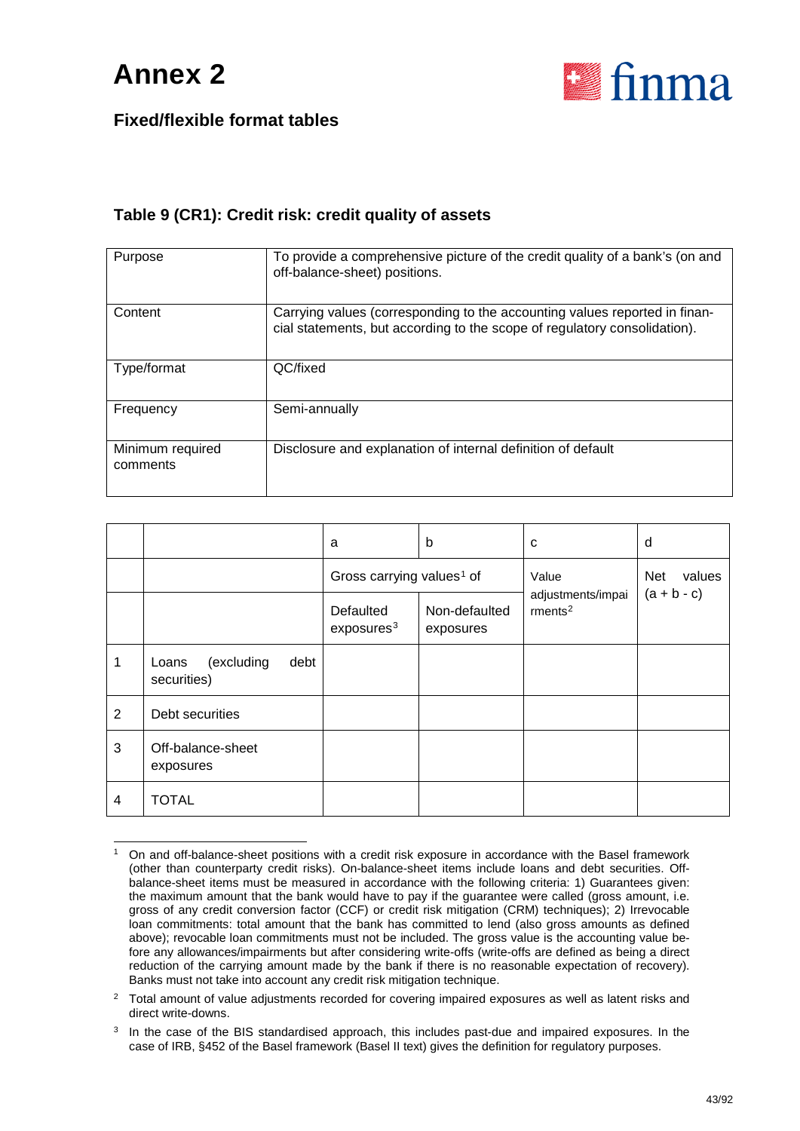

#### **Table 9 (CR1): Credit risk: credit quality of assets**

| Purpose                      | To provide a comprehensive picture of the credit quality of a bank's (on and<br>off-balance-sheet) positions.                                           |
|------------------------------|---------------------------------------------------------------------------------------------------------------------------------------------------------|
| Content                      | Carrying values (corresponding to the accounting values reported in finan-<br>cial statements, but according to the scope of regulatory consolidation). |
| Type/format                  | QC/fixed                                                                                                                                                |
| Frequency                    | Semi-annually                                                                                                                                           |
| Minimum required<br>comments | Disclosure and explanation of internal definition of default                                                                                            |

|   |                                            | a                                     | b                          | C                                           | d                    |
|---|--------------------------------------------|---------------------------------------|----------------------------|---------------------------------------------|----------------------|
|   |                                            | Gross carrying values <sup>1</sup> of |                            | Value                                       | values<br><b>Net</b> |
|   |                                            | Defaulted<br>exposures <sup>3</sup>   | Non-defaulted<br>exposures | adjustments/impai<br>$r$ ments <sup>2</sup> | $(a + b - c)$        |
| 1 | (excluding<br>debt<br>Loans<br>securities) |                                       |                            |                                             |                      |
| 2 | Debt securities                            |                                       |                            |                                             |                      |
| 3 | Off-balance-sheet<br>exposures             |                                       |                            |                                             |                      |
| 4 | <b>TOTAL</b>                               |                                       |                            |                                             |                      |

<span id="page-42-0"></span><sup>&</sup>lt;sup>1</sup> On and off-balance-sheet positions with a credit risk exposure in accordance with the Basel framework (other than counterparty credit risks). On-balance-sheet items include loans and debt securities. Offbalance-sheet items must be measured in accordance with the following criteria: 1) Guarantees given: the maximum amount that the bank would have to pay if the guarantee were called (gross amount, i.e. gross of any credit conversion factor (CCF) or credit risk mitigation (CRM) techniques); 2) Irrevocable loan commitments: total amount that the bank has committed to lend (also gross amounts as defined above); revocable loan commitments must not be included. The gross value is the accounting value before any allowances/impairments but after considering write-offs (write-offs are defined as being a direct reduction of the carrying amount made by the bank if there is no reasonable expectation of recovery). Banks must not take into account any credit risk mitigation technique.

<span id="page-42-1"></span><sup>&</sup>lt;sup>2</sup> Total amount of value adjustments recorded for covering impaired exposures as well as latent risks and direct write-downs.

<span id="page-42-2"></span><sup>&</sup>lt;sup>3</sup> In the case of the BIS standardised approach, this includes past-due and impaired exposures. In the case of IRB, §452 of the Basel framework (Basel II text) gives the definition for regulatory purposes.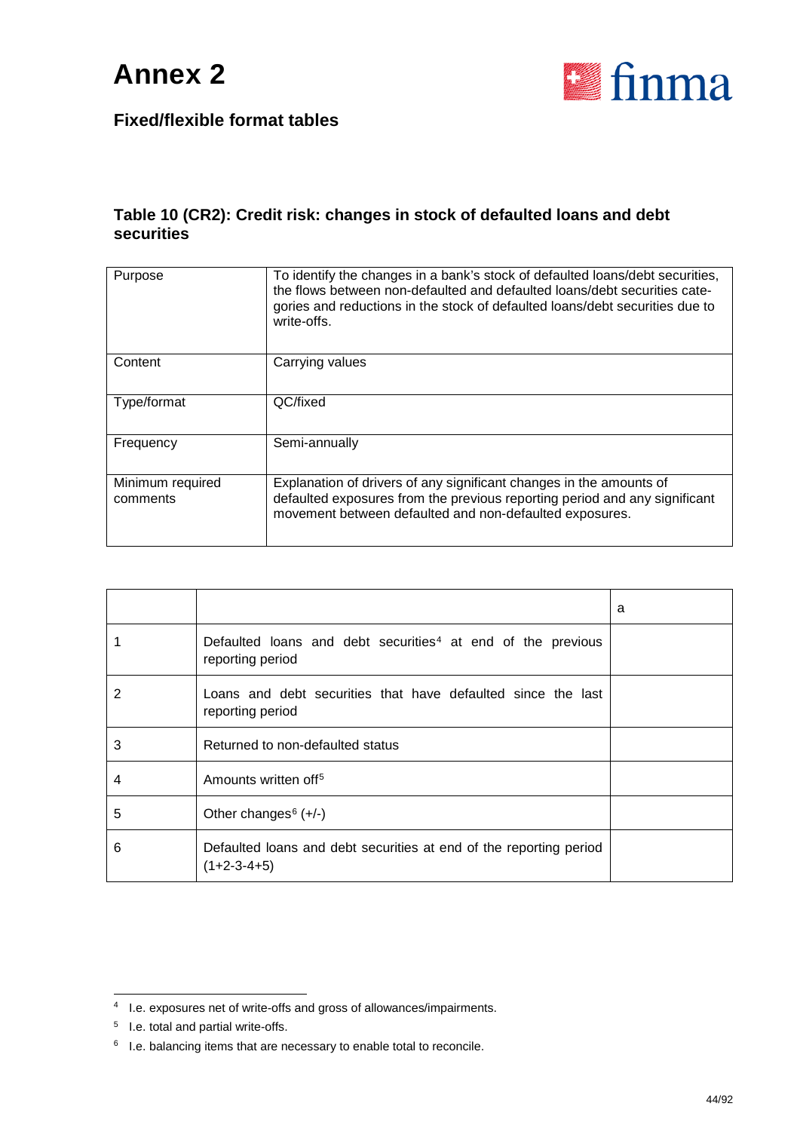

#### **Table 10 (CR2): Credit risk: changes in stock of defaulted loans and debt securities**

| Purpose                      | To identify the changes in a bank's stock of defaulted loans/debt securities,<br>the flows between non-defaulted and defaulted loans/debt securities cate-<br>gories and reductions in the stock of defaulted loans/debt securities due to<br>write-offs. |
|------------------------------|-----------------------------------------------------------------------------------------------------------------------------------------------------------------------------------------------------------------------------------------------------------|
| Content                      | Carrying values                                                                                                                                                                                                                                           |
| Type/format                  | QC/fixed                                                                                                                                                                                                                                                  |
| Frequency                    | Semi-annually                                                                                                                                                                                                                                             |
| Minimum required<br>comments | Explanation of drivers of any significant changes in the amounts of<br>defaulted exposures from the previous reporting period and any significant<br>movement between defaulted and non-defaulted exposures.                                              |

|   |                                                                                             | a |
|---|---------------------------------------------------------------------------------------------|---|
|   | Defaulted loans and debt securities <sup>4</sup> at end of the previous<br>reporting period |   |
| 2 | Loans and debt securities that have defaulted since the last<br>reporting period            |   |
| 3 | Returned to non-defaulted status                                                            |   |
| 4 | Amounts written off <sup>5</sup>                                                            |   |
| 5 | Other changes $6 (+/-)$                                                                     |   |
| 6 | Defaulted loans and debt securities at end of the reporting period<br>$(1+2-3-4+5)$         |   |

<span id="page-43-0"></span> <sup>4</sup> I.e. exposures net of write-offs and gross of allowances/impairments.

<span id="page-43-1"></span><sup>5</sup> I.e. total and partial write-offs.

<span id="page-43-2"></span><sup>6</sup> I.e. balancing items that are necessary to enable total to reconcile.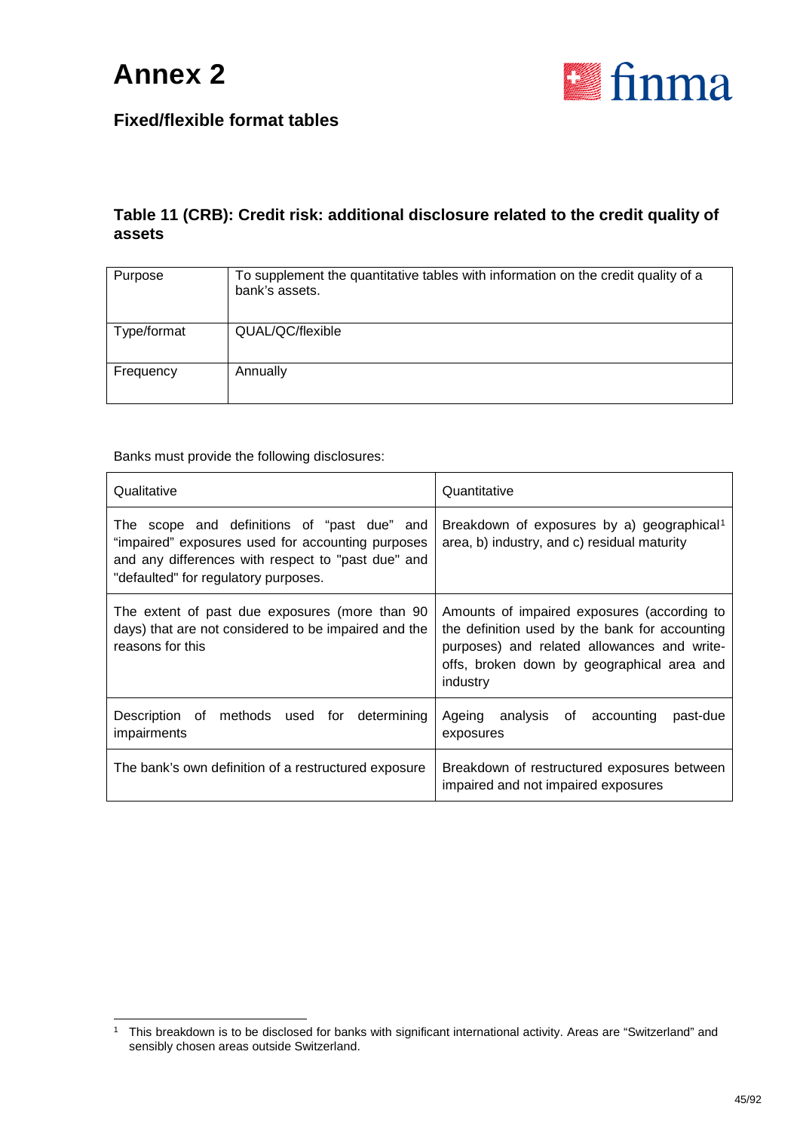

#### **Table 11 (CRB): Credit risk: additional disclosure related to the credit quality of assets**

| Purpose     | To supplement the quantitative tables with information on the credit quality of a<br>bank's assets. |
|-------------|-----------------------------------------------------------------------------------------------------|
| Type/format | QUAL/QC/flexible                                                                                    |
| Frequency   | Annually                                                                                            |

Banks must provide the following disclosures:

| Qualitative                                                                                                                                                                                    | Quantitative                                                                                                                                                                                           |
|------------------------------------------------------------------------------------------------------------------------------------------------------------------------------------------------|--------------------------------------------------------------------------------------------------------------------------------------------------------------------------------------------------------|
| The scope and definitions of "past due" and<br>"impaired" exposures used for accounting purposes<br>and any differences with respect to "past due" and<br>"defaulted" for regulatory purposes. | Breakdown of exposures by a) geographical <sup>1</sup><br>area, b) industry, and c) residual maturity                                                                                                  |
| The extent of past due exposures (more than 90<br>days) that are not considered to be impaired and the<br>reasons for this                                                                     | Amounts of impaired exposures (according to<br>the definition used by the bank for accounting<br>purposes) and related allowances and write-<br>offs, broken down by geographical area and<br>industry |
| Description of methods used for determining<br>impairments                                                                                                                                     | Ageing analysis of<br>accounting<br>past-due<br>exposures                                                                                                                                              |
| The bank's own definition of a restructured exposure                                                                                                                                           | Breakdown of restructured exposures between<br>impaired and not impaired exposures                                                                                                                     |

<span id="page-44-0"></span> <sup>1</sup> This breakdown is to be disclosed for banks with significant international activity. Areas are "Switzerland" and sensibly chosen areas outside Switzerland.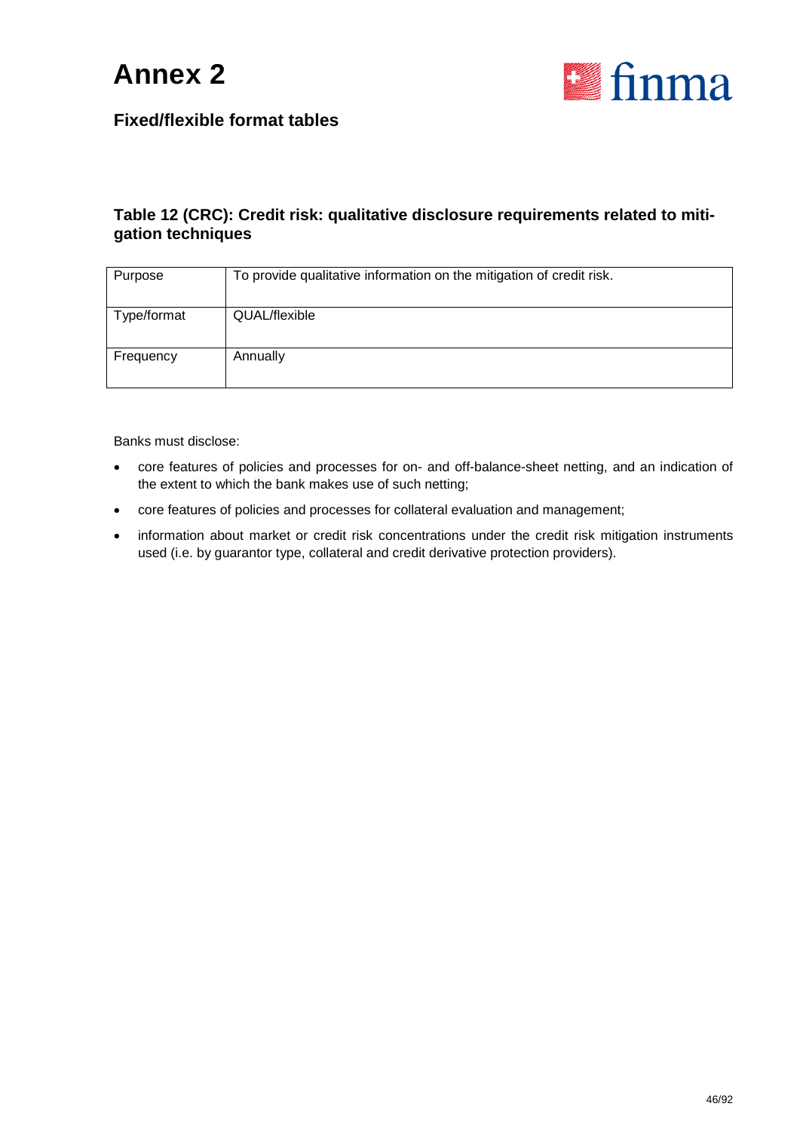



#### **Table 12 (CRC): Credit risk: qualitative disclosure requirements related to mitigation techniques**

| Purpose     | To provide qualitative information on the mitigation of credit risk. |
|-------------|----------------------------------------------------------------------|
| Type/format | QUAL/flexible                                                        |
| Frequency   | Annually                                                             |

Banks must disclose:

- core features of policies and processes for on- and off-balance-sheet netting, and an indication of the extent to which the bank makes use of such netting;
- core features of policies and processes for collateral evaluation and management;
- information about market or credit risk concentrations under the credit risk mitigation instruments used (i.e. by guarantor type, collateral and credit derivative protection providers).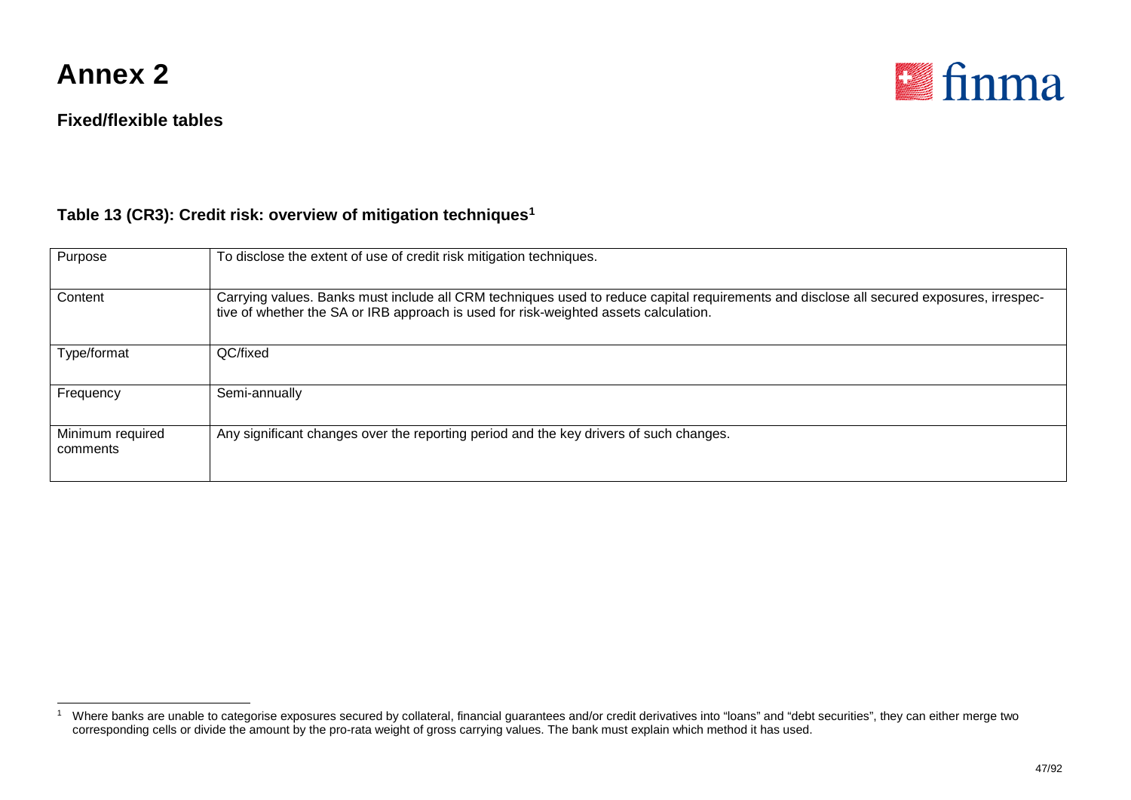

#### **Fixed/flexible tables**

<span id="page-46-0"></span>

#### **Table 13 (CR3): Credit risk: overview of mitigation techniques[1](#page-46-0)**

| Purpose                      | To disclose the extent of use of credit risk mitigation techniques.                                                                                                                                                              |
|------------------------------|----------------------------------------------------------------------------------------------------------------------------------------------------------------------------------------------------------------------------------|
| Content                      | Carrying values. Banks must include all CRM techniques used to reduce capital requirements and disclose all secured exposures, irrespec-<br>tive of whether the SA or IRB approach is used for risk-weighted assets calculation. |
| Type/format                  | QC/fixed                                                                                                                                                                                                                         |
| Frequency                    | Semi-annually                                                                                                                                                                                                                    |
| Minimum required<br>comments | Any significant changes over the reporting period and the key drivers of such changes.                                                                                                                                           |

<sup>1</sup> Where banks are unable to categorise exposures secured by collateral, financial guarantees and/or credit derivatives into "loans" and "debt securities", they can either merge two corresponding cells or divide the amount by the pro-rata weight of gross carrying values. The bank must explain which method it has used.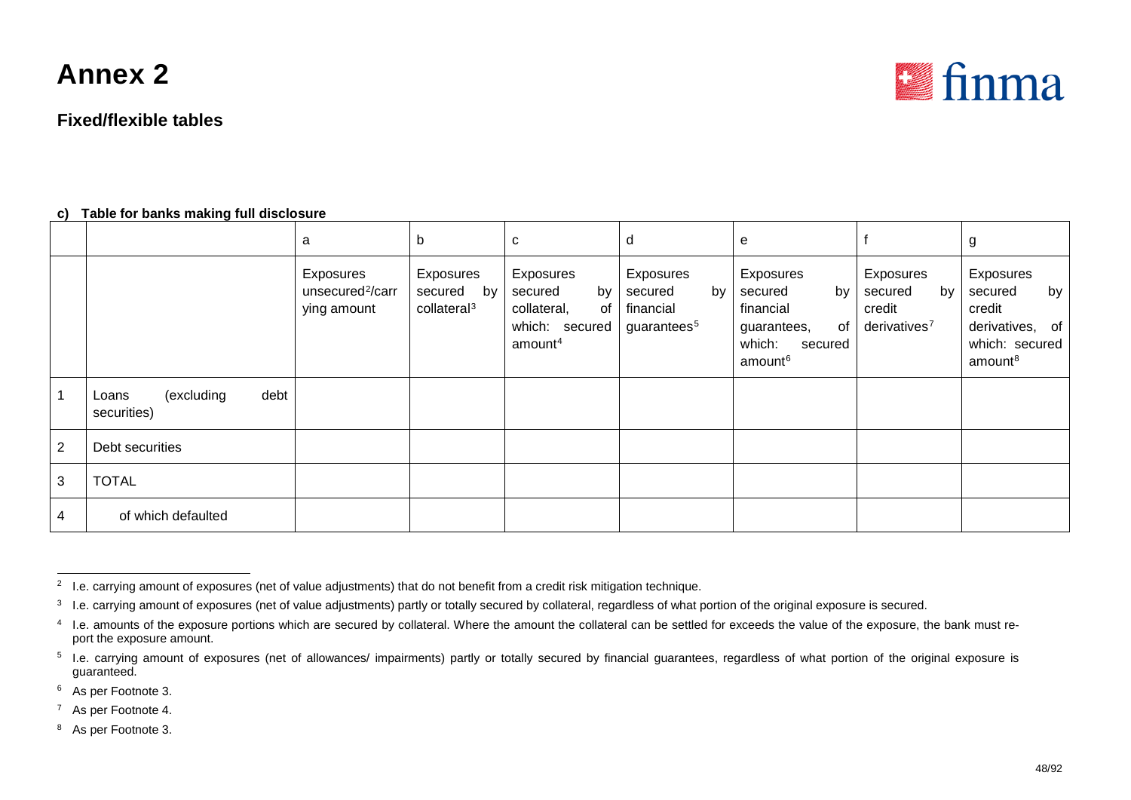#### **Fixed/flexible tables**

<span id="page-47-6"></span><span id="page-47-5"></span><span id="page-47-4"></span><span id="page-47-3"></span><span id="page-47-2"></span><span id="page-47-1"></span><span id="page-47-0"></span>

#### **c) Table for banks making full disclosure**

|   |                                            | a                                                        | D                                                     | C                                                                                        | d                                                                  | e                                                                                                        |                                                                  | g                                                                                                   |
|---|--------------------------------------------|----------------------------------------------------------|-------------------------------------------------------|------------------------------------------------------------------------------------------|--------------------------------------------------------------------|----------------------------------------------------------------------------------------------------------|------------------------------------------------------------------|-----------------------------------------------------------------------------------------------------|
|   |                                            | Exposures<br>unsecured <sup>2</sup> /carr<br>ying amount | Exposures<br>by<br>secured<br>collateral <sup>3</sup> | Exposures<br>by<br>secured<br>collateral,<br>of<br>which: secured<br>amount <sup>4</sup> | Exposures<br>secured<br>by<br>financial<br>guarantees <sup>5</sup> | Exposures<br>secured<br>by<br>financial<br>of<br>guarantees,<br>which:<br>secured<br>amount <sup>6</sup> | Exposures<br>secured<br>by<br>credit<br>derivatives <sup>7</sup> | Exposures<br>by<br>secured<br>credit<br>derivatives,<br>of<br>which: secured<br>amount <sup>8</sup> |
|   | debt<br>(excluding<br>Loans<br>securities) |                                                          |                                                       |                                                                                          |                                                                    |                                                                                                          |                                                                  |                                                                                                     |
| 2 | Debt securities                            |                                                          |                                                       |                                                                                          |                                                                    |                                                                                                          |                                                                  |                                                                                                     |
| 3 | <b>TOTAL</b>                               |                                                          |                                                       |                                                                                          |                                                                    |                                                                                                          |                                                                  |                                                                                                     |
| 4 | of which defaulted                         |                                                          |                                                       |                                                                                          |                                                                    |                                                                                                          |                                                                  |                                                                                                     |

<sup>6</sup> As per Footnote 3.

<sup>7</sup> As per Footnote 4.

<sup>8</sup> As per Footnote 3.

<sup>&</sup>lt;sup>2</sup> I.e. carrying amount of exposures (net of value adjustments) that do not benefit from a credit risk mitigation technique.

<sup>&</sup>lt;sup>3</sup> I.e. carrying amount of exposures (net of value adjustments) partly or totally secured by collateral, regardless of what portion of the original exposure is secured.

<sup>4</sup> I.e. amounts of the exposure portions which are secured by collateral. Where the amount the collateral can be settled for exceeds the value of the exposure, the bank must report the exposure amount.

<sup>&</sup>lt;sup>5</sup> I.e. carrying amount of exposures (net of allowances/ impairments) partly or totally secured by financial guarantees, regardless of what portion of the original exposure is guaranteed.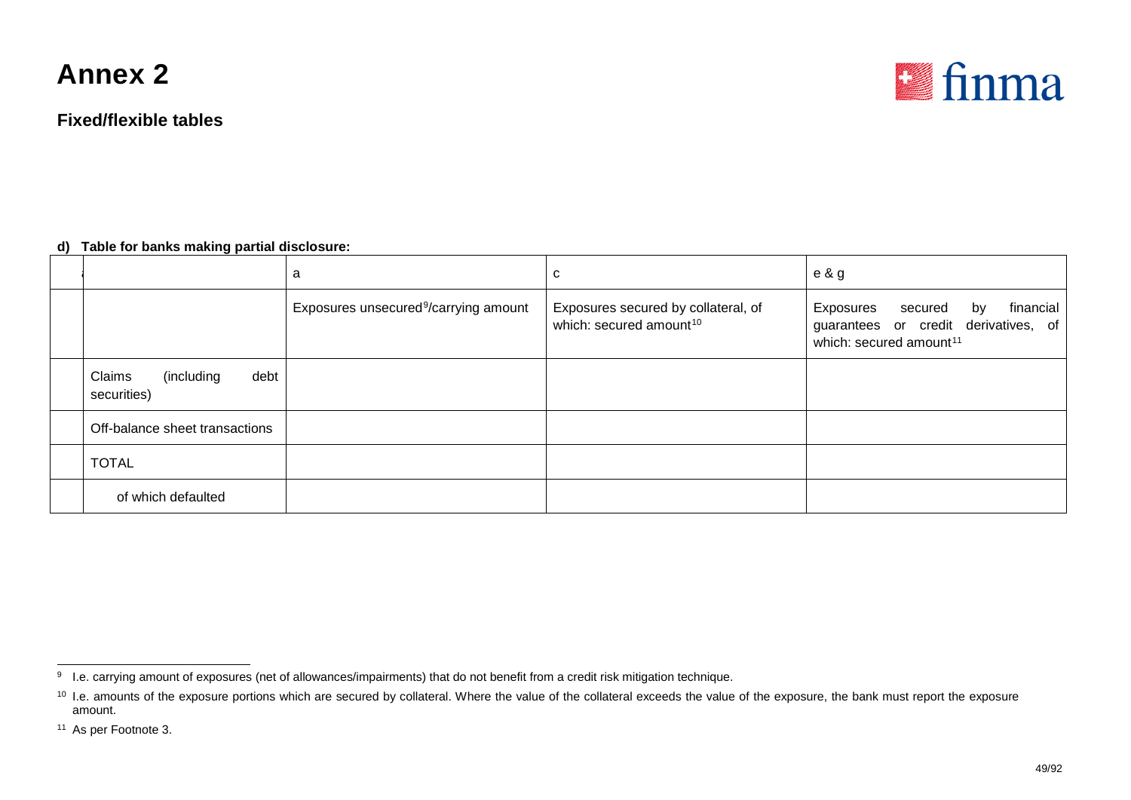**Fixed/flexible tables**

<span id="page-48-2"></span><span id="page-48-1"></span><span id="page-48-0"></span>

#### **d) Table for banks making partial disclosure:**

|                                             | a                                                 | C                                                                          | e & g                                                                                                                  |
|---------------------------------------------|---------------------------------------------------|----------------------------------------------------------------------------|------------------------------------------------------------------------------------------------------------------------|
|                                             | Exposures unsecured <sup>9</sup> /carrying amount | Exposures secured by collateral, of<br>which: secured amount <sup>10</sup> | financial<br>Exposures<br>secured<br>by<br>guarantees or credit derivatives, of<br>which: secured amount <sup>11</sup> |
| debt<br>Claims<br>(including<br>securities) |                                                   |                                                                            |                                                                                                                        |
| Off-balance sheet transactions              |                                                   |                                                                            |                                                                                                                        |
| <b>TOTAL</b>                                |                                                   |                                                                            |                                                                                                                        |
| of which defaulted                          |                                                   |                                                                            |                                                                                                                        |

<sup>&</sup>lt;sup>9</sup> I.e. carrying amount of exposures (net of allowances/impairments) that do not benefit from a credit risk mitigation technique.

<sup>&</sup>lt;sup>10</sup> I.e. amounts of the exposure portions which are secured by collateral. Where the value of the collateral exceeds the value of the exposure, the bank must report the exposure amount.

<sup>11</sup> As per Footnote 3.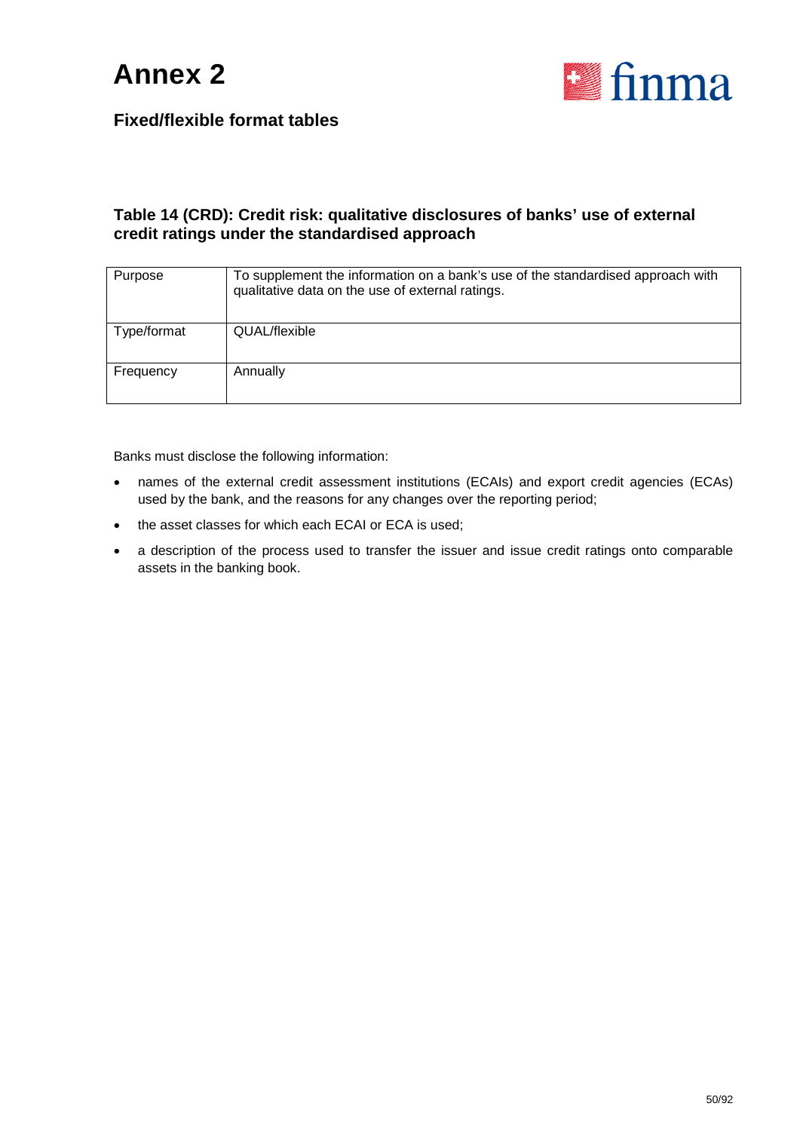

#### **Table 14 (CRD): Credit risk: qualitative disclosures of banks' use of external credit ratings under the standardised approach**

| Purpose     | To supplement the information on a bank's use of the standardised approach with<br>qualitative data on the use of external ratings. |
|-------------|-------------------------------------------------------------------------------------------------------------------------------------|
| Type/format | QUAL/flexible                                                                                                                       |
| Frequency   | Annually                                                                                                                            |

Banks must disclose the following information:

- names of the external credit assessment institutions (ECAIs) and export credit agencies (ECAs) used by the bank, and the reasons for any changes over the reporting period;
- the asset classes for which each ECAI or ECA is used;
- a description of the process used to transfer the issuer and issue credit ratings onto comparable assets in the banking book.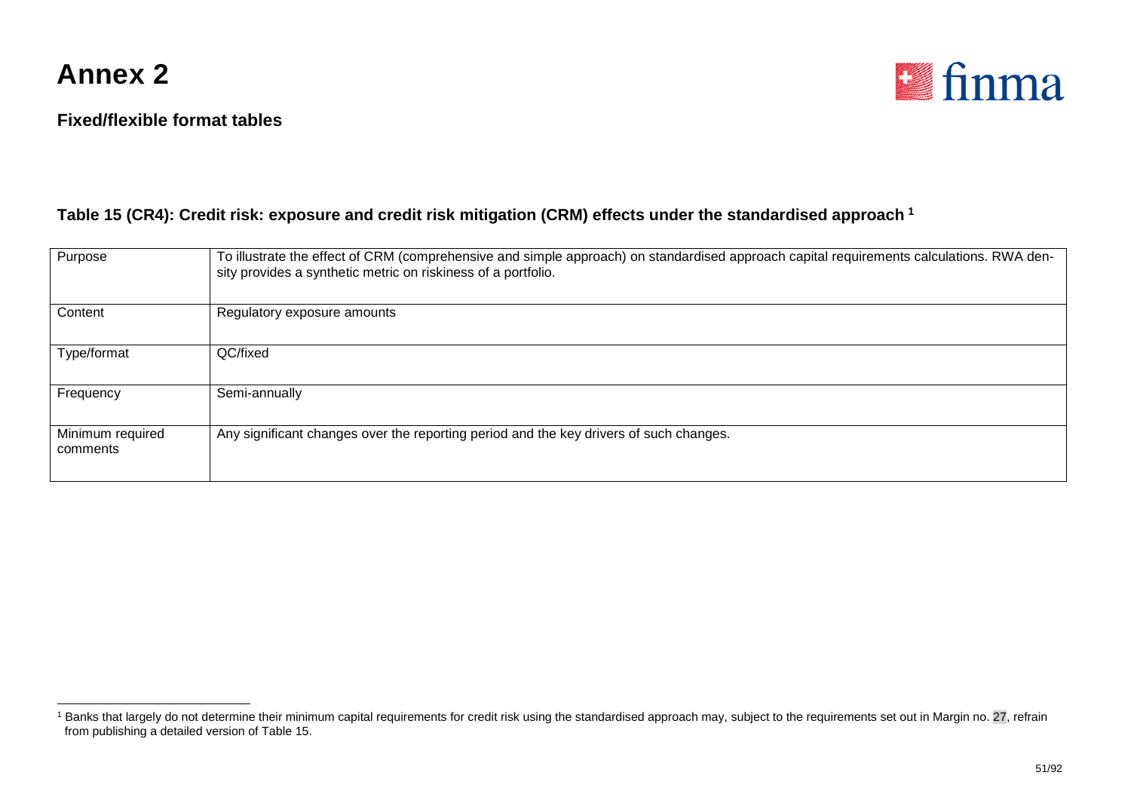

<span id="page-50-0"></span>

#### **Table 15 (CR4): Credit risk: exposure and credit risk mitigation (CRM) effects under the standardised approach [1](#page-50-0)**

| Purpose                      | To illustrate the effect of CRM (comprehensive and simple approach) on standardised approach capital requirements calculations. RWA den-<br>sity provides a synthetic metric on riskiness of a portfolio. |
|------------------------------|-----------------------------------------------------------------------------------------------------------------------------------------------------------------------------------------------------------|
| Content                      | Regulatory exposure amounts                                                                                                                                                                               |
| Type/format                  | QC/fixed                                                                                                                                                                                                  |
| Frequency                    | Semi-annually                                                                                                                                                                                             |
| Minimum required<br>comments | Any significant changes over the reporting period and the key drivers of such changes.                                                                                                                    |

<sup>&</sup>lt;sup>1</sup> Banks that largely do not determine their minimum capital requirements for credit risk using the standardised approach may, subject to the requirements set out in Margin no. 27, refrain from publishing a detailed version of Table 15.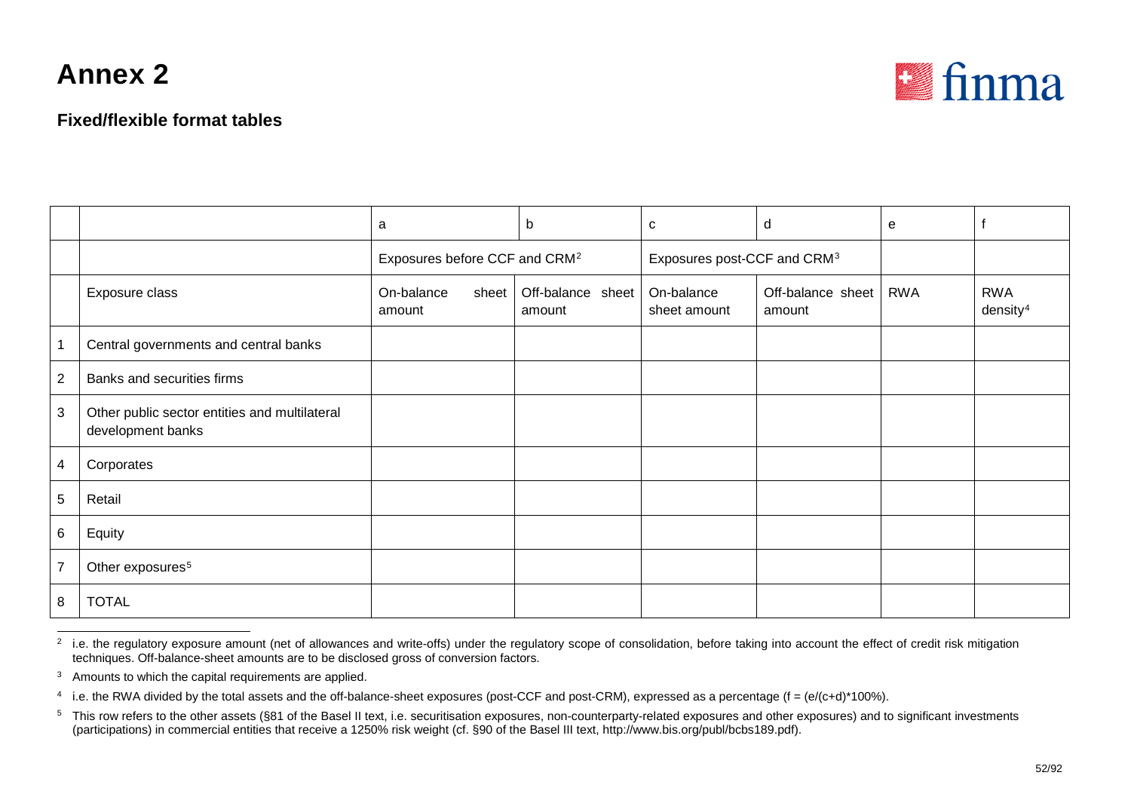<span id="page-51-3"></span><span id="page-51-2"></span><span id="page-51-1"></span><span id="page-51-0"></span>

#### **Fixed/flexible format tables**

|                |                                                                    | a                                         |       | b                           | C                                       | d                           | e          |                                    |
|----------------|--------------------------------------------------------------------|-------------------------------------------|-------|-----------------------------|-----------------------------------------|-----------------------------|------------|------------------------------------|
|                |                                                                    | Exposures before CCF and CRM <sup>2</sup> |       |                             | Exposures post-CCF and CRM <sup>3</sup> |                             |            |                                    |
|                | Exposure class                                                     | On-balance<br>amount                      | sheet | Off-balance sheet<br>amount | On-balance<br>sheet amount              | Off-balance sheet<br>amount | <b>RWA</b> | <b>RWA</b><br>density <sup>4</sup> |
|                | Central governments and central banks                              |                                           |       |                             |                                         |                             |            |                                    |
| $\overline{2}$ | Banks and securities firms                                         |                                           |       |                             |                                         |                             |            |                                    |
| 3              | Other public sector entities and multilateral<br>development banks |                                           |       |                             |                                         |                             |            |                                    |
| 4              | Corporates                                                         |                                           |       |                             |                                         |                             |            |                                    |
| 5              | Retail                                                             |                                           |       |                             |                                         |                             |            |                                    |
| 6              | Equity                                                             |                                           |       |                             |                                         |                             |            |                                    |
| $\overline{7}$ | Other exposures <sup>5</sup>                                       |                                           |       |                             |                                         |                             |            |                                    |
| 8              | <b>TOTAL</b>                                                       |                                           |       |                             |                                         |                             |            |                                    |

 $\frac{2}{1}$  i.e. the regulatory exposure amount (net of allowances and write-offs) under the regulatory scope of consolidation, before taking into account the effect of credit risk mitigation techniques. Off-balance-sheet amounts are to be disclosed gross of conversion factors.

<sup>3</sup> Amounts to which the capital requirements are applied.

<sup>&</sup>lt;sup>4</sup> i.e. the RWA divided by the total assets and the off-balance-sheet exposures (post-CCF and post-CRM), expressed as a percentage (f = (e/(c+d)\*100%).

 $5$  This row refers to the other assets (§81 of the Basel II text, i.e. securitisation exposures, non-counterparty-related exposures and other exposures) and to significant investments (participations) in commercial entities that receive a 1250% risk weight (cf. §90 of the Basel III text, http://www.bis.org/publ/bcbs189.pdf).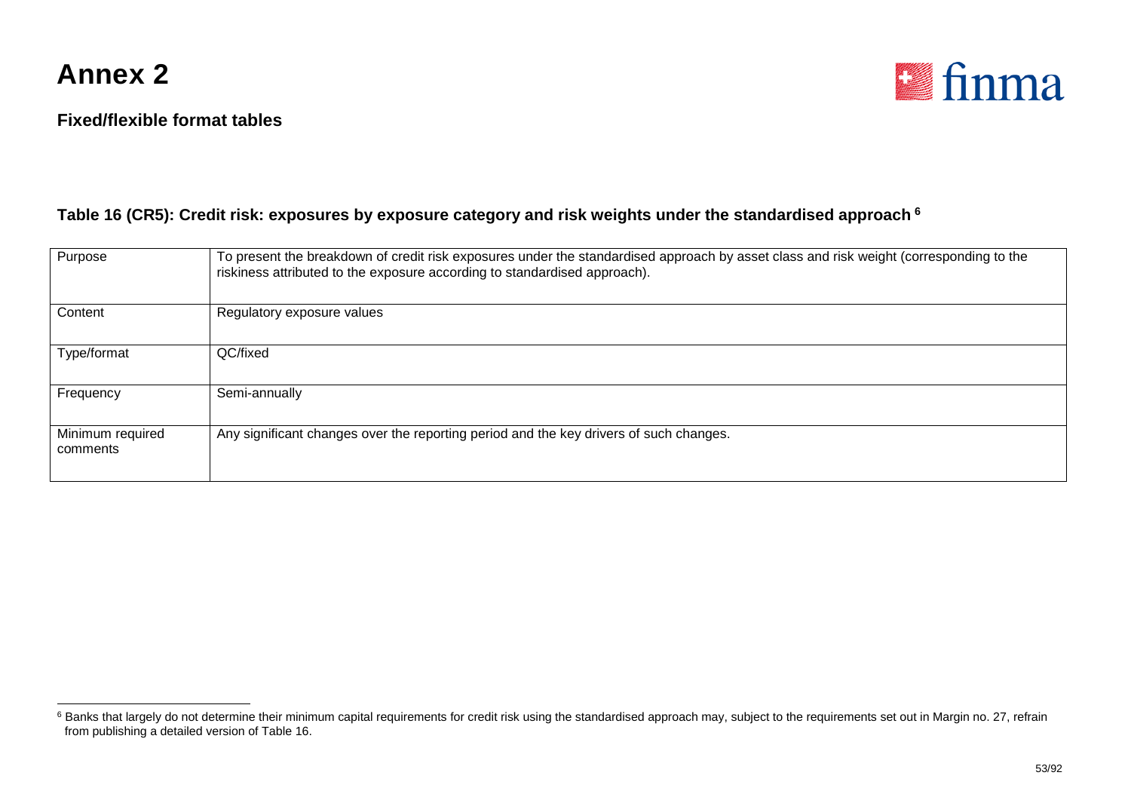

<span id="page-52-0"></span>

#### **Table 16 (CR5): Credit risk: exposures by exposure category and risk weights under the standardised approach [6](#page-52-0)**

| Purpose                      | To present the breakdown of credit risk exposures under the standardised approach by asset class and risk weight (corresponding to the<br>riskiness attributed to the exposure according to standardised approach). |
|------------------------------|---------------------------------------------------------------------------------------------------------------------------------------------------------------------------------------------------------------------|
| Content                      | Regulatory exposure values                                                                                                                                                                                          |
| Type/format                  | QC/fixed                                                                                                                                                                                                            |
| Frequency                    | Semi-annually                                                                                                                                                                                                       |
| Minimum required<br>comments | Any significant changes over the reporting period and the key drivers of such changes.                                                                                                                              |

<sup>&</sup>lt;sup>6</sup> Banks that largely do not determine their minimum capital requirements for credit risk using the standardised approach may, subject to the requirements set out in Margin no. 27, refrain from publishing a detailed version of Table 16.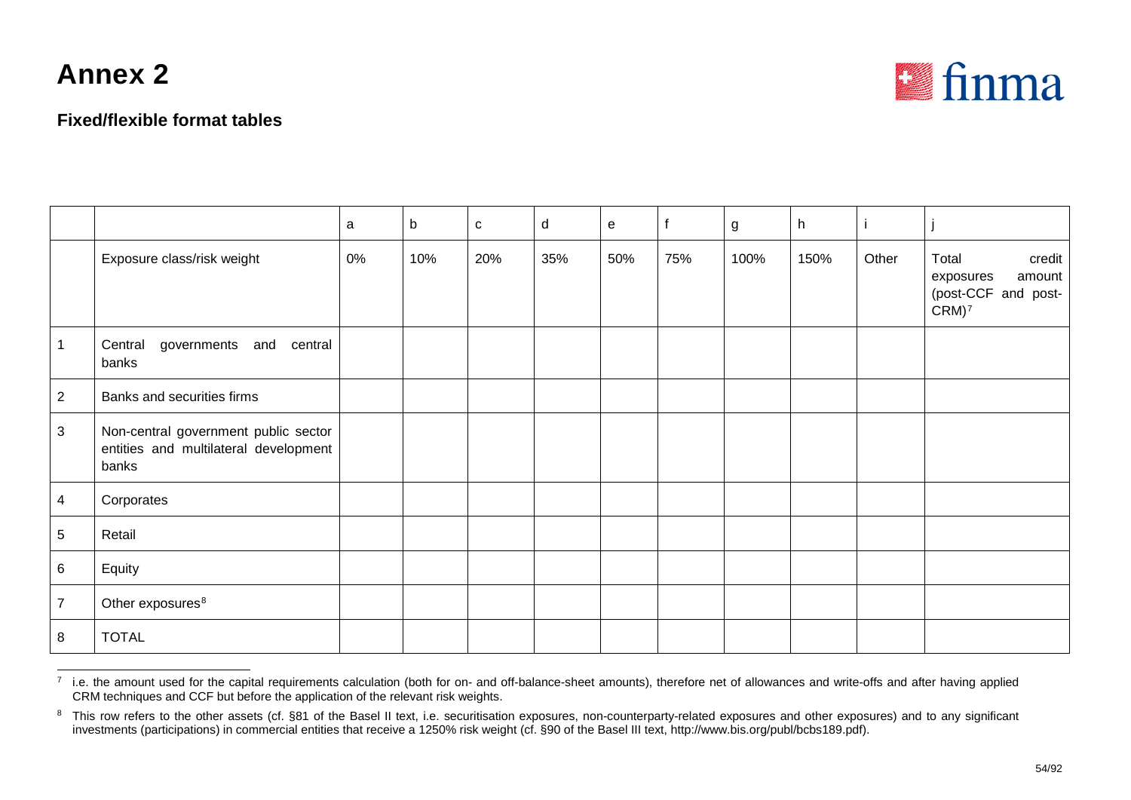

<span id="page-53-1"></span><span id="page-53-0"></span>

|                 |                                                                                        | a  | $\mathsf b$ | $\mathbf{C}$ | d   | e   |     | $\mathsf g$ | h    |       |                                                                                     |
|-----------------|----------------------------------------------------------------------------------------|----|-------------|--------------|-----|-----|-----|-------------|------|-------|-------------------------------------------------------------------------------------|
|                 | Exposure class/risk weight                                                             | 0% | 10%         | 20%          | 35% | 50% | 75% | 100%        | 150% | Other | Total<br>credit<br>amount<br>exposures<br>(post-CCF and post-<br>$CRM$ <sup>7</sup> |
| $\mathbf 1$     | Central<br>governments<br>and central<br>banks                                         |    |             |              |     |     |     |             |      |       |                                                                                     |
| 2               | Banks and securities firms                                                             |    |             |              |     |     |     |             |      |       |                                                                                     |
| $\mathbf{3}$    | Non-central government public sector<br>entities and multilateral development<br>banks |    |             |              |     |     |     |             |      |       |                                                                                     |
| $\overline{4}$  | Corporates                                                                             |    |             |              |     |     |     |             |      |       |                                                                                     |
| $5\phantom{.0}$ | Retail                                                                                 |    |             |              |     |     |     |             |      |       |                                                                                     |
| $\,6\,$         | Equity                                                                                 |    |             |              |     |     |     |             |      |       |                                                                                     |
| $\overline{7}$  | Other exposures <sup>8</sup>                                                           |    |             |              |     |     |     |             |      |       |                                                                                     |
| 8               | <b>TOTAL</b>                                                                           |    |             |              |     |     |     |             |      |       |                                                                                     |

 $<sup>7</sup>$  i.e. the amount used for the capital requirements calculation (both for on- and off-balance-sheet amounts), therefore net of allowances and write-offs and after having applied</sup> CRM techniques and CCF but before the application of the relevant risk weights.

<sup>&</sup>lt;sup>8</sup> This row refers to the other assets (cf. §81 of the Basel II text, i.e. securitisation exposures, non-counterparty-related exposures and other exposures) and to any significant investments (participations) in commercial entities that receive a 1250% risk weight (cf. §90 of the Basel III text, http://www.bis.org/publ/bcbs189.pdf).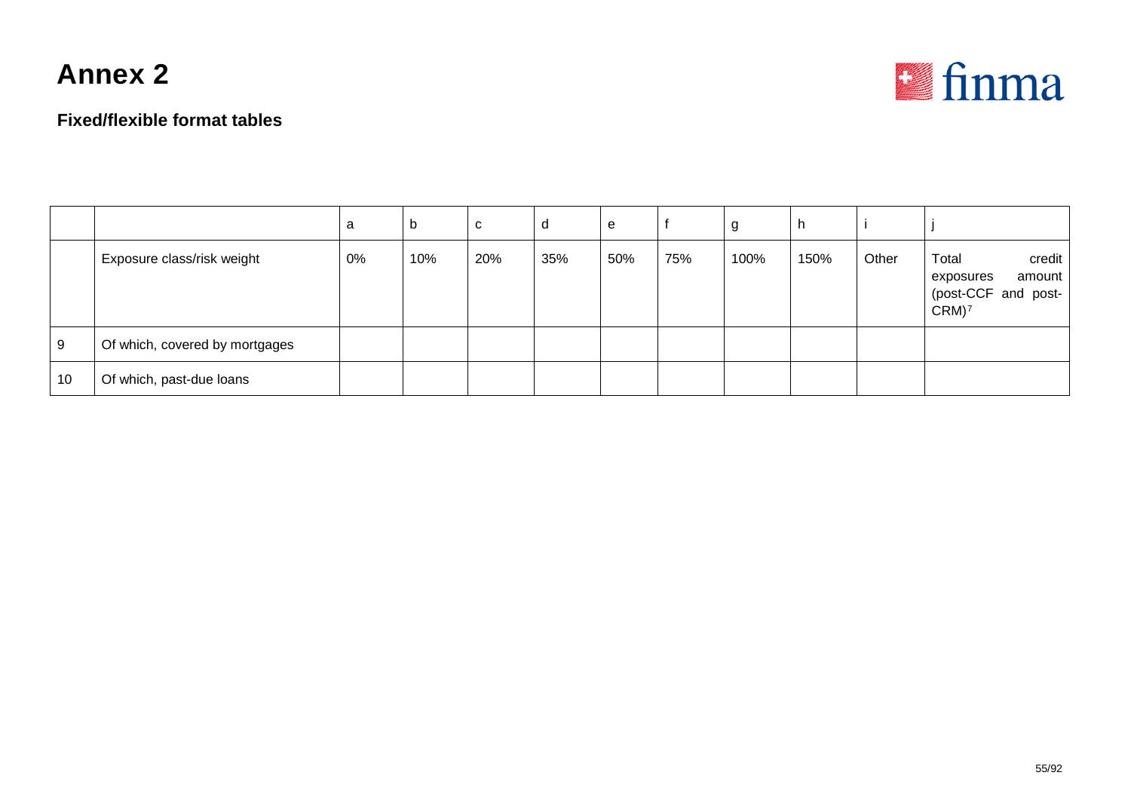



|    |                                | a  | $\mathfrak{v}$ | C   | d   | e   |     | g    |      |       |                                                                                     |
|----|--------------------------------|----|----------------|-----|-----|-----|-----|------|------|-------|-------------------------------------------------------------------------------------|
|    | Exposure class/risk weight     | 0% | 10%            | 20% | 35% | 50% | 75% | 100% | 150% | Other | credit<br>Total<br>amount<br>exposures<br>(post-CCF and post-<br>$CRM$ <sup>7</sup> |
| 9  | Of which, covered by mortgages |    |                |     |     |     |     |      |      |       |                                                                                     |
| 10 | Of which, past-due loans       |    |                |     |     |     |     |      |      |       |                                                                                     |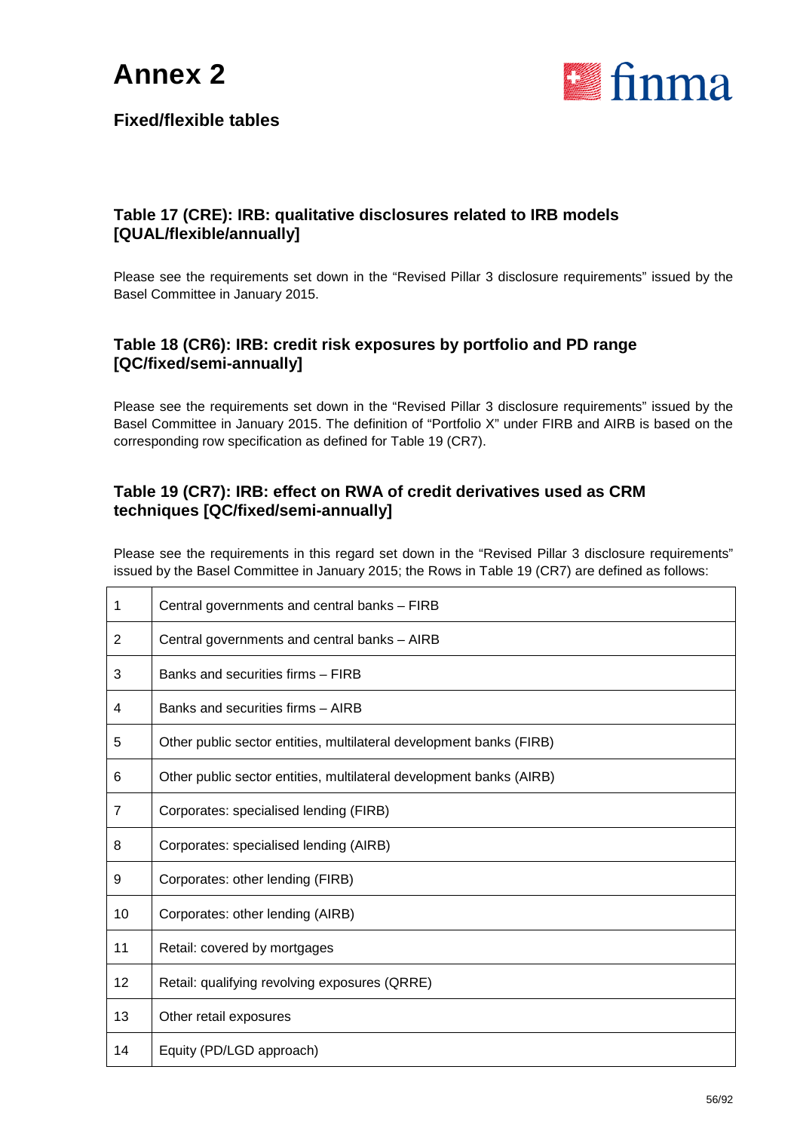

#### **Fixed/flexible tables**

#### **Table 17 (CRE): IRB: qualitative disclosures related to IRB models [QUAL/flexible/annually]**

Please see the requirements set down in the "Revised Pillar 3 disclosure requirements" issued by the Basel Committee in January 2015.

#### **Table 18 (CR6): IRB: credit risk exposures by portfolio and PD range [QC/fixed/semi-annually]**

Please see the requirements set down in the "Revised Pillar 3 disclosure requirements" issued by the Basel Committee in January 2015. The definition of "Portfolio X" under FIRB and AIRB is based on the corresponding row specification as defined for Table 19 (CR7).

#### **Table 19 (CR7): IRB: effect on RWA of credit derivatives used as CRM techniques [QC/fixed/semi-annually]**

Please see the requirements in this regard set down in the "Revised Pillar 3 disclosure requirements" issued by the Basel Committee in January 2015; the Rows in Table 19 (CR7) are defined as follows:

| 1              | Central governments and central banks - FIRB                        |
|----------------|---------------------------------------------------------------------|
| 2              | Central governments and central banks - AIRB                        |
| 3              | Banks and securities firms - FIRB                                   |
| 4              | Banks and securities firms - AIRB                                   |
| 5              | Other public sector entities, multilateral development banks (FIRB) |
| 6              | Other public sector entities, multilateral development banks (AIRB) |
| $\overline{7}$ | Corporates: specialised lending (FIRB)                              |
| 8              | Corporates: specialised lending (AIRB)                              |
| 9              | Corporates: other lending (FIRB)                                    |
| 10             | Corporates: other lending (AIRB)                                    |
| 11             | Retail: covered by mortgages                                        |
| 12             | Retail: qualifying revolving exposures (QRRE)                       |
| 13             | Other retail exposures                                              |
| 14             | Equity (PD/LGD approach)                                            |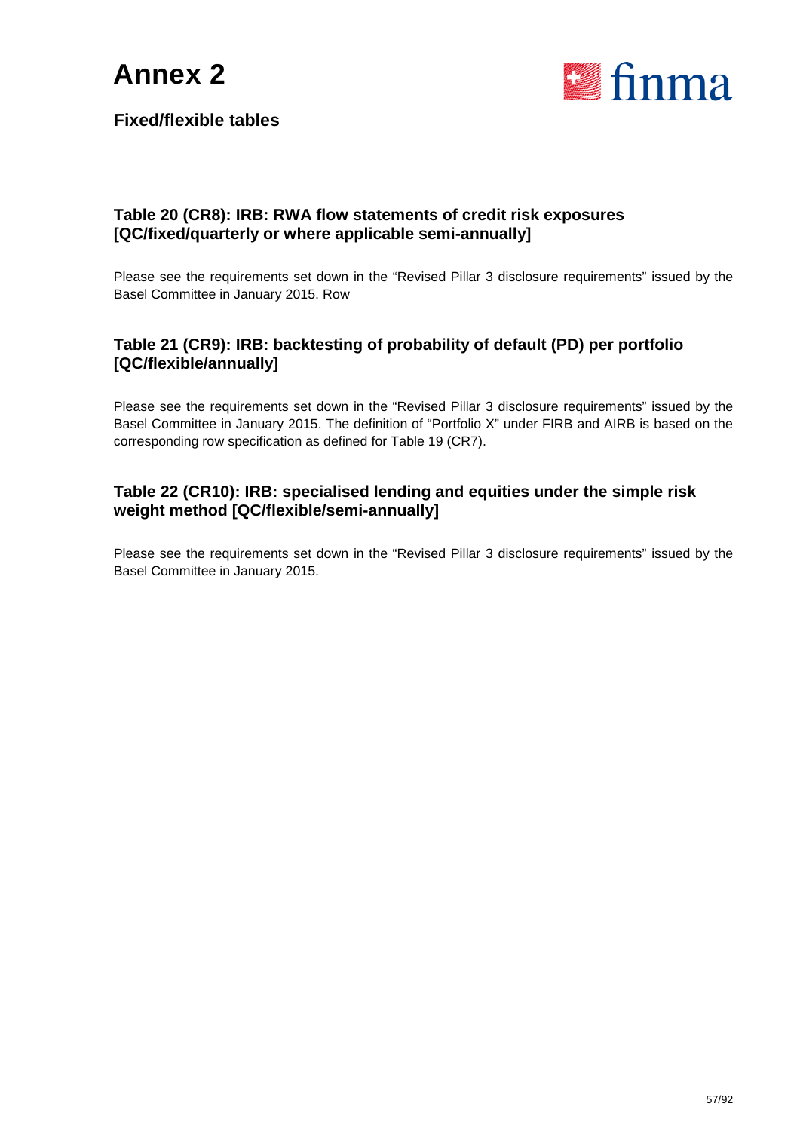

#### **Fixed/flexible tables**

#### **Table 20 (CR8): IRB: RWA flow statements of credit risk exposures [QC/fixed/quarterly or where applicable semi-annually]**

Please see the requirements set down in the "Revised Pillar 3 disclosure requirements" issued by the Basel Committee in January 2015. Row

#### **Table 21 (CR9): IRB: backtesting of probability of default (PD) per portfolio [QC/flexible/annually]**

Please see the requirements set down in the "Revised Pillar 3 disclosure requirements" issued by the Basel Committee in January 2015. The definition of "Portfolio X" under FIRB and AIRB is based on the corresponding row specification as defined for Table 19 (CR7).

#### **Table 22 (CR10): IRB: specialised lending and equities under the simple risk weight method [QC/flexible/semi-annually]**

Please see the requirements set down in the "Revised Pillar 3 disclosure requirements" issued by the Basel Committee in January 2015.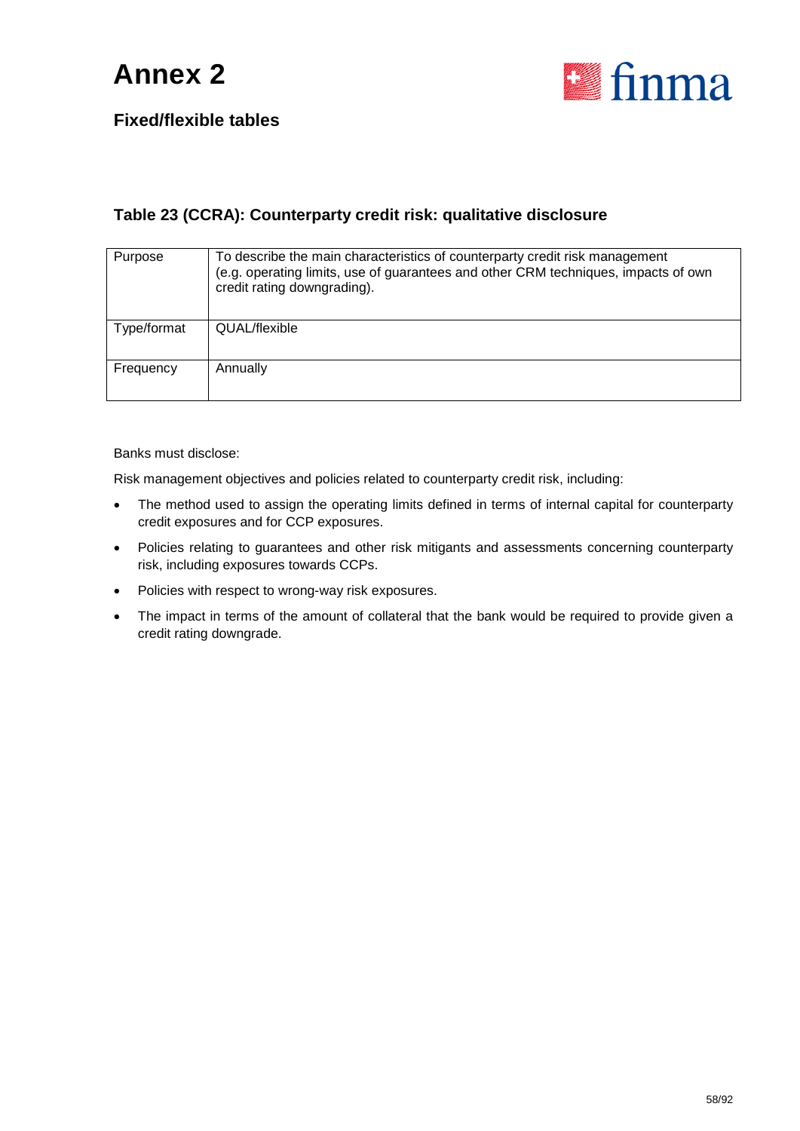

#### **Fixed/flexible tables**

#### **Table 23 (CCRA): Counterparty credit risk: qualitative disclosure**

| Purpose     | To describe the main characteristics of counterparty credit risk management<br>(e.g. operating limits, use of guarantees and other CRM techniques, impacts of own<br>credit rating downgrading). |
|-------------|--------------------------------------------------------------------------------------------------------------------------------------------------------------------------------------------------|
| Type/format | QUAL/flexible                                                                                                                                                                                    |
| Frequency   | Annually                                                                                                                                                                                         |

Banks must disclose:

Risk management objectives and policies related to counterparty credit risk, including:

- The method used to assign the operating limits defined in terms of internal capital for counterparty credit exposures and for CCP exposures.
- Policies relating to guarantees and other risk mitigants and assessments concerning counterparty risk, including exposures towards CCPs.
- Policies with respect to wrong-way risk exposures.
- The impact in terms of the amount of collateral that the bank would be required to provide given a credit rating downgrade.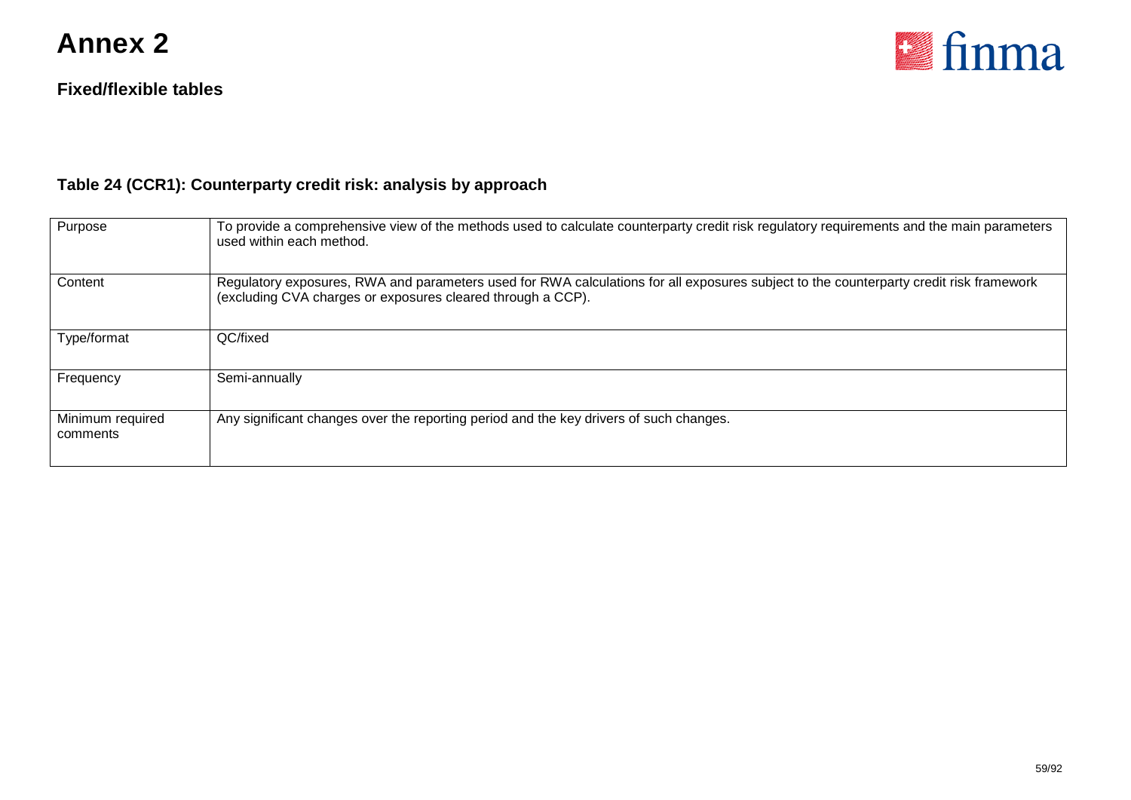

#### **Fixed/flexible tables**

### **Table 24 (CCR1): Counterparty credit risk: analysis by approach**

| Purpose                      | To provide a comprehensive view of the methods used to calculate counterparty credit risk regulatory requirements and the main parameters<br>used within each method.                                 |
|------------------------------|-------------------------------------------------------------------------------------------------------------------------------------------------------------------------------------------------------|
| Content                      | Regulatory exposures, RWA and parameters used for RWA calculations for all exposures subject to the counterparty credit risk framework<br>(excluding CVA charges or exposures cleared through a CCP). |
| Type/format                  | QC/fixed                                                                                                                                                                                              |
| Frequency                    | Semi-annually                                                                                                                                                                                         |
| Minimum required<br>comments | Any significant changes over the reporting period and the key drivers of such changes.                                                                                                                |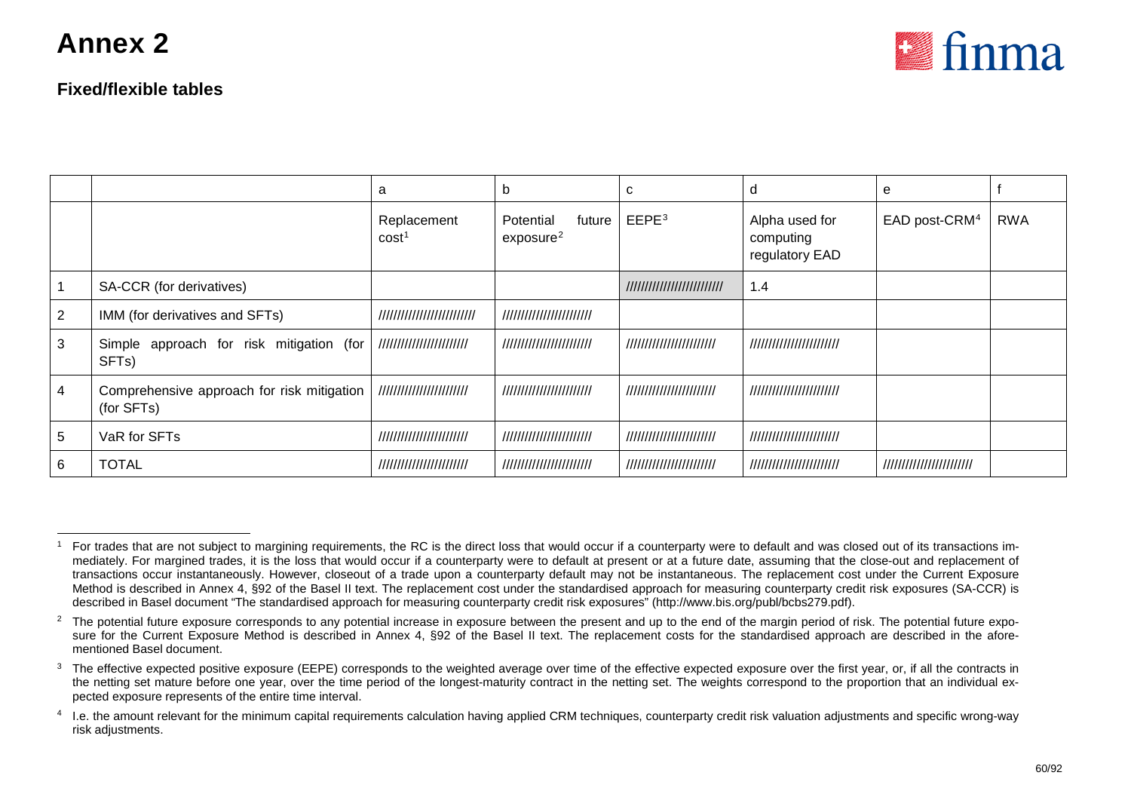<span id="page-59-3"></span><span id="page-59-2"></span><span id="page-59-1"></span><span id="page-59-0"></span>

#### **Fixed/flexible tables**

|                |                                                                | a                                | b                                            | C                         | d                                             | е                         |            |
|----------------|----------------------------------------------------------------|----------------------------------|----------------------------------------------|---------------------------|-----------------------------------------------|---------------------------|------------|
|                |                                                                | Replacement<br>cost <sup>1</sup> | Potential<br>future<br>exposure <sup>2</sup> | EEPE <sup>3</sup>         | Alpha used for<br>computing<br>regulatory EAD | EAD post-CRM <sup>4</sup> | <b>RWA</b> |
|                | SA-CCR (for derivatives)                                       |                                  |                                              | ///////////////////////// | 1.4                                           |                           |            |
| $\overline{2}$ | IMM (for derivatives and SFTs)                                 | //////////////////////////       | ////////////////////////                     |                           |                                               |                           |            |
| 3              | Simple approach for risk mitigation (for<br>SFT <sub>s</sub> ) | ////////////////////////         | ////////////////////////                     | ////////////////////////  | ////////////////////////                      |                           |            |
| 4              | Comprehensive approach for risk mitigation<br>(for SFTs)       | ////////////////////////         | ////////////////////////                     | ////////////////////////  | ////////////////////////                      |                           |            |
| 5              | VaR for SFTs                                                   | ////////////////////////         | ////////////////////////                     | ////////////////////////  | ////////////////////////                      |                           |            |
| 6              | <b>TOTAL</b>                                                   | ////////////////////////         | ////////////////////////                     | ////////////////////////  | ////////////////////////                      | ///////////////////////// |            |

 $1$  For trades that are not subject to margining requirements, the RC is the direct loss that would occur if a counterparty were to default and was closed out of its transactions immediately. For margined trades, it is the loss that would occur if a counterparty were to default at present or at a future date, assuming that the close-out and replacement of transactions occur instantaneously. However, closeout of a trade upon a counterparty default may not be instantaneous. The replacement cost under the Current Exposure Method is described in Annex 4, §92 of the Basel II text. The replacement cost under the standardised approach for measuring counterparty credit risk exposures (SA-CCR) is described in Basel document "The standardised approach for measuring counterparty credit risk exposures" (http://www.bis.org/publ/bcbs279.pdf).

<sup>&</sup>lt;sup>2</sup> The potential future exposure corresponds to any potential increase in exposure between the present and up to the end of the margin period of risk. The potential future exposure for the Current Exposure Method is described in Annex 4, §92 of the Basel II text. The replacement costs for the standardised approach are described in the aforementioned Basel document.

<sup>&</sup>lt;sup>3</sup> The effective expected positive exposure (EEPE) corresponds to the weighted average over time of the effective expected exposure over the first year, or, if all the contracts in the netting set mature before one year, over the time period of the longest-maturity contract in the netting set. The weights correspond to the proportion that an individual expected exposure represents of the entire time interval.

<sup>&</sup>lt;sup>4</sup> I.e. the amount relevant for the minimum capital requirements calculation having applied CRM techniques, counterparty credit risk valuation adjustments and specific wrong-way risk adjustments.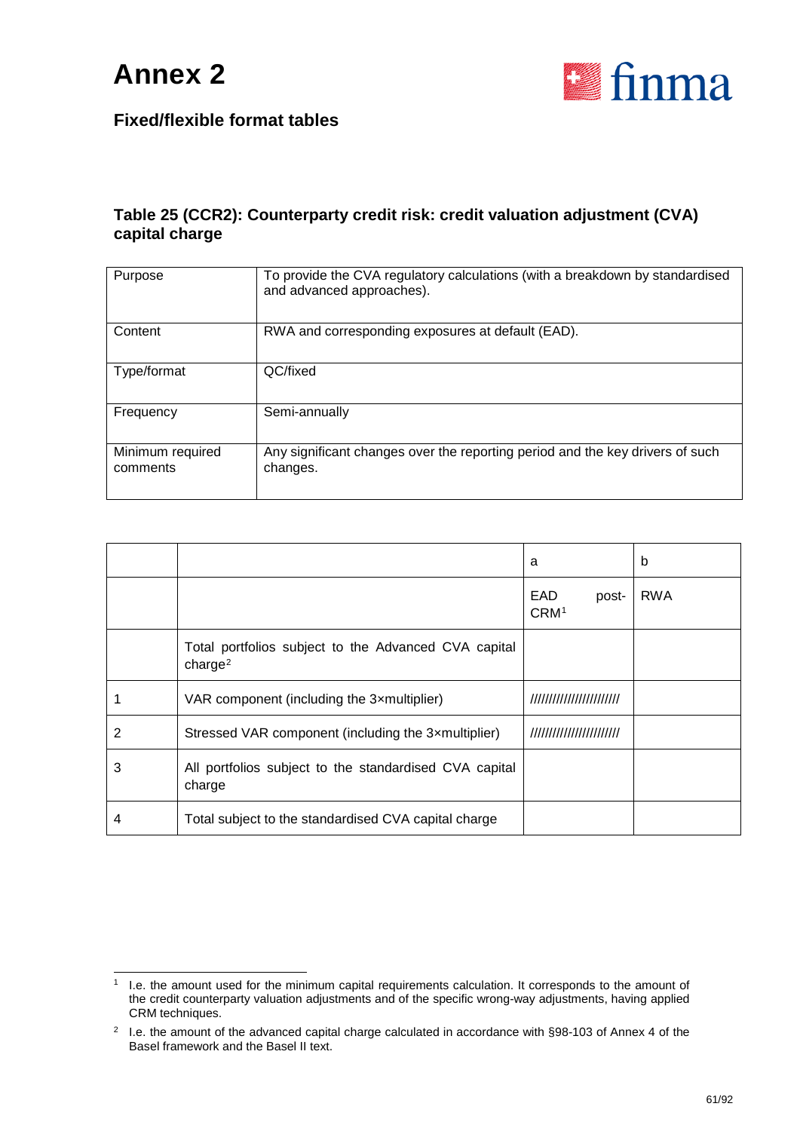



#### **Table 25 (CCR2): Counterparty credit risk: credit valuation adjustment (CVA) capital charge**

| Purpose                      | To provide the CVA regulatory calculations (with a breakdown by standardised<br>and advanced approaches). |
|------------------------------|-----------------------------------------------------------------------------------------------------------|
| Content                      | RWA and corresponding exposures at default (EAD).                                                         |
| Type/format                  | QC/fixed                                                                                                  |
| Frequency                    | Semi-annually                                                                                             |
| Minimum required<br>comments | Any significant changes over the reporting period and the key drivers of such<br>changes.                 |

|   |                                                                             | a                                | b          |
|---|-----------------------------------------------------------------------------|----------------------------------|------------|
|   |                                                                             | EAD<br>post-<br>CRM <sup>1</sup> | <b>RWA</b> |
|   | Total portfolios subject to the Advanced CVA capital<br>charge <sup>2</sup> |                                  |            |
|   | VAR component (including the 3xmultiplier)                                  | ////////////////////////         |            |
| 2 | Stressed VAR component (including the 3xmultiplier)                         | ////////////////////////         |            |
| 3 | All portfolios subject to the standardised CVA capital<br>charge            |                                  |            |
| 4 | Total subject to the standardised CVA capital charge                        |                                  |            |

<span id="page-60-0"></span> <sup>1</sup> I.e. the amount used for the minimum capital requirements calculation. It corresponds to the amount of the credit counterparty valuation adjustments and of the specific wrong-way adjustments, having applied CRM techniques.

<span id="page-60-1"></span><sup>&</sup>lt;sup>2</sup> I.e. the amount of the advanced capital charge calculated in accordance with §98-103 of Annex 4 of the Basel framework and the Basel II text.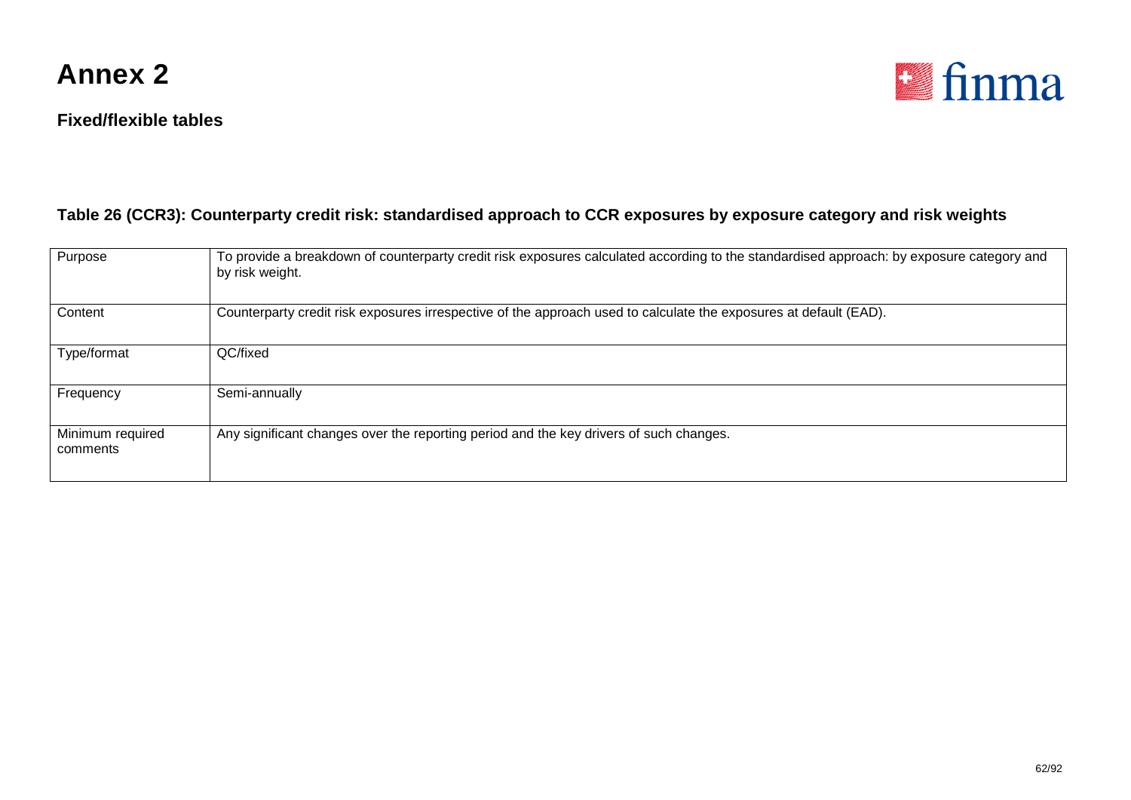

#### **Fixed/flexible tables**



#### **Table 26 (CCR3): Counterparty credit risk: standardised approach to CCR exposures by exposure category and risk weights**

| Purpose                      | To provide a breakdown of counterparty credit risk exposures calculated according to the standardised approach: by exposure category and<br>by risk weight. |
|------------------------------|-------------------------------------------------------------------------------------------------------------------------------------------------------------|
| Content                      | Counterparty credit risk exposures irrespective of the approach used to calculate the exposures at default (EAD).                                           |
| Type/format                  | QC/fixed                                                                                                                                                    |
| Frequency                    | Semi-annually                                                                                                                                               |
| Minimum required<br>comments | Any significant changes over the reporting period and the key drivers of such changes.                                                                      |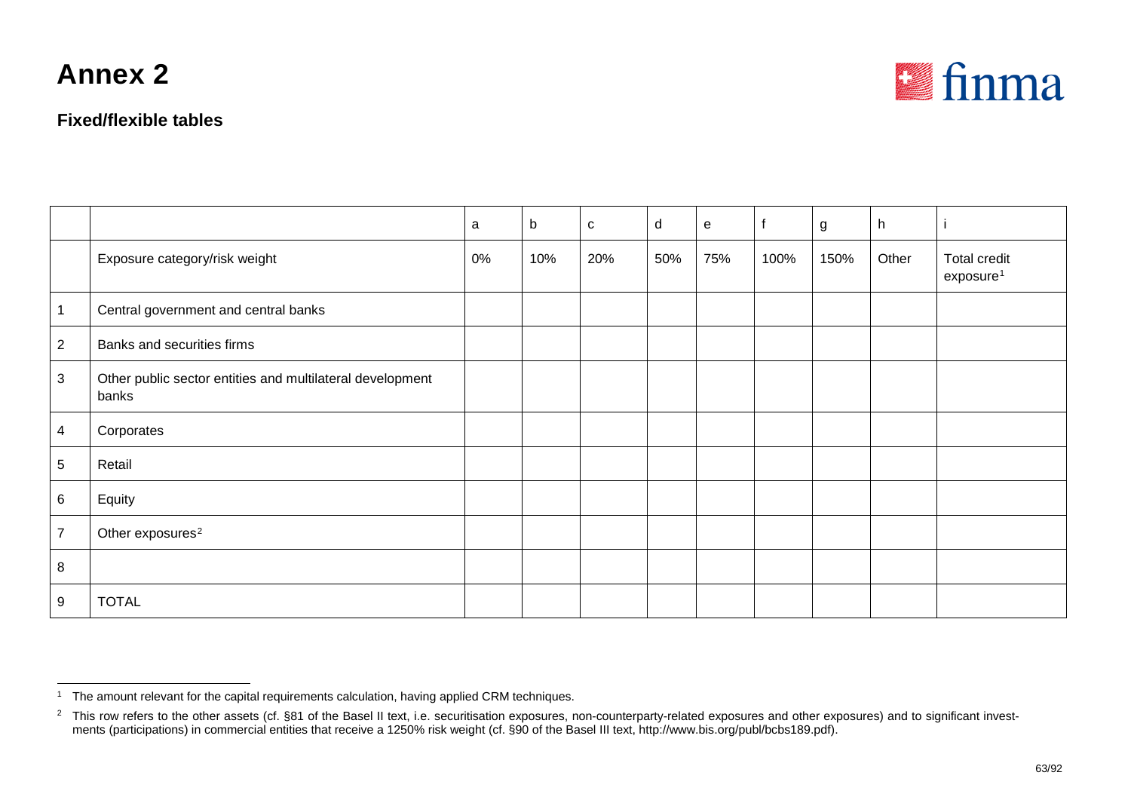**Fixed/flexible tables**

<span id="page-62-1"></span><span id="page-62-0"></span>

|                 |                                                                    | a     | b   | $\mathbf{C}$ | d   | $\mathbf e$ |      | g    | h     |                                              |
|-----------------|--------------------------------------------------------------------|-------|-----|--------------|-----|-------------|------|------|-------|----------------------------------------------|
|                 | Exposure category/risk weight                                      | $0\%$ | 10% | 20%          | 50% | 75%         | 100% | 150% | Other | <b>Total credit</b><br>exposure <sup>1</sup> |
| $\mathbf{1}$    | Central government and central banks                               |       |     |              |     |             |      |      |       |                                              |
| $\overline{2}$  | Banks and securities firms                                         |       |     |              |     |             |      |      |       |                                              |
| $\mathbf{3}$    | Other public sector entities and multilateral development<br>banks |       |     |              |     |             |      |      |       |                                              |
| $\overline{4}$  | Corporates                                                         |       |     |              |     |             |      |      |       |                                              |
| $5\phantom{.0}$ | Retail                                                             |       |     |              |     |             |      |      |       |                                              |
| $6\phantom{.}6$ | Equity                                                             |       |     |              |     |             |      |      |       |                                              |
| $\overline{7}$  | Other exposures <sup>2</sup>                                       |       |     |              |     |             |      |      |       |                                              |
| 8               |                                                                    |       |     |              |     |             |      |      |       |                                              |
| 9               | <b>TOTAL</b>                                                       |       |     |              |     |             |      |      |       |                                              |

<sup>&</sup>lt;sup>1</sup> The amount relevant for the capital requirements calculation, having applied CRM techniques.

 $^2$  This row refers to the other assets (cf. §81 of the Basel II text, i.e. securitisation exposures, non-counterparty-related exposures and other exposures) and to significant investments (participations) in commercial entities that receive a 1250% risk weight (cf. §90 of the Basel III text, http://www.bis.org/publ/bcbs189.pdf).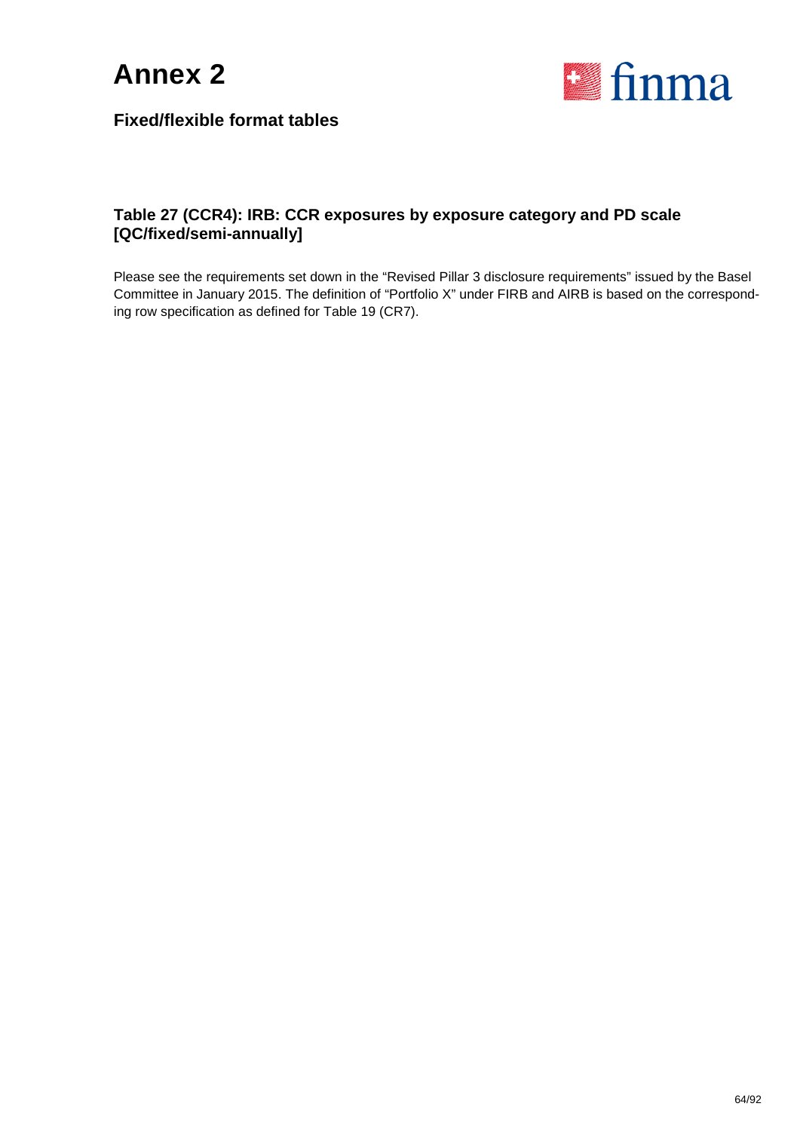



#### **Table 27 (CCR4): IRB: CCR exposures by exposure category and PD scale [QC/fixed/semi-annually]**

Please see the requirements set down in the "Revised Pillar 3 disclosure requirements" issued by the Basel Committee in January 2015. The definition of "Portfolio X" under FIRB and AIRB is based on the corresponding row specification as defined for Table 19 (CR7).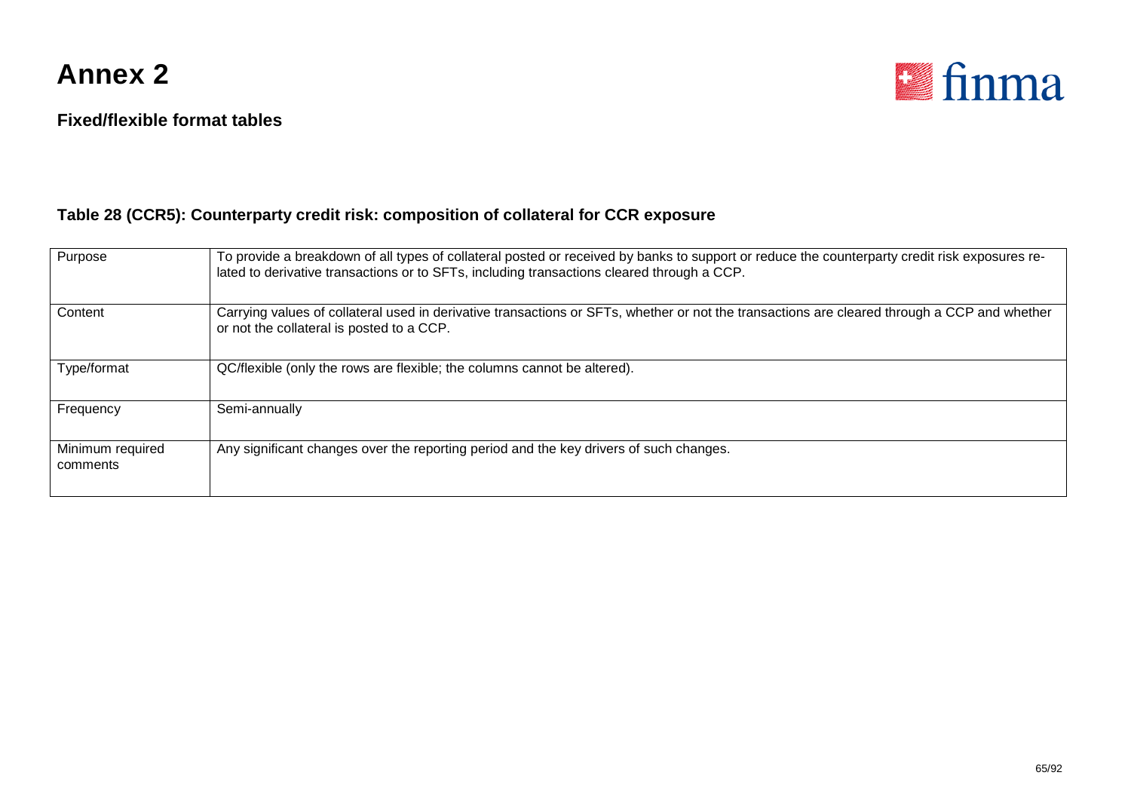



#### **Table 28 (CCR5): Counterparty credit risk: composition of collateral for CCR exposure**

| Purpose                      | To provide a breakdown of all types of collateral posted or received by banks to support or reduce the counterparty credit risk exposures re-<br>lated to derivative transactions or to SFTs, including transactions cleared through a CCP. |
|------------------------------|---------------------------------------------------------------------------------------------------------------------------------------------------------------------------------------------------------------------------------------------|
| Content                      | Carrying values of collateral used in derivative transactions or SFTs, whether or not the transactions are cleared through a CCP and whether<br>or not the collateral is posted to a CCP.                                                   |
| Type/format                  | QC/flexible (only the rows are flexible; the columns cannot be altered).                                                                                                                                                                    |
| Frequency                    | Semi-annually                                                                                                                                                                                                                               |
| Minimum required<br>comments | Any significant changes over the reporting period and the key drivers of such changes.                                                                                                                                                      |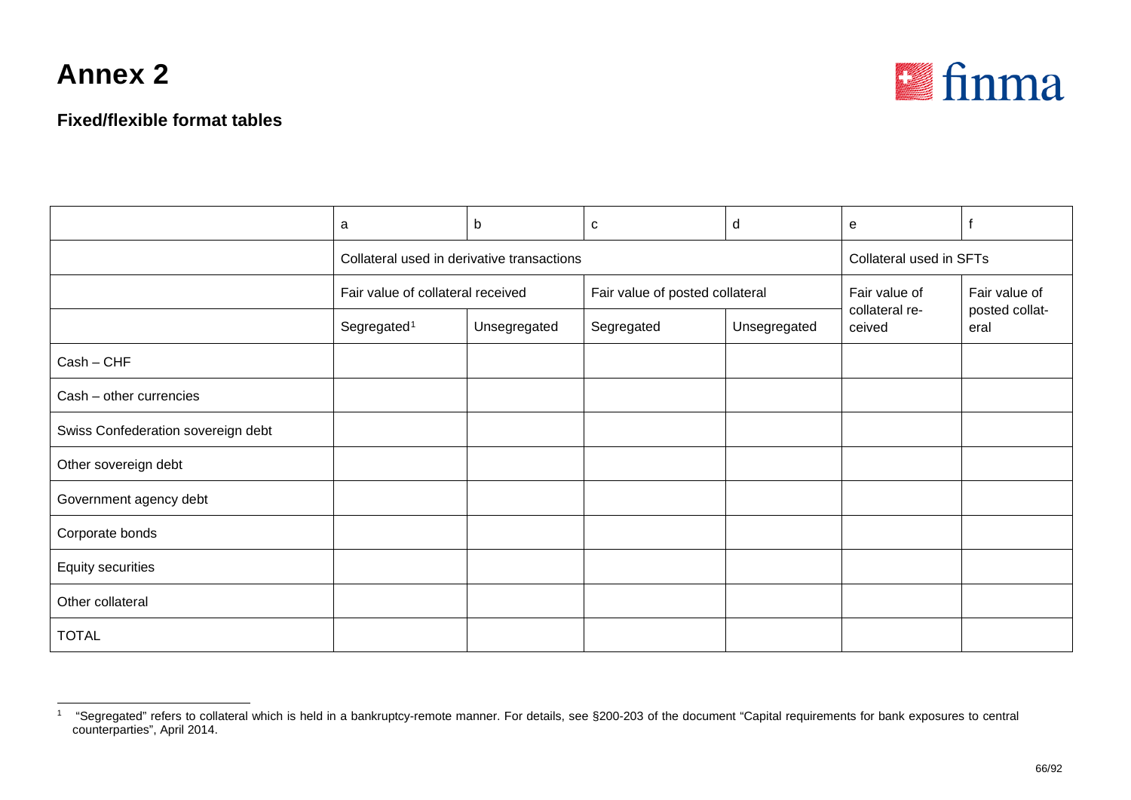<span id="page-65-0"></span>

### **Fixed/flexible format tables**

|                                    | a                                          | b            | C                               | d            | e                        |                                         |
|------------------------------------|--------------------------------------------|--------------|---------------------------------|--------------|--------------------------|-----------------------------------------|
|                                    | Collateral used in derivative transactions |              | Collateral used in SFTs         |              |                          |                                         |
|                                    | Fair value of collateral received          |              | Fair value of posted collateral |              | Fair value of            | Fair value of<br>posted collat-<br>eral |
|                                    | Segregated <sup>1</sup>                    | Unsegregated | Segregated                      | Unsegregated | collateral re-<br>ceived |                                         |
| $Cash - CHF$                       |                                            |              |                                 |              |                          |                                         |
| Cash - other currencies            |                                            |              |                                 |              |                          |                                         |
| Swiss Confederation sovereign debt |                                            |              |                                 |              |                          |                                         |
| Other sovereign debt               |                                            |              |                                 |              |                          |                                         |
| Government agency debt             |                                            |              |                                 |              |                          |                                         |
| Corporate bonds                    |                                            |              |                                 |              |                          |                                         |
| Equity securities                  |                                            |              |                                 |              |                          |                                         |
| Other collateral                   |                                            |              |                                 |              |                          |                                         |
| <b>TOTAL</b>                       |                                            |              |                                 |              |                          |                                         |

<sup>&</sup>lt;sup>1</sup> "Segregated" refers to collateral which is held in a bankruptcy-remote manner. For details, see §200-203 of the document "Capital requirements for bank exposures to central counterparties", April 2014.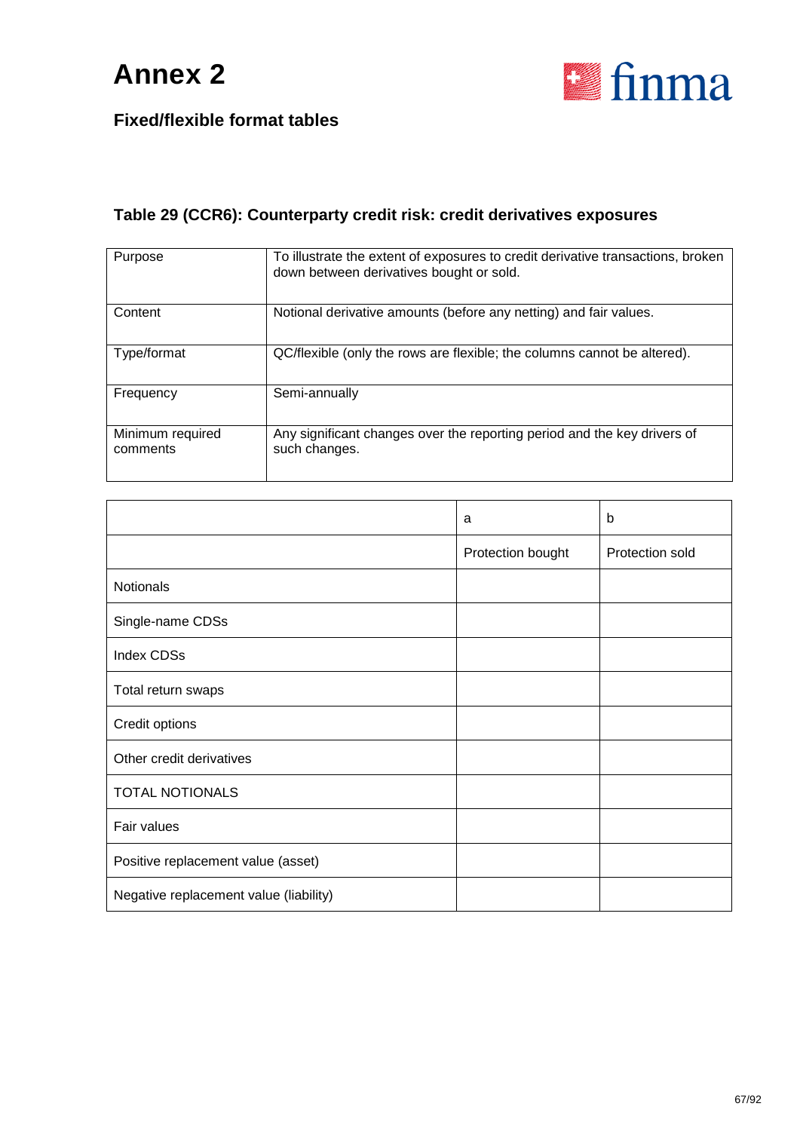

#### **Table 29 (CCR6): Counterparty credit risk: credit derivatives exposures**

| Purpose                      | To illustrate the extent of exposures to credit derivative transactions, broken<br>down between derivatives bought or sold. |
|------------------------------|-----------------------------------------------------------------------------------------------------------------------------|
| Content                      | Notional derivative amounts (before any netting) and fair values.                                                           |
| Type/format                  | QC/flexible (only the rows are flexible; the columns cannot be altered).                                                    |
| Frequency                    | Semi-annually                                                                                                               |
| Minimum required<br>comments | Any significant changes over the reporting period and the key drivers of<br>such changes.                                   |

|                                        | a                 | b               |
|----------------------------------------|-------------------|-----------------|
|                                        | Protection bought | Protection sold |
| <b>Notionals</b>                       |                   |                 |
| Single-name CDSs                       |                   |                 |
| <b>Index CDSs</b>                      |                   |                 |
| Total return swaps                     |                   |                 |
| Credit options                         |                   |                 |
| Other credit derivatives               |                   |                 |
| <b>TOTAL NOTIONALS</b>                 |                   |                 |
| Fair values                            |                   |                 |
| Positive replacement value (asset)     |                   |                 |
| Negative replacement value (liability) |                   |                 |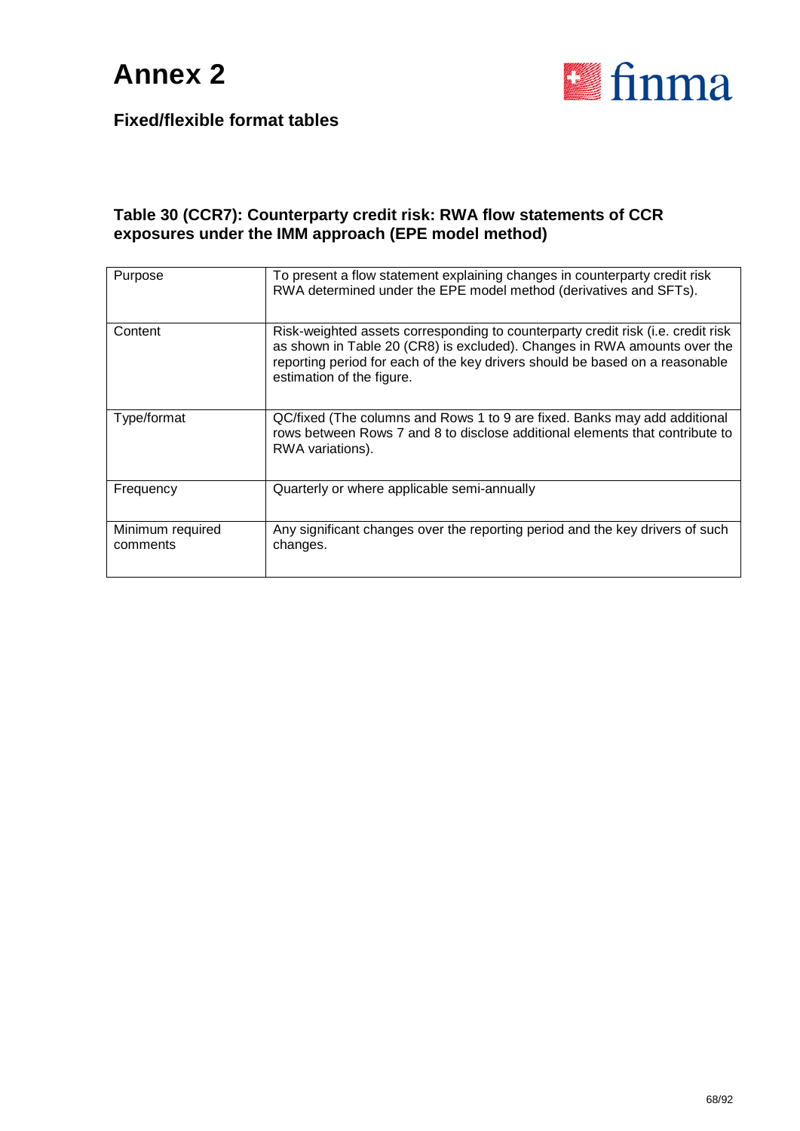

#### **Table 30 (CCR7): Counterparty credit risk: RWA flow statements of CCR exposures under the IMM approach (EPE model method)**

| Purpose                      | To present a flow statement explaining changes in counterparty credit risk<br>RWA determined under the EPE model method (derivatives and SFTs).                                                                                                                           |
|------------------------------|---------------------------------------------------------------------------------------------------------------------------------------------------------------------------------------------------------------------------------------------------------------------------|
| Content                      | Risk-weighted assets corresponding to counterparty credit risk (i.e. credit risk<br>as shown in Table 20 (CR8) is excluded). Changes in RWA amounts over the<br>reporting period for each of the key drivers should be based on a reasonable<br>estimation of the figure. |
| Type/format                  | QC/fixed (The columns and Rows 1 to 9 are fixed. Banks may add additional<br>rows between Rows 7 and 8 to disclose additional elements that contribute to<br>RWA variations).                                                                                             |
| Frequency                    | Quarterly or where applicable semi-annually                                                                                                                                                                                                                               |
| Minimum required<br>comments | Any significant changes over the reporting period and the key drivers of such<br>changes.                                                                                                                                                                                 |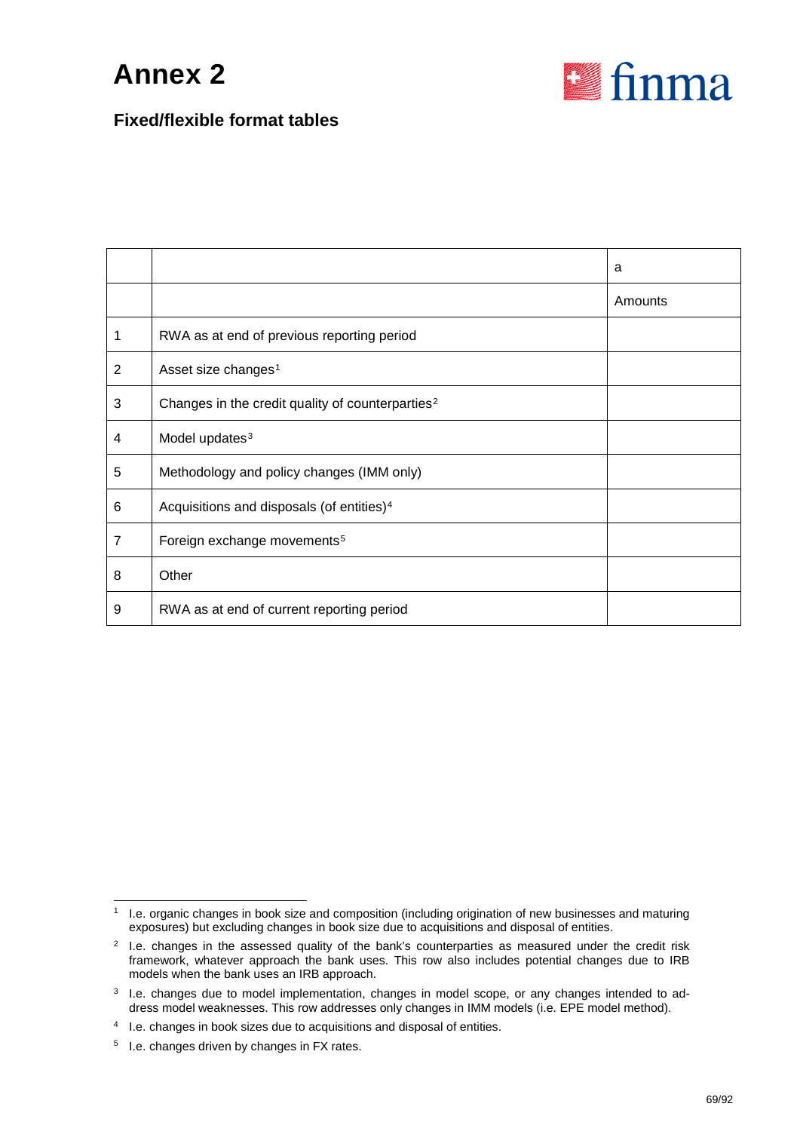

#### **Fixed/flexible format tables**

|                |                                                              | a       |
|----------------|--------------------------------------------------------------|---------|
|                |                                                              | Amounts |
|                | RWA as at end of previous reporting period                   |         |
| $\overline{2}$ | Asset size changes <sup>1</sup>                              |         |
| 3              | Changes in the credit quality of counterparties <sup>2</sup> |         |
| 4              | Model updates <sup>3</sup>                                   |         |
| 5              | Methodology and policy changes (IMM only)                    |         |
| 6              | Acquisitions and disposals (of entities) <sup>4</sup>        |         |
| $\overline{7}$ | Foreign exchange movements <sup>5</sup>                      |         |
| 8              | Other                                                        |         |
| 9              | RWA as at end of current reporting period                    |         |

<span id="page-68-0"></span><sup>&</sup>lt;sup>1</sup> I.e. organic changes in book size and composition (including origination of new businesses and maturing exposures) but excluding changes in book size due to acquisitions and disposal of entities.

<span id="page-68-1"></span> $2$  I.e. changes in the assessed quality of the bank's counterparties as measured under the credit risk framework, whatever approach the bank uses. This row also includes potential changes due to IRB models when the bank uses an IRB approach.

<span id="page-68-2"></span> $3$  I.e. changes due to model implementation, changes in model scope, or any changes intended to address model weaknesses. This row addresses only changes in IMM models (i.e. EPE model method).

<span id="page-68-3"></span><sup>4</sup> I.e. changes in book sizes due to acquisitions and disposal of entities.

<span id="page-68-4"></span><sup>5</sup> I.e. changes driven by changes in FX rates.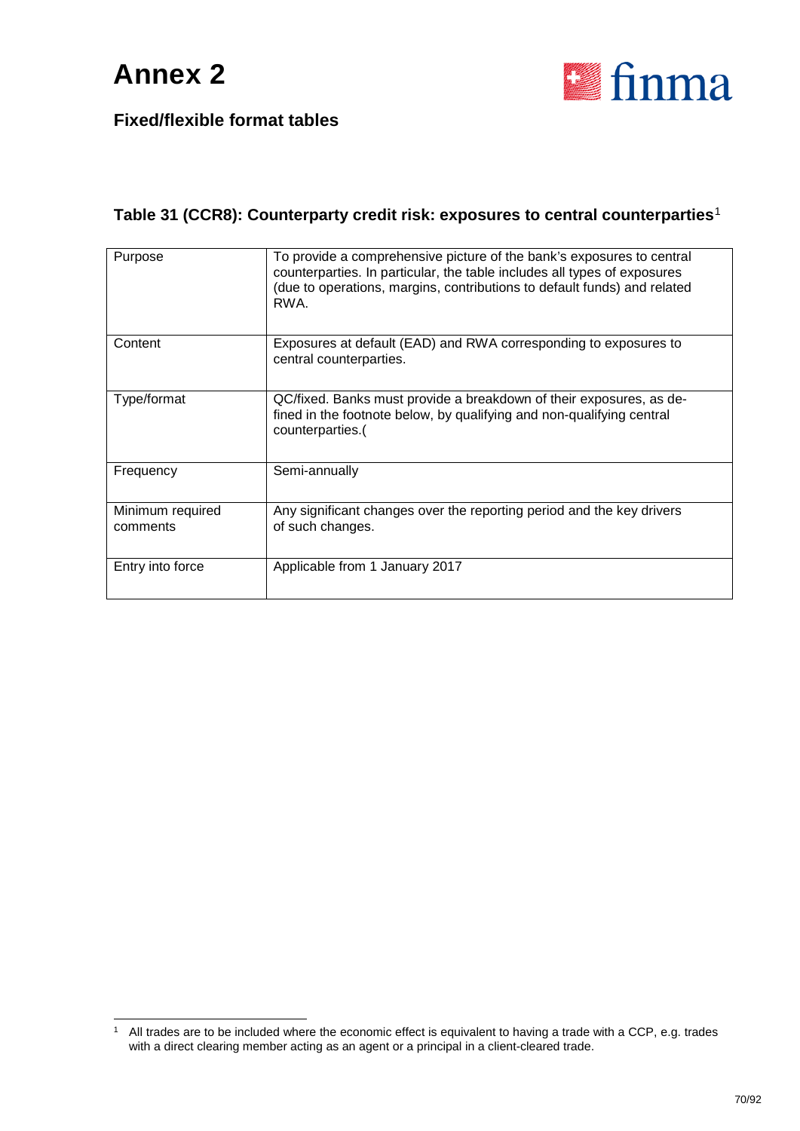

#### **Table 31 (CCR8): Counterparty credit risk: exposures to central counterparties**[1](#page-69-0)

| Purpose                      | To provide a comprehensive picture of the bank's exposures to central<br>counterparties. In particular, the table includes all types of exposures<br>(due to operations, margins, contributions to default funds) and related<br>RWA. |  |
|------------------------------|---------------------------------------------------------------------------------------------------------------------------------------------------------------------------------------------------------------------------------------|--|
| Content                      | Exposures at default (EAD) and RWA corresponding to exposures to<br>central counterparties.                                                                                                                                           |  |
| Type/format                  | QC/fixed. Banks must provide a breakdown of their exposures, as de-<br>fined in the footnote below, by qualifying and non-qualifying central<br>counterparties.(                                                                      |  |
| Frequency                    | Semi-annually                                                                                                                                                                                                                         |  |
| Minimum required<br>comments | Any significant changes over the reporting period and the key drivers<br>of such changes.                                                                                                                                             |  |
| Entry into force             | Applicable from 1 January 2017                                                                                                                                                                                                        |  |

<span id="page-69-0"></span><sup>&</sup>lt;sup>1</sup> All trades are to be included where the economic effect is equivalent to having a trade with a CCP, e.g. trades with a direct clearing member acting as an agent or a principal in a client-cleared trade.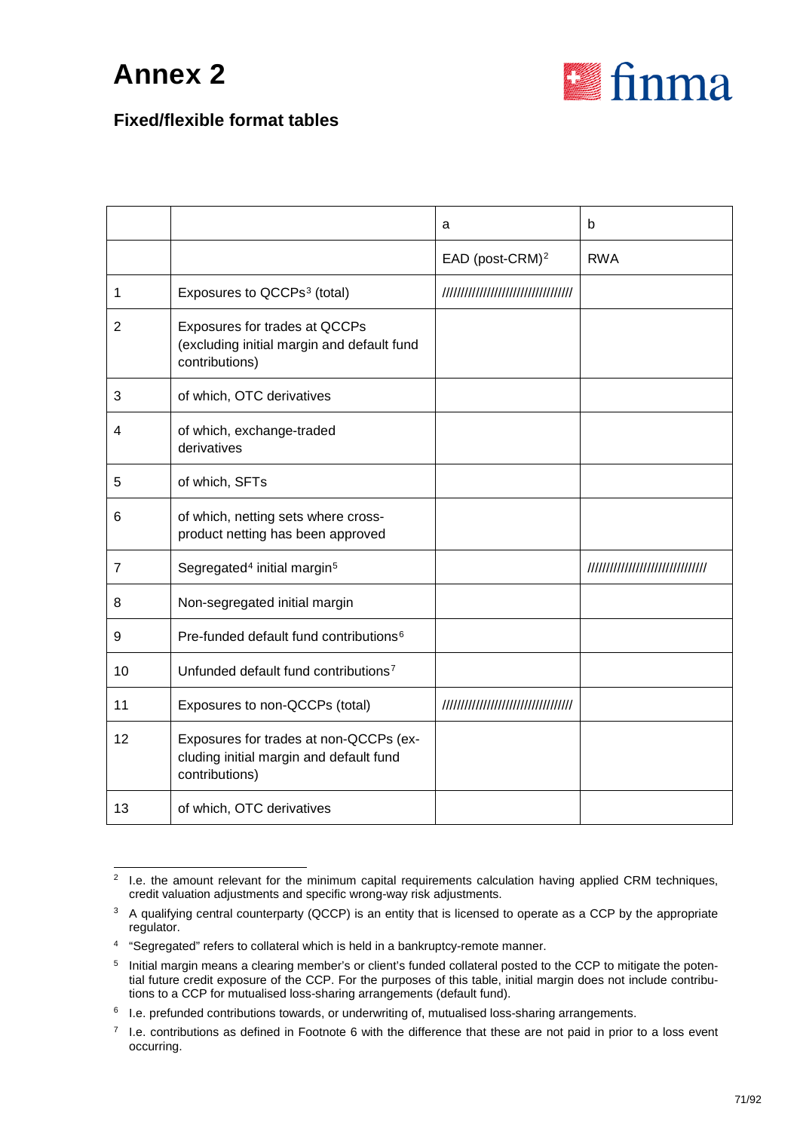

#### **Fixed/flexible format tables**

|                |                                                                                                     | a                           | b                                  |
|----------------|-----------------------------------------------------------------------------------------------------|-----------------------------|------------------------------------|
|                |                                                                                                     | EAD (post-CRM) <sup>2</sup> | <b>RWA</b>                         |
| $\mathbf 1$    | Exposures to QCCPs <sup>3</sup> (total)                                                             |                             |                                    |
| 2              | Exposures for trades at QCCPs<br>(excluding initial margin and default fund<br>contributions)       |                             |                                    |
| 3              | of which, OTC derivatives                                                                           |                             |                                    |
| 4              | of which, exchange-traded<br>derivatives                                                            |                             |                                    |
| 5              | of which, SFTs                                                                                      |                             |                                    |
| 6              | of which, netting sets where cross-<br>product netting has been approved                            |                             |                                    |
| $\overline{7}$ | Segregated <sup>4</sup> initial margin <sup>5</sup>                                                 |                             | ////////////////////////////////// |
| 8              | Non-segregated initial margin                                                                       |                             |                                    |
| 9              | Pre-funded default fund contributions <sup>6</sup>                                                  |                             |                                    |
| 10             | Unfunded default fund contributions <sup>7</sup>                                                    |                             |                                    |
| 11             | Exposures to non-QCCPs (total)                                                                      |                             |                                    |
| 12             | Exposures for trades at non-QCCPs (ex-<br>cluding initial margin and default fund<br>contributions) |                             |                                    |
| 13             | of which, OTC derivatives                                                                           |                             |                                    |

<span id="page-70-0"></span><sup>&</sup>lt;sup>2</sup> I.e. the amount relevant for the minimum capital requirements calculation having applied CRM techniques, credit valuation adjustments and specific wrong-way risk adjustments.

<span id="page-70-1"></span><sup>&</sup>lt;sup>3</sup> A qualifying central counterparty (QCCP) is an entity that is licensed to operate as a CCP by the appropriate regulator.

<span id="page-70-2"></span><sup>4</sup> "Segregated" refers to collateral which is held in a bankruptcy-remote manner.

<span id="page-70-3"></span><sup>&</sup>lt;sup>5</sup> Initial margin means a clearing member's or client's funded collateral posted to the CCP to mitigate the potential future credit exposure of the CCP. For the purposes of this table, initial margin does not include contributions to a CCP for mutualised loss-sharing arrangements (default fund).

<span id="page-70-4"></span><sup>&</sup>lt;sup>6</sup> I.e. prefunded contributions towards, or underwriting of, mutualised loss-sharing arrangements.

<span id="page-70-5"></span> $7$  I.e. contributions as defined in Footnote 6 with the difference that these are not paid in prior to a loss event occurring.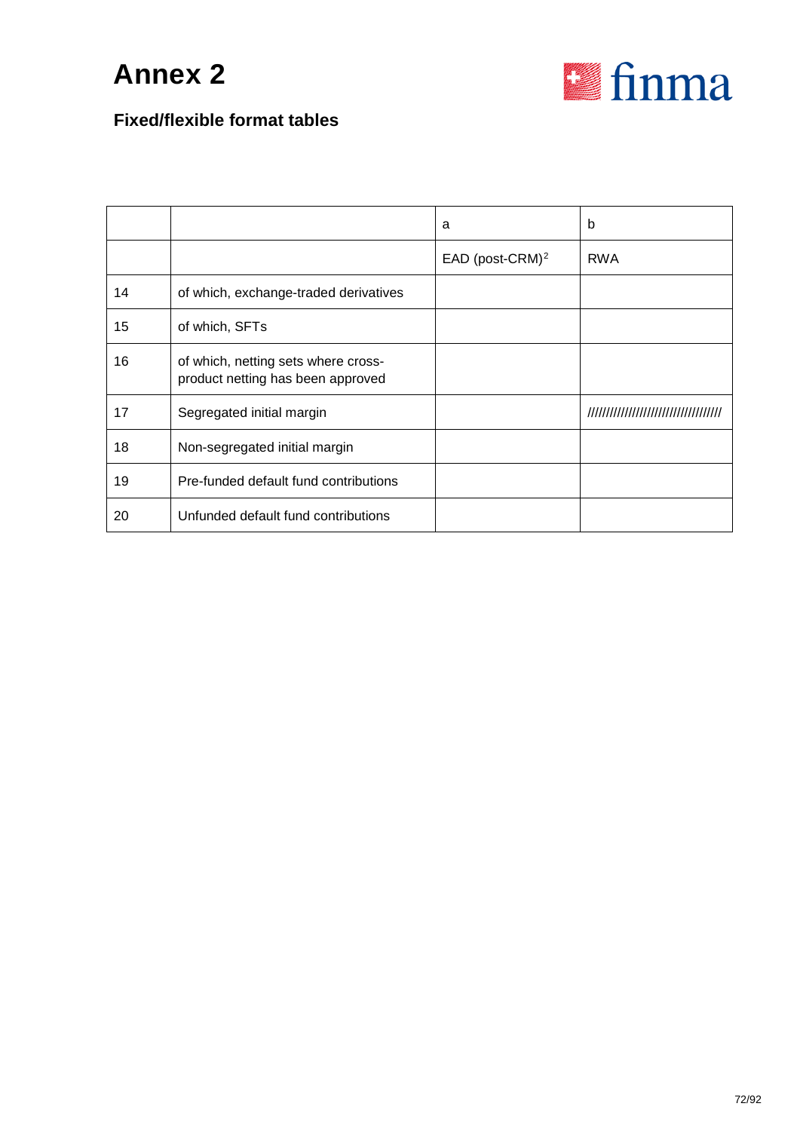

### **Fixed/flexible format tables**

|    |                                                                          | a                           | b          |
|----|--------------------------------------------------------------------------|-----------------------------|------------|
|    |                                                                          | EAD (post-CRM) <sup>2</sup> | <b>RWA</b> |
| 14 | of which, exchange-traded derivatives                                    |                             |            |
| 15 | of which, SFTs                                                           |                             |            |
| 16 | of which, netting sets where cross-<br>product netting has been approved |                             |            |
| 17 | Segregated initial margin                                                |                             |            |
| 18 | Non-segregated initial margin                                            |                             |            |
| 19 | Pre-funded default fund contributions                                    |                             |            |
| 20 | Unfunded default fund contributions                                      |                             |            |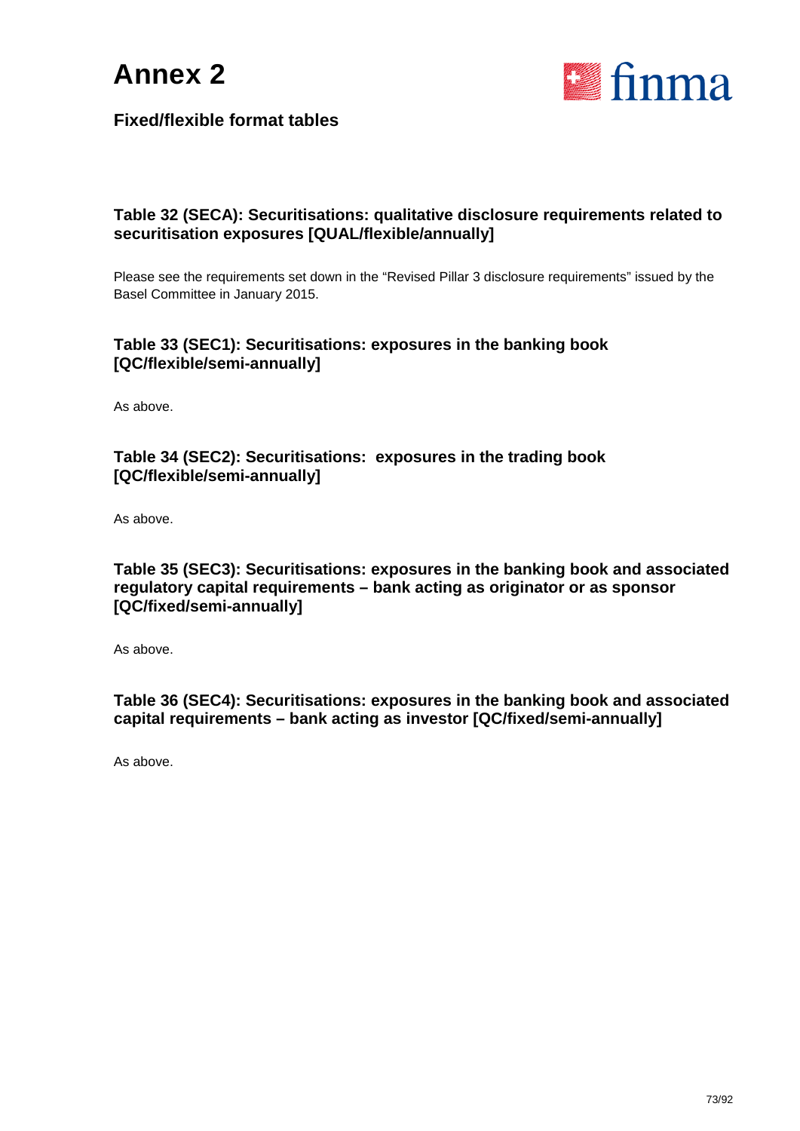



#### **Table 32 (SECA): Securitisations: qualitative disclosure requirements related to securitisation exposures [QUAL/flexible/annually]**

Please see the requirements set down in the "Revised Pillar 3 disclosure requirements" issued by the Basel Committee in January 2015.

#### **Table 33 (SEC1): Securitisations: exposures in the banking book [QC/flexible/semi-annually]**

As above.

#### **Table 34 (SEC2): Securitisations: exposures in the trading book [QC/flexible/semi-annually]**

As above.

#### **Table 35 (SEC3): Securitisations: exposures in the banking book and associated regulatory capital requirements – bank acting as originator or as sponsor [QC/fixed/semi-annually]**

As above.

**Table 36 (SEC4): Securitisations: exposures in the banking book and associated capital requirements – bank acting as investor [QC/fixed/semi-annually]**

As above.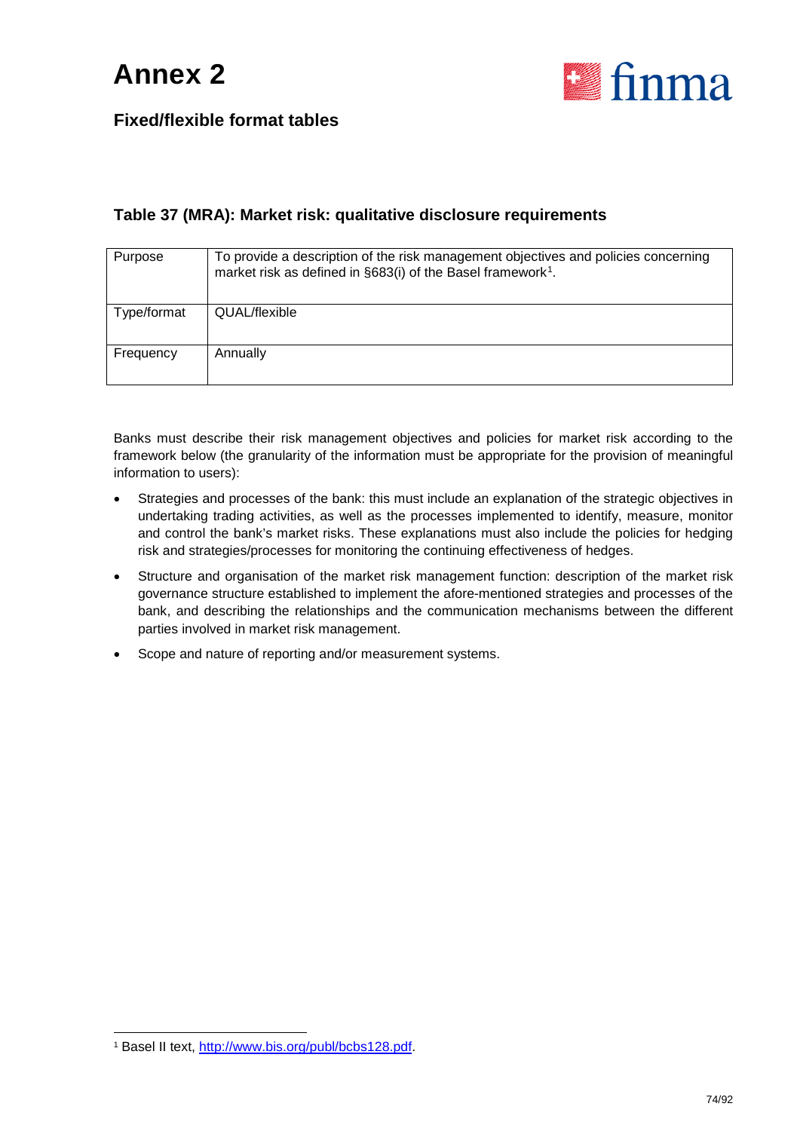

#### **Table 37 (MRA): Market risk: qualitative disclosure requirements**

| Purpose     | To provide a description of the risk management objectives and policies concerning<br>market risk as defined in §683(i) of the Basel framework <sup>1</sup> . |
|-------------|---------------------------------------------------------------------------------------------------------------------------------------------------------------|
| Type/format | QUAL/flexible                                                                                                                                                 |
| Frequency   | Annually                                                                                                                                                      |

Banks must describe their risk management objectives and policies for market risk according to the framework below (the granularity of the information must be appropriate for the provision of meaningful information to users):

- Strategies and processes of the bank: this must include an explanation of the strategic objectives in undertaking trading activities, as well as the processes implemented to identify, measure, monitor and control the bank's market risks. These explanations must also include the policies for hedging risk and strategies/processes for monitoring the continuing effectiveness of hedges.
- Structure and organisation of the market risk management function: description of the market risk governance structure established to implement the afore-mentioned strategies and processes of the bank, and describing the relationships and the communication mechanisms between the different parties involved in market risk management.
- Scope and nature of reporting and/or measurement systems.

<span id="page-73-0"></span> <sup>1</sup> Basel II text, [http://www.bis.org/publ/bcbs128.pdf.](http://www.bis.org/publ/bcbs128.pdf)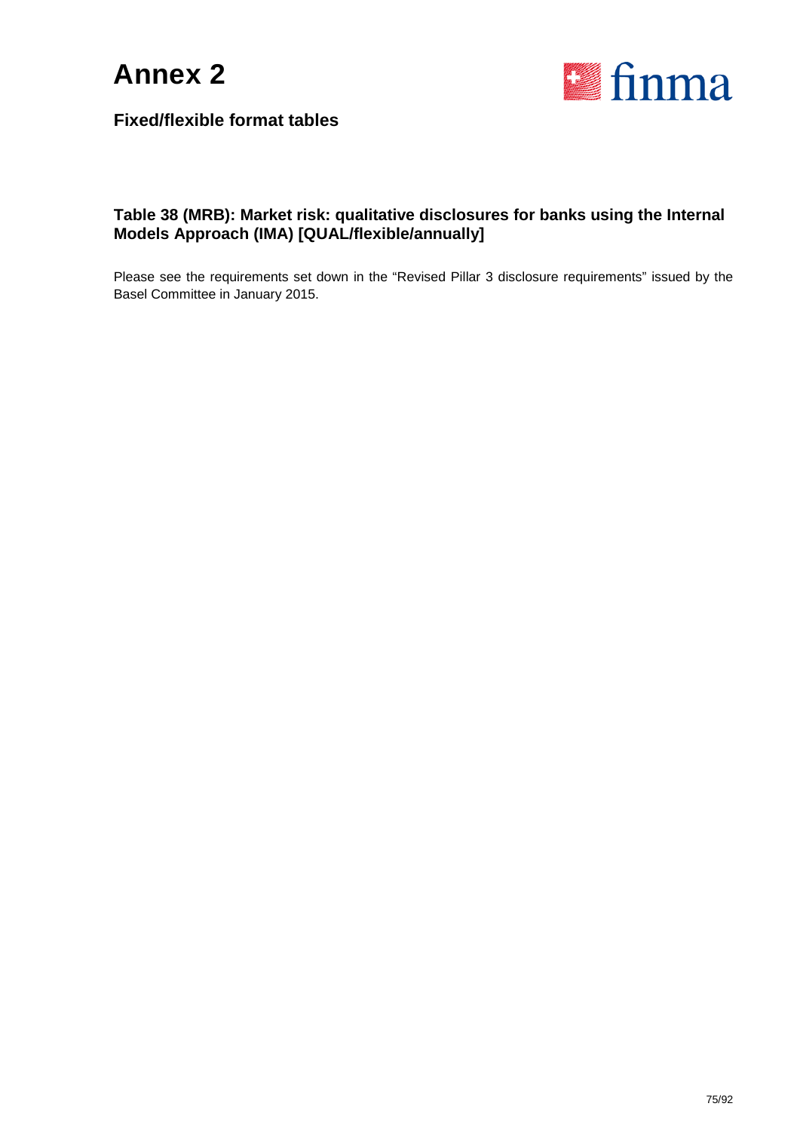



#### **Table 38 (MRB): Market risk: qualitative disclosures for banks using the Internal Models Approach (IMA) [QUAL/flexible/annually]**

Please see the requirements set down in the "Revised Pillar 3 disclosure requirements" issued by the Basel Committee in January 2015.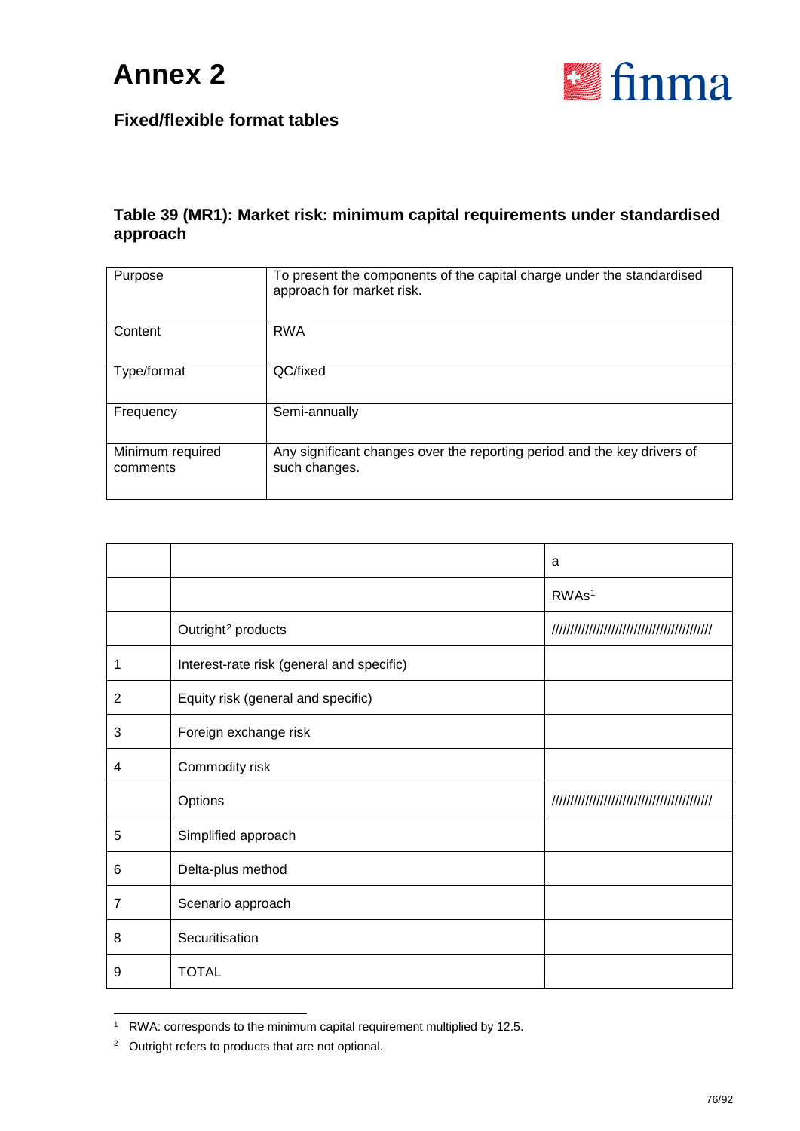



#### **Table 39 (MR1): Market risk: minimum capital requirements under standardised approach**

| Purpose                      | To present the components of the capital charge under the standardised<br>approach for market risk. |
|------------------------------|-----------------------------------------------------------------------------------------------------|
| Content                      | <b>RWA</b>                                                                                          |
| Type/format                  | QC/fixed                                                                                            |
| Frequency                    | Semi-annually                                                                                       |
| Minimum required<br>comments | Any significant changes over the reporting period and the key drivers of<br>such changes.           |

|                |                                           | a                 |
|----------------|-------------------------------------------|-------------------|
|                |                                           | RWAs <sup>1</sup> |
|                | Outright <sup>2</sup> products            |                   |
| 1              | Interest-rate risk (general and specific) |                   |
| $\overline{2}$ | Equity risk (general and specific)        |                   |
| 3              | Foreign exchange risk                     |                   |
| 4              | Commodity risk                            |                   |
|                | Options                                   |                   |
| 5              | Simplified approach                       |                   |
| 6              | Delta-plus method                         |                   |
| $\overline{7}$ | Scenario approach                         |                   |
| 8              | Securitisation                            |                   |
| 9              | <b>TOTAL</b>                              |                   |

<span id="page-75-0"></span><sup>&</sup>lt;sup>1</sup> RWA: corresponds to the minimum capital requirement multiplied by 12.5.

<span id="page-75-1"></span><sup>2</sup> Outright refers to products that are not optional.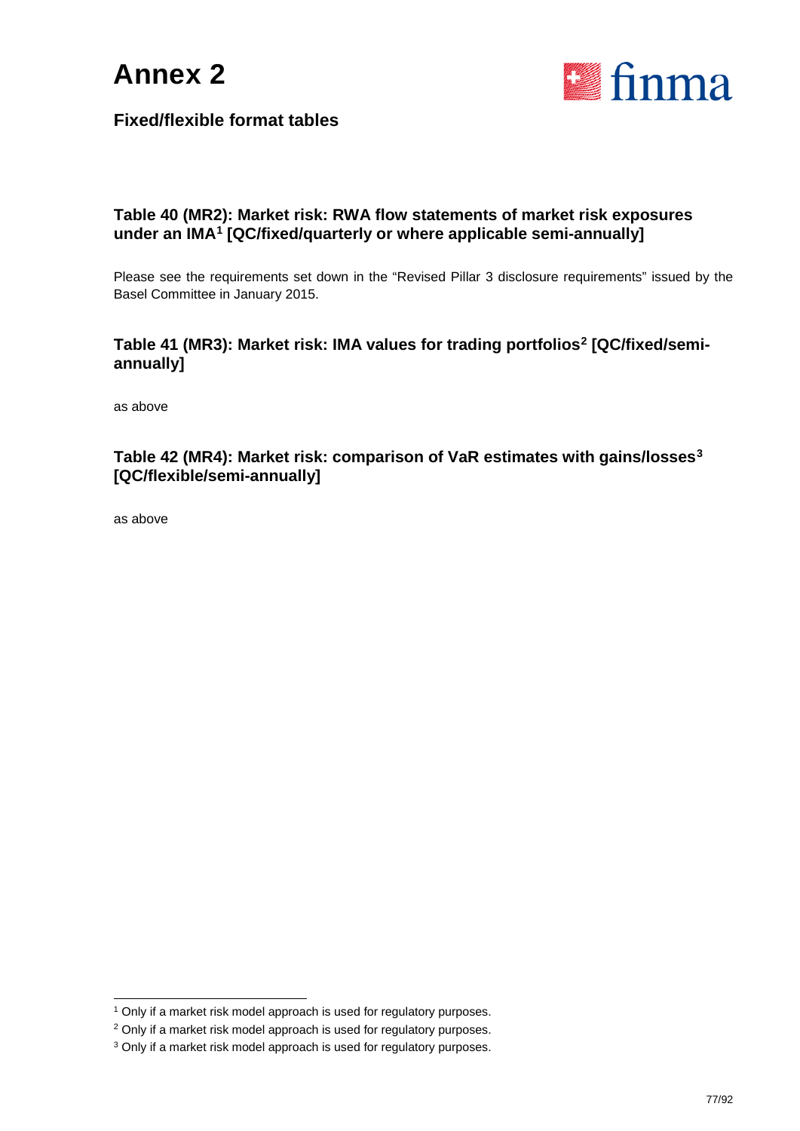



#### **Table 40 (MR2): Market risk: RWA flow statements of market risk exposures under an IMA[1](#page-76-0) [QC/fixed/quarterly or where applicable semi-annually]**

Please see the requirements set down in the "Revised Pillar 3 disclosure requirements" issued by the Basel Committee in January 2015.

#### **Table 41 (MR3): Market risk: IMA values for trading portfolios[2](#page-76-1) [QC/fixed/semiannually]**

as above

#### **Table 42 (MR4): Market risk: comparison of VaR estimates with gains/losses[3](#page-76-2) [QC/flexible/semi-annually]**

as above

<span id="page-76-0"></span><sup>&</sup>lt;sup>1</sup> Only if a market risk model approach is used for regulatory purposes.

<span id="page-76-1"></span><sup>&</sup>lt;sup>2</sup> Only if a market risk model approach is used for regulatory purposes.

<span id="page-76-2"></span><sup>&</sup>lt;sup>3</sup> Only if a market risk model approach is used for regulatory purposes.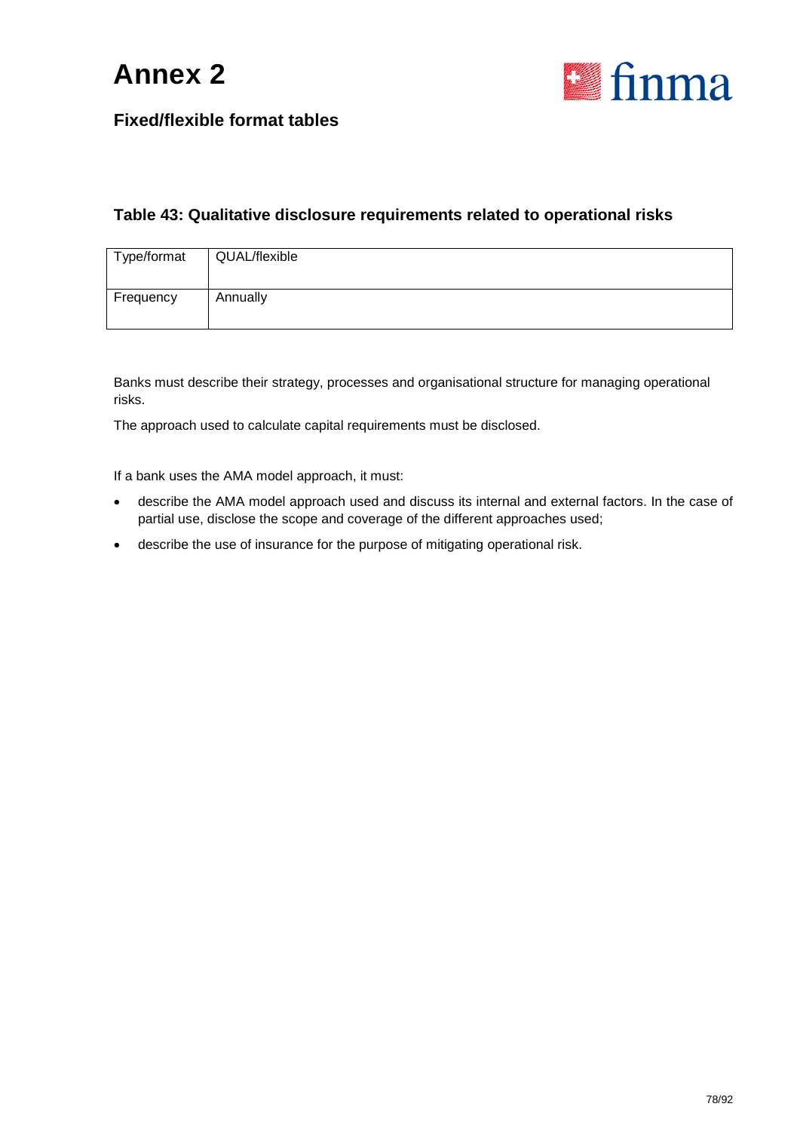



#### **Table 43: Qualitative disclosure requirements related to operational risks**

| Type/format | QUAL/flexible |
|-------------|---------------|
| Frequency   | Annually      |

Banks must describe their strategy, processes and organisational structure for managing operational risks.

The approach used to calculate capital requirements must be disclosed.

If a bank uses the AMA model approach, it must:

- describe the AMA model approach used and discuss its internal and external factors. In the case of partial use, disclose the scope and coverage of the different approaches used;
- describe the use of insurance for the purpose of mitigating operational risk.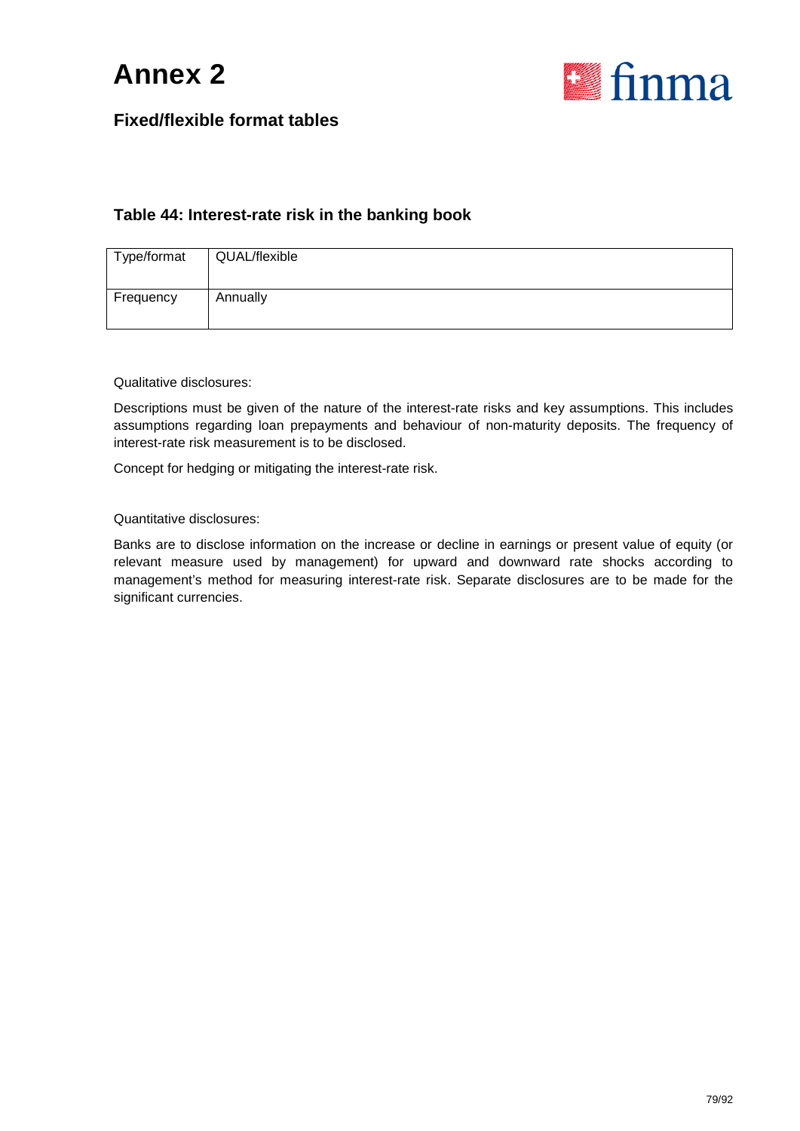



#### **Table 44: Interest-rate risk in the banking book**

| Type/format | QUAL/flexible |
|-------------|---------------|
| Frequency   | Annually      |

Qualitative disclosures:

Descriptions must be given of the nature of the interest-rate risks and key assumptions. This includes assumptions regarding loan prepayments and behaviour of non-maturity deposits. The frequency of interest-rate risk measurement is to be disclosed.

Concept for hedging or mitigating the interest-rate risk.

Quantitative disclosures:

Banks are to disclose information on the increase or decline in earnings or present value of equity (or relevant measure used by management) for upward and downward rate shocks according to management's method for measuring interest-rate risk. Separate disclosures are to be made for the significant currencies.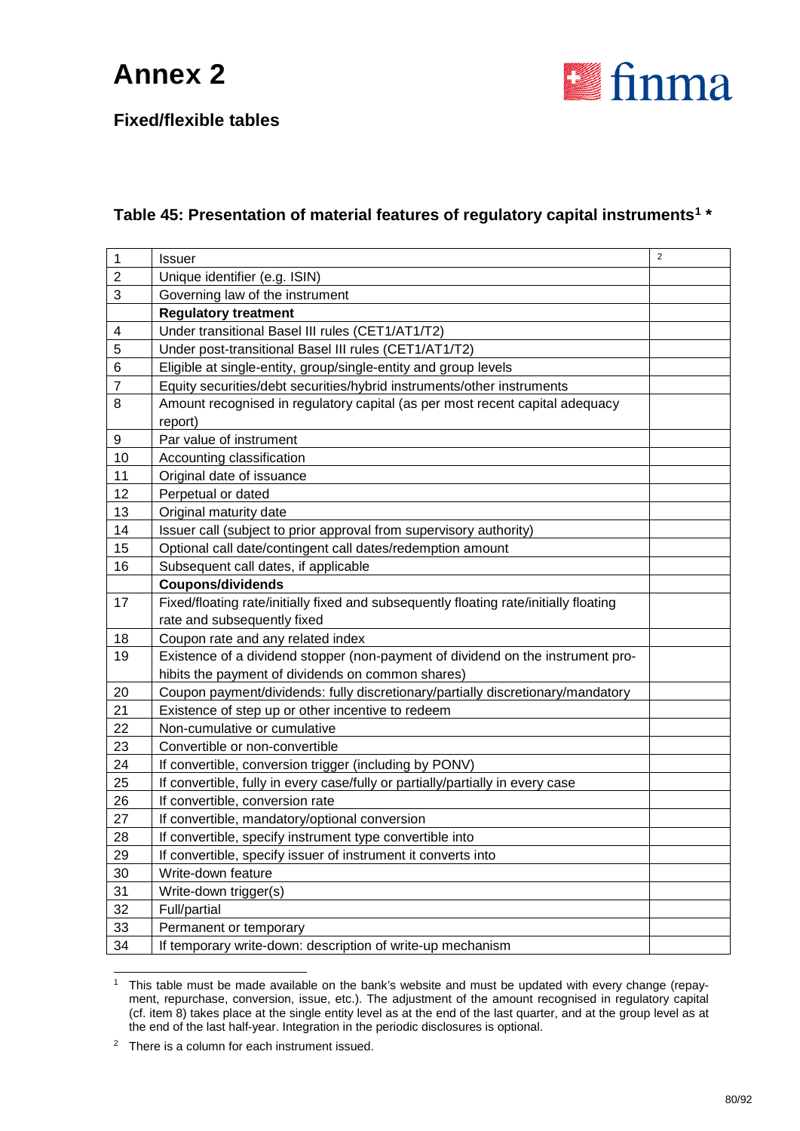

**Fixed/flexible tables**

### **Table 45: Presentation of material features of regulatory capital instruments[1](#page-79-0) \***

| $\mathbf 1$    | <b>Issuer</b>                                                                         | $\overline{2}$ |
|----------------|---------------------------------------------------------------------------------------|----------------|
| $\mathbf 2$    | Unique identifier (e.g. ISIN)                                                         |                |
| 3              | Governing law of the instrument                                                       |                |
|                | <b>Regulatory treatment</b>                                                           |                |
| 4              | Under transitional Basel III rules (CET1/AT1/T2)                                      |                |
| 5              | Under post-transitional Basel III rules (CET1/AT1/T2)                                 |                |
| 6              | Eligible at single-entity, group/single-entity and group levels                       |                |
| $\overline{7}$ | Equity securities/debt securities/hybrid instruments/other instruments                |                |
| 8              | Amount recognised in regulatory capital (as per most recent capital adequacy          |                |
|                | report)                                                                               |                |
| 9              | Par value of instrument                                                               |                |
| 10             | Accounting classification                                                             |                |
| 11             | Original date of issuance                                                             |                |
| 12             | Perpetual or dated                                                                    |                |
| 13             | Original maturity date                                                                |                |
| 14             | Issuer call (subject to prior approval from supervisory authority)                    |                |
| 15             | Optional call date/contingent call dates/redemption amount                            |                |
| 16             | Subsequent call dates, if applicable                                                  |                |
|                | <b>Coupons/dividends</b>                                                              |                |
| 17             | Fixed/floating rate/initially fixed and subsequently floating rate/initially floating |                |
|                | rate and subsequently fixed                                                           |                |
| 18             | Coupon rate and any related index                                                     |                |
| 19             | Existence of a dividend stopper (non-payment of dividend on the instrument pro-       |                |
|                | hibits the payment of dividends on common shares)                                     |                |
| 20             | Coupon payment/dividends: fully discretionary/partially discretionary/mandatory       |                |
| 21             | Existence of step up or other incentive to redeem                                     |                |
| 22             | Non-cumulative or cumulative                                                          |                |
| 23             | Convertible or non-convertible                                                        |                |
| 24             | If convertible, conversion trigger (including by PONV)                                |                |
| 25             | If convertible, fully in every case/fully or partially/partially in every case        |                |
| 26             | If convertible, conversion rate                                                       |                |
| 27             | If convertible, mandatory/optional conversion                                         |                |
| 28             | If convertible, specify instrument type convertible into                              |                |
| 29             | If convertible, specify issuer of instrument it converts into                         |                |
| 30             | Write-down feature                                                                    |                |
| 31             | Write-down trigger(s)                                                                 |                |
| 32             | Full/partial                                                                          |                |
| 33             | Permanent or temporary                                                                |                |
| 34             | If temporary write-down: description of write-up mechanism                            |                |
|                |                                                                                       |                |

<span id="page-79-0"></span><sup>&</sup>lt;sup>1</sup> This table must be made available on the bank's website and must be updated with every change (repayment, repurchase, conversion, issue, etc.). The adjustment of the amount recognised in regulatory capital (cf. item 8) takes place at the single entity level as at the end of the last quarter, and at the group level as at the end of the last half-year. Integration in the periodic disclosures is optional.

<span id="page-79-1"></span>There is a column for each instrument issued.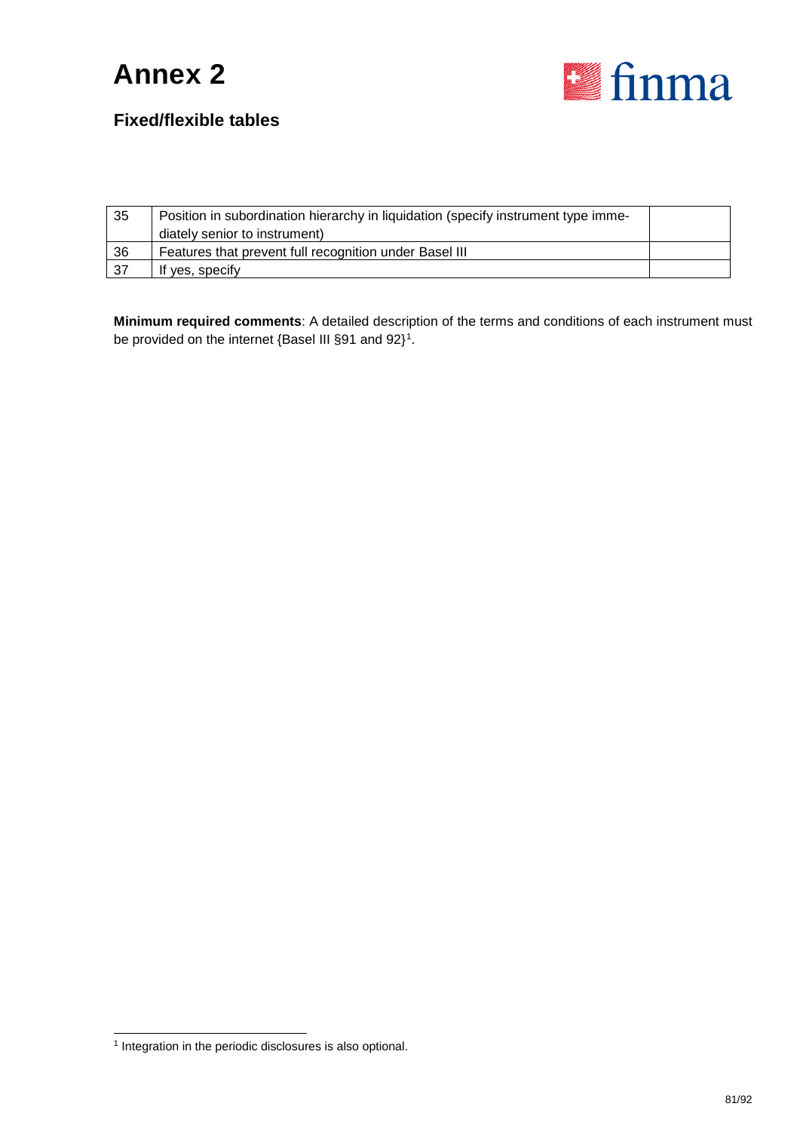

### **Fixed/flexible tables**

| 35  | Position in subordination hierarchy in liquidation (specify instrument type imme-<br>diately senior to instrument) |  |
|-----|--------------------------------------------------------------------------------------------------------------------|--|
| 36  | Features that prevent full recognition under Basel III                                                             |  |
| -37 | If yes, specify                                                                                                    |  |

**Minimum required comments**: A detailed description of the terms and conditions of each instrument must be provided on the internet {Basel III §9[1](#page-80-0) and 92}<sup>1</sup>.

<span id="page-80-0"></span> <sup>1</sup> Integration in the periodic disclosures is also optional.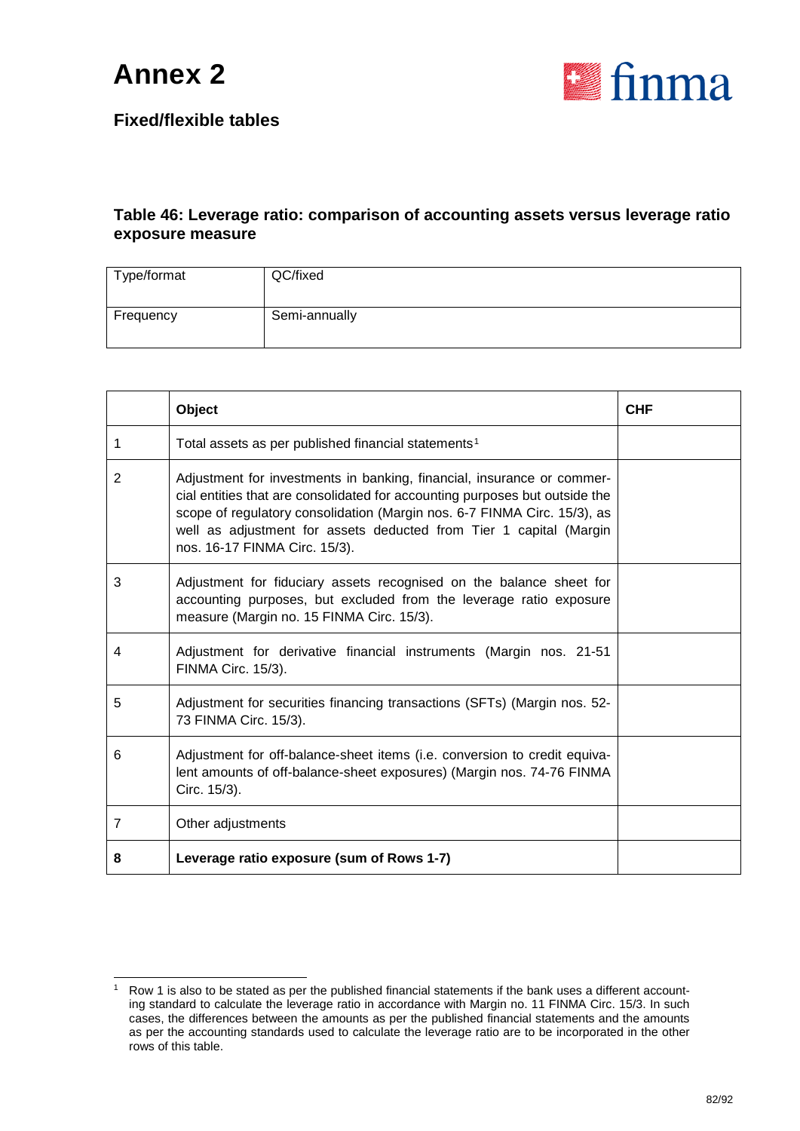

#### **Fixed/flexible tables**

#### **Table 46: Leverage ratio: comparison of accounting assets versus leverage ratio exposure measure**

| Type/format | QC/fixed      |
|-------------|---------------|
| Frequency   | Semi-annually |

|                | Object                                                                                                                                                                                                                                                                                                                                   | <b>CHF</b> |
|----------------|------------------------------------------------------------------------------------------------------------------------------------------------------------------------------------------------------------------------------------------------------------------------------------------------------------------------------------------|------------|
| 1              | Total assets as per published financial statements <sup>1</sup>                                                                                                                                                                                                                                                                          |            |
| $\overline{2}$ | Adjustment for investments in banking, financial, insurance or commer-<br>cial entities that are consolidated for accounting purposes but outside the<br>scope of regulatory consolidation (Margin nos. 6-7 FINMA Circ. 15/3), as<br>well as adjustment for assets deducted from Tier 1 capital (Margin<br>nos. 16-17 FINMA Circ. 15/3). |            |
| 3              | Adjustment for fiduciary assets recognised on the balance sheet for<br>accounting purposes, but excluded from the leverage ratio exposure<br>measure (Margin no. 15 FINMA Circ. 15/3).                                                                                                                                                   |            |
| 4              | Adjustment for derivative financial instruments (Margin nos. 21-51<br>FINMA Circ. 15/3).                                                                                                                                                                                                                                                 |            |
| 5              | Adjustment for securities financing transactions (SFTs) (Margin nos. 52-<br>73 FINMA Circ. 15/3).                                                                                                                                                                                                                                        |            |
| 6              | Adjustment for off-balance-sheet items (i.e. conversion to credit equiva-<br>lent amounts of off-balance-sheet exposures) (Margin nos. 74-76 FINMA<br>Circ. 15/3).                                                                                                                                                                       |            |
| $\overline{7}$ | Other adjustments                                                                                                                                                                                                                                                                                                                        |            |
| 8              | Leverage ratio exposure (sum of Rows 1-7)                                                                                                                                                                                                                                                                                                |            |

<span id="page-81-0"></span> <sup>1</sup> Row 1 is also to be stated as per the published financial statements if the bank uses a different accounting standard to calculate the leverage ratio in accordance with Margin no. 11 FINMA Circ. 15/3. In such cases, the differences between the amounts as per the published financial statements and the amounts as per the accounting standards used to calculate the leverage ratio are to be incorporated in the other rows of this table.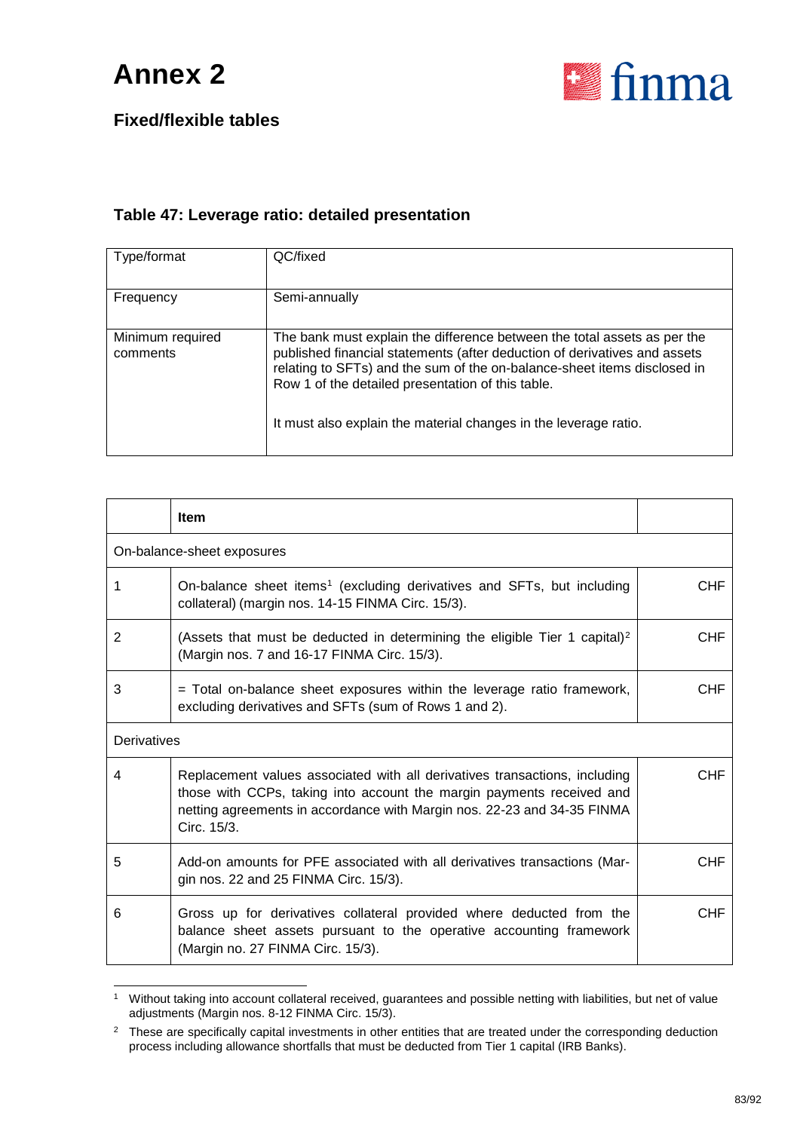

### **Fixed/flexible tables**

#### **Table 47: Leverage ratio: detailed presentation**

| Type/format                  | QC/fixed                                                                                                                                                                                                                                                                                                                                                   |
|------------------------------|------------------------------------------------------------------------------------------------------------------------------------------------------------------------------------------------------------------------------------------------------------------------------------------------------------------------------------------------------------|
| Frequency                    | Semi-annually                                                                                                                                                                                                                                                                                                                                              |
| Minimum required<br>comments | The bank must explain the difference between the total assets as per the<br>published financial statements (after deduction of derivatives and assets<br>relating to SFTs) and the sum of the on-balance-sheet items disclosed in<br>Row 1 of the detailed presentation of this table.<br>It must also explain the material changes in the leverage ratio. |

|   | <b>Item</b>                                                                                                                                                                                                                                   |            |  |  |
|---|-----------------------------------------------------------------------------------------------------------------------------------------------------------------------------------------------------------------------------------------------|------------|--|--|
|   | On-balance-sheet exposures                                                                                                                                                                                                                    |            |  |  |
| 1 | On-balance sheet items <sup>1</sup> (excluding derivatives and SFTs, but including<br>collateral) (margin nos. 14-15 FINMA Circ. 15/3).                                                                                                       | <b>CHF</b> |  |  |
| 2 | (Assets that must be deducted in determining the eligible Tier 1 capital) <sup>2</sup><br>(Margin nos. 7 and 16-17 FINMA Circ. 15/3).                                                                                                         | <b>CHF</b> |  |  |
| 3 | $=$ Total on-balance sheet exposures within the leverage ratio framework,<br>excluding derivatives and SFTs (sum of Rows 1 and 2).                                                                                                            | <b>CHF</b> |  |  |
|   | Derivatives                                                                                                                                                                                                                                   |            |  |  |
| 4 | Replacement values associated with all derivatives transactions, including<br>those with CCPs, taking into account the margin payments received and<br>netting agreements in accordance with Margin nos. 22-23 and 34-35 FINMA<br>Circ. 15/3. | <b>CHF</b> |  |  |
| 5 | Add-on amounts for PFE associated with all derivatives transactions (Mar-<br>gin nos. 22 and 25 FINMA Circ. 15/3).                                                                                                                            | <b>CHF</b> |  |  |
| 6 | Gross up for derivatives collateral provided where deducted from the<br>balance sheet assets pursuant to the operative accounting framework<br>(Margin no. 27 FINMA Circ. 15/3).                                                              | <b>CHF</b> |  |  |

<span id="page-82-0"></span> <sup>1</sup> Without taking into account collateral received, guarantees and possible netting with liabilities, but net of value adjustments (Margin nos. 8-12 FINMA Circ. 15/3).

<span id="page-82-1"></span><sup>&</sup>lt;sup>2</sup> These are specifically capital investments in other entities that are treated under the corresponding deduction process including allowance shortfalls that must be deducted from Tier 1 capital (IRB Banks).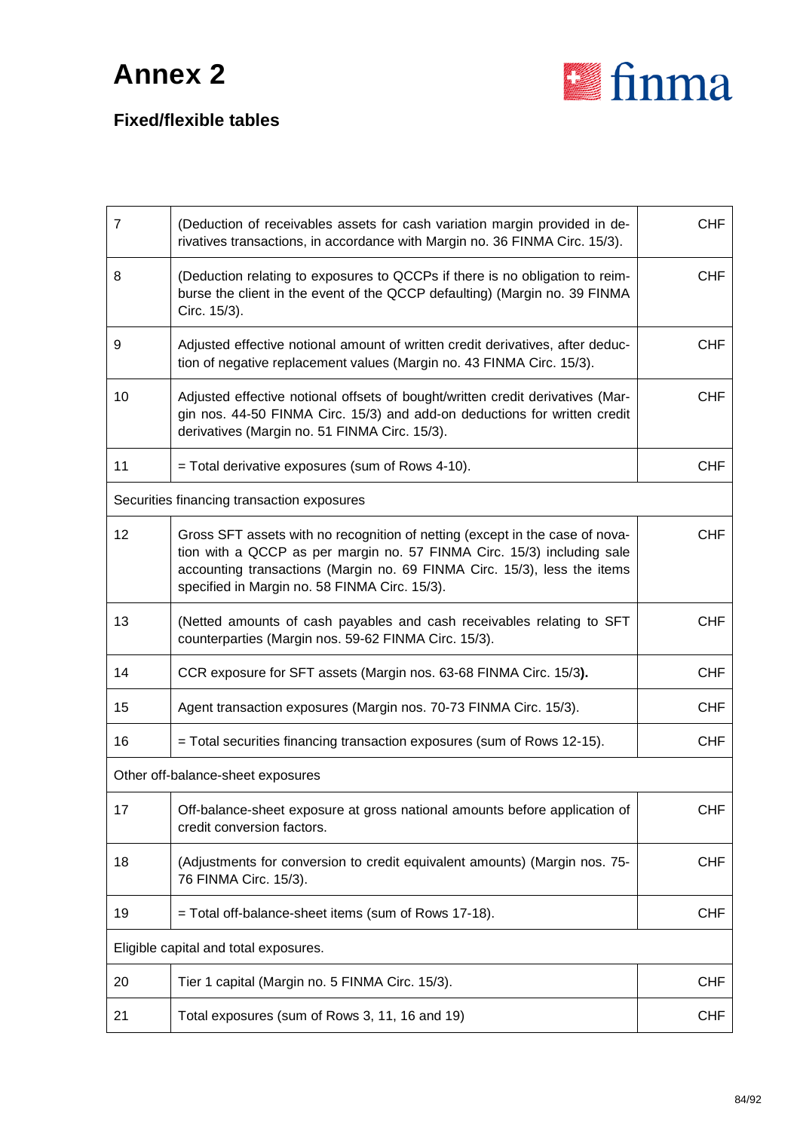

| $\overline{7}$                        | (Deduction of receivables assets for cash variation margin provided in de-<br>rivatives transactions, in accordance with Margin no. 36 FINMA Circ. 15/3).                                                                                                                           | <b>CHF</b> |
|---------------------------------------|-------------------------------------------------------------------------------------------------------------------------------------------------------------------------------------------------------------------------------------------------------------------------------------|------------|
| 8                                     | (Deduction relating to exposures to QCCPs if there is no obligation to reim-<br>burse the client in the event of the QCCP defaulting) (Margin no. 39 FINMA<br>Circ. 15/3).                                                                                                          | <b>CHF</b> |
| 9                                     | Adjusted effective notional amount of written credit derivatives, after deduc-<br>tion of negative replacement values (Margin no. 43 FINMA Circ. 15/3).                                                                                                                             | <b>CHF</b> |
| 10                                    | Adjusted effective notional offsets of bought/written credit derivatives (Mar-<br>gin nos. 44-50 FINMA Circ. 15/3) and add-on deductions for written credit<br>derivatives (Margin no. 51 FINMA Circ. 15/3).                                                                        | <b>CHF</b> |
| 11                                    | = Total derivative exposures (sum of Rows 4-10).                                                                                                                                                                                                                                    | <b>CHF</b> |
|                                       | Securities financing transaction exposures                                                                                                                                                                                                                                          |            |
| 12                                    | Gross SFT assets with no recognition of netting (except in the case of nova-<br>tion with a QCCP as per margin no. 57 FINMA Circ. 15/3) including sale<br>accounting transactions (Margin no. 69 FINMA Circ. 15/3), less the items<br>specified in Margin no. 58 FINMA Circ. 15/3). | <b>CHF</b> |
| 13                                    | (Netted amounts of cash payables and cash receivables relating to SFT<br>counterparties (Margin nos. 59-62 FINMA Circ. 15/3).                                                                                                                                                       | <b>CHF</b> |
| 14                                    | CCR exposure for SFT assets (Margin nos. 63-68 FINMA Circ. 15/3).                                                                                                                                                                                                                   | <b>CHF</b> |
| 15                                    | Agent transaction exposures (Margin nos. 70-73 FINMA Circ. 15/3).                                                                                                                                                                                                                   | <b>CHF</b> |
| 16                                    | = Total securities financing transaction exposures (sum of Rows 12-15).                                                                                                                                                                                                             | <b>CHF</b> |
|                                       | Other off-balance-sheet exposures                                                                                                                                                                                                                                                   |            |
| 17 <sub>1</sub>                       | Off-balance-sheet exposure at gross national amounts before application of<br>credit conversion factors.                                                                                                                                                                            | <b>CHF</b> |
| 18                                    | (Adjustments for conversion to credit equivalent amounts) (Margin nos. 75-<br>76 FINMA Circ. 15/3).                                                                                                                                                                                 | <b>CHF</b> |
| 19                                    | = Total off-balance-sheet items (sum of Rows 17-18).                                                                                                                                                                                                                                | <b>CHF</b> |
| Eligible capital and total exposures. |                                                                                                                                                                                                                                                                                     |            |
| 20                                    | Tier 1 capital (Margin no. 5 FINMA Circ. 15/3).                                                                                                                                                                                                                                     | <b>CHF</b> |
| 21                                    | Total exposures (sum of Rows 3, 11, 16 and 19)                                                                                                                                                                                                                                      | <b>CHF</b> |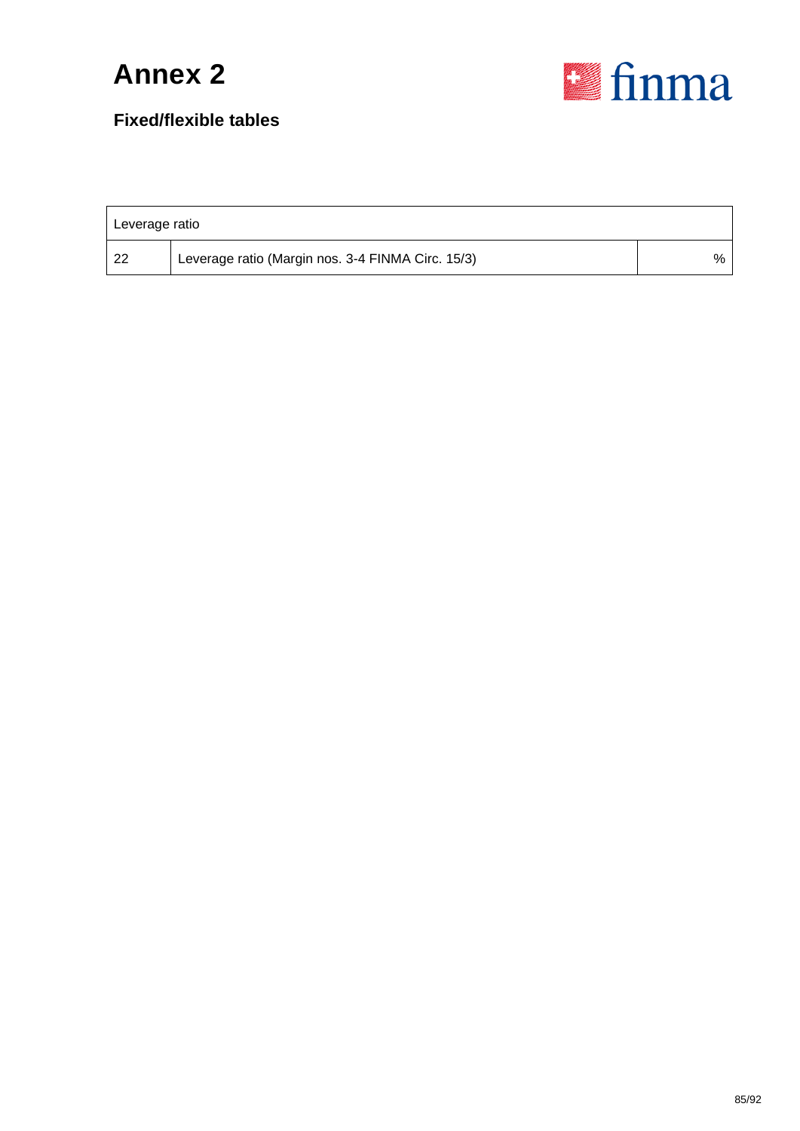

| Leverage ratio |                                                   |   |  |  |  |
|----------------|---------------------------------------------------|---|--|--|--|
| -22            | Leverage ratio (Margin nos. 3-4 FINMA Circ. 15/3) | % |  |  |  |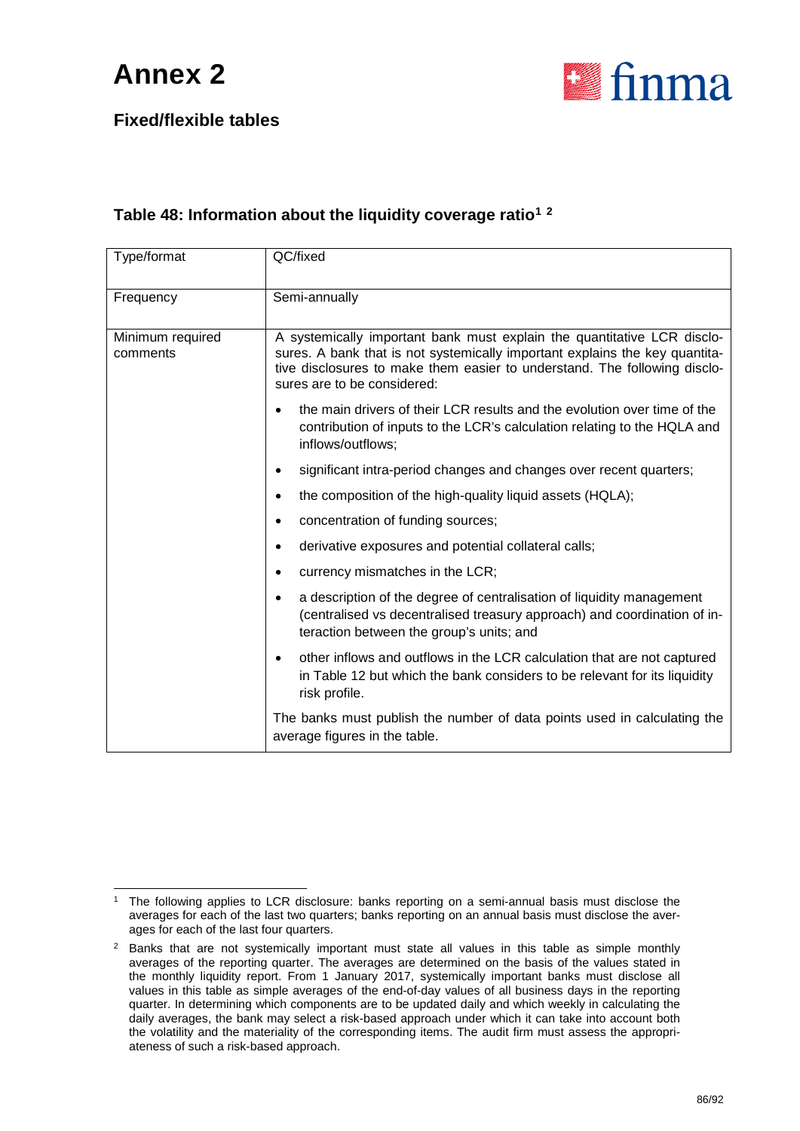

### **Fixed/flexible tables**

#### **Table 48: Information about the liquidity coverage ratio[1](#page-85-0) [2](#page-85-1)**

| Type/format                  | QC/fixed                                                                                                                                                                                                                                                           |  |  |  |  |  |
|------------------------------|--------------------------------------------------------------------------------------------------------------------------------------------------------------------------------------------------------------------------------------------------------------------|--|--|--|--|--|
| Frequency                    | Semi-annually                                                                                                                                                                                                                                                      |  |  |  |  |  |
| Minimum required<br>comments | A systemically important bank must explain the quantitative LCR disclo-<br>sures. A bank that is not systemically important explains the key quantita-<br>tive disclosures to make them easier to understand. The following disclo-<br>sures are to be considered: |  |  |  |  |  |
|                              | the main drivers of their LCR results and the evolution over time of the<br>contribution of inputs to the LCR's calculation relating to the HQLA and<br>inflows/outflows;                                                                                          |  |  |  |  |  |
|                              | significant intra-period changes and changes over recent quarters;<br>$\bullet$                                                                                                                                                                                    |  |  |  |  |  |
|                              | the composition of the high-quality liquid assets (HQLA);<br>$\bullet$                                                                                                                                                                                             |  |  |  |  |  |
|                              | concentration of funding sources;<br>$\bullet$                                                                                                                                                                                                                     |  |  |  |  |  |
|                              | derivative exposures and potential collateral calls;<br>$\bullet$                                                                                                                                                                                                  |  |  |  |  |  |
|                              | currency mismatches in the LCR;                                                                                                                                                                                                                                    |  |  |  |  |  |
|                              | a description of the degree of centralisation of liquidity management<br>$\bullet$<br>(centralised vs decentralised treasury approach) and coordination of in-<br>teraction between the group's units; and                                                         |  |  |  |  |  |
|                              | other inflows and outflows in the LCR calculation that are not captured<br>$\bullet$<br>in Table 12 but which the bank considers to be relevant for its liquidity<br>risk profile.                                                                                 |  |  |  |  |  |
|                              | The banks must publish the number of data points used in calculating the<br>average figures in the table.                                                                                                                                                          |  |  |  |  |  |

<span id="page-85-0"></span>The following applies to LCR disclosure: banks reporting on a semi-annual basis must disclose the averages for each of the last two quarters; banks reporting on an annual basis must disclose the averages for each of the last four quarters.

<span id="page-85-1"></span><sup>&</sup>lt;sup>2</sup> Banks that are not systemically important must state all values in this table as simple monthly averages of the reporting quarter. The averages are determined on the basis of the values stated in the monthly liquidity report. From 1 January 2017, systemically important banks must disclose all values in this table as simple averages of the end-of-day values of all business days in the reporting quarter. In determining which components are to be updated daily and which weekly in calculating the daily averages, the bank may select a risk-based approach under which it can take into account both the volatility and the materiality of the corresponding items. The audit firm must assess the appropriateness of such a risk-based approach.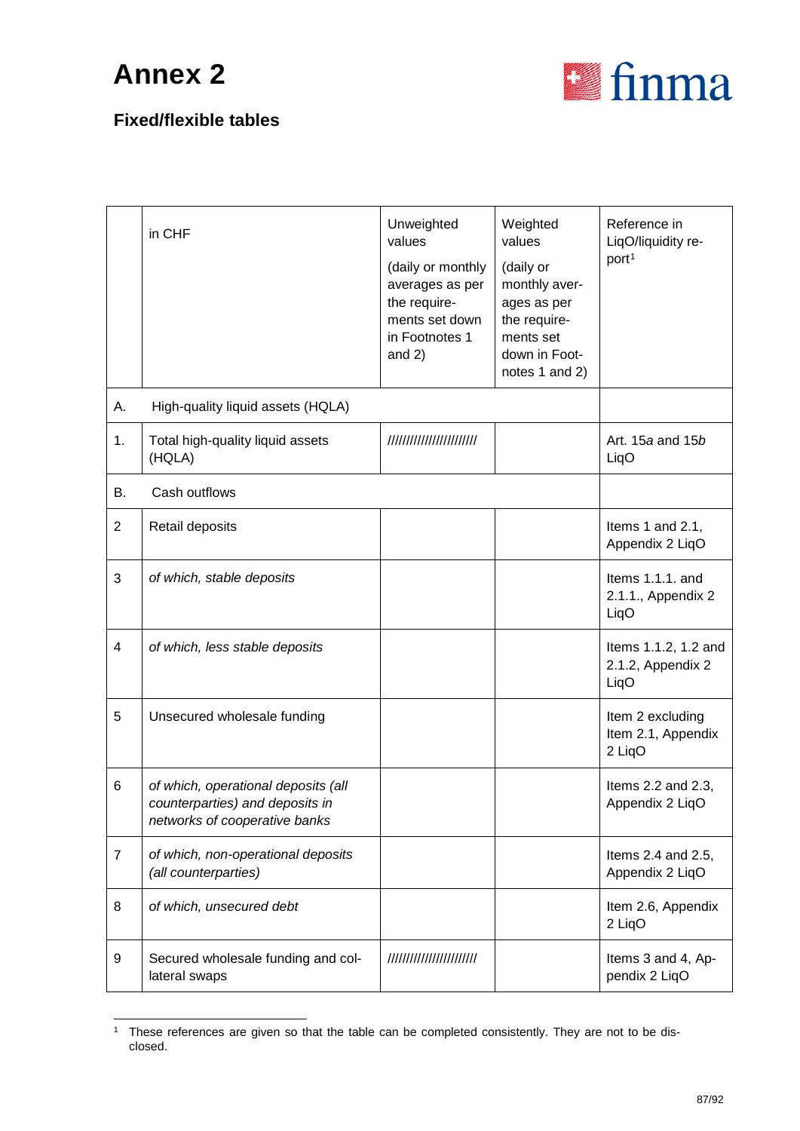

|                | in CHF                                                                                                  | Unweighted<br>values<br>(daily or monthly<br>averages as per<br>the require-<br>ments set down<br>in Footnotes 1<br>and $2)$ | Weighted<br>values<br>(daily or<br>monthly aver-<br>ages as per<br>the require-<br>ments set<br>down in Foot-<br>notes 1 and 2) | Reference in<br>LiqO/liquidity re-<br>port <sup>1</sup> |
|----------------|---------------------------------------------------------------------------------------------------------|------------------------------------------------------------------------------------------------------------------------------|---------------------------------------------------------------------------------------------------------------------------------|---------------------------------------------------------|
| Α.             | High-quality liquid assets (HQLA)                                                                       |                                                                                                                              |                                                                                                                                 |                                                         |
| 1.             | Total high-quality liquid assets<br>(HQLA)                                                              | ////////////////////////                                                                                                     |                                                                                                                                 | Art. 15a and 15b<br>LiqO                                |
| В.             | Cash outflows                                                                                           |                                                                                                                              |                                                                                                                                 |                                                         |
| $\overline{2}$ | Retail deposits                                                                                         |                                                                                                                              |                                                                                                                                 | Items 1 and 2.1,<br>Appendix 2 LiqO                     |
| 3              | of which, stable deposits                                                                               |                                                                                                                              |                                                                                                                                 | Items 1.1.1. and<br>2.1.1., Appendix 2<br>LiqO          |
| 4              | of which, less stable deposits                                                                          |                                                                                                                              |                                                                                                                                 | Items 1.1.2, 1.2 and<br>2.1.2, Appendix 2<br>LiqO       |
| 5              | Unsecured wholesale funding                                                                             |                                                                                                                              |                                                                                                                                 | Item 2 excluding<br>Item 2.1, Appendix<br>2 LiqO        |
| 6              | of which, operational deposits (all<br>counterparties) and deposits in<br>networks of cooperative banks |                                                                                                                              |                                                                                                                                 | Items 2.2 and 2.3,<br>Appendix 2 LiqO                   |
| $\overline{7}$ | of which, non-operational deposits<br>(all counterparties)                                              |                                                                                                                              |                                                                                                                                 | Items 2.4 and 2.5,<br>Appendix 2 LiqO                   |
| 8              | of which, unsecured debt                                                                                |                                                                                                                              |                                                                                                                                 | Item 2.6, Appendix<br>2 LiqO                            |
| 9              | Secured wholesale funding and col-<br>lateral swaps                                                     | ////////////////////////                                                                                                     |                                                                                                                                 | Items 3 and 4, Ap-<br>pendix 2 LiqO                     |

<span id="page-86-0"></span><sup>&</sup>lt;sup>1</sup> These references are given so that the table can be completed consistently. They are not to be disclosed.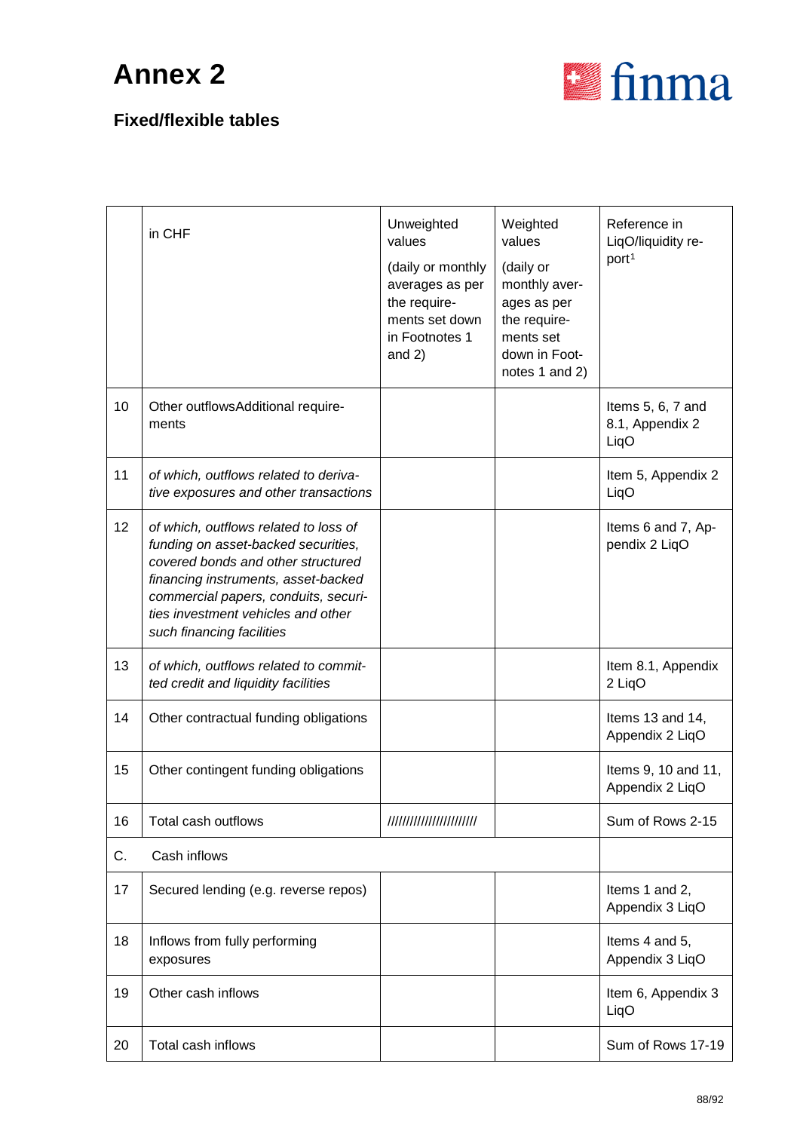

|    | in CHF                                                                                                                                                                                                                                                               | Unweighted<br>values<br>(daily or monthly<br>averages as per<br>the require-<br>ments set down<br>in Footnotes 1<br>and $2)$ | Weighted<br>values<br>(daily or<br>monthly aver-<br>ages as per<br>the require-<br>ments set<br>down in Foot-<br>notes 1 and 2) | Reference in<br>LiqO/liquidity re-<br>port <sup>1</sup> |
|----|----------------------------------------------------------------------------------------------------------------------------------------------------------------------------------------------------------------------------------------------------------------------|------------------------------------------------------------------------------------------------------------------------------|---------------------------------------------------------------------------------------------------------------------------------|---------------------------------------------------------|
| 10 | Other outflowsAdditional require-<br>ments                                                                                                                                                                                                                           |                                                                                                                              |                                                                                                                                 | Items 5, 6, 7 and<br>8.1, Appendix 2<br>LiqO            |
| 11 | of which, outflows related to deriva-<br>tive exposures and other transactions                                                                                                                                                                                       |                                                                                                                              |                                                                                                                                 | Item 5, Appendix 2<br>LiqO                              |
| 12 | of which, outflows related to loss of<br>funding on asset-backed securities,<br>covered bonds and other structured<br>financing instruments, asset-backed<br>commercial papers, conduits, securi-<br>ties investment vehicles and other<br>such financing facilities |                                                                                                                              |                                                                                                                                 | Items 6 and 7, Ap-<br>pendix 2 LiqO                     |
| 13 | of which, outflows related to commit-<br>ted credit and liquidity facilities                                                                                                                                                                                         |                                                                                                                              |                                                                                                                                 | Item 8.1, Appendix<br>2 LiqO                            |
| 14 | Other contractual funding obligations                                                                                                                                                                                                                                |                                                                                                                              |                                                                                                                                 | Items 13 and 14,<br>Appendix 2 LiqO                     |
| 15 | Other contingent funding obligations                                                                                                                                                                                                                                 |                                                                                                                              |                                                                                                                                 | Items 9, 10 and 11,<br>Appendix 2 LiqO                  |
| 16 | Total cash outflows                                                                                                                                                                                                                                                  | ////////////////////////                                                                                                     |                                                                                                                                 | Sum of Rows 2-15                                        |
| C. | Cash inflows                                                                                                                                                                                                                                                         |                                                                                                                              |                                                                                                                                 |                                                         |
| 17 | Secured lending (e.g. reverse repos)                                                                                                                                                                                                                                 |                                                                                                                              |                                                                                                                                 | Items 1 and 2,<br>Appendix 3 LiqO                       |
| 18 | Inflows from fully performing<br>exposures                                                                                                                                                                                                                           |                                                                                                                              |                                                                                                                                 | Items 4 and 5,<br>Appendix 3 LiqO                       |
| 19 | Other cash inflows                                                                                                                                                                                                                                                   |                                                                                                                              |                                                                                                                                 | Item 6, Appendix 3<br>LiqO                              |
| 20 | Total cash inflows                                                                                                                                                                                                                                                   |                                                                                                                              |                                                                                                                                 | Sum of Rows 17-19                                       |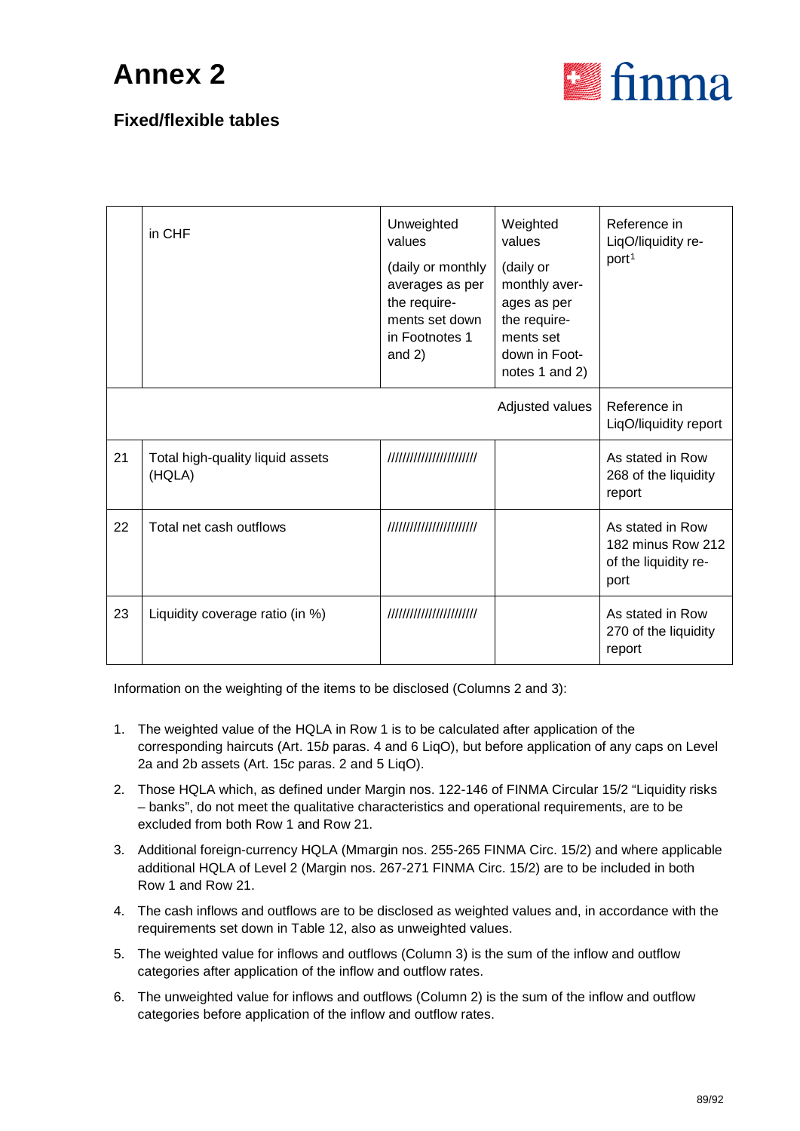

### **Fixed/flexible tables**

|    | in CHF                                     | Unweighted<br>values<br>(daily or monthly<br>averages as per<br>the require-<br>ments set down<br>in Footnotes 1<br>and $2)$ | Weighted<br>values<br>(daily or<br>monthly aver-<br>ages as per<br>the require-<br>ments set<br>down in Foot-<br>notes 1 and 2) | Reference in<br>LiqO/liquidity re-<br>port <sup>1</sup>               |
|----|--------------------------------------------|------------------------------------------------------------------------------------------------------------------------------|---------------------------------------------------------------------------------------------------------------------------------|-----------------------------------------------------------------------|
|    |                                            |                                                                                                                              | Adjusted values                                                                                                                 | Reference in<br>LiqO/liquidity report                                 |
| 21 | Total high-quality liquid assets<br>(HQLA) | ////////////////////////                                                                                                     |                                                                                                                                 | As stated in Row<br>268 of the liquidity<br>report                    |
| 22 | Total net cash outflows                    | ////////////////////////                                                                                                     |                                                                                                                                 | As stated in Row<br>182 minus Row 212<br>of the liquidity re-<br>port |
| 23 | Liquidity coverage ratio (in %)            | ////////////////////////                                                                                                     |                                                                                                                                 | As stated in Row<br>270 of the liquidity<br>report                    |

Information on the weighting of the items to be disclosed (Columns 2 and 3):

- 1. The weighted value of the HQLA in Row 1 is to be calculated after application of the corresponding haircuts (Art. 15*b* paras. 4 and 6 LiqO), but before application of any caps on Level 2a and 2b assets (Art. 15*c* paras. 2 and 5 LiqO).
- 2. Those HQLA which, as defined under Margin nos. 122-146 of FINMA Circular 15/2 "Liquidity risks – banks", do not meet the qualitative characteristics and operational requirements, are to be excluded from both Row 1 and Row 21.
- 3. Additional foreign-currency HQLA (Mmargin nos. 255-265 FINMA Circ. 15/2) and where applicable additional HQLA of Level 2 (Margin nos. 267-271 FINMA Circ. 15/2) are to be included in both Row 1 and Row 21.
- 4. The cash inflows and outflows are to be disclosed as weighted values and, in accordance with the requirements set down in Table 12, also as unweighted values.
- 5. The weighted value for inflows and outflows (Column 3) is the sum of the inflow and outflow categories after application of the inflow and outflow rates.
- 6. The unweighted value for inflows and outflows (Column 2) is the sum of the inflow and outflow categories before application of the inflow and outflow rates.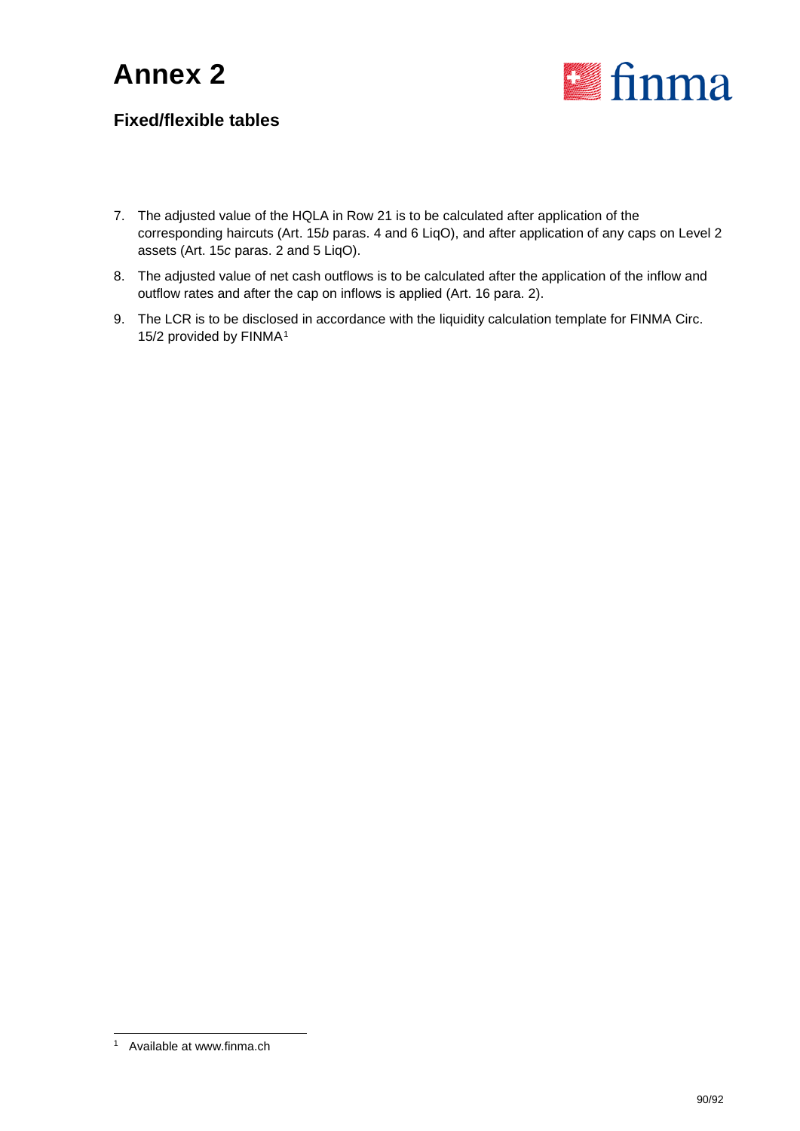

- 7. The adjusted value of the HQLA in Row 21 is to be calculated after application of the corresponding haircuts (Art. 15*b* paras. 4 and 6 LiqO), and after application of any caps on Level 2 assets (Art. 15*c* paras. 2 and 5 LiqO).
- 8. The adjusted value of net cash outflows is to be calculated after the application of the inflow and outflow rates and after the cap on inflows is applied (Art. 16 para. 2).
- 9. The LCR is to be disclosed in accordance with the liquidity calculation template for FINMA Circ. [1](#page-89-0)5/2 provided by FINMA<sup>1</sup>

<span id="page-89-0"></span> <sup>1</sup> Available at www.finma.ch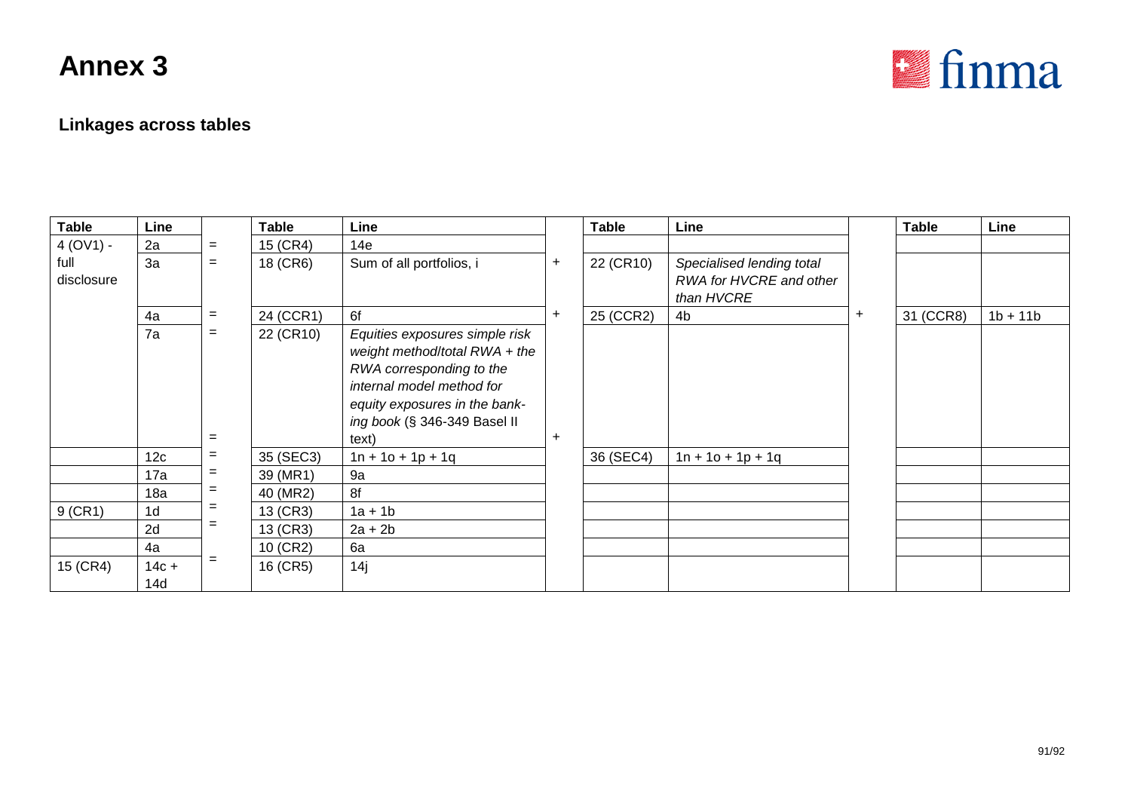

### **Linkages across tables**

| <b>Table</b>       | Line            |            | Table     | Line                                                                                                                                                                                               |   | <b>Table</b> | Line                                                               |           | <b>Table</b> | Line       |
|--------------------|-----------------|------------|-----------|----------------------------------------------------------------------------------------------------------------------------------------------------------------------------------------------------|---|--------------|--------------------------------------------------------------------|-----------|--------------|------------|
| $4 (OV1) -$        | 2a              | $=$        | 15 (CR4)  | 14e                                                                                                                                                                                                |   |              |                                                                    |           |              |            |
| full<br>disclosure | 3a              | $=$        | 18 (CR6)  | Sum of all portfolios, i                                                                                                                                                                           | + | 22 (CR10)    | Specialised lending total<br>RWA for HVCRE and other<br>than HVCRE |           |              |            |
|                    | 4a              | $=$        | 24 (CCR1) | 6f                                                                                                                                                                                                 | ÷ | 25 (CCR2)    | 4b                                                                 | $\ddot{}$ | 31 (CCR8)    | $1b + 11b$ |
|                    | 7a              | $=$<br>$=$ | 22 (CR10) | Equities exposures simple risk<br>weight method/total RWA + the<br>RWA corresponding to the<br>internal model method for<br>equity exposures in the bank-<br>ing book (§ 346-349 Basel II<br>text) | ÷ |              |                                                                    |           |              |            |
|                    | 12 <sub>c</sub> | $=$        | 35 (SEC3) | $1n + 10 + 1p + 1q$                                                                                                                                                                                |   | 36 (SEC4)    | $1n + 10 + 1p + 1q$                                                |           |              |            |
|                    | 17a             | $=$        | 39 (MR1)  | 9a                                                                                                                                                                                                 |   |              |                                                                    |           |              |            |
|                    | 18a             | $=$        | 40 (MR2)  | 8f                                                                                                                                                                                                 |   |              |                                                                    |           |              |            |
| $9$ (CR1)          | 1 <sub>d</sub>  | $=$        | 13 (CR3)  | $1a + 1b$                                                                                                                                                                                          |   |              |                                                                    |           |              |            |
|                    | 2d              | $=$        | 13 (CR3)  | $2a + 2b$                                                                                                                                                                                          |   |              |                                                                    |           |              |            |
|                    | 4a              |            | 10 (CR2)  | 6a                                                                                                                                                                                                 |   |              |                                                                    |           |              |            |
| 15 (CR4)           | $14c +$<br>14d  | $=$        | 16 (CR5)  | 14j                                                                                                                                                                                                |   |              |                                                                    |           |              |            |